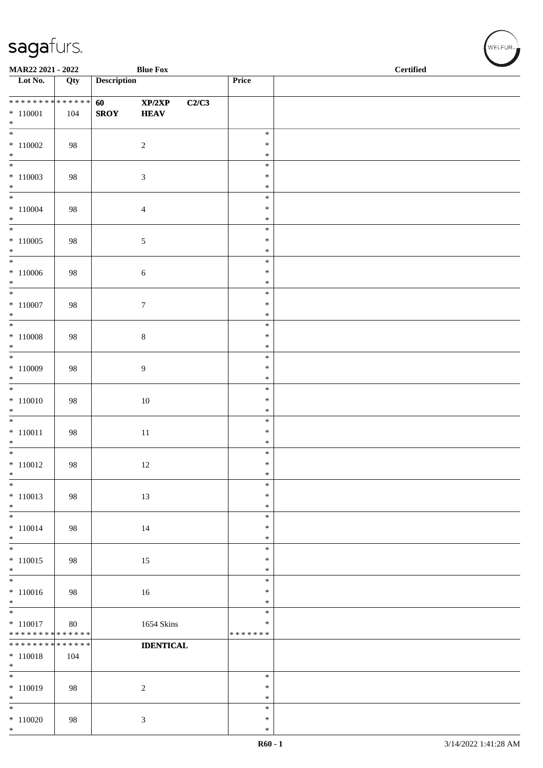| MAR22 2021 - 2022                                            |                   |                                        | <b>Blue Fox</b>                |       |                                      | <b>Certified</b> |  |
|--------------------------------------------------------------|-------------------|----------------------------------------|--------------------------------|-------|--------------------------------------|------------------|--|
| $\overline{\phantom{1}}$ Lot No.                             | Qty               | <b>Description</b>                     |                                |       | Price                                |                  |  |
| **************<br>$*110001$<br>$*$                           | 104               | <b>60</b> and <b>60</b><br><b>SROY</b> | XP/2XP<br><b>HEAV</b>          | C2/C3 |                                      |                  |  |
| $\overline{\phantom{0}}$<br>$*110002$<br>$\ast$              | 98                |                                        | $\sqrt{2}$                     |       | $\ast$<br>$\ast$<br>$\ast$           |                  |  |
| $\overline{\phantom{a}^*}$<br>$*110003$<br>$\ast$            | 98                |                                        | $\sqrt{3}$                     |       | $\ast$<br>$\ast$<br>$\ast$           |                  |  |
| $\ast$<br>$*110004$<br>$\ast$<br>$\frac{1}{1}$               | 98                |                                        | $\overline{4}$                 |       | $\ast$<br>$\ast$<br>$\ast$           |                  |  |
| $*110005$<br>$*$<br>$\overline{\phantom{0}}$                 | 98                |                                        | $\mathfrak{S}$                 |       | $\ast$<br>$\ast$<br>$\ast$           |                  |  |
| $\hspace{.1cm} * \hspace{.1cm} 110006$<br>$*$                | 98                |                                        | $\sqrt{6}$                     |       | $\ast$<br>$\ast$<br>$\ast$           |                  |  |
| $\ast$<br>$*$ 110007<br>$\ast$<br>$\overline{\phantom{0}}$   | 98                |                                        | $\boldsymbol{7}$               |       | $\ast$<br>$\ast$<br>$\ast$           |                  |  |
| $*110008$<br>$\ast$<br>$\overline{\phantom{0}}$              | 98                |                                        | $\,8\,$                        |       | $\ast$<br>$\ast$<br>$\ast$<br>$\ast$ |                  |  |
| $*110009$<br>$\ast$<br>$\ast$                                | 98                |                                        | $\overline{9}$                 |       | $\ast$<br>$\ast$<br>$\ast$           |                  |  |
| $*110010$<br>$\ast$<br>$\overline{\phantom{0}}$              | 98                |                                        | $10\,$                         |       | $\ast$<br>$\ast$<br>$\ast$           |                  |  |
| $* 110011$<br>$*$<br>$\overline{\phantom{0}}$                | 98                |                                        | 11                             |       | $\ast$<br>$\ast$<br>$\ast$           |                  |  |
| $* 110012$<br>$\ast$<br>$\ast$                               | 98                |                                        | 12                             |       | $\ast$<br>$\ast$<br>$\ast$           |                  |  |
| $* 110013$<br>$\ast$<br>$\overline{\phantom{a}^*}$           | 98                |                                        | 13                             |       | $\ast$<br>$\ast$<br>$\ast$           |                  |  |
| $* 110014$<br>$\ast$<br>$\overline{\phantom{0}}$             | 98                |                                        | 14                             |       | $\ast$<br>∗<br>$\ast$                |                  |  |
| $* 110015$<br>$\ast$<br>$\overline{\phantom{a}^*}$           | 98                |                                        | 15                             |       | $\ast$<br>$\ast$<br>$\ast$           |                  |  |
| $*110016$<br>$\ast$<br>$\overline{\phantom{a}^*}$            | 98                |                                        | 16                             |       | ∗<br>$\ast$<br>$\ast$                |                  |  |
| $* 110017$<br>* * * * * * * *<br>* * * * * * * * * * * * * * | 80<br>* * * * * * |                                        | 1654 Skins<br><b>IDENTICAL</b> |       | $\ast$<br>* * * * * * *              |                  |  |
| $* 110018$<br>$\ast$<br>$\overline{\phantom{0}}$             | 104               |                                        |                                |       | $\ast$                               |                  |  |
| $* 110019$<br>$\ast$<br>$\overline{\phantom{a}^*}$           | 98                |                                        | $\overline{c}$                 |       | $\ast$<br>$\ast$<br>$\ast$           |                  |  |
| $*110020$<br>$\ast$                                          | 98                |                                        | $\mathfrak{Z}$                 |       | $\ast$<br>$\ast$                     |                  |  |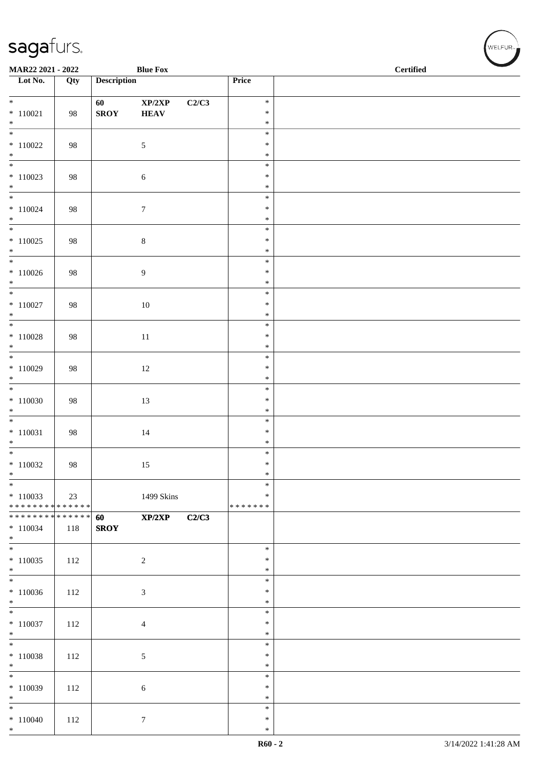| MAR22 2021 - 2022                                               |     |                    | <b>Blue Fox</b>            |       |                  | <b>Certified</b> |
|-----------------------------------------------------------------|-----|--------------------|----------------------------|-------|------------------|------------------|
| $\overline{\phantom{1}}$ Lot No.                                | Qty | <b>Description</b> |                            |       | Price            |                  |
| $\overline{\ast}$                                               |     | 60                 | $\mathbf{XP}/2\mathbf{XP}$ | C2/C3 | $\ast$           |                  |
| $*110021$<br>$*$                                                | 98  | ${\bf SROY}$       | <b>HEAV</b>                |       | $\ast$<br>$\ast$ |                  |
|                                                                 |     |                    |                            |       | $\ast$           |                  |
| $*110022$                                                       | 98  |                    | 5                          |       | $\ast$           |                  |
| $*$<br>$\overline{\phantom{0}}$                                 |     |                    |                            |       | $\ast$<br>$\ast$ |                  |
| $*110023$<br>$*$                                                | 98  |                    | $\sqrt{6}$                 |       | $\ast$<br>$\ast$ |                  |
|                                                                 |     |                    |                            |       | $\ast$           |                  |
| $* 110024$<br>$*$                                               | 98  |                    | $\tau$                     |       | $\ast$<br>$\ast$ |                  |
| $\overline{\ast}$                                               |     |                    |                            |       | $\ast$           |                  |
| $*110025$<br>$*$                                                | 98  |                    | $\,8\,$                    |       | $\ast$<br>$\ast$ |                  |
| $\overline{\phantom{0}}$                                        |     |                    |                            |       | $\ast$<br>$\ast$ |                  |
| $*110026$<br>$*$                                                | 98  |                    | 9                          |       | $\ast$           |                  |
| $\overline{\phantom{0}}$                                        |     |                    |                            |       | $\ast$           |                  |
| $* 110027$<br>$\ast$                                            | 98  |                    | $10\,$                     |       | $\ast$<br>$\ast$ |                  |
| $\overline{\phantom{0}}$                                        |     |                    |                            |       | $\ast$           |                  |
| $* 110028$<br>$\ast$                                            | 98  |                    | $11\,$                     |       | $\ast$<br>$\ast$ |                  |
|                                                                 |     |                    |                            |       | $\ast$           |                  |
| $*110029$<br>$*$                                                | 98  |                    | $12\,$                     |       | $\ast$<br>$\ast$ |                  |
|                                                                 |     |                    |                            |       | $\ast$           |                  |
| $*110030$                                                       | 98  |                    | 13                         |       | $\ast$           |                  |
| $\ast$<br>$\overline{\phantom{0}}$                              |     |                    |                            |       | $\ast$<br>$\ast$ |                  |
| $* 110031$                                                      | 98  |                    | $14\,$                     |       | $\ast$           |                  |
| $*$<br>$\overline{\phantom{0}}$                                 |     |                    |                            |       | $\ast$<br>$\ast$ |                  |
| $*110032$                                                       | 98  |                    | 15                         |       | $\ast$           |                  |
| $*$                                                             |     |                    |                            |       | $\ast$           |                  |
| $*$<br>$*110033$                                                | 23  |                    | 1499 Skins                 |       | $\ast$<br>∗      |                  |
| ******** <mark>******</mark>                                    |     |                    |                            |       | *******          |                  |
| * * * * * * * * <mark>* * * * * * *</mark><br>$* 110034$<br>$*$ | 118 | 60<br><b>SROY</b>  | XP/2XP                     | C2/C3 |                  |                  |
| $*$                                                             |     |                    |                            |       | $\ast$           |                  |
| $*110035$<br>$*$                                                | 112 |                    | $\sqrt{2}$                 |       | $\ast$<br>$\ast$ |                  |
|                                                                 |     |                    |                            |       | $\ast$           |                  |
| $*110036$<br>$*$                                                | 112 |                    | 3                          |       | $\ast$<br>$\ast$ |                  |
| $\overline{\phantom{0}}$                                        |     |                    |                            |       | $\ast$           |                  |
| $* 110037$<br>$*$                                               | 112 |                    | $\overline{4}$             |       | $\ast$<br>$\ast$ |                  |
| $* 110038$                                                      | 112 |                    | 5                          |       | $\ast$<br>$\ast$ |                  |
| $*$                                                             |     |                    |                            |       | $\ast$           |                  |
| $*$<br>$*110039$                                                | 112 |                    | 6                          |       | $\ast$<br>$\ast$ |                  |
| $*$                                                             |     |                    |                            |       | $\ast$           |                  |
| $*$                                                             |     |                    |                            |       | $\ast$           |                  |
| $*110040$<br>$*$                                                | 112 |                    | $\boldsymbol{7}$           |       | $\ast$<br>$\ast$ |                  |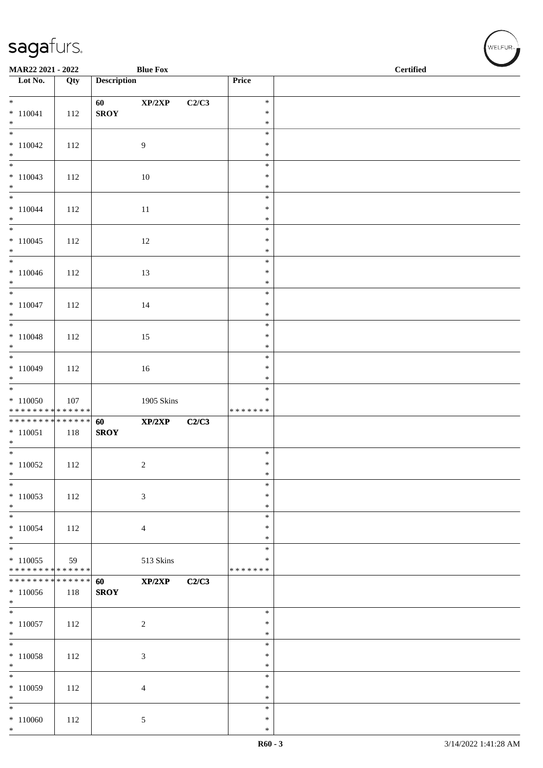| MAR22 2021 - 2022                                              |     |                    | <b>Blue Fox</b>            |       |                                   | <b>Certified</b> |  |
|----------------------------------------------------------------|-----|--------------------|----------------------------|-------|-----------------------------------|------------------|--|
| $\overline{\phantom{a}}$ Lot No.                               | Qty | <b>Description</b> |                            |       | Price                             |                  |  |
| $*$<br>$* 110041$<br>$*$                                       | 112 | 60<br>${\bf SROY}$ | $\mathbf{XP}/2\mathbf{XP}$ | C2/C3 | $\ast$<br>$\ast$<br>$\ast$        |                  |  |
| $\overline{\phantom{0}}$<br>$*110042$<br>$*$                   | 112 |                    | $\overline{9}$             |       | $\ast$<br>$\ast$<br>$\ast$        |                  |  |
| $*110043$<br>$*$                                               | 112 |                    | 10                         |       | $\ast$<br>$\ast$<br>$\ast$        |                  |  |
| $*$<br>$* 110044$<br>$*$                                       | 112 |                    | 11                         |       | $\ast$<br>$\ast$<br>$\ast$        |                  |  |
| $\overline{\phantom{0}}$<br>$*110045$<br>$*$                   | 112 |                    | 12                         |       | $\ast$<br>$\ast$<br>$\ast$        |                  |  |
| $*$<br>$* 110046$<br>$*$                                       | 112 |                    | 13                         |       | $\ast$<br>$\ast$<br>$\ast$        |                  |  |
| $* 110047$<br>$*$                                              | 112 |                    | 14                         |       | $\ast$<br>$\ast$<br>$\ast$        |                  |  |
| $* 110048$<br>$*$                                              | 112 |                    | 15                         |       | $\ast$<br>$\ast$<br>$\ast$        |                  |  |
| $* 110049$<br>$*$                                              | 112 |                    | 16                         |       | $\ast$<br>$\ast$<br>$\ast$        |                  |  |
| $* 110050$<br>******** <mark>******</mark>                     | 107 |                    | 1905 Skins                 |       | $\ast$<br>$\ast$<br>* * * * * * * |                  |  |
| * * * * * * * * * * * * * * *<br>$* 110051$<br>$*$             | 118 | 60<br><b>SROY</b>  | XP/2XP                     | C2/C3 |                                   |                  |  |
| $*$<br>$*110052$<br>$\ast$                                     | 112 |                    | $\overline{c}$             |       | $\ast$<br>$\ast$<br>$\ast$        |                  |  |
| $*$<br>$*110053$<br>$*$                                        | 112 |                    | $\mathfrak{Z}$             |       | $\ast$<br>$\ast$<br>$\ast$        |                  |  |
| $*$<br>$* 110054$<br>$*$                                       | 112 |                    | $\overline{4}$             |       | $\ast$<br>$\ast$<br>$\ast$        |                  |  |
| $\overline{\ast}$<br>$*110055$<br>* * * * * * * * * * * * * *  | 59  |                    | 513 Skins                  |       | $\ast$<br>$\ast$<br>* * * * * * * |                  |  |
| * * * * * * * * <mark>* * * * * * *</mark><br>$*110056$<br>$*$ | 118 | 60<br><b>SROY</b>  | XP/2XP                     | C2/C3 |                                   |                  |  |
| $*110057$<br>$*$                                               | 112 |                    | $\sqrt{2}$                 |       | $\ast$<br>$\ast$<br>$\ast$        |                  |  |
| $*$<br>$* 110058$<br>$*$                                       | 112 |                    | $\mathfrak{Z}$             |       | $\ast$<br>$\ast$<br>$\ast$        |                  |  |
| $*$<br>$*110059$<br>$*$                                        | 112 |                    | $\overline{4}$             |       | $\ast$<br>$\ast$<br>$\ast$        |                  |  |
| $*$<br>$*110060$<br>$*$                                        | 112 |                    | $\mathfrak{S}$             |       | $\ast$<br>$\ast$<br>$\ast$        |                  |  |

WELFUR<sub><sup>N</sup></sub>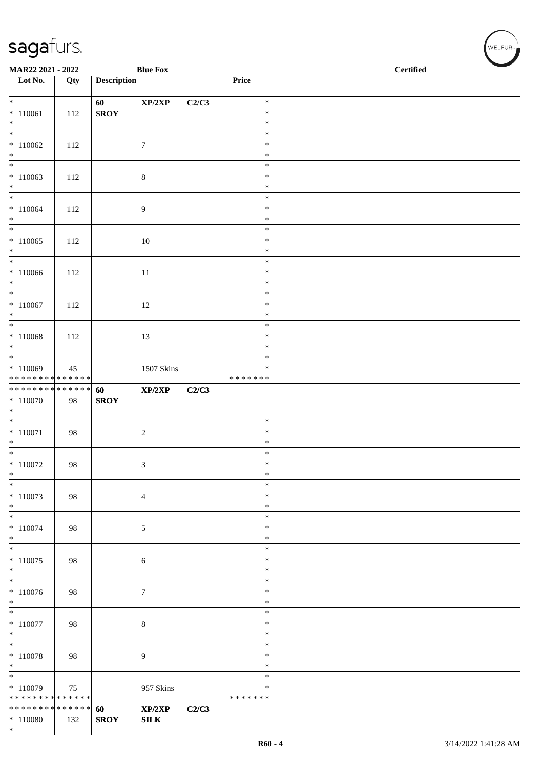| MAR22 2021 - 2022                                              |     |                    | <b>Blue Fox</b>            |       |                         | $\operatorname{\bf \mathbf{Certified}}$ |
|----------------------------------------------------------------|-----|--------------------|----------------------------|-------|-------------------------|-----------------------------------------|
| Lot No.                                                        | Qty | <b>Description</b> |                            |       | Price                   |                                         |
| $*$                                                            |     | 60                 | $\mathbf{XP}/2\mathbf{XP}$ | C2/C3 | $\ast$                  |                                         |
| $* 110061$<br>$*$                                              | 112 | <b>SROY</b>        |                            |       | $\ast$<br>$\ast$        |                                         |
| $\overline{\phantom{0}}$                                       |     |                    |                            |       | $\ast$                  |                                         |
| $*110062$<br>$\ast$                                            | 112 |                    | $\boldsymbol{7}$           |       | $\ast$                  |                                         |
| $\overline{\ast}$                                              |     |                    |                            |       | $\ast$<br>$\ast$        |                                         |
| $*110063$                                                      | 112 |                    | $\,8\,$                    |       | $\ast$                  |                                         |
| $*$<br>$*$                                                     |     |                    |                            |       | $\ast$<br>$\ast$        |                                         |
| $* 110064$                                                     | 112 |                    | $\overline{9}$             |       | $\ast$                  |                                         |
| $*$<br>$\overline{\phantom{0}}$                                |     |                    |                            |       | $\ast$<br>$\ast$        |                                         |
| $*110065$                                                      | 112 |                    | $10\,$                     |       | $\ast$                  |                                         |
| $*$                                                            |     |                    |                            |       | $\ast$                  |                                         |
| $\overline{\ast}$<br>$*110066$                                 | 112 |                    | 11                         |       | $\ast$<br>$\ast$        |                                         |
| $*$                                                            |     |                    |                            |       | $\ast$                  |                                         |
| $\overline{\ }$<br>$* 110067$                                  |     |                    |                            |       | $\ast$<br>$\ast$        |                                         |
| $\ast$                                                         | 112 |                    | 12                         |       | $\ast$                  |                                         |
| $\overline{\phantom{0}}$                                       |     |                    |                            |       | $\ast$                  |                                         |
| $* 110068$<br>$*$                                              | 112 |                    | 13                         |       | $\ast$<br>$\ast$        |                                         |
|                                                                |     |                    |                            |       | $\ast$                  |                                         |
| $*110069$<br>* * * * * * * * * * * * * *                       | 45  |                    | 1507 Skins                 |       | $\ast$<br>* * * * * * * |                                         |
| **************                                                 |     | 60                 | XP/2XP                     | C2/C3 |                         |                                         |
| $*110070$<br>$*$                                               | 98  | <b>SROY</b>        |                            |       |                         |                                         |
| $*$                                                            |     |                    |                            |       | $\ast$                  |                                         |
| $* 110071$                                                     | 98  |                    | $\overline{c}$             |       | $\ast$                  |                                         |
| $*$<br>$*$                                                     |     |                    |                            |       | $\ast$<br>$\ast$        |                                         |
| $* 110072$                                                     | 98  |                    | 3                          |       | $\ast$                  |                                         |
| $\ast$<br>$\ast$                                               |     |                    |                            |       | $\ast$<br>$\ast$        |                                         |
| $*110073$                                                      | 98  |                    | $\overline{4}$             |       | $\ast$                  |                                         |
| $\ast$<br>$\ast$                                               |     |                    |                            |       | $\ast$                  |                                         |
| $* 110074$                                                     | 98  |                    | $\sqrt{5}$                 |       | $\ast$<br>∗             |                                         |
| $*$                                                            |     |                    |                            |       | $\ast$                  |                                         |
| $\ast$<br>$*110075$                                            | 98  |                    | 6                          |       | $\ast$<br>$\ast$        |                                         |
| $*$                                                            |     |                    |                            |       | ∗                       |                                         |
| $\overline{\phantom{0}}$                                       |     |                    |                            |       | $\ast$                  |                                         |
| $* 110076$<br>$*$                                              | 98  |                    | $\tau$                     |       | $\ast$<br>$\ast$        |                                         |
| $\overline{\phantom{0}}$                                       |     |                    |                            |       | $\ast$                  |                                         |
| $* 110077$<br>$*$                                              | 98  |                    | $\,8\,$                    |       | ∗<br>$\ast$             |                                         |
| $*$                                                            |     |                    |                            |       | $\ast$                  |                                         |
| $*$ 110078<br>$*$                                              | 98  |                    | 9                          |       | $\ast$<br>∗             |                                         |
| $*$                                                            |     |                    |                            |       | $\ast$                  |                                         |
| $*110079$                                                      | 75  |                    | 957 Skins                  |       | $\ast$                  |                                         |
| * * * * * * * * * * * * * * *<br>* * * * * * * * * * * * * * * |     | 60                 | XP/2XP                     | C2/C3 | * * * * * * *           |                                         |
| $*110080$                                                      | 132 | <b>SROY</b>        | SLK                        |       |                         |                                         |
| $*$                                                            |     |                    |                            |       |                         |                                         |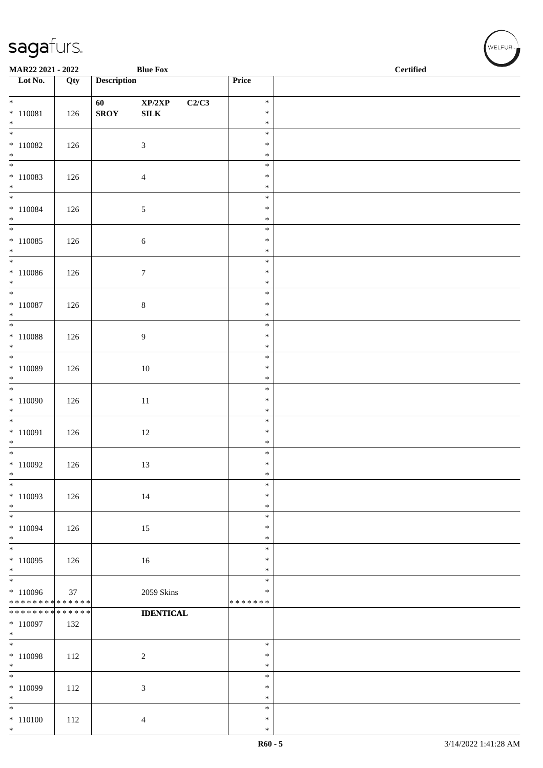| MAR22 2021 - 2022                                                                        |     |                    | <b>Blue Fox</b>                     |                  | $\operatorname{\bf \mathbf{Certified}}$ |  |
|------------------------------------------------------------------------------------------|-----|--------------------|-------------------------------------|------------------|-----------------------------------------|--|
| Lot No.                                                                                  | Qty | <b>Description</b> |                                     | Price            |                                         |  |
| $*$                                                                                      |     |                    | $\mathbf{XP}/2\mathbf{XP}$<br>C2/C3 | $\ast$           |                                         |  |
| $* 110081$                                                                               | 126 | <b>SROY</b>        | ${\bf SILK}$                        | $\ast$           |                                         |  |
| $*$                                                                                      |     |                    |                                     | $\ast$<br>$\ast$ |                                         |  |
| $*110082$                                                                                | 126 |                    | $\mathfrak{Z}$                      | $\ast$           |                                         |  |
| $*$                                                                                      |     |                    |                                     | $\ast$<br>$\ast$ |                                         |  |
| $*110083$                                                                                | 126 |                    | $\overline{4}$                      | $\ast$           |                                         |  |
| $*$<br>$*$                                                                               |     |                    |                                     | $\ast$<br>$\ast$ |                                         |  |
| $* 110084$                                                                               | 126 |                    | $\mathfrak{S}$                      | $\ast$           |                                         |  |
| $*$                                                                                      |     |                    |                                     | $\ast$           |                                         |  |
| $*110085$                                                                                | 126 |                    | $\sqrt{6}$                          | $\ast$<br>$\ast$ |                                         |  |
| $*$                                                                                      |     |                    |                                     | $\ast$           |                                         |  |
| $*110086$                                                                                | 126 |                    | $\boldsymbol{7}$                    | $\ast$<br>$\ast$ |                                         |  |
| $*$                                                                                      |     |                    |                                     | $\ast$           |                                         |  |
| $*$                                                                                      |     |                    |                                     | $\ast$<br>$\ast$ |                                         |  |
| $* 110087$<br>$*$                                                                        | 126 |                    | $\,8\,$                             | $\ast$           |                                         |  |
|                                                                                          |     |                    |                                     | $\ast$           |                                         |  |
| $* 110088$<br>$*$                                                                        | 126 |                    | $\overline{9}$                      | $\ast$<br>$\ast$ |                                         |  |
|                                                                                          |     |                    |                                     | $\ast$           |                                         |  |
| $*110089$<br>$*$                                                                         | 126 |                    | 10                                  | $\ast$<br>$\ast$ |                                         |  |
| $\overline{\ast}$                                                                        |     |                    |                                     | $\ast$           |                                         |  |
| $*110090$<br>$*$                                                                         | 126 |                    | $11\,$                              | $\ast$<br>$\ast$ |                                         |  |
|                                                                                          |     |                    |                                     | $\ast$           |                                         |  |
| $* 110091$<br>$*$                                                                        | 126 |                    | 12                                  | $\ast$<br>$\ast$ |                                         |  |
| $\overline{\ast}$                                                                        |     |                    |                                     | $\ast$           |                                         |  |
| $*110092$                                                                                | 126 |                    | 13                                  | $\ast$<br>$\ast$ |                                         |  |
| $\ast$<br>$\frac{1}{1}$                                                                  |     |                    |                                     | $\ast$           |                                         |  |
| $*110093$                                                                                | 126 |                    | 14                                  | $\ast$           |                                         |  |
| $*$<br>$\overline{\phantom{0}}$                                                          |     |                    |                                     | $\ast$<br>$\ast$ |                                         |  |
| $*110094$                                                                                | 126 |                    | 15                                  | $\ast$           |                                         |  |
| $*$                                                                                      |     |                    |                                     | $\ast$<br>$\ast$ |                                         |  |
| $*110095$                                                                                | 126 |                    | 16                                  | $\ast$           |                                         |  |
| $*$                                                                                      |     |                    |                                     | $\ast$<br>$\ast$ |                                         |  |
| $*110096$                                                                                | 37  |                    | 2059 Skins                          | $\ast$           |                                         |  |
| * * * * * * * * <mark>* * * * * * *</mark><br>* * * * * * * * <mark>* * * * * * *</mark> |     |                    | <b>IDENTICAL</b>                    | * * * * * * *    |                                         |  |
| $*110097$                                                                                | 132 |                    |                                     |                  |                                         |  |
| $*$                                                                                      |     |                    |                                     | $\ast$           |                                         |  |
| $*110098$                                                                                | 112 |                    | $\overline{2}$                      | $\ast$           |                                         |  |
| $*$                                                                                      |     |                    |                                     | $\ast$           |                                         |  |
| $*110099$                                                                                | 112 |                    | $\mathfrak{Z}$                      | $\ast$<br>$\ast$ |                                         |  |
| $*$                                                                                      |     |                    |                                     | $\ast$           |                                         |  |
| $*$<br>$* 110100$                                                                        | 112 |                    | $\overline{4}$                      | $\ast$<br>$\ast$ |                                         |  |
| $*$                                                                                      |     |                    |                                     | $\ast$           |                                         |  |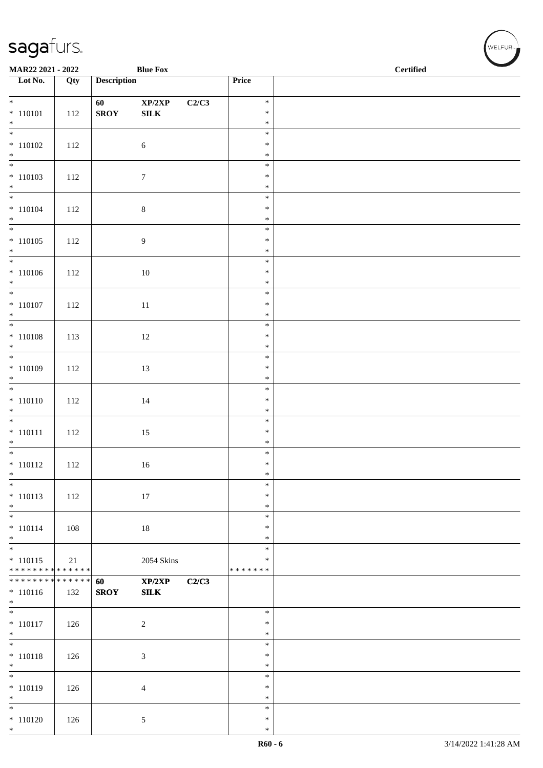| MAR22 2021 - 2022                |     |                    | <b>Blue Fox</b>             |       |                  | <b>Certified</b> |
|----------------------------------|-----|--------------------|-----------------------------|-------|------------------|------------------|
| $\overline{\phantom{1}}$ Lot No. | Qty | <b>Description</b> |                             |       | Price            |                  |
|                                  |     |                    |                             |       |                  |                  |
| $*$                              |     | 60                 | $\mathbf{XP}/2\mathbf{XP}$  | C2/C3 | $\ast$           |                  |
| $* 110101$                       | 112 | <b>SROY</b>        | ${\bf SILK}$                |       | $\ast$           |                  |
|                                  |     |                    |                             |       | $\ast$           |                  |
| $*$ $*$                          |     |                    |                             |       | $\ast$           |                  |
| $* 110102$                       | 112 |                    | $\sqrt{6}$                  |       | $\ast$           |                  |
| $*$                              |     |                    |                             |       | $\ast$           |                  |
|                                  |     |                    |                             |       | $\ast$           |                  |
| $* 110103$                       | 112 |                    | $7\phantom{.0}$             |       | $\ast$           |                  |
| $*$                              |     |                    |                             |       | $\ast$           |                  |
|                                  |     |                    |                             |       | $\ast$           |                  |
| $* 110104$                       | 112 |                    | $\,8\,$                     |       | $\ast$           |                  |
| $*$                              |     |                    |                             |       | $\ast$           |                  |
|                                  |     |                    |                             |       | $\ast$           |                  |
| $* 110105$                       | 112 |                    | 9                           |       | $\ast$<br>$\ast$ |                  |
| $*$                              |     |                    |                             |       | $\ast$           |                  |
| $* 110106$                       | 112 |                    | $10\,$                      |       | $\ast$           |                  |
| $*$                              |     |                    |                             |       | $\ast$           |                  |
|                                  |     |                    |                             |       | $\ast$           |                  |
| $* 110107$                       | 112 |                    | $11\,$                      |       | $\ast$           |                  |
| $*$                              |     |                    |                             |       | $\ast$           |                  |
|                                  |     |                    |                             |       | $\ast$           |                  |
| $* 110108$                       | 113 |                    | 12                          |       | $\ast$           |                  |
| $*$                              |     |                    |                             |       | $\ast$           |                  |
|                                  |     |                    |                             |       | $\ast$           |                  |
| $* 110109$                       | 112 |                    | 13                          |       | $\ast$           |                  |
| $*$                              |     |                    |                             |       | $\ast$           |                  |
| $*$                              |     |                    |                             |       | $\ast$           |                  |
| $* 110110$                       | 112 |                    | 14                          |       | $\ast$           |                  |
| $*$                              |     |                    |                             |       | $\ast$           |                  |
|                                  |     |                    |                             |       | $\ast$           |                  |
| $* 110111$                       | 112 |                    | 15                          |       | $\ast$           |                  |
| $*$<br>$*$                       |     |                    |                             |       | $\ast$           |                  |
|                                  |     |                    |                             |       | $\ast$<br>$\ast$ |                  |
| $* 110112$<br>$\ast$             | 112 |                    | 16                          |       | $\ast$           |                  |
| $*$                              |     |                    |                             |       | $\ast$           |                  |
| $* 110113$                       | 112 |                    | 17                          |       | $\ast$           |                  |
| $*$                              |     |                    |                             |       | $\ast$           |                  |
| $*$                              |     |                    |                             |       | $\ast$           |                  |
| $* 110114$                       | 108 |                    | $18\,$                      |       | $\ast$           |                  |
| $*$                              |     |                    |                             |       | $\ast$           |                  |
| $*$                              |     |                    |                             |       | $\ast$           |                  |
| $* 110115$                       | 21  |                    | <b>2054 Skins</b>           |       | $\ast$           |                  |
| ******** <mark>******</mark>     |     |                    |                             |       | * * * * * * *    |                  |
| * * * * * * * * * * * * * * *    |     | 60                 | XP/2XP                      | C2/C3 |                  |                  |
| $* 110116$                       | 132 | <b>SROY</b>        | ${\bf SILK}$                |       |                  |                  |
| $\ast$                           |     |                    |                             |       |                  |                  |
| $\overline{\phantom{0}}$         |     |                    |                             |       | $\ast$           |                  |
| $* 110117$                       | 126 |                    | $\sqrt{2}$                  |       | $\ast$           |                  |
| $\ast$<br>$*$                    |     |                    |                             |       | $\ast$<br>$\ast$ |                  |
| $* 110118$                       | 126 |                    |                             |       | $\ast$           |                  |
| $*$                              |     |                    | $\ensuremath{\mathfrak{Z}}$ |       | $\ast$           |                  |
| $*$                              |     |                    |                             |       | $\ast$           |                  |
| $* 110119$                       | 126 |                    | $\overline{4}$              |       | $\ast$           |                  |
| $*$                              |     |                    |                             |       | $\ast$           |                  |
| $\ast$                           |     |                    |                             |       | $\ast$           |                  |
| $* 110120$                       | 126 |                    | 5                           |       | $\ast$           |                  |
| $*$                              |     |                    |                             |       | $\ast$           |                  |

WELFUR<sub><sup>N</sup></sub>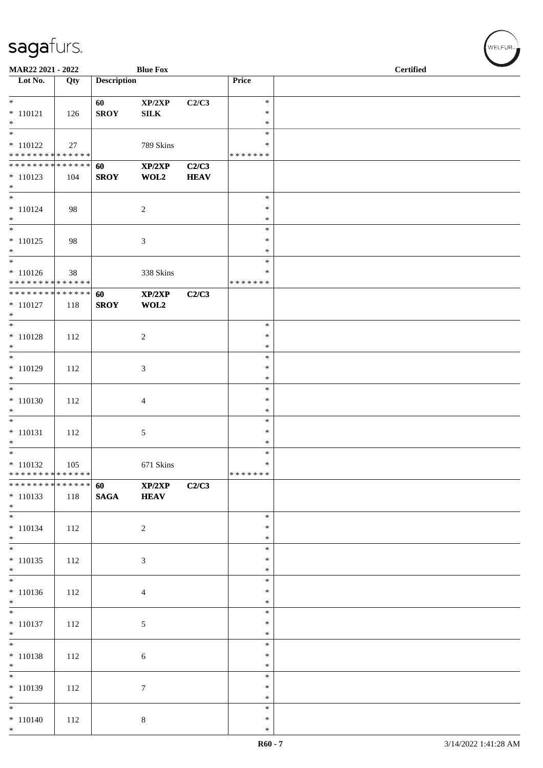| MAR22 2021 - 2022                                  |     |                    | <b>Blue Fox</b>        |                      |                                      | <b>Certified</b> |  |
|----------------------------------------------------|-----|--------------------|------------------------|----------------------|--------------------------------------|------------------|--|
| Lot No.                                            | Qty | <b>Description</b> |                        |                      | Price                                |                  |  |
| $*$<br>$* 110121$<br>$*$                           | 126 | 60<br><b>SROY</b>  | XP/2XP<br>${\bf SILK}$ | C2/C3                | $\ast$<br>$\ast$<br>$\ast$           |                  |  |
| $* 110122$<br>******** <mark>******</mark>         | 27  |                    | 789 Skins              |                      | $\ast$<br>*<br>* * * * * * *         |                  |  |
| ******** <mark>******</mark><br>$* 110123$<br>$*$  | 104 | 60<br><b>SROY</b>  | XP/2XP<br>WOL2         | C2/C3<br><b>HEAV</b> |                                      |                  |  |
| $*$<br>$* 110124$<br>$*$                           | 98  |                    | $\sqrt{2}$             |                      | $\ast$<br>$\ast$<br>$\ast$           |                  |  |
| $* 110125$<br>$*$                                  | 98  |                    | $\mathfrak{Z}$         |                      | $\ast$<br>$\ast$<br>$\ast$<br>$\ast$ |                  |  |
| $* 110126$<br>******** <mark>******</mark>         | 38  |                    | 338 Skins              |                      | $\ast$<br>* * * * * * *              |                  |  |
| ******** <mark>******</mark><br>$* 110127$<br>$*$  | 118 | 60<br><b>SROY</b>  | XP/2XP<br>WOL2         | C2/C3                |                                      |                  |  |
| $* 110128$<br>$*$                                  | 112 |                    | $\sqrt{2}$             |                      | $\ast$<br>$\ast$<br>$\ast$           |                  |  |
| * 110129<br>$*$                                    | 112 |                    | 3                      |                      | $\ast$<br>$\ast$<br>$\ast$           |                  |  |
| $* 110130$<br>$*$                                  | 112 |                    | $\overline{4}$         |                      | $\ast$<br>$\ast$<br>$\ast$           |                  |  |
| $*$<br>$* 110131$<br>$*$                           | 112 |                    | 5                      |                      | $\ast$<br>$\ast$<br>$\ast$           |                  |  |
| $* 110132$<br>* * * * * * * * * * * * * * *        | 105 |                    | 671 Skins              |                      | $\ast$<br>$\ast$<br>*******          |                  |  |
| * * * * * * * * * * * * * * *<br>$* 110133$<br>$*$ | 118 | 60<br><b>SAGA</b>  | XP/2XP<br><b>HEAV</b>  | C2/C3                |                                      |                  |  |
| $*$<br>$* 110134$<br>$*$                           | 112 |                    | $\sqrt{2}$             |                      | $\ast$<br>$\ast$<br>$\ast$           |                  |  |
| $* 110135$<br>$\ast$                               | 112 |                    | $\mathfrak{Z}$         |                      | $\ast$<br>$\ast$<br>$\ast$           |                  |  |
| $* 110136$<br>$*$                                  | 112 |                    | $\overline{4}$         |                      | $\ast$<br>$\ast$<br>$\ast$           |                  |  |
| $*$<br>$* 110137$<br>$*$                           | 112 |                    | 5                      |                      | $\ast$<br>$\ast$<br>$\ast$           |                  |  |
| $*$<br>$* 110138$<br>$*$                           | 112 |                    | 6                      |                      | $\ast$<br>$\ast$<br>$\ast$           |                  |  |
| $\ast$<br>$*110139$<br>$*$                         | 112 |                    | 7                      |                      | $\ast$<br>$\ast$<br>$\ast$           |                  |  |
| $*$<br>$* 110140$<br>$*$                           | 112 |                    | $8\,$                  |                      | $\ast$<br>$\ast$<br>$\ast$           |                  |  |

、<br>WELFUR<sub>™</sub>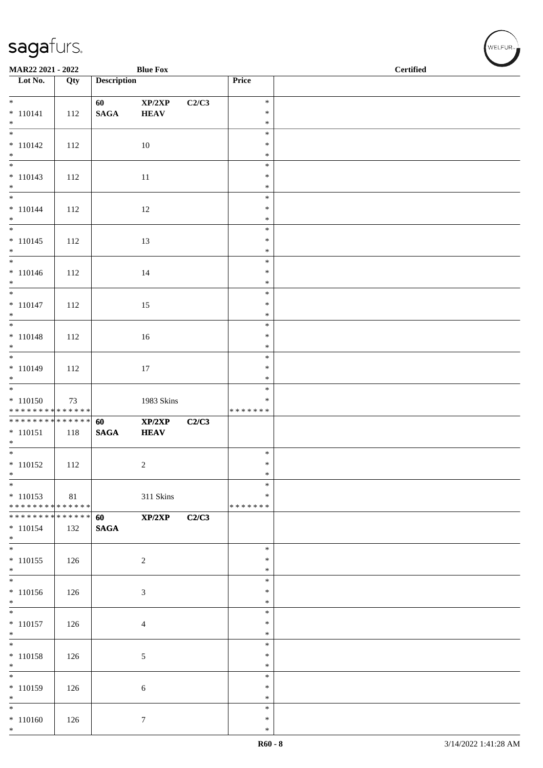| MAR22 2021 - 2022                                                         |     |                       | <b>Blue Fox</b>       |       |                                   | <b>Certified</b> |  |
|---------------------------------------------------------------------------|-----|-----------------------|-----------------------|-------|-----------------------------------|------------------|--|
| $\overline{\phantom{1}}$ Lot No.                                          | Qty | <b>Description</b>    |                       |       | Price                             |                  |  |
| $* 110141$<br>$*$                                                         | 112 | 60<br>$\mathbf{SAGA}$ | XP/2XP<br><b>HEAV</b> | C2/C3 | $\ast$<br>$\ast$<br>$\ast$        |                  |  |
| $* 110142$<br>$*$                                                         | 112 |                       | 10                    |       | $\ast$<br>$\ast$<br>$\ast$        |                  |  |
| $\overline{\phantom{0}}$<br>$* 110143$<br>$*$<br>$\overline{\phantom{0}}$ | 112 |                       | 11                    |       | $\ast$<br>$\ast$<br>$\ast$        |                  |  |
| $* 110144$<br>$*$<br>$\overline{\phantom{0}}$                             | 112 |                       | 12                    |       | $\ast$<br>$\ast$<br>$\ast$        |                  |  |
| $* 110145$<br>$*$                                                         | 112 |                       | 13                    |       | $\ast$<br>$\ast$<br>$\ast$        |                  |  |
| $*$<br>$* 110146$<br>$*$                                                  | 112 |                       | 14                    |       | $\ast$<br>$\ast$<br>$\ast$        |                  |  |
| $* 110147$<br>$*$                                                         | 112 |                       | 15                    |       | $\ast$<br>$\ast$<br>$\ast$        |                  |  |
| $* 110148$<br>$*$                                                         | 112 |                       | 16                    |       | $\ast$<br>$\ast$<br>$\ast$        |                  |  |
| $* 110149$<br>$*$                                                         | 112 |                       | 17                    |       | $\ast$<br>$\ast$<br>$\ast$        |                  |  |
| $* 110150$<br>******** <mark>******</mark>                                | 73  |                       | 1983 Skins            |       | $\ast$<br>$\ast$<br>* * * * * * * |                  |  |
| $* 110151$<br>$*$                                                         | 118 | 60<br>$\mathbf{SAGA}$ | XP/2XP<br><b>HEAV</b> | C2/C3 |                                   |                  |  |
| $*$<br>$* 110152$<br>$\ast$                                               | 112 |                       | $\overline{c}$        |       | $\ast$<br>$\ast$<br>$\ast$        |                  |  |
| $*$<br>$* 110153$<br>* * * * * * * * * * * * * *                          | 81  |                       | 311 Skins             |       | $\ast$<br>$\ast$<br>* * * * * * * |                  |  |
| ******** <mark>******</mark><br>$* 110154$<br>$*$                         | 132 | 60<br><b>SAGA</b>     | XP/2XP                | C2/C3 |                                   |                  |  |
| $*$<br>$* 110155$<br>$*$                                                  | 126 |                       | $\sqrt{2}$            |       | $\ast$<br>$\ast$<br>$\ast$        |                  |  |
| $\overline{\phantom{0}}$<br>$* 110156$<br>$*$                             | 126 |                       | 3                     |       | $\ast$<br>$\ast$<br>$\ast$        |                  |  |
| $\overline{\phantom{0}}$<br>$* 110157$<br>$*$                             | 126 |                       | 4                     |       | $\ast$<br>∗<br>$\ast$             |                  |  |
| $*$<br>$* 110158$<br>$*$                                                  | 126 |                       | 5                     |       | $\ast$<br>$\ast$<br>$\ast$        |                  |  |
| $*$<br>$* 110159$<br>$*$                                                  | 126 |                       | 6                     |       | $\ast$<br>$\ast$<br>$\ast$        |                  |  |
| $*$<br>$* 110160$<br>$*$                                                  | 126 |                       | $\tau$                |       | $\ast$<br>$\ast$<br>$\ast$        |                  |  |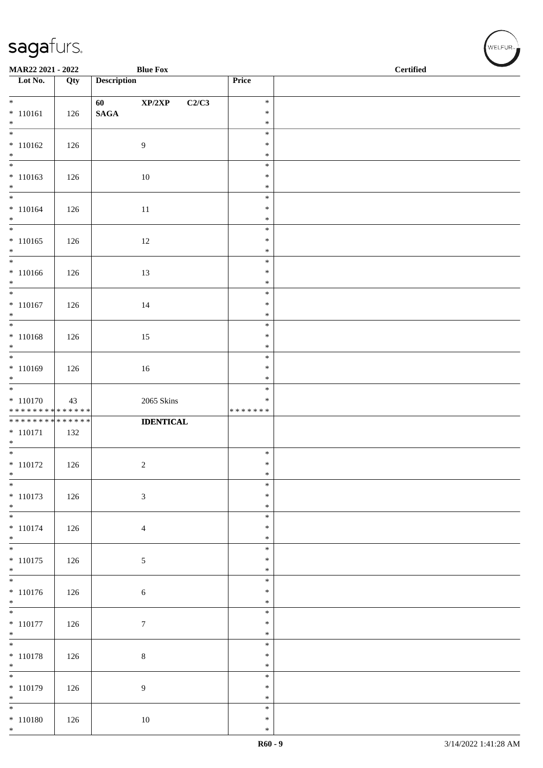| MAR22 2021 - 2022                             |     |                    | <b>Blue Fox</b>  |                                   | <b>Certified</b> |
|-----------------------------------------------|-----|--------------------|------------------|-----------------------------------|------------------|
| $\overline{\phantom{a}}$ Lot No.              | Qty | <b>Description</b> |                  | Price                             |                  |
| $*$                                           |     | 60                 | XP/2XP<br>C2/C3  | $\ast$                            |                  |
| $* 110161$                                    | 126 | $\mathbf{SAGA}$    |                  | $\ast$                            |                  |
| $*$                                           |     |                    |                  | $\ast$<br>$\ast$                  |                  |
| $* 110162$                                    | 126 |                    | $\overline{9}$   | $\ast$                            |                  |
| $*$<br>$\overline{\phantom{0}}$               |     |                    |                  | $\ast$                            |                  |
| $* 110163$<br>$*$                             | 126 |                    | 10               | $\ast$<br>$\ast$<br>$\ast$        |                  |
| $* 110164$<br>$*$                             | 126 |                    | 11               | $\ast$<br>$\ast$<br>$\ast$        |                  |
| $* 110165$<br>$*$                             | 126 |                    | 12               | $\ast$<br>$\ast$<br>$\ast$        |                  |
| $*$<br>$* 110166$<br>$*$                      | 126 |                    | 13               | $\ast$<br>$\ast$<br>$\ast$        |                  |
| $* 110167$<br>$*$                             | 126 |                    | 14               | $\ast$<br>$\ast$<br>$\ast$        |                  |
|                                               |     |                    |                  | $\ast$                            |                  |
| $* 110168$<br>$*$                             | 126 |                    | 15               | $\ast$<br>$\ast$                  |                  |
| $* 110169$<br>$*$                             | 126 |                    | 16               | $\ast$<br>$\ast$<br>$\ast$        |                  |
| $* 110170$<br>******** <mark>******</mark>    | 43  |                    | 2065 Skins       | $\ast$<br>$\ast$<br>* * * * * * * |                  |
| * * * * * * * * * * * * * *                   |     |                    | <b>IDENTICAL</b> |                                   |                  |
| $* 110171$<br>$*$                             | 132 |                    |                  |                                   |                  |
| $* 110172$<br>$\ast$                          | 126 |                    | $\overline{c}$   | $\ast$<br>$\ast$<br>$\ast$        |                  |
| $*$<br>$* 110173$<br>$*$                      | 126 |                    | $\sqrt{3}$       | $\ast$<br>$\ast$<br>$\ast$        |                  |
| $\overline{\phantom{0}}$<br>$* 110174$<br>$*$ | 126 |                    | $\overline{4}$   | $\ast$<br>$\ast$<br>$\ast$        |                  |
| $\overline{\phantom{0}}$<br>$* 110175$<br>$*$ | 126 |                    | $\mathfrak{S}$   | $\ast$<br>$\ast$<br>$\ast$        |                  |
| $* 110176$<br>$*$                             | 126 |                    | $\sqrt{6}$       | $\ast$<br>$\ast$<br>$\ast$        |                  |
| $\overline{\phantom{0}}$<br>$* 110177$<br>$*$ | 126 |                    | $\boldsymbol{7}$ | $\ast$<br>$\ast$<br>$\ast$        |                  |
| $\overline{\ast}$<br>$* 110178$<br>$*$        | 126 |                    | $8\,$            | $\ast$<br>$\ast$<br>$\ast$        |                  |
| $* 110179$<br>$*$                             | 126 |                    | $\overline{9}$   | $\ast$<br>$\ast$<br>$\ast$        |                  |
| $*$<br>$* 110180$<br>$*$                      | 126 |                    | 10               | $\ast$<br>$\ast$<br>$\ast$        |                  |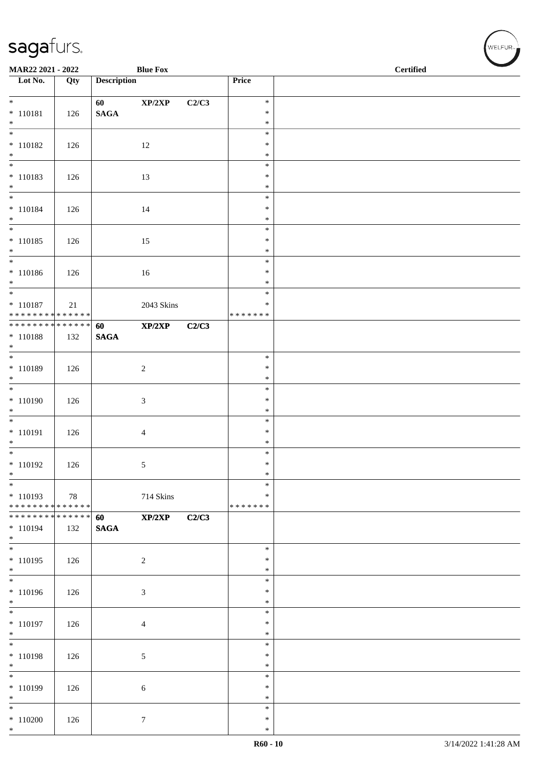| MAR22 2021 - 2022                |     |                    | <b>Blue Fox</b> |       |                  | <b>Certified</b> |
|----------------------------------|-----|--------------------|-----------------|-------|------------------|------------------|
| $\overline{\phantom{a}}$ Lot No. | Qty | <b>Description</b> |                 |       | Price            |                  |
| $*$                              |     | 60 - 10            | XP/2XP          | C2/C3 | $\ast$           |                  |
| $* 110181$                       | 126 | $\mathbf{SAGA}$    |                 |       | $\ast$           |                  |
| $*$                              |     |                    |                 |       | $\ast$           |                  |
| $* 110182$                       |     |                    |                 |       | $\ast$<br>$\ast$ |                  |
| $\ast$                           | 126 |                    | 12              |       | $\ast$           |                  |
| $\overline{\phantom{0}}$         |     |                    |                 |       | $\ast$           |                  |
| $* 110183$                       | 126 |                    | 13              |       | $\ast$           |                  |
| $*$                              |     |                    |                 |       | $\ast$<br>$\ast$ |                  |
| $* 110184$                       | 126 |                    | 14              |       | $\ast$           |                  |
| $*$                              |     |                    |                 |       | $\ast$           |                  |
|                                  |     |                    |                 |       | $\ast$           |                  |
| $* 110185$<br>$*$                | 126 |                    | 15              |       | $\ast$<br>$\ast$ |                  |
| $*$                              |     |                    |                 |       | $\ast$           |                  |
| $* 110186$                       | 126 |                    | 16              |       | $\ast$           |                  |
| $*$<br>$*$                       |     |                    |                 |       | $\ast$<br>$\ast$ |                  |
| $* 110187$                       | 21  |                    | 2043 Skins      |       | ∗                |                  |
| * * * * * * * * * * * * * * *    |     |                    |                 |       | * * * * * * *    |                  |
| **************                   |     | 60                 | XP/2XP          | C2/C3 |                  |                  |
| $* 110188$<br>$*$                | 132 | <b>SAGA</b>        |                 |       |                  |                  |
|                                  |     |                    |                 |       | $\ast$           |                  |
| * 110189                         | 126 |                    | $\overline{c}$  |       | $\ast$           |                  |
| $*$                              |     |                    |                 |       | $\ast$           |                  |
| $* 110190$                       | 126 |                    | $\sqrt{3}$      |       | $\ast$<br>$\ast$ |                  |
| $*$                              |     |                    |                 |       | $\ast$           |                  |
|                                  |     |                    |                 |       | $\ast$           |                  |
| $* 110191$                       | 126 |                    | $\overline{4}$  |       | $\ast$           |                  |
| $*$<br>$*$                       |     |                    |                 |       | $\ast$<br>$\ast$ |                  |
| $* 110192$                       | 126 |                    | 5               |       | $\ast$           |                  |
| $\ast$                           |     |                    |                 |       | $\ast$           |                  |
| $*$<br>$*110193$                 |     |                    |                 |       | $\ast$<br>∗      |                  |
| ******** <mark>******</mark>     | 78  |                    | 714 Skins       |       | * * * * * * *    |                  |
| ******** <mark>******</mark>     |     | 60                 | XP/2XP          | C2/C3 |                  |                  |
| $* 110194$                       | 132 | <b>SAGA</b>        |                 |       |                  |                  |
| $*$<br>$*$                       |     |                    |                 |       | $\ast$           |                  |
| $* 110195$                       | 126 |                    | $\overline{2}$  |       | $\ast$           |                  |
| $*$                              |     |                    |                 |       | $\ast$           |                  |
| * 110196                         |     |                    |                 |       | $\ast$<br>$\ast$ |                  |
| $*$                              | 126 |                    | $\mathfrak{Z}$  |       | $\ast$           |                  |
| $\overline{\phantom{0}}$         |     |                    |                 |       | $\ast$           |                  |
| $* 110197$                       | 126 |                    | $\overline{4}$  |       | $\ast$           |                  |
| $*$<br>$*$                       |     |                    |                 |       | $\ast$<br>$\ast$ |                  |
| $* 110198$                       | 126 |                    | 5               |       | $\ast$           |                  |
| $*$                              |     |                    |                 |       | $\ast$           |                  |
| $\overline{\phantom{0}}$         |     |                    |                 |       | $\ast$           |                  |
| * 110199<br>$*$                  | 126 |                    | 6               |       | $\ast$<br>$\ast$ |                  |
| $*$                              |     |                    |                 |       | $\ast$           |                  |
| $*110200$                        | 126 |                    | $7\phantom{.0}$ |       | $\ast$           |                  |
| $*$                              |     |                    |                 |       | $\ast$           |                  |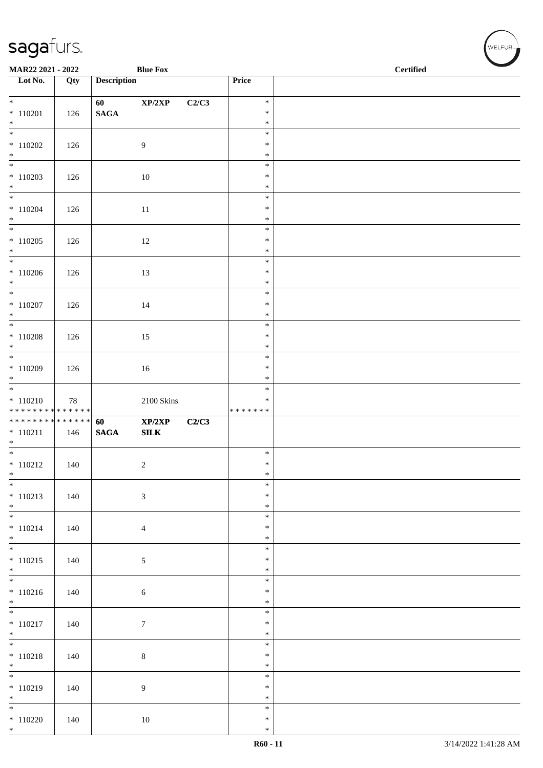| MAR22 2021 - 2022                            |     |                    | <b>Blue Fox</b>            |       |                              | <b>Certified</b> |
|----------------------------------------------|-----|--------------------|----------------------------|-------|------------------------------|------------------|
| $\overline{\phantom{1}}$ Lot No.             | Qty | <b>Description</b> |                            |       | Price                        |                  |
| $*$                                          |     | 60                 | $\mathbf{XP}/2\mathbf{XP}$ | C2/C3 | $\ast$                       |                  |
| $* 110201$<br>$*$                            | 126 | $\mathbf{SAGA}$    |                            |       | $\ast$<br>$\ast$             |                  |
|                                              |     |                    |                            |       | $\ast$                       |                  |
| $*$ 110202                                   | 126 |                    | 9                          |       | $\ast$                       |                  |
| $*$                                          |     |                    |                            |       | $\ast$                       |                  |
| $*110203$<br>$*$                             | 126 |                    | 10                         |       | $\ast$<br>$\ast$<br>$\ast$   |                  |
| $* 110204$<br>$*$                            | 126 |                    | 11                         |       | $\ast$<br>$\ast$<br>$\ast$   |                  |
| $\overline{\phantom{0}}$<br>$*110205$<br>$*$ | 126 |                    | $12\,$                     |       | $\ast$<br>$\ast$<br>$\ast$   |                  |
| $*110206$<br>$*$                             | 126 |                    | 13                         |       | $\ast$<br>$\ast$<br>$\ast$   |                  |
| $* 110207$<br>$*$                            | 126 |                    | 14                         |       | $\ast$<br>$\ast$<br>$\ast$   |                  |
| $\overline{\ast}$                            |     |                    |                            |       | $\ast$                       |                  |
| $* 110208$<br>$\ast$                         | 126 |                    | 15                         |       | $\ast$<br>$\ast$             |                  |
| $*110209$<br>$*$                             | 126 |                    | 16                         |       | $\ast$<br>$\ast$<br>$\ast$   |                  |
| $* 110210$<br>* * * * * * * * * * * * * *    | 78  |                    | $2100$ Skins               |       | $\ast$<br>∗<br>* * * * * * * |                  |
| ******** <mark>******</mark>                 |     | 60                 | XP/2XP                     | C2/C3 |                              |                  |
| $* 110211$<br>$*$                            | 146 | <b>SAGA</b>        | SLK                        |       |                              |                  |
|                                              |     |                    |                            |       | $\ast$                       |                  |
| $* 110212$<br>$\ast$                         | 140 |                    | $\overline{c}$             |       | $\ast$<br>$\ast$             |                  |
| $\overline{\phantom{0}}$                     |     |                    |                            |       | $\ast$                       |                  |
| $* 110213$<br>$*$                            | 140 |                    | $\mathfrak{Z}$             |       | $\ast$<br>$\ast$             |                  |
| $* 110214$                                   | 140 |                    | $\overline{4}$             |       | $\ast$<br>$\ast$             |                  |
| $*$                                          |     |                    |                            |       | $\ast$                       |                  |
| $\overline{\mathbf{r}}$<br>$* 110215$<br>$*$ | 140 |                    | 5                          |       | $\ast$<br>$\ast$<br>$\ast$   |                  |
| $* 110216$                                   | 140 |                    | $\sqrt{6}$                 |       | $\ast$<br>$\ast$             |                  |
| $*$<br>$\overline{\phantom{0}}$              |     |                    |                            |       | $\ast$                       |                  |
| $* 110217$<br>$*$                            | 140 |                    | $\boldsymbol{7}$           |       | $\ast$<br>$\ast$<br>$\ast$   |                  |
| $* 110218$<br>$*$                            | 140 |                    | $\,8\,$                    |       | $\ast$<br>$\ast$<br>$\ast$   |                  |
| $\overline{\phantom{0}}$                     |     |                    |                            |       | $\ast$                       |                  |
| $* 110219$<br>$*$                            | 140 |                    | 9                          |       | $\ast$<br>$\ast$             |                  |
| $*$<br>$*110220$                             | 140 |                    | $10\,$                     |       | $\ast$<br>$\ast$             |                  |
| $*$                                          |     |                    |                            |       | $\ast$                       |                  |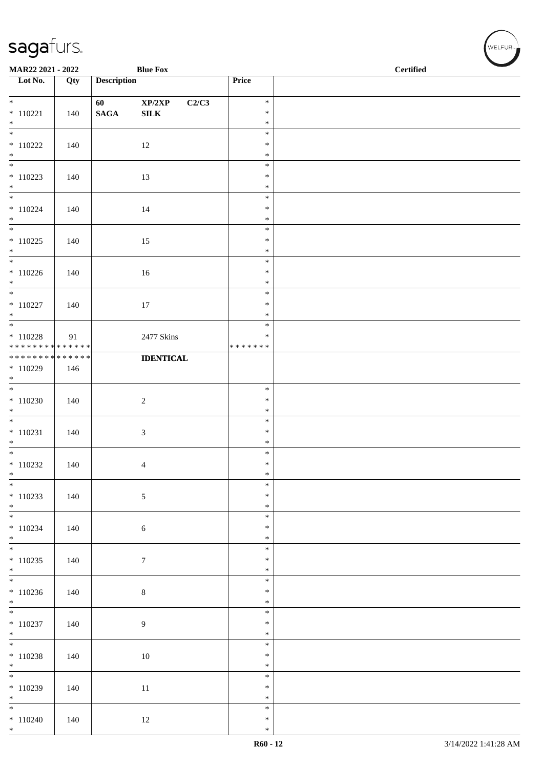| MAR22 2021 - 2022                         |     |                    | <b>Blue Fox</b>                     |                         | <b>Certified</b> |
|-------------------------------------------|-----|--------------------|-------------------------------------|-------------------------|------------------|
| $\overline{\phantom{1}}$ Lot No.          | Qty | <b>Description</b> |                                     | Price                   |                  |
| $*$                                       |     | 60                 | $\mathbf{XP}/2\mathbf{XP}$<br>C2/C3 | $\ast$                  |                  |
| $* 110221$<br>$*$                         | 140 | $\mathbf{SAGA}$    | ${\bf SILK}$                        | $\ast$<br>$\ast$        |                  |
| $\overline{\phantom{0}}$                  |     |                    |                                     | $\ast$                  |                  |
| $*110222$                                 | 140 |                    | 12                                  | $\ast$                  |                  |
| $*$                                       |     |                    |                                     | $\ast$<br>$\ast$        |                  |
| $*110223$                                 | 140 |                    | 13                                  | $\ast$                  |                  |
| $*$                                       |     |                    |                                     | $\ast$<br>$\ast$        |                  |
| $* 110224$                                | 140 |                    | 14                                  | $\ast$                  |                  |
| $*$                                       |     |                    |                                     | $\ast$                  |                  |
| $*110225$                                 | 140 |                    | 15                                  | $\ast$<br>$\ast$        |                  |
| $*$                                       |     |                    |                                     | $\ast$                  |                  |
| $* 110226$                                | 140 |                    | $16\,$                              | $\ast$<br>$\ast$        |                  |
| $*$                                       |     |                    |                                     | $\ast$                  |                  |
| $*$                                       |     |                    |                                     | $\ast$<br>$\ast$        |                  |
| $* 110227$<br>$*$                         | 140 |                    | 17                                  | $\ast$                  |                  |
|                                           |     |                    |                                     | $\ast$                  |                  |
| $*$ 110228<br>* * * * * * * * * * * * * * | 91  |                    | 2477 Skins                          | $\ast$<br>* * * * * * * |                  |
| * * * * * * * * * * * * * *               |     |                    | <b>IDENTICAL</b>                    |                         |                  |
| $*110229$<br>$*$                          | 146 |                    |                                     |                         |                  |
|                                           |     |                    |                                     | $\ast$                  |                  |
| $*110230$                                 | 140 |                    | $\overline{c}$                      | $\ast$                  |                  |
| $*$                                       |     |                    |                                     | $\ast$<br>$\ast$        |                  |
| $* 110231$                                | 140 |                    | $\mathfrak{Z}$                      | $\ast$                  |                  |
| $*$                                       |     |                    |                                     | $\ast$<br>$\ast$        |                  |
| $*110232$                                 | 140 |                    | $\overline{4}$                      | $\ast$                  |                  |
| $*$<br>$\overline{\phantom{0}}$           |     |                    |                                     | $\ast$                  |                  |
| $* 110233$                                | 140 |                    | 5                                   | $\ast$<br>$\ast$        |                  |
| $*$                                       |     |                    |                                     | $\ast$                  |                  |
| $\overline{\phantom{0}}$<br>$* 110234$    |     |                    |                                     | $\ast$<br>$\ast$        |                  |
| $*$                                       | 140 |                    | 6                                   | $\ast$                  |                  |
|                                           |     |                    |                                     | $\ast$                  |                  |
| $* 110235$<br>$*$                         | 140 |                    | $\tau$                              | $\ast$<br>$\ast$        |                  |
|                                           |     |                    |                                     | $\ast$                  |                  |
| $*110236$<br>$*$                          | 140 |                    | $\,8\,$                             | $\ast$<br>$\ast$        |                  |
| $\overline{\phantom{0}}$                  |     |                    |                                     | $\ast$                  |                  |
| $* 110237$<br>$*$                         | 140 |                    | 9                                   | $\ast$<br>$\ast$        |                  |
| $\overline{\phantom{0}}$                  |     |                    |                                     | $\ast$                  |                  |
| $* 110238$                                | 140 |                    | $10\,$                              | $\ast$                  |                  |
| $*$<br>$\overline{\phantom{0}}$           |     |                    |                                     | $\ast$<br>$\ast$        |                  |
| $* 110239$                                | 140 |                    | $11\,$                              | $\ast$                  |                  |
| $*$<br>$*$                                |     |                    |                                     | $\ast$<br>$\ast$        |                  |
| $*110240$                                 | 140 |                    | 12                                  | $\ast$                  |                  |
| $*$                                       |     |                    |                                     | $\ast$                  |                  |

V<br>WELFUR<sub>™</sub>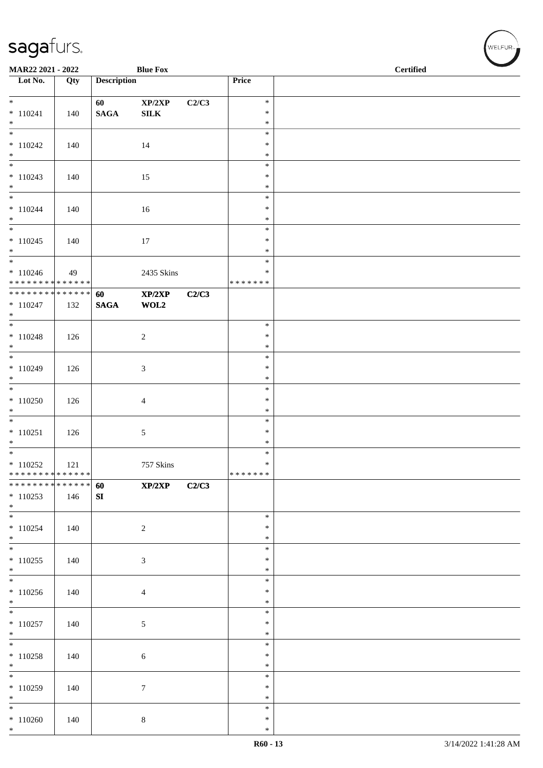| MAR22 2021 - 2022                         |     |                    | <b>Blue Fox</b>  |       |                   | <b>Certified</b> |  |  |
|-------------------------------------------|-----|--------------------|------------------|-------|-------------------|------------------|--|--|
| $\overline{\phantom{1}}$ Lot No.          | Qty | <b>Description</b> |                  |       | Price             |                  |  |  |
|                                           |     |                    |                  |       |                   |                  |  |  |
|                                           |     | 60                 | XP/2XP           | C2/C3 | $\ast$            |                  |  |  |
| $* 110241$                                | 140 | $\mathbf{SAGA}$    | ${\bf SILK}$     |       | $\ast$            |                  |  |  |
| $*$                                       |     |                    |                  |       | $\ast$            |                  |  |  |
| $\overline{\ast}$                         |     |                    |                  |       | $\ast$            |                  |  |  |
| $*110242$                                 | 140 |                    | 14               |       | $\ast$            |                  |  |  |
| $*$<br>$\overline{\phantom{0}}$           |     |                    |                  |       | $\ast$<br>$\ast$  |                  |  |  |
| $* 110243$                                | 140 |                    | 15               |       | $\ast$            |                  |  |  |
| $*$                                       |     |                    |                  |       | $\ast$            |                  |  |  |
| $\overline{\phantom{0}}$                  |     |                    |                  |       | $\ast$            |                  |  |  |
| $* 110244$                                | 140 |                    | 16               |       | $\ast$            |                  |  |  |
| $*$                                       |     |                    |                  |       | $\ast$            |                  |  |  |
| $\overline{\phantom{0}}$                  |     |                    |                  |       | $\ast$            |                  |  |  |
| $* 110245$                                | 140 |                    | 17               |       | $\ast$            |                  |  |  |
| $*$<br>$*$                                |     |                    |                  |       | $\ast$<br>$\ast$  |                  |  |  |
| $* 110246$                                | 49  |                    | 2435 Skins       |       | $\ast$            |                  |  |  |
| * * * * * * * * * * * * * *               |     |                    |                  |       | * * * * * * *     |                  |  |  |
| ******** <mark>******</mark>              |     | 60                 | XP/2XP           | C2/C3 |                   |                  |  |  |
| $* 110247$                                | 132 | $\mathbf{SAGA}$    | WOL2             |       |                   |                  |  |  |
| $*$                                       |     |                    |                  |       |                   |                  |  |  |
|                                           |     |                    |                  |       | $\ast$            |                  |  |  |
| $* 110248$                                | 126 |                    | $\overline{c}$   |       | $\ast$            |                  |  |  |
| $*$                                       |     |                    |                  |       | $\ast$            |                  |  |  |
|                                           |     |                    |                  |       | $\ast$<br>$\ast$  |                  |  |  |
| $* 110249$<br>$*$                         | 126 |                    | 3                |       | $\ast$            |                  |  |  |
| $\overline{\phantom{0}}$                  |     |                    |                  |       | $\ast$            |                  |  |  |
| $*110250$                                 | 126 |                    | $\overline{4}$   |       | $\ast$            |                  |  |  |
| $*$                                       |     |                    |                  |       | $\ast$            |                  |  |  |
| $\overline{\phantom{0}}$                  |     |                    |                  |       | $\ast$            |                  |  |  |
| $* 110251$                                | 126 |                    | 5                |       | $\ast$            |                  |  |  |
| $*$                                       |     |                    |                  |       | $\ast$            |                  |  |  |
| $*$                                       |     |                    |                  |       | $\ast$            |                  |  |  |
| $*110252$<br>******** <mark>******</mark> | 121 |                    | 757 Skins        |       | $\ast$<br>******* |                  |  |  |
| * * * * * * * * * * * * * * *             |     | 60                 | XP/2XP           | C2/C3 |                   |                  |  |  |
| $*110253$                                 | 146 | SI                 |                  |       |                   |                  |  |  |
| $*$                                       |     |                    |                  |       |                   |                  |  |  |
|                                           |     |                    |                  |       | $\ast$            |                  |  |  |
| $* 110254$                                | 140 |                    | $\overline{c}$   |       | $\ast$            |                  |  |  |
| $*$                                       |     |                    |                  |       | $\ast$            |                  |  |  |
| $*$                                       |     |                    |                  |       | $\ast$            |                  |  |  |
| $*110255$<br>$*$                          | 140 |                    | 3                |       | $\ast$<br>$\ast$  |                  |  |  |
| $\overline{\phantom{0}}$                  |     |                    |                  |       | $\ast$            |                  |  |  |
| $*110256$                                 | 140 |                    | $\overline{4}$   |       | $\ast$            |                  |  |  |
| $*$                                       |     |                    |                  |       | $\ast$            |                  |  |  |
| $\overline{\phantom{0}}$                  |     |                    |                  |       | $\ast$            |                  |  |  |
| $* 110257$                                | 140 |                    | $\sqrt{5}$       |       | $\ast$            |                  |  |  |
| $*$                                       |     |                    |                  |       | $\ast$            |                  |  |  |
|                                           |     |                    |                  |       | $\ast$            |                  |  |  |
| $* 110258$                                | 140 |                    | 6                |       | $\ast$            |                  |  |  |
| $*$<br>$\overline{\phantom{0}}$           |     |                    |                  |       | $\ast$<br>$\ast$  |                  |  |  |
| $*110259$                                 |     |                    | $\boldsymbol{7}$ |       | $\ast$            |                  |  |  |
| $*$                                       | 140 |                    |                  |       | $\ast$            |                  |  |  |
| $*$                                       |     |                    |                  |       | $\ast$            |                  |  |  |
| $*110260$                                 | 140 |                    | $\,8\,$          |       | $\ast$            |                  |  |  |
| $*$                                       |     |                    |                  |       | $\ast$            |                  |  |  |

、<br>WELFUR<sub>™</sub>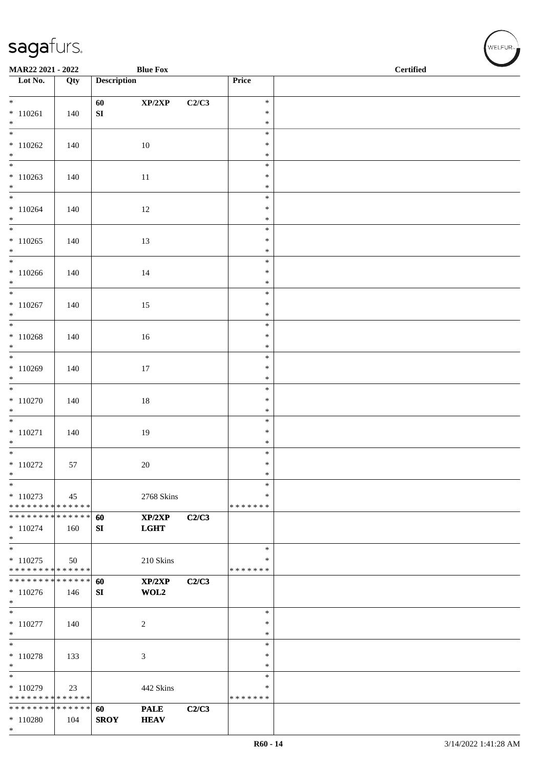| MAR22 2021 - 2022                                            |                   |                    | <b>Blue Fox</b>            |       |                  | <b>Certified</b> |
|--------------------------------------------------------------|-------------------|--------------------|----------------------------|-------|------------------|------------------|
| $\overline{\phantom{1}}$ Lot No.                             | $\overline{Q}$ ty | <b>Description</b> |                            |       | Price            |                  |
| $*$                                                          |                   |                    | $\mathbf{XP}/2\mathbf{XP}$ |       | $\ast$           |                  |
| $* 110261$                                                   | 140               | 60<br>${\bf SI}$   |                            | C2/C3 | $\ast$           |                  |
| $*$                                                          |                   |                    |                            |       | $\ast$           |                  |
| $\overline{\ast}$                                            |                   |                    |                            |       | $\ast$           |                  |
| $*110262$                                                    | 140               |                    | 10                         |       | $\ast$           |                  |
| $*$                                                          |                   |                    |                            |       | $\ast$<br>$\ast$ |                  |
| $*110263$                                                    | 140               |                    | 11                         |       | $\ast$           |                  |
| $*$                                                          |                   |                    |                            |       | $\ast$           |                  |
| $*$                                                          |                   |                    |                            |       | $\ast$           |                  |
| $* 110264$<br>$*$                                            | 140               |                    | 12                         |       | $\ast$<br>$\ast$ |                  |
|                                                              |                   |                    |                            |       | $\ast$           |                  |
| $*110265$                                                    | 140               |                    | 13                         |       | $\ast$           |                  |
| $*$                                                          |                   |                    |                            |       | $\ast$           |                  |
| $*$<br>$*110266$                                             |                   |                    |                            |       | $\ast$<br>$\ast$ |                  |
| $*$                                                          | 140               |                    | 14                         |       | $\ast$           |                  |
|                                                              |                   |                    |                            |       | $\ast$           |                  |
| $*110267$                                                    | 140               |                    | 15                         |       | $\ast$           |                  |
| $*$                                                          |                   |                    |                            |       | $\ast$<br>$\ast$ |                  |
| $*110268$                                                    | 140               |                    | $16\,$                     |       | $\ast$           |                  |
| $\ast$                                                       |                   |                    |                            |       | $\ast$           |                  |
|                                                              |                   |                    |                            |       | $\ast$           |                  |
| $*110269$<br>$*$                                             | 140               |                    | 17                         |       | $\ast$<br>$\ast$ |                  |
| $\overline{\phantom{0}}$                                     |                   |                    |                            |       | $\ast$           |                  |
| $*110270$                                                    | 140               |                    | $18\,$                     |       | $\ast$           |                  |
| $*$                                                          |                   |                    |                            |       | $\ast$           |                  |
| $*$                                                          |                   |                    |                            |       | $\ast$           |                  |
| $* 110271$<br>$*$                                            | 140               |                    | 19                         |       | $\ast$<br>$\ast$ |                  |
| $\overline{\phantom{0}}$                                     |                   |                    |                            |       | $\ast$           |                  |
| $*110272$                                                    | 57                |                    | 20                         |       | $\ast$           |                  |
| $\ast$                                                       |                   |                    |                            |       | $\ast$           |                  |
| $\ast$<br>$* 110273$                                         | 45                |                    | 2768 Skins                 |       | $\ast$<br>∗      |                  |
| * * * * * * * * * * * * * *                                  |                   |                    |                            |       | * * * * * * *    |                  |
| * * * * * * * * <mark>* * * * * * *</mark>                   |                   | 60                 | XP/2XP                     | C2/C3 |                  |                  |
| $* 110274$                                                   | 160               | SI                 | <b>LGHT</b>                |       |                  |                  |
| $*$<br>$*$                                                   |                   |                    |                            |       | $\ast$           |                  |
| $* 110275$                                                   | 50                |                    | 210 Skins                  |       | $\ast$           |                  |
| * * * * * * * * * * * * * *                                  |                   |                    |                            |       | * * * * * * *    |                  |
| * * * * * * * * * * * * * *                                  |                   | 60                 | XP/2XP                     | C2/C3 |                  |                  |
| $*110276$<br>$*$                                             | 146               | SI                 | WOL2                       |       |                  |                  |
| $*$                                                          |                   |                    |                            |       | $\ast$           |                  |
| $* 110277$                                                   | 140               |                    | 2                          |       | $\ast$           |                  |
| $*$                                                          |                   |                    |                            |       | $\ast$           |                  |
| $*$                                                          |                   |                    |                            |       | $\ast$<br>$\ast$ |                  |
| $* 110278$<br>$*$                                            | 133               |                    | 3                          |       | $\ast$           |                  |
| $*$                                                          |                   |                    |                            |       | $\ast$           |                  |
| $*110279$                                                    | 23                |                    | 442 Skins                  |       | ∗                |                  |
| * * * * * * * * * * * * * *<br>* * * * * * * * * * * * * * * |                   |                    |                            |       | * * * * * * *    |                  |
| $*110280$                                                    | 104               | 60<br><b>SROY</b>  | <b>PALE</b><br><b>HEAV</b> | C2/C3 |                  |                  |
| $*$                                                          |                   |                    |                            |       |                  |                  |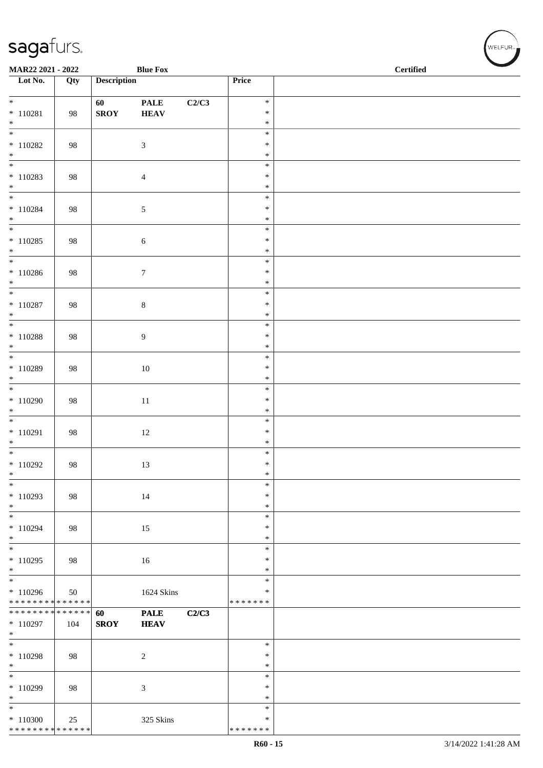| MAR22 2021 - 2022                      |     |                    | <b>Blue Fox</b>  |       |                  | <b>Certified</b> |  |  |  |
|----------------------------------------|-----|--------------------|------------------|-------|------------------|------------------|--|--|--|
| $\overline{\phantom{1}}$ Lot No.       | Qty | <b>Description</b> |                  |       | Price            |                  |  |  |  |
| $\overline{\ast}$                      |     | 60                 | <b>PALE</b>      | C2/C3 | $\ast$           |                  |  |  |  |
| $* 110281$                             | 98  | <b>SROY</b>        | ${\bf HEAV}$     |       | $\ast$           |                  |  |  |  |
| $\ast$<br>$\overline{\phantom{a}^*}$   |     |                    |                  |       | $\ast$           |                  |  |  |  |
| $*110282$                              | 98  |                    | $\mathfrak{Z}$   |       | $\ast$<br>$\ast$ |                  |  |  |  |
| $\ast$                                 |     |                    |                  |       | $\ast$           |                  |  |  |  |
| $\overline{\phantom{0}}$               |     |                    |                  |       | $\ast$           |                  |  |  |  |
| $* 110283$<br>$*$                      | 98  |                    | $\overline{4}$   |       | $\ast$<br>$\ast$ |                  |  |  |  |
| $\frac{1}{*}$                          |     |                    |                  |       | $\ast$           |                  |  |  |  |
| $* 110284$                             | 98  |                    | $\sqrt{5}$       |       | $\ast$           |                  |  |  |  |
| $*$<br>$\overline{\phantom{a}^*}$      |     |                    |                  |       | $\ast$<br>$\ast$ |                  |  |  |  |
| $*110285$                              | 98  |                    | $\sqrt{6}$       |       | $\ast$           |                  |  |  |  |
| $\ast$<br>$*$                          |     |                    |                  |       | $\ast$<br>$\ast$ |                  |  |  |  |
| $*110286$                              | 98  |                    | $\boldsymbol{7}$ |       | $\ast$           |                  |  |  |  |
| $*$                                    |     |                    |                  |       | $\ast$           |                  |  |  |  |
| $\overline{\phantom{0}}$<br>$*$ 110287 | 98  |                    |                  |       | $\ast$<br>$\ast$ |                  |  |  |  |
| $\ast$                                 |     |                    | $\,8\,$          |       | $\ast$           |                  |  |  |  |
| $\overline{\phantom{a}^*}$             |     |                    |                  |       | $\ast$           |                  |  |  |  |
| $*$ 110288<br>$\ast$                   | 98  |                    | $\overline{9}$   |       | $\ast$<br>$\ast$ |                  |  |  |  |
| $\overline{\phantom{0}}$               |     |                    |                  |       | $\ast$           |                  |  |  |  |
| $*110289$                              | 98  |                    | $10\,$           |       | $\ast$           |                  |  |  |  |
| $\ast$<br>$\overline{\phantom{0}}$     |     |                    |                  |       | $\ast$<br>$\ast$ |                  |  |  |  |
| $*110290$                              | 98  |                    | $11\,$           |       | $\ast$           |                  |  |  |  |
| $\ast$<br>$\overline{\phantom{0}}$     |     |                    |                  |       | $\ast$           |                  |  |  |  |
| $* 110291$                             | 98  |                    | $12\,$           |       | $\ast$<br>$\ast$ |                  |  |  |  |
| $\ast$                                 |     |                    |                  |       | $\ast$           |                  |  |  |  |
| $*$                                    |     |                    |                  |       | $\ast$<br>$\ast$ |                  |  |  |  |
| $*110292$<br>$\ast$                    | 98  |                    | 13               |       | $\ast$           |                  |  |  |  |
| $\ast$                                 |     |                    |                  |       | $\ast$           |                  |  |  |  |
| $*110293$<br>$\ast$                    | 98  |                    | 14               |       | $\ast$<br>$\ast$ |                  |  |  |  |
| $_{\ast}$                              |     |                    |                  |       | $\ast$           |                  |  |  |  |
| $*110294$                              | 98  |                    | 15               |       | $\ast$           |                  |  |  |  |
| $\ast$<br>$\overline{\ast}$            |     |                    |                  |       | $\ast$<br>$\ast$ |                  |  |  |  |
| $*110295$                              | 98  |                    | 16               |       | $\ast$           |                  |  |  |  |
| $\ast$<br>$\frac{1}{*}$                |     |                    |                  |       | $\ast$           |                  |  |  |  |
| $*110296$                              | 50  |                    | 1624 Skins       |       | $\ast$<br>$\ast$ |                  |  |  |  |
| ******** <mark>******</mark>           |     |                    |                  |       | * * * * * * *    |                  |  |  |  |
| * * * * * * * * * * * * * *            |     | 60                 | <b>PALE</b>      | C2/C3 |                  |                  |  |  |  |
| $*110297$<br>$\ast$                    | 104 | <b>SROY</b>        | <b>HEAV</b>      |       |                  |                  |  |  |  |
| $\ast$                                 |     |                    |                  |       | $\ast$           |                  |  |  |  |
| $* 110298$<br>$\ast$                   | 98  |                    | $\overline{c}$   |       | $\ast$<br>$\ast$ |                  |  |  |  |
| $_{\ast}^{-}$                          |     |                    |                  |       | $\ast$           |                  |  |  |  |
| $*110299$                              | 98  |                    | $\mathfrak{Z}$   |       | $\ast$           |                  |  |  |  |
| $\ast$<br>$\frac{1}{\ast}$             |     |                    |                  |       | $\ast$<br>$\ast$ |                  |  |  |  |
| $*110300$                              | 25  |                    | 325 Skins        |       | $\ast$           |                  |  |  |  |
| ******** <mark>******</mark>           |     |                    |                  |       | * * * * * * *    |                  |  |  |  |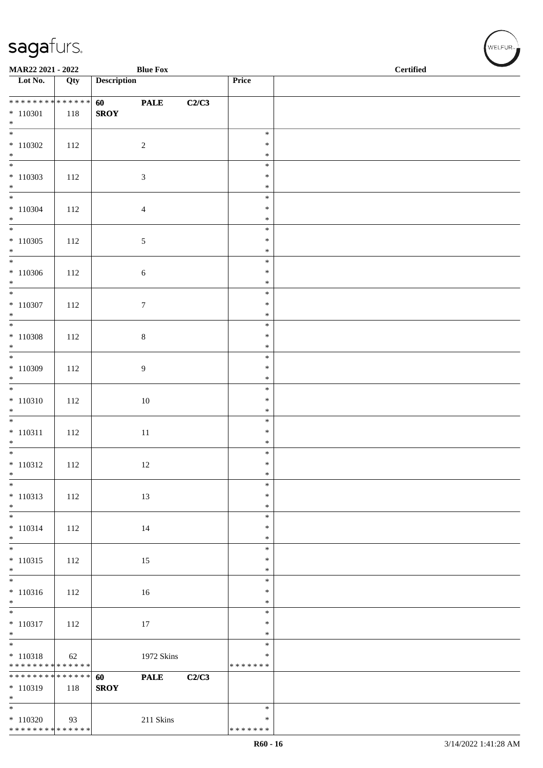| MAR22 2021 - 2022                                          |     |                    | <b>Blue Fox</b>  |       |                                   | <b>Certified</b> |
|------------------------------------------------------------|-----|--------------------|------------------|-------|-----------------------------------|------------------|
| $\overline{\phantom{1}}$ Lot No.                           | Qty | <b>Description</b> |                  |       | Price                             |                  |
| **************<br>$*110301$<br>$\ast$                      | 118 | 60<br><b>SROY</b>  | <b>PALE</b>      | C2/C3 |                                   |                  |
| $\overline{\phantom{0}}$<br>$*110302$<br>$\ast$            | 112 |                    | $\sqrt{2}$       |       | $\ast$<br>$\ast$<br>$\ast$        |                  |
| $\overline{\phantom{0}}$<br>$*110303$<br>$\ast$            | 112 |                    | $\mathfrak{Z}$   |       | $\ast$<br>$\ast$<br>$\ast$        |                  |
| $\overline{\phantom{0}}$<br>$* 110304$<br>$*$              | 112 |                    | $\overline{4}$   |       | $\ast$<br>$\ast$<br>$\ast$        |                  |
| $\overline{\phantom{a}^*}$<br>$*110305$<br>$*$             | 112 |                    | $\sqrt{5}$       |       | $\ast$<br>$\ast$<br>$\ast$        |                  |
| $\ast$<br>$*110306$<br>$*$                                 | 112 |                    | $\sqrt{6}$       |       | $\ast$<br>$\ast$<br>$\ast$        |                  |
| $\frac{1}{*}$<br>$* 110307$<br>$\ast$                      | 112 |                    | $\boldsymbol{7}$ |       | $\ast$<br>$\ast$<br>$\ast$        |                  |
| $\overline{\phantom{0}}$<br>$*$ 110308<br>$\ast$           | 112 |                    | $\,8\,$          |       | $\ast$<br>$\ast$<br>$\ast$        |                  |
| $\overline{\phantom{0}}$<br>$*110309$<br>$\ast$            | 112 |                    | $\boldsymbol{9}$ |       | $\ast$<br>$\ast$<br>$\ast$        |                  |
| $\overline{\phantom{0}}$<br>$* 110310$<br>$\ast$           | 112 |                    | 10               |       | $\ast$<br>$\ast$<br>$\ast$        |                  |
| $\overline{\phantom{0}}$<br>$* 110311$<br>$\ast$           | 112 |                    | $11\,$           |       | $\ast$<br>$\ast$<br>$\ast$        |                  |
| $*$<br>$* 110312$<br>$\ast$                                | 112 |                    | 12               |       | $\ast$<br>$\ast$<br>$\ast$        |                  |
| $\overline{\phantom{a}^*}$<br>$* 110313$<br>$\ast$         | 112 |                    | 13               |       | $\ast$<br>*<br>$\ast$             |                  |
| $\overline{\phantom{a}^*}$<br>$* 110314$<br>$\ast$         | 112 |                    | 14               |       | $\ast$<br>$\ast$<br>$\ast$        |                  |
| $\overline{\phantom{a}^*}$<br>$* 110315$<br>$\ast$         | 112 |                    | 15               |       | $\ast$<br>$\ast$<br>$\ast$        |                  |
| $\frac{1}{*}$<br>$* 110316$<br>$\ast$                      | 112 |                    | 16               |       | $\ast$<br>$\ast$<br>$\ast$        |                  |
| $_{\ast}^{-}$<br>$* 110317$<br>$\ast$                      | 112 |                    | 17               |       | $\ast$<br>$\ast$<br>$\ast$        |                  |
| $*$<br>$* 110318$<br>******** <mark>******</mark>          | 62  |                    | 1972 Skins       |       | $\ast$<br>$\ast$<br>* * * * * * * |                  |
| **************<br>$*110319$<br>$\ast$                      | 118 | 60<br><b>SROY</b>  | <b>PALE</b>      | C2/C3 |                                   |                  |
| $_{\ast}^{-}$<br>$*110320$<br>******** <mark>******</mark> | 93  |                    | 211 Skins        |       | $\ast$<br>∗<br>* * * * * * *      |                  |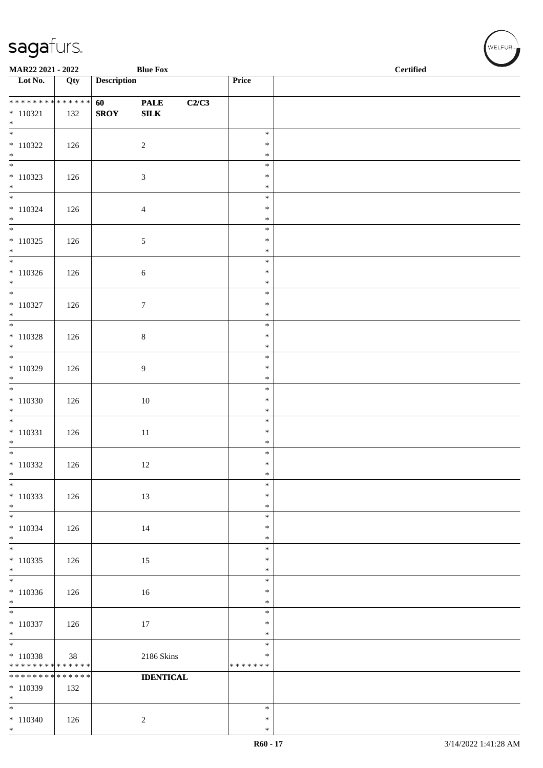|                                                                       | <b>Blue Fox</b><br>MAR22 2021 - 2022 |                    |                             |       | <b>Certified</b>                  |  |  |  |  |
|-----------------------------------------------------------------------|--------------------------------------|--------------------|-----------------------------|-------|-----------------------------------|--|--|--|--|
| $\overline{\phantom{1}}$ Lot No.                                      | Qty                                  | <b>Description</b> |                             |       | Price                             |  |  |  |  |
| * * * * * * * * * * * * * *<br>$* 110321$<br>$*$                      | 132                                  | 60<br><b>SROY</b>  | <b>PALE</b><br>${\bf SILK}$ | C2/C3 |                                   |  |  |  |  |
| $\frac{1}{*}$<br>$* 110322$<br>$*$ $*$                                | 126                                  |                    | $\sqrt{2}$                  |       | $\ast$<br>$\ast$<br>$\ast$        |  |  |  |  |
| $* 110323$<br>$*$                                                     | 126                                  |                    | $\mathfrak{Z}$              |       | $\ast$<br>$\ast$<br>$\ast$        |  |  |  |  |
| $* 110324$<br>$*$                                                     | 126                                  |                    | $\overline{4}$              |       | $\ast$<br>$\ast$<br>$\ast$        |  |  |  |  |
| $\overline{\phantom{0}}$<br>$* 110325$<br>$*$                         | 126                                  |                    | $\sqrt{5}$                  |       | $\ast$<br>$\ast$<br>$\ast$        |  |  |  |  |
| $* 110326$<br>$*$                                                     | 126                                  |                    | $\sqrt{6}$                  |       | $\ast$<br>$\ast$<br>$\ast$        |  |  |  |  |
| $* 110327$<br>$*$                                                     | 126                                  |                    | $\boldsymbol{7}$            |       | $\ast$<br>$\ast$<br>$\ast$        |  |  |  |  |
| $* 110328$                                                            | 126                                  |                    | $\,8\,$                     |       | $\ast$<br>$\ast$<br>$\ast$        |  |  |  |  |
| $*110329$<br>$\ast$                                                   | 126                                  |                    | 9                           |       | $\ast$<br>$\ast$<br>$\ast$        |  |  |  |  |
| $*110330$<br>$*$                                                      | 126                                  |                    | $10\,$                      |       | $\ast$<br>$\ast$<br>$\ast$        |  |  |  |  |
| $\overline{\phantom{0}}$<br>$* 110331$<br>$*$                         | 126                                  |                    | $11\,$                      |       | $\ast$<br>$\ast$<br>$\ast$        |  |  |  |  |
| $* 110332$<br>$\ast$                                                  | 126                                  |                    | 12                          |       | $\ast$<br>$\ast$<br>$\ast$        |  |  |  |  |
| $\ast$<br>$*110333$<br>$*$                                            | 126                                  |                    | 13                          |       | $\ast$<br>$\ast$<br>$\ast$        |  |  |  |  |
| $\overline{\phantom{a}^*}$<br>$* 110334$<br>$*$                       | 126                                  |                    | 14                          |       | $\ast$<br>$\ast$<br>$\ast$        |  |  |  |  |
| $\overline{\ast}$<br>$* 110335$<br>$\ast$<br>$\overline{\phantom{0}}$ | 126                                  |                    | 15                          |       | $\ast$<br>$\ast$<br>$\ast$        |  |  |  |  |
| $*110336$<br>$\ast$                                                   | 126                                  |                    | $16\,$                      |       | $\ast$<br>$\ast$<br>$\ast$        |  |  |  |  |
| $\overline{\phantom{0}}$<br>$* 110337$<br>$*$                         | 126                                  |                    | 17                          |       | $\ast$<br>$\ast$<br>$\ast$        |  |  |  |  |
| $\overline{\ast}$<br>$* 110338$<br>* * * * * * * * * * * * * *        | 38                                   |                    | 2186 Skins                  |       | $\ast$<br>$\ast$<br>* * * * * * * |  |  |  |  |
| * * * * * * * * * * * * * *<br>$*110339$<br>$\ast$                    | 132                                  |                    | <b>IDENTICAL</b>            |       |                                   |  |  |  |  |
| $\ast$<br>$*110340$<br>$*$                                            | 126                                  |                    | $\sqrt{2}$                  |       | $\ast$<br>$\ast$<br>$\ast$        |  |  |  |  |

 $(w$ ELFUR<sub><sup>n</sub></sub></sub></sup>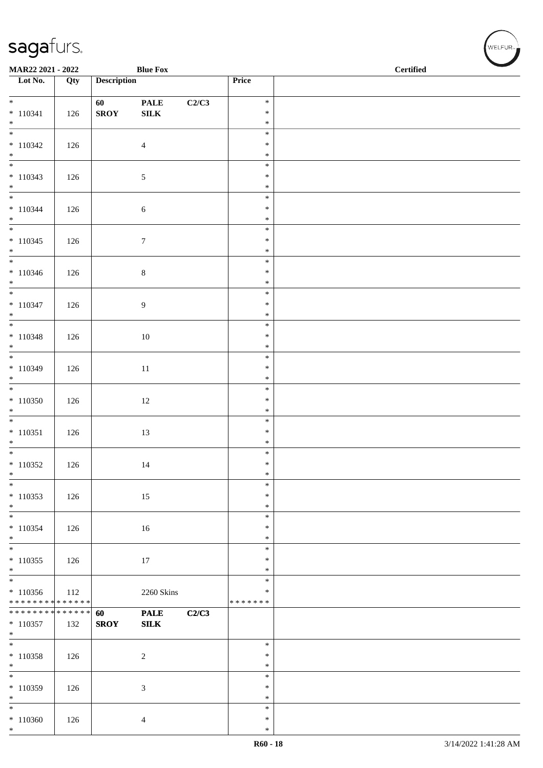| <b>Blue Fox</b><br>MAR22 2021 - 2022       |     |                    |                  |       |                  | <b>Certified</b> |
|--------------------------------------------|-----|--------------------|------------------|-------|------------------|------------------|
| $\overline{\phantom{a}}$ Lot No.           | Qty | <b>Description</b> |                  |       | Price            |                  |
| $*$                                        |     | 60                 | <b>PALE</b>      | C2/C3 | $\ast$           |                  |
| $* 110341$                                 | 126 | <b>SROY</b>        | ${\bf SILK}$     |       | $\ast$           |                  |
| $*$<br>$\overline{\phantom{0}}$            |     |                    |                  |       | $\ast$           |                  |
| $*110342$                                  | 126 |                    | $\overline{4}$   |       | $\ast$<br>$\ast$ |                  |
| $*$                                        |     |                    |                  |       | $\ast$           |                  |
|                                            |     |                    |                  |       | $\ast$           |                  |
| $* 110343$<br>$*$                          | 126 |                    | 5                |       | $\ast$<br>$\ast$ |                  |
| $*$                                        |     |                    |                  |       | $\ast$           |                  |
| $* 110344$                                 | 126 |                    | $\sqrt{6}$       |       | $\ast$           |                  |
| $*$                                        |     |                    |                  |       | $\ast$<br>$\ast$ |                  |
| $* 110345$                                 | 126 |                    | $\boldsymbol{7}$ |       | $\ast$           |                  |
| $*$                                        |     |                    |                  |       | $\ast$           |                  |
| $*$                                        |     |                    |                  |       | $\ast$           |                  |
| $* 110346$<br>$*$                          | 126 |                    | $\,8\,$          |       | $\ast$<br>$\ast$ |                  |
|                                            |     |                    |                  |       | $\ast$           |                  |
| $* 110347$                                 | 126 |                    | 9                |       | $\ast$           |                  |
| $*$                                        |     |                    |                  |       | $\ast$<br>$\ast$ |                  |
| $* 110348$                                 | 126 |                    | $10\,$           |       | $\ast$           |                  |
| $*$                                        |     |                    |                  |       | $\ast$           |                  |
| $* 110349$                                 |     |                    |                  |       | $\ast$<br>$\ast$ |                  |
| $\ast$                                     | 126 |                    | 11               |       | $\ast$           |                  |
|                                            |     |                    |                  |       | $\ast$           |                  |
| $*110350$                                  | 126 |                    | 12               |       | $\ast$<br>$\ast$ |                  |
| $*$                                        |     |                    |                  |       | $\ast$           |                  |
| $* 110351$                                 | 126 |                    | 13               |       | $\ast$           |                  |
| $*$                                        |     |                    |                  |       | $\ast$           |                  |
| $*$<br>$*110352$                           | 126 |                    | 14               |       | $\ast$<br>$\ast$ |                  |
| $\ast$                                     |     |                    |                  |       | $\ast$           |                  |
| $*$                                        |     |                    |                  |       | $\ast$           |                  |
| $* 110353$<br>$*$                          | 126 |                    | 15               |       | $\ast$<br>$\ast$ |                  |
| $*$                                        |     |                    |                  |       | $\ast$           |                  |
| $* 110354$                                 | 126 |                    | 16               |       | $\ast$           |                  |
| $*$<br>$\overline{\ast}$                   |     |                    |                  |       | $\ast$<br>$\ast$ |                  |
| $* 110355$                                 | 126 |                    | 17               |       | $\ast$           |                  |
| $\ast$                                     |     |                    |                  |       | $\ast$           |                  |
|                                            |     |                    |                  |       | $\ast$<br>$\ast$ |                  |
| $*110356$<br>******** <mark>******</mark>  | 112 |                    | 2260 Skins       |       | * * * * * * *    |                  |
| * * * * * * * * <mark>* * * * * * *</mark> |     | 60                 | <b>PALE</b>      | C2/C3 |                  |                  |
| $* 110357$<br>$*$                          | 132 | <b>SROY</b>        | ${\bf SILK}$     |       |                  |                  |
|                                            |     |                    |                  |       | $\ast$           |                  |
| $*110358$                                  | 126 |                    | $\sqrt{2}$       |       | $\ast$           |                  |
| $*$                                        |     |                    |                  |       | $\ast$           |                  |
| $*110359$                                  | 126 |                    | $\mathfrak{Z}$   |       | $\ast$<br>$\ast$ |                  |
| $*$                                        |     |                    |                  |       | $\ast$           |                  |
| $*$                                        |     |                    |                  |       | $\ast$           |                  |
| $*110360$<br>$*$                           | 126 |                    | $\overline{4}$   |       | $\ast$<br>$\ast$ |                  |
|                                            |     |                    |                  |       |                  |                  |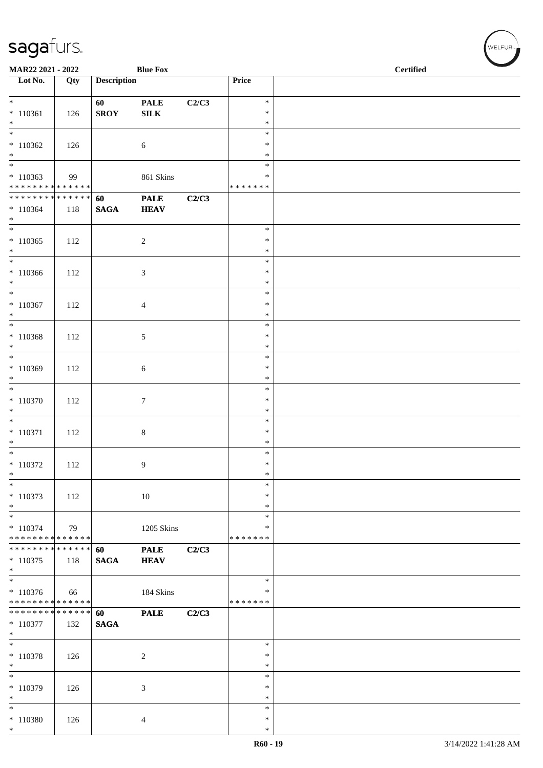| MAR22 2021 - 2022                                                            |               |                    | <b>Blue Fox</b>            |       |                                   | <b>Certified</b> |  |  |
|------------------------------------------------------------------------------|---------------|--------------------|----------------------------|-------|-----------------------------------|------------------|--|--|
| $\overline{\phantom{a}}$ Lot No.                                             | Qty           | <b>Description</b> |                            |       | Price                             |                  |  |  |
| $*$<br>$* 110361$<br>$*$                                                     | 126           | 60<br><b>SROY</b>  | <b>PALE</b><br>SILK        | C2/C3 | $\ast$<br>$\ast$<br>$\ast$        |                  |  |  |
| $\overline{\phantom{0}}$<br>$*110362$<br>$*$                                 | 126           |                    | 6                          |       | $\ast$<br>$\ast$<br>$\ast$        |                  |  |  |
| $\overline{\phantom{0}}$<br>$*110363$<br>******** <mark>******</mark>        | 99            |                    | 861 Skins                  |       | $\ast$<br>∗<br>* * * * * * *      |                  |  |  |
| ******** <mark>******</mark><br>$*110364$<br>$*$<br>$\overline{\phantom{0}}$ | 118           | 60<br><b>SAGA</b>  | <b>PALE</b><br><b>HEAV</b> | C2/C3 |                                   |                  |  |  |
| $*110365$<br>$*$                                                             | 112           |                    | $\overline{c}$             |       | $\ast$<br>$\ast$<br>$\ast$        |                  |  |  |
| $*110366$<br>$*$<br>$\overline{\phantom{0}}$                                 | 112           |                    | 3                          |       | $\ast$<br>$\ast$<br>$\ast$        |                  |  |  |
| $* 110367$<br>$*$                                                            | 112           |                    | 4                          |       | $\ast$<br>$\ast$<br>$\ast$        |                  |  |  |
| $*$<br>$* 110368$<br>$*$                                                     | 112           |                    | 5                          |       | $\ast$<br>$\ast$<br>$\ast$        |                  |  |  |
| $*110369$<br>$*$                                                             | 112           |                    | 6                          |       | $\ast$<br>$\ast$<br>$\ast$        |                  |  |  |
| $\overline{\phantom{0}}$<br>$* 110370$<br>$\ast$                             | 112           |                    | $\tau$                     |       | $\ast$<br>$\ast$<br>$\ast$        |                  |  |  |
| $*$<br>$* 110371$<br>$*$                                                     | 112           |                    | $\,8\,$                    |       | $\ast$<br>$\ast$<br>$\ast$        |                  |  |  |
| $* 110372$<br>$\ast$                                                         | 112           |                    | 9                          |       | $\ast$<br>$\ast$<br>$\ast$        |                  |  |  |
| $\ast$<br>$* 110373$<br>$*$                                                  | 112           |                    | $10\,$                     |       | $\ast$<br>$\ast$<br>$\ast$        |                  |  |  |
| $*$<br>$* 110374$<br>* * * * * * * * * * * * * *                             | 79            |                    | 1205 Skins                 |       | $\ast$<br>$\ast$<br>* * * * * * * |                  |  |  |
| * * * * * * * *<br>$* 110375$<br>$*$                                         | ******<br>118 | 60<br><b>SAGA</b>  | <b>PALE</b><br><b>HEAV</b> | C2/C3 |                                   |                  |  |  |
| $* 110376$<br>* * * * * * * * * * * * * *                                    | 66            |                    | 184 Skins                  |       | $\ast$<br>∗<br>* * * * * * *      |                  |  |  |
| * * * * * * * * * * * * * * *<br>$* 110377$<br>$*$                           | 132           | 60<br><b>SAGA</b>  | <b>PALE</b>                | C2/C3 |                                   |                  |  |  |
| $\overline{\phantom{0}}$<br>$* 110378$<br>$*$                                | 126           |                    | $\overline{c}$             |       | $\ast$<br>∗<br>$\ast$             |                  |  |  |
| $*$<br>$* 110379$<br>$*$                                                     | 126           |                    | 3                          |       | $\ast$<br>$\ast$<br>$\ast$        |                  |  |  |
| $*$<br>$* 110380$<br>$*$                                                     | 126           |                    | 4                          |       | $\ast$<br>$\ast$<br>$\ast$        |                  |  |  |

WELFUR<sub><sup>N</sub></sub></sub></sup>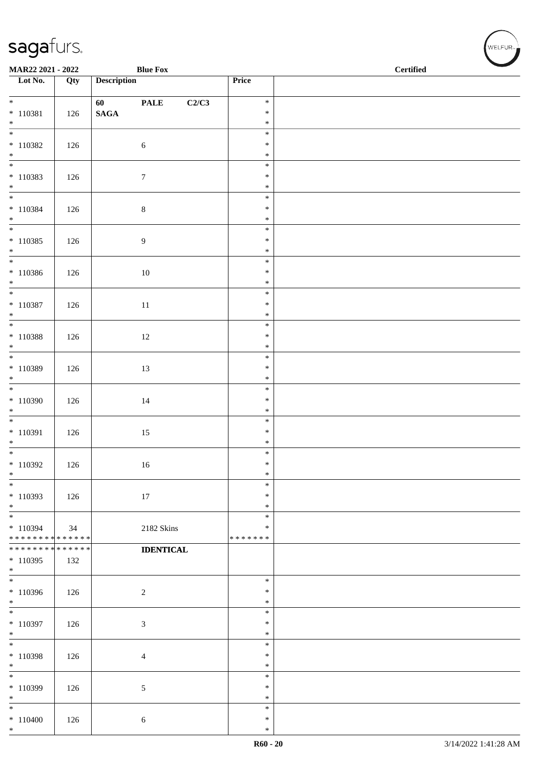| MAR22 2021 - 2022                       |     |                    | <b>Blue Fox</b>      |                    | $\overline{\phantom{a}}$<br>$\operatorname{\bf \mathbf{Certified}}$ |
|-----------------------------------------|-----|--------------------|----------------------|--------------------|---------------------------------------------------------------------|
| Lot No.                                 | Qty | <b>Description</b> |                      | Price              |                                                                     |
| $*$                                     |     | 60 — 10            | <b>PALE</b><br>C2/C3 | $\ast$             |                                                                     |
| $* 110381$<br>$*$                       | 126 | $\mathbf{SAGA}$    |                      | $\ast$<br>$\ast$   |                                                                     |
|                                         |     |                    |                      | $\ast$             |                                                                     |
| $*110382$<br>$*$                        | 126 |                    | $\sqrt{6}$           | $\ast$<br>$\ast$   |                                                                     |
|                                         |     |                    |                      | $\ast$             |                                                                     |
| $* 110383$<br>$*$                       | 126 |                    | $\boldsymbol{7}$     | $\ast$<br>$\ast$   |                                                                     |
| $*$                                     |     |                    |                      | $\ast$             |                                                                     |
| $* 110384$<br>$*$                       | 126 |                    | $8\,$                | $\ast$<br>$\ast$   |                                                                     |
| $*$                                     |     |                    |                      | $\ast$             |                                                                     |
| $* 110385$<br>$*$                       | 126 |                    | $\overline{9}$       | $\ast$<br>$\ast$   |                                                                     |
| $*$                                     |     |                    |                      | $\ast$             |                                                                     |
| $* 110386$<br>$*$                       | 126 |                    | $10\,$               | $\ast$<br>$\ast$   |                                                                     |
| $*$                                     |     |                    |                      | $\ast$             |                                                                     |
| $* 110387$<br>$*$                       | 126 |                    | $11\,$               | $\ast$<br>$\ast$   |                                                                     |
|                                         |     |                    |                      | $\ast$             |                                                                     |
| $* 110388$<br>$*$                       | 126 |                    | 12                   | $\ast$<br>$\ast$   |                                                                     |
| $*$                                     |     |                    |                      | $\ast$             |                                                                     |
| $* 110389$<br>$*$                       | 126 |                    | 13                   | $\ast$<br>$\ast$   |                                                                     |
| $\overline{\ast}$                       |     |                    |                      | $\ast$             |                                                                     |
| $*110390$<br>$*$                        | 126 |                    | $14\,$               | $\ast$<br>$\ast$   |                                                                     |
|                                         |     |                    |                      | $\ast$             |                                                                     |
| $* 110391$                              | 126 |                    | 15                   | $\ast$             |                                                                     |
| $*$<br>$*$                              |     |                    |                      | $\ast$<br>$\ast$   |                                                                     |
| $*110392$                               | 126 |                    | 16                   | $\ast$             |                                                                     |
| $\ast$                                  |     |                    |                      | $\ast$             |                                                                     |
| $\ast$                                  |     |                    |                      | $\ast$<br>$\ast$   |                                                                     |
| $*110393$<br>$\ast$                     | 126 |                    | 17                   | $\ast$             |                                                                     |
|                                         |     |                    |                      | $\ast$             |                                                                     |
| * 110394<br>* * * * * * * * * * * * * * | 34  |                    | 2182 Skins           | ∗<br>* * * * * * * |                                                                     |
| * * * * * * * * * * * * * *             |     |                    | <b>IDENTICAL</b>     |                    |                                                                     |
| $*110395$<br>$*$                        | 132 |                    |                      |                    |                                                                     |
|                                         |     |                    |                      | $\ast$             |                                                                     |
| $*110396$<br>$*$                        | 126 |                    | $\overline{2}$       | $\ast$<br>$\ast$   |                                                                     |
| $\overline{\phantom{0}}$                |     |                    |                      | $\ast$             |                                                                     |
| $*110397$<br>$*$                        | 126 |                    | $\mathfrak{Z}$       | $\ast$<br>$\ast$   |                                                                     |
| $*$                                     |     |                    |                      | $\ast$             |                                                                     |
| $*$ 110398<br>$*$                       | 126 |                    | $\overline{4}$       | $\ast$<br>$\ast$   |                                                                     |
| $*$                                     |     |                    |                      | $\ast$             |                                                                     |
| $*110399$<br>$*$                        | 126 |                    | 5                    | $\ast$<br>$\ast$   |                                                                     |
| $\ast$                                  |     |                    |                      | $\ast$             |                                                                     |
| $* 110400$<br>$*$                       | 126 |                    | $6\,$                | $\ast$<br>$\ast$   |                                                                     |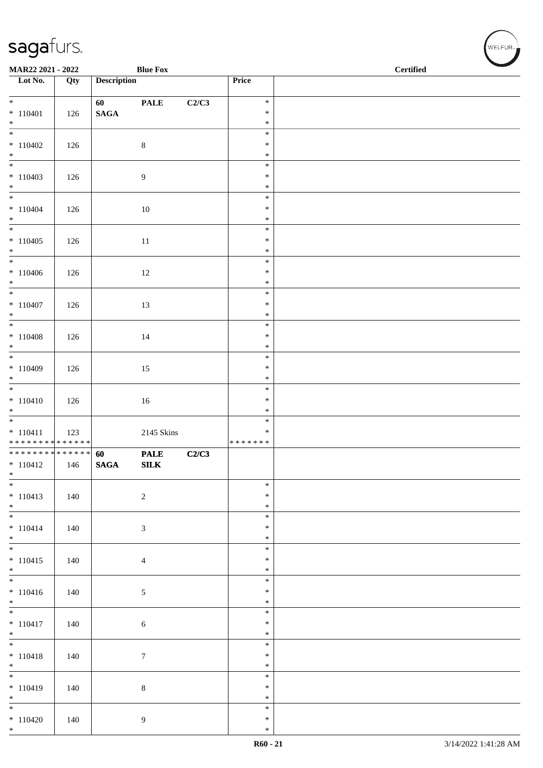| MAR22 2021 - 2022                                        |     | <b>Blue Fox</b>    |                  |       | $\operatorname{\bf \mathbf{Certified}}$ | $\overline{\phantom{a}}$ |  |
|----------------------------------------------------------|-----|--------------------|------------------|-------|-----------------------------------------|--------------------------|--|
| Lot No.                                                  | Qty | <b>Description</b> |                  |       | Price                                   |                          |  |
| $*$                                                      |     | 60                 | <b>PALE</b>      | C2/C3 | $\ast$                                  |                          |  |
| $* 110401$                                               | 126 | $\mathbf{SAGA}$    |                  |       | $\ast$                                  |                          |  |
| $*$                                                      |     |                    |                  |       | $\ast$<br>$\ast$                        |                          |  |
| $*110402$                                                | 126 |                    | $\,8\,$          |       | $\ast$                                  |                          |  |
| $*$                                                      |     |                    |                  |       | $\ast$                                  |                          |  |
| $*110403$                                                | 126 |                    | $\overline{9}$   |       | $\ast$<br>$\ast$                        |                          |  |
| $*$<br>$*$                                               |     |                    |                  |       | $\ast$                                  |                          |  |
| $* 110404$                                               | 126 |                    | 10               |       | $\ast$<br>$\ast$                        |                          |  |
| $*$                                                      |     |                    |                  |       | $\ast$                                  |                          |  |
| $*110405$                                                |     |                    |                  |       | $\ast$<br>$\ast$                        |                          |  |
| $*$                                                      | 126 |                    | $11\,$           |       | $\ast$                                  |                          |  |
| $*$                                                      |     |                    |                  |       | $\ast$                                  |                          |  |
| $*110406$<br>$*$                                         | 126 |                    | 12               |       | $\ast$<br>$\ast$                        |                          |  |
| $*$                                                      |     |                    |                  |       | $\ast$                                  |                          |  |
| $*110407$<br>$*$                                         | 126 |                    | 13               |       | $\ast$<br>$\ast$                        |                          |  |
|                                                          |     |                    |                  |       | $\ast$                                  |                          |  |
| $* 110408$                                               | 126 |                    | 14               |       | $\ast$                                  |                          |  |
| $*$                                                      |     |                    |                  |       | $\ast$<br>$\ast$                        |                          |  |
| $* 110409$                                               | 126 |                    | 15               |       | $\ast$                                  |                          |  |
| $*$                                                      |     |                    |                  |       | $\ast$                                  |                          |  |
| $* 110410$                                               | 126 |                    | 16               |       | $\ast$<br>$\ast$                        |                          |  |
| $*$                                                      |     |                    |                  |       | $\ast$                                  |                          |  |
|                                                          |     |                    |                  |       | $\ast$<br>$\ast$                        |                          |  |
| $* 110411$<br>* * * * * * * * <mark>* * * * * *</mark> * | 123 |                    | 2145 Skins       |       | * * * * * * *                           |                          |  |
| ******** <mark>******</mark>                             |     | 60                 | <b>PALE</b>      | C2/C3 |                                         |                          |  |
| $*110412$<br>$*$                                         | 146 | <b>SAGA</b>        | ${\bf SILK}$     |       |                                         |                          |  |
| $*$                                                      |     |                    |                  |       | $\ast$                                  |                          |  |
| $* 110413$                                               | 140 |                    | $\overline{c}$   |       | $\ast$                                  |                          |  |
| $*$<br>$*$                                               |     |                    |                  |       | $\ast$<br>$\ast$                        |                          |  |
| $* 110414$                                               | 140 |                    | $\mathfrak{Z}$   |       | $\ast$                                  |                          |  |
| $*$<br>$\overline{\phantom{0}}$                          |     |                    |                  |       | $\ast$<br>$\ast$                        |                          |  |
| $* 110415$                                               | 140 |                    | $\overline{4}$   |       | $\ast$                                  |                          |  |
| $*$                                                      |     |                    |                  |       | $\ast$                                  |                          |  |
| $* 110416$                                               | 140 |                    | $\mathfrak{S}$   |       | $\ast$<br>$\ast$                        |                          |  |
| $*$                                                      |     |                    |                  |       | $\ast$                                  |                          |  |
|                                                          |     |                    |                  |       | $\ast$<br>$\ast$                        |                          |  |
| $* 110417$<br>$*$                                        | 140 |                    | $\sqrt{6}$       |       | $\ast$                                  |                          |  |
| $\overline{\phantom{0}}$                                 |     |                    |                  |       | $\ast$                                  |                          |  |
| $* 110418$<br>$*$                                        | 140 |                    | $\boldsymbol{7}$ |       | $\ast$<br>$\ast$                        |                          |  |
|                                                          |     |                    |                  |       | $\ast$                                  |                          |  |
| $* 110419$                                               | 140 |                    | $8\,$            |       | $\ast$                                  |                          |  |
| $*$<br>$*$                                               |     |                    |                  |       | $\ast$<br>$\ast$                        |                          |  |
| $*110420$                                                | 140 |                    | 9                |       | $\ast$                                  |                          |  |
| $*$                                                      |     |                    |                  |       | $\ast$                                  |                          |  |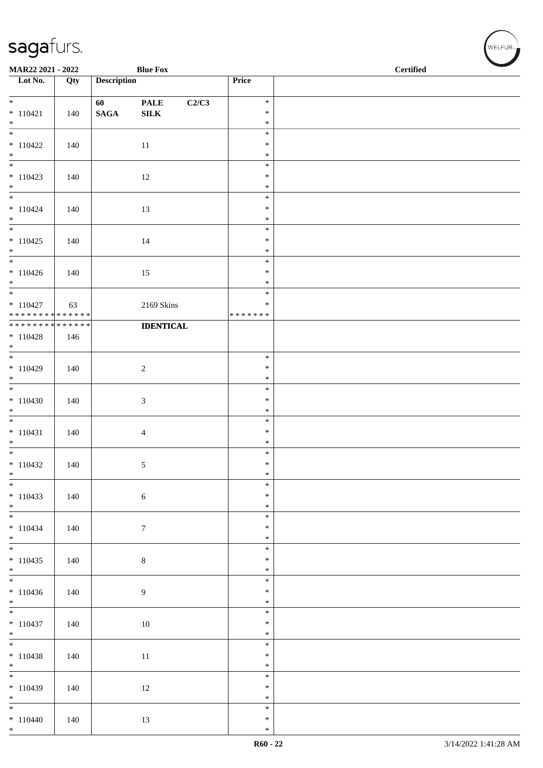| MAR22 2021 - 2022                          |     |                    | <b>Blue Fox</b>      |                  | $\operatorname{\bf \mathbf{Certified}}$ |  |
|--------------------------------------------|-----|--------------------|----------------------|------------------|-----------------------------------------|--|
| Lot No.                                    | Qty | <b>Description</b> |                      | Price            |                                         |  |
| $*$                                        |     | 60                 | C2/C3<br><b>PALE</b> | $\ast$           |                                         |  |
| $* 110421$                                 | 140 | $\mathbf{SAGA}$    | ${\bf SILK}$         | $\ast$           |                                         |  |
| $*$                                        |     |                    |                      | $\ast$           |                                         |  |
| $*110422$                                  | 140 |                    | 11                   | $\ast$<br>$\ast$ |                                         |  |
| $*$                                        |     |                    |                      | $\ast$           |                                         |  |
|                                            |     |                    |                      | $\ast$           |                                         |  |
| $*110423$                                  | 140 |                    | 12                   | $\ast$           |                                         |  |
| $*$<br>$*$                                 |     |                    |                      | $\ast$<br>$\ast$ |                                         |  |
| $* 110424$                                 | 140 |                    | 13                   | $\ast$           |                                         |  |
| $*$                                        |     |                    |                      | $\ast$           |                                         |  |
|                                            |     |                    |                      | $\ast$           |                                         |  |
| $*110425$<br>$*$                           | 140 |                    | 14                   | $\ast$<br>$\ast$ |                                         |  |
|                                            |     |                    |                      | $\ast$           |                                         |  |
| $*110426$                                  | 140 |                    | 15                   | $\ast$           |                                         |  |
| $*$<br>$*$                                 |     |                    |                      | $\ast$<br>$\ast$ |                                         |  |
| $*110427$                                  | 63  |                    | 2169 Skins           | $\ast$           |                                         |  |
| ******** <mark>******</mark>               |     |                    |                      | * * * * * * *    |                                         |  |
| * * * * * * * * <mark>* * * * * * *</mark> |     |                    | <b>IDENTICAL</b>     |                  |                                         |  |
| $* 110428$<br>$*$                          | 146 |                    |                      |                  |                                         |  |
|                                            |     |                    |                      | $\ast$           |                                         |  |
| $*110429$                                  | 140 |                    | $\sqrt{2}$           | $\ast$           |                                         |  |
| $*$                                        |     |                    |                      | $\ast$           |                                         |  |
| $*110430$                                  | 140 |                    | $\mathfrak{Z}$       | $\ast$<br>$\ast$ |                                         |  |
| $*$                                        |     |                    |                      | $\ast$           |                                         |  |
|                                            |     |                    |                      | $\ast$           |                                         |  |
| $* 110431$<br>$*$                          | 140 |                    | $\overline{4}$       | $\ast$<br>$\ast$ |                                         |  |
|                                            |     |                    |                      | $\ast$           |                                         |  |
| $*110432$                                  | 140 |                    | $\mathfrak{S}$       | $\ast$           |                                         |  |
| $*$                                        |     |                    |                      | $\ast$           |                                         |  |
| $*$<br>$* 110433$                          | 140 |                    |                      | $\ast$<br>$\ast$ |                                         |  |
| $*$                                        |     |                    | $\sqrt{6}$           | $\ast$           |                                         |  |
| $*$                                        |     |                    |                      | $\ast$           |                                         |  |
| $* 110434$                                 | 140 |                    | $\tau$               | $\ast$           |                                         |  |
| $*$                                        |     |                    |                      | $\ast$<br>$\ast$ |                                         |  |
| $*110435$                                  | 140 |                    | $\,8\,$              | $\ast$           |                                         |  |
| $*$                                        |     |                    |                      | $\ast$           |                                         |  |
| $*110436$                                  |     |                    |                      | $\ast$<br>$\ast$ |                                         |  |
| $*$                                        | 140 |                    | 9                    | $\ast$           |                                         |  |
|                                            |     |                    |                      | $\ast$           |                                         |  |
| $*110437$                                  | 140 |                    | 10                   | $\ast$           |                                         |  |
| $*$                                        |     |                    |                      | $\ast$<br>$\ast$ |                                         |  |
| $*110438$                                  | 140 |                    | 11                   | $\ast$           |                                         |  |
| $*$                                        |     |                    |                      | $\ast$           |                                         |  |
|                                            |     |                    |                      | $\ast$           |                                         |  |
| $*110439$<br>$*$                           | 140 |                    | 12                   | $\ast$<br>$\ast$ |                                         |  |
| $*$                                        |     |                    |                      | $\ast$           |                                         |  |
| $* 110440$                                 | 140 |                    | 13                   | $\ast$           |                                         |  |
| $*$                                        |     |                    |                      | $\ast$           |                                         |  |

V<br>WELFUR<sub>™</sub>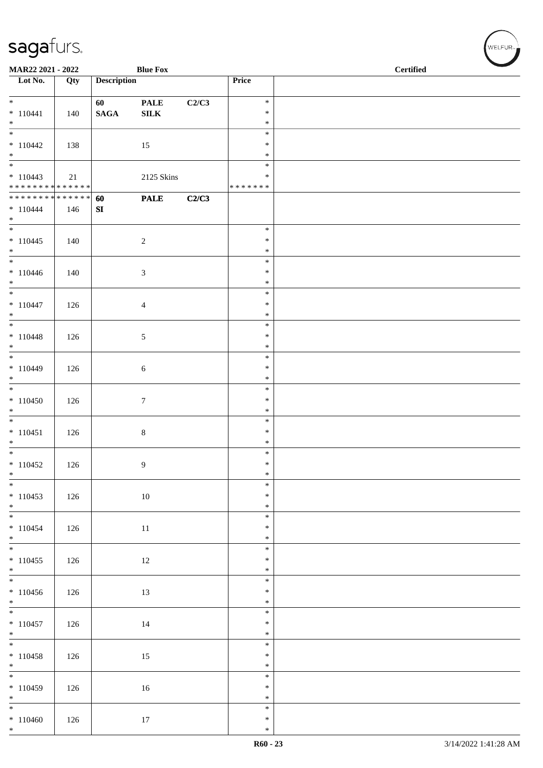| MAR22 2021 - 2022                         |     |                    | <b>Blue Fox</b>  |       |                                   | <b>Certified</b> |  |  |  |
|-------------------------------------------|-----|--------------------|------------------|-------|-----------------------------------|------------------|--|--|--|
| $\overline{\phantom{1}}$ Lot No.          | Qty | <b>Description</b> |                  |       | Price                             |                  |  |  |  |
| $*$                                       |     | 60                 | <b>PALE</b>      | C2/C3 | $\ast$                            |                  |  |  |  |
| $* 110441$<br>$*$                         | 140 | $\mathbf{SAGA}$    | ${\bf SILK}$     |       | $\ast$<br>$\ast$                  |                  |  |  |  |
| $\overline{\phantom{0}}$<br>$*110442$     | 138 |                    | 15               |       | $\ast$<br>$\ast$                  |                  |  |  |  |
| $*$                                       |     |                    |                  |       | $\ast$                            |                  |  |  |  |
| $*110443$<br>******** <mark>******</mark> | 21  |                    | 2125 Skins       |       | $\ast$<br>$\ast$<br>* * * * * * * |                  |  |  |  |
| * * * * * * * * * * * * * * *             |     | 60                 | <b>PALE</b>      | C2/C3 |                                   |                  |  |  |  |
| $* 110444$<br>$*$                         | 146 | SI                 |                  |       |                                   |                  |  |  |  |
| $* 110445$                                | 140 |                    | $\sqrt{2}$       |       | $\ast$<br>$\ast$                  |                  |  |  |  |
| $*$<br>$\overline{\phantom{0}}$           |     |                    |                  |       | $\ast$                            |                  |  |  |  |
| $* 110446$                                | 140 |                    | $\mathfrak{Z}$   |       | $\ast$<br>$\ast$                  |                  |  |  |  |
| $*$<br>$*$                                |     |                    |                  |       | $\ast$<br>$\ast$                  |                  |  |  |  |
| $* 110447$                                | 126 |                    | 4                |       | $\ast$                            |                  |  |  |  |
| $*$                                       |     |                    |                  |       | $\ast$<br>$\ast$                  |                  |  |  |  |
| $* 110448$<br>$*$                         | 126 |                    | 5                |       | $\ast$<br>$\ast$                  |                  |  |  |  |
|                                           |     |                    |                  |       | $\ast$                            |                  |  |  |  |
| $* 110449$<br>$\ast$                      | 126 |                    | 6                |       | $\ast$<br>$\ast$                  |                  |  |  |  |
| $*110450$                                 | 126 |                    | $\boldsymbol{7}$ |       | $\ast$<br>$\ast$                  |                  |  |  |  |
| $*$                                       |     |                    |                  |       | $\ast$                            |                  |  |  |  |
| $* 110451$                                | 126 |                    | $\,8\,$          |       | $\ast$<br>$\ast$                  |                  |  |  |  |
| $*$                                       |     |                    |                  |       | $\ast$                            |                  |  |  |  |
| $*110452$                                 | 126 |                    | 9                |       | $\ast$<br>$\ast$                  |                  |  |  |  |
| $*$<br>$*$                                |     |                    |                  |       | $\ast$<br>$\ast$                  |                  |  |  |  |
| $* 110453$                                | 126 |                    | $10\,$           |       | $\ast$                            |                  |  |  |  |
| $*$                                       |     |                    |                  |       | $\ast$<br>$\ast$                  |                  |  |  |  |
| $* 110454$<br>$*$                         | 126 |                    | 11               |       | $\ast$<br>$\ast$                  |                  |  |  |  |
|                                           |     |                    |                  |       | $\ast$                            |                  |  |  |  |
| $*110455$<br>$*$                          | 126 |                    | 12               |       | $\ast$<br>$\ast$                  |                  |  |  |  |
|                                           |     |                    |                  |       | $\ast$                            |                  |  |  |  |
| $*110456$<br>$*$                          | 126 |                    | 13               |       | $\ast$<br>$\ast$                  |                  |  |  |  |
| $* 110457$                                | 126 |                    | 14               |       | $\ast$<br>$\ast$                  |                  |  |  |  |
| $*$                                       |     |                    |                  |       | $\ast$                            |                  |  |  |  |
| $* 110458$                                | 126 |                    | 15               |       | $\ast$<br>$\ast$                  |                  |  |  |  |
| $*$                                       |     |                    |                  |       | $\ast$<br>$\ast$                  |                  |  |  |  |
| $*110459$                                 | 126 |                    | 16               |       | $\ast$                            |                  |  |  |  |
| $*$<br>$\overline{\phantom{0}}$           |     |                    |                  |       | $\ast$<br>$\ast$                  |                  |  |  |  |
| $*110460$                                 | 126 |                    | 17               |       | $\ast$                            |                  |  |  |  |
| $*$                                       |     |                    |                  |       | $\ast$                            |                  |  |  |  |

√<br>WELFUR<sub>™</sub>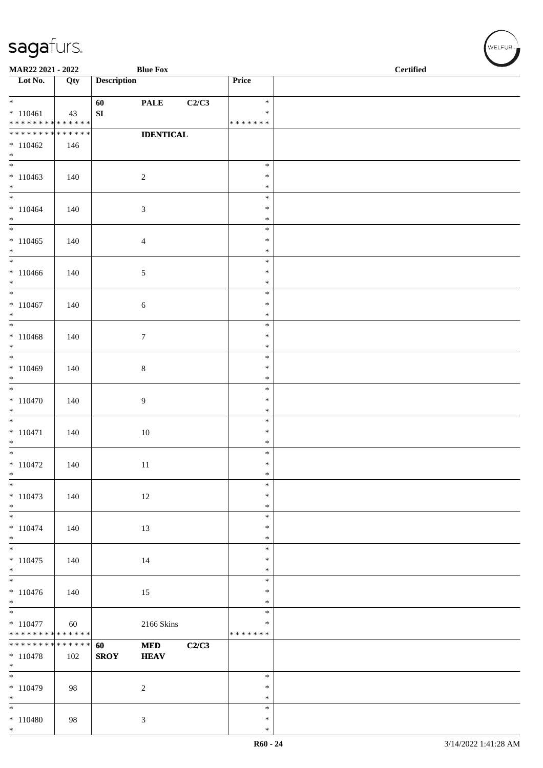| MAR22 2021 - 2022                                            |                  |                    | <b>Blue Fox</b>  |       |                  | <b>Certified</b> |
|--------------------------------------------------------------|------------------|--------------------|------------------|-------|------------------|------------------|
| $\overline{\phantom{1}}$ Lot No.                             | $\overline{Qty}$ | <b>Description</b> |                  |       | Price            |                  |
| $*$                                                          |                  | 60                 | <b>PALE</b>      | C2/C3 | $\ast$           |                  |
| $* 110461$                                                   | 43               | ${\bf SI}$         |                  |       | ∗                |                  |
| ******** <mark>******</mark><br>******** <mark>******</mark> |                  |                    | <b>IDENTICAL</b> |       | * * * * * * *    |                  |
| $*110462$                                                    | 146              |                    |                  |       |                  |                  |
| $*$                                                          |                  |                    |                  |       |                  |                  |
| $\overline{\phantom{0}}$                                     |                  |                    |                  |       | $\ast$           |                  |
| $*110463$                                                    | 140              |                    | $\overline{2}$   |       | $\ast$           |                  |
| $*$<br>$*$                                                   |                  |                    |                  |       | $\ast$<br>$\ast$ |                  |
| $* 110464$                                                   | 140              |                    | $\mathfrak{Z}$   |       | $\ast$           |                  |
| $*$                                                          |                  |                    |                  |       | $\ast$           |                  |
| $\overline{\ast}$                                            |                  |                    |                  |       | $\ast$           |                  |
| $*110465$<br>$*$                                             | 140              |                    | $\overline{4}$   |       | $\ast$<br>$\ast$ |                  |
| $*$                                                          |                  |                    |                  |       | $\ast$           |                  |
| $*110466$                                                    | 140              |                    | 5                |       | $\ast$           |                  |
| $\ast$<br>$*$                                                |                  |                    |                  |       | $\ast$           |                  |
| $* 110467$                                                   | 140              |                    | $\sqrt{6}$       |       | $\ast$<br>$\ast$ |                  |
| $*$                                                          |                  |                    |                  |       | $\ast$           |                  |
|                                                              |                  |                    |                  |       | $\ast$           |                  |
| $* 110468$                                                   | 140              |                    | $\tau$           |       | $\ast$           |                  |
| $*$                                                          |                  |                    |                  |       | $\ast$<br>$\ast$ |                  |
| $*110469$                                                    | 140              |                    | $\,8\,$          |       | $\ast$           |                  |
| $*$                                                          |                  |                    |                  |       | $\ast$           |                  |
| $*$                                                          |                  |                    |                  |       | $\ast$           |                  |
| $* 110470$<br>$*$                                            | 140              |                    | 9                |       | $\ast$<br>$\ast$ |                  |
| $\overline{\phantom{0}}$                                     |                  |                    |                  |       | $\ast$           |                  |
| $* 110471$                                                   | 140              |                    | 10               |       | $\ast$           |                  |
| $*$                                                          |                  |                    |                  |       | $\ast$           |                  |
| $*110472$                                                    |                  |                    |                  |       | $\ast$<br>$\ast$ |                  |
| $\ast$                                                       | 140              |                    | 11               |       | $\ast$           |                  |
|                                                              |                  |                    |                  |       | $\ast$           |                  |
| $* 110473$                                                   | 140              |                    | 12               |       | $\ast$           |                  |
| $*$                                                          |                  |                    |                  |       | $\ast$<br>$\ast$ |                  |
| $* 110474$                                                   | 140              |                    | 13               |       | $\ast$           |                  |
| $*$                                                          |                  |                    |                  |       | $\ast$           |                  |
|                                                              |                  |                    |                  |       | $\ast$           |                  |
| $*110475$<br>$*$                                             | 140              |                    | 14               |       | $\ast$<br>$\ast$ |                  |
|                                                              |                  |                    |                  |       | $\ast$           |                  |
| $* 110476$                                                   | 140              |                    | 15               |       | $\ast$           |                  |
| $*$                                                          |                  |                    |                  |       | $\ast$           |                  |
| $\overline{\phantom{0}}$                                     |                  |                    |                  |       | $\ast$<br>$\ast$ |                  |
| $* 110477$<br>******** <mark>******</mark>                   | 60               |                    | 2166 Skins       |       | * * * * * * *    |                  |
| * * * * * * * * <mark>* * * * * * *</mark>                   |                  | 60                 | $\bf MED$        | C2/C3 |                  |                  |
| $* 110478$                                                   | 102              | <b>SROY</b>        | <b>HEAV</b>      |       |                  |                  |
| $\ast$                                                       |                  |                    |                  |       | $\ast$           |                  |
| $*110479$                                                    | 98               |                    | $\sqrt{2}$       |       | $\ast$           |                  |
| $\ast$                                                       |                  |                    |                  |       | $\ast$           |                  |
| $*$                                                          |                  |                    |                  |       | $\ast$           |                  |
| $* 110480$<br>$\ast$                                         | 98               |                    | $\mathfrak{Z}$   |       | $\ast$<br>$\ast$ |                  |

WELFUR<sub><sup>N</sup></sub>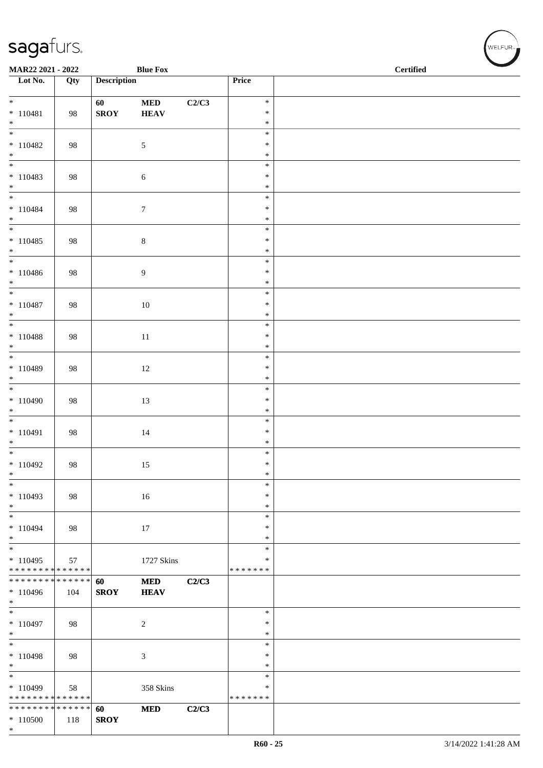| MAR22 2021 - 2022                                                     |     |                    | <b>Blue Fox</b>           |       |                                   | <b>Certified</b> |
|-----------------------------------------------------------------------|-----|--------------------|---------------------------|-------|-----------------------------------|------------------|
| $\overline{\phantom{1}}$ Lot No.                                      | Qty | <b>Description</b> |                           |       | Price                             |                  |
| $*$<br>$* 110481$                                                     | 98  | 60<br><b>SROY</b>  | <b>MED</b><br><b>HEAV</b> | C2/C3 | $\ast$<br>$\ast$                  |                  |
| $*$<br>$\overline{\phantom{0}}$<br>$* 110482$                         | 98  |                    | $\sqrt{5}$                |       | $\ast$<br>$\ast$<br>$\ast$        |                  |
| $*$                                                                   |     |                    |                           |       | $\ast$<br>$\ast$                  |                  |
| $* 110483$<br>$*$                                                     | 98  |                    | $\boldsymbol{6}$          |       | $\ast$<br>$\ast$                  |                  |
| $*$<br>$* 110484$<br>$*$                                              | 98  |                    | $\boldsymbol{7}$          |       | $\ast$<br>$\ast$<br>$\ast$        |                  |
| $\overline{\phantom{0}}$<br>$* 110485$<br>$*$                         | 98  |                    | $8\,$                     |       | $\ast$<br>$\ast$<br>$\ast$        |                  |
| $* 110486$<br>$*$                                                     | 98  |                    | 9                         |       | $\ast$<br>$\ast$<br>$\ast$        |                  |
| $* 110487$<br>$*$                                                     | 98  |                    | 10                        |       | $\ast$<br>$\ast$<br>$\ast$        |                  |
| $* 110488$<br>$*$                                                     | 98  |                    | 11                        |       | $\ast$<br>$\ast$<br>$\ast$        |                  |
| $\overline{\phantom{0}}$<br>$* 110489$<br>$*$                         | 98  |                    | 12                        |       | $\ast$<br>$\ast$<br>$\ast$        |                  |
| $\overline{\ast}$<br>$*110490$<br>$*$                                 | 98  |                    | 13                        |       | $\ast$<br>$\ast$<br>$\ast$        |                  |
| $*$<br>$* 110491$<br>$*$                                              | 98  |                    | 14                        |       | $\ast$<br>$\ast$<br>$\ast$        |                  |
| $* 110492$<br>$\ast$                                                  | 98  |                    | 15                        |       | $\ast$<br>$\ast$<br>$\ast$        |                  |
| $\ast$<br>$*110493$<br>$*$                                            | 98  |                    | 16                        |       | $\ast$<br>$\ast$<br>$\ast$        |                  |
| $*$<br>$* 110494$<br>$*$                                              | 98  |                    | 17                        |       | $\ast$<br>$\ast$<br>$\ast$        |                  |
| $\overline{\phantom{0}}$<br>$* 110495$<br>* * * * * * * * * * * * * * | 57  |                    | 1727 Skins                |       | $\ast$<br>∗<br>* * * * * * *      |                  |
| * * * * * * * * * * * * * * *<br>$*110496$<br>$*$                     | 104 | 60<br><b>SROY</b>  | <b>MED</b><br><b>HEAV</b> | C2/C3 |                                   |                  |
| $*$<br>$*110497$<br>$*$                                               | 98  |                    | $\overline{c}$            |       | $\ast$<br>$\ast$<br>$\ast$        |                  |
| $\overline{\phantom{0}}$<br>$* 110498$<br>$*$                         | 98  |                    | 3                         |       | $\ast$<br>∗<br>$\ast$             |                  |
| $\ast$<br>$*110499$<br>* * * * * * * * * * * * * * *                  | 58  |                    | 358 Skins                 |       | $\ast$<br>$\ast$<br>* * * * * * * |                  |
| * * * * * * * * * * * * * * *<br>$*110500$<br>$*$                     | 118 | 60<br><b>SROY</b>  | <b>MED</b>                | C2/C3 |                                   |                  |

WELFUR<sub><sup>12</sup></sub>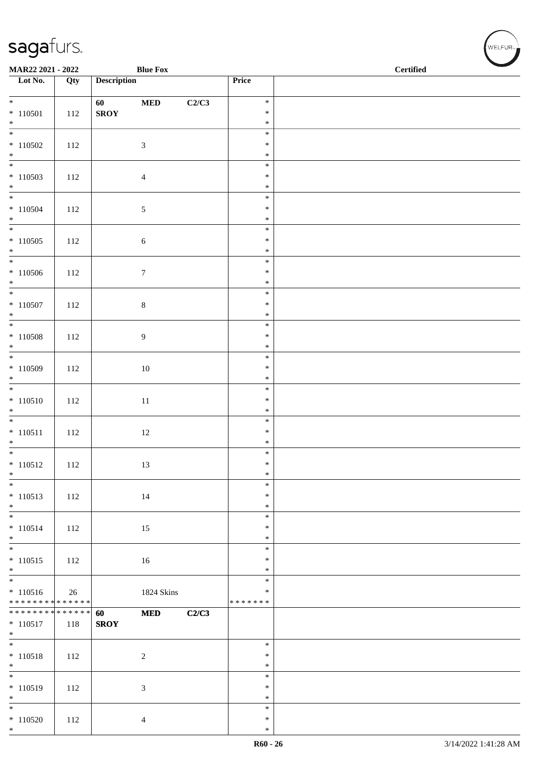| MAR22 2021 - 2022                                        |     |                    | <b>Blue Fox</b>  |       |                         | $\operatorname{\bf \mathbf{Certified}}$ |
|----------------------------------------------------------|-----|--------------------|------------------|-------|-------------------------|-----------------------------------------|
| Lot No.                                                  | Qty | <b>Description</b> |                  |       | Price                   |                                         |
| $*$                                                      |     | 60                 | $\bf MED$        | C2/C3 | $\ast$                  |                                         |
| $* 110501$                                               | 112 | <b>SROY</b>        |                  |       | $\ast$                  |                                         |
| $*$                                                      |     |                    |                  |       | $\ast$<br>$\ast$        |                                         |
| $*110502$                                                | 112 |                    | $\mathfrak{Z}$   |       | $\ast$                  |                                         |
| $*$                                                      |     |                    |                  |       | $\ast$<br>$\ast$        |                                         |
| $* 110503$                                               | 112 |                    | $\overline{4}$   |       | $\ast$                  |                                         |
| $*$                                                      |     |                    |                  |       | $\ast$<br>$\ast$        |                                         |
| $* 110504$                                               | 112 |                    | $\sqrt{5}$       |       | $\ast$                  |                                         |
| $*$                                                      |     |                    |                  |       | $\ast$<br>$\ast$        |                                         |
| $*110505$                                                | 112 |                    | $\boldsymbol{6}$ |       | $\ast$                  |                                         |
| $*$                                                      |     |                    |                  |       | $\ast$<br>$\ast$        |                                         |
| $*110506$                                                | 112 |                    | $\boldsymbol{7}$ |       | $\ast$                  |                                         |
| $*$<br>$*$                                               |     |                    |                  |       | $\ast$                  |                                         |
| $* 110507$                                               | 112 |                    | $8\,$            |       | $\ast$<br>$\ast$        |                                         |
| $*$                                                      |     |                    |                  |       | $\ast$                  |                                         |
| $* 110508$                                               | 112 |                    | 9                |       | $\ast$<br>$\ast$        |                                         |
| $*$                                                      |     |                    |                  |       | $\ast$                  |                                         |
| $*110509$                                                | 112 |                    | $10\,$           |       | $\ast$<br>$\ast$        |                                         |
| $*$                                                      |     |                    |                  |       | $\ast$                  |                                         |
| $* 110510$                                               | 112 |                    | $11\,$           |       | $\ast$<br>$\ast$        |                                         |
| $*$                                                      |     |                    |                  |       | $\ast$                  |                                         |
| $* 110511$                                               |     |                    |                  |       | $\ast$<br>$\ast$        |                                         |
| $*$                                                      | 112 |                    | 12               |       | $\ast$                  |                                         |
| $\overline{\ast}$                                        |     |                    |                  |       | $\ast$<br>$\ast$        |                                         |
| $* 110512$<br>$\ast$                                     | 112 |                    | 13               |       | $\ast$                  |                                         |
| $\ast$                                                   |     |                    |                  |       | $\ast$<br>$\ast$        |                                         |
| $* 110513$<br>$*$                                        | 112 |                    | 14               |       | $\ast$                  |                                         |
| $\overline{\phantom{0}}$                                 |     |                    |                  |       | $\ast$                  |                                         |
| $* 110514$<br>$*$                                        | 112 |                    | 15               |       | $\ast$<br>$\ast$        |                                         |
|                                                          |     |                    |                  |       | $\ast$                  |                                         |
| $* 110515$<br>$*$                                        | 112 |                    | 16               |       | $\ast$<br>$\ast$        |                                         |
|                                                          |     |                    |                  |       | $\ast$                  |                                         |
| $* 110516$<br>* * * * * * * * <mark>* * * * * * *</mark> | 26  |                    | 1824 Skins       |       | $\ast$<br>* * * * * * * |                                         |
| ******** <mark>******</mark>                             |     | 60                 | <b>MED</b>       | C2/C3 |                         |                                         |
| $* 110517$<br>$*$                                        | 118 | <b>SROY</b>        |                  |       |                         |                                         |
| $*$                                                      |     |                    |                  |       | $\ast$                  |                                         |
| $* 110518$<br>$*$                                        | 112 |                    | $\sqrt{2}$       |       | $\ast$<br>$\ast$        |                                         |
| $\ast$                                                   |     |                    |                  |       | $\ast$                  |                                         |
| $* 110519$<br>$*$                                        | 112 |                    | $\mathfrak{Z}$   |       | $\ast$<br>$\ast$        |                                         |
| $*$                                                      |     |                    |                  |       | $\ast$                  |                                         |
| $*110520$<br>$*$                                         | 112 |                    | $\overline{4}$   |       | $\ast$<br>$\ast$        |                                         |
|                                                          |     |                    |                  |       |                         |                                         |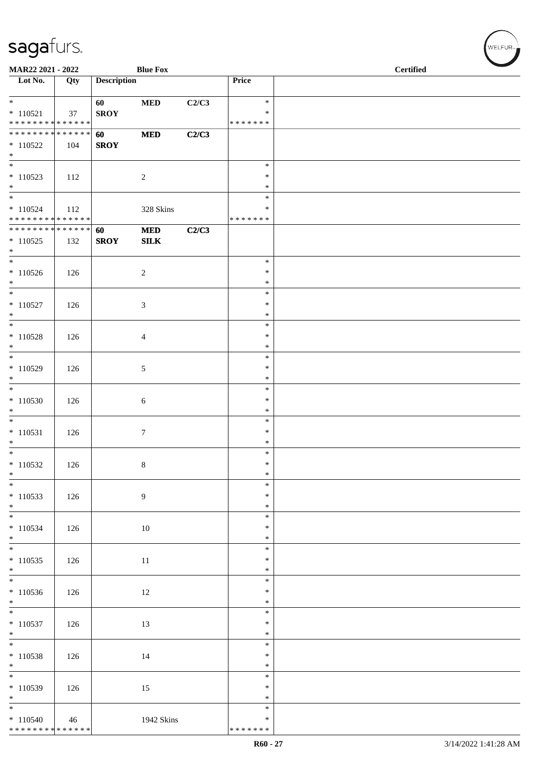|                                           | MAR22 2021 - 2022<br><b>Blue Fox</b> |                    |                  |       |                         | <b>Certified</b> |
|-------------------------------------------|--------------------------------------|--------------------|------------------|-------|-------------------------|------------------|
| $\overline{\phantom{1}}$ Lot No.          | Qty                                  | <b>Description</b> |                  |       | Price                   |                  |
| $\ast$                                    |                                      | 60                 | <b>MED</b>       | C2/C3 | $\ast$                  |                  |
| $* 110521$<br>* * * * * * * * * * * * * * | 37                                   | <b>SROY</b>        |                  |       | $\ast$<br>* * * * * * * |                  |
| * * * * * * * * * * * * * *               |                                      | 60                 | $\bf MED$        | C2/C3 |                         |                  |
| $*110522$                                 | 104                                  | <b>SROY</b>        |                  |       |                         |                  |
| $\ast$                                    |                                      |                    |                  |       |                         |                  |
| $\ast$<br>$*110523$                       | 112                                  |                    | $\sqrt{2}$       |       | $\ast$<br>$\ast$        |                  |
| $*$                                       |                                      |                    |                  |       | $\ast$                  |                  |
| $\overline{\phantom{0}}$                  |                                      |                    |                  |       | $\ast$                  |                  |
| $* 110524$<br>* * * * * * * * * * * * * * | 112                                  |                    | 328 Skins        |       | *<br>* * * * * * *      |                  |
| * * * * * * * * * * * * * * *             |                                      | 60                 | $\bf MED$        | C2/C3 |                         |                  |
| $*110525$                                 | 132                                  | <b>SROY</b>        | ${\bf SILK}$     |       |                         |                  |
| $*$                                       |                                      |                    |                  |       |                         |                  |
| $*$<br>$*110526$                          | 126                                  |                    | $\sqrt{2}$       |       | $\ast$<br>$\ast$        |                  |
| $*$                                       |                                      |                    |                  |       | $\ast$                  |                  |
| $\overline{\phantom{0}}$                  |                                      |                    |                  |       | $\ast$                  |                  |
| $* 110527$<br>$\ast$                      | 126                                  |                    | $\sqrt{3}$       |       | $\ast$                  |                  |
| $\overline{\phantom{a}^*}$                |                                      |                    |                  |       | $\ast$<br>$\ast$        |                  |
| $* 110528$                                | 126                                  |                    | $\overline{4}$   |       | $\ast$                  |                  |
| $\ast$                                    |                                      |                    |                  |       | $\ast$                  |                  |
| $*$<br>$* 110529$                         | 126                                  |                    | $\sqrt{5}$       |       | $\ast$<br>$\ast$        |                  |
| $\ast$                                    |                                      |                    |                  |       | $\ast$                  |                  |
| $\overline{\phantom{a}^*}$                |                                      |                    |                  |       | $\ast$                  |                  |
| $*110530$<br>$\ast$                       | 126                                  |                    | $\sqrt{6}$       |       | $\ast$<br>$\ast$        |                  |
| $\overline{\phantom{0}}$                  |                                      |                    |                  |       | $\ast$                  |                  |
| $*110531$                                 | 126                                  |                    | $\boldsymbol{7}$ |       | $\ast$                  |                  |
| $\ast$                                    |                                      |                    |                  |       | $\ast$                  |                  |
| $*$<br>$*110532$                          | 126                                  |                    | $\,8\,$          |       | $\ast$<br>$\ast$        |                  |
| $\ast$                                    |                                      |                    |                  |       | $\ast$                  |                  |
| $\overline{\phantom{0}}$                  |                                      |                    |                  |       | $\ast$                  |                  |
| $*110533$<br>$*$                          | 126                                  |                    | 9                |       | $\ast$<br>$\ast$        |                  |
| $\overline{\phantom{0}}$                  |                                      |                    |                  |       | $\ast$                  |                  |
| $* 110534$                                | 126                                  |                    | $10\,$           |       | $\ast$                  |                  |
| $*$<br>$\overline{\phantom{0}}$           |                                      |                    |                  |       | $\ast$<br>$\ast$        |                  |
| $*110535$                                 | 126                                  |                    | 11               |       | $\ast$                  |                  |
| $\ast$                                    |                                      |                    |                  |       | $\ast$                  |                  |
| $\frac{1}{*}$                             |                                      |                    |                  |       | $\ast$                  |                  |
| $*110536$<br>$*$                          | 126                                  |                    | 12               |       | $\ast$<br>$\ast$        |                  |
| $\overline{\phantom{a}^*}$                |                                      |                    |                  |       | $\ast$                  |                  |
| $* 110537$                                | 126                                  |                    | 13               |       | $\ast$                  |                  |
| $\ast$<br>$\overline{\ast}$               |                                      |                    |                  |       | $\ast$<br>$\ast$        |                  |
| $* 110538$                                | 126                                  |                    | 14               |       | $\ast$                  |                  |
| $\ast$<br>$\frac{1}{*}$                   |                                      |                    |                  |       | $\ast$                  |                  |
|                                           |                                      |                    |                  |       | $\ast$<br>$\ast$        |                  |
| $*110539$<br>$\ast$                       | 126                                  |                    | 15               |       | $\ast$                  |                  |
| $\overline{\phantom{a}^*}$                |                                      |                    |                  |       | $\ast$                  |                  |
| $*110540$                                 | 46                                   |                    | 1942 Skins       |       | ∗                       |                  |
| ******** <mark>******</mark>              |                                      |                    |                  |       | * * * * * * *           |                  |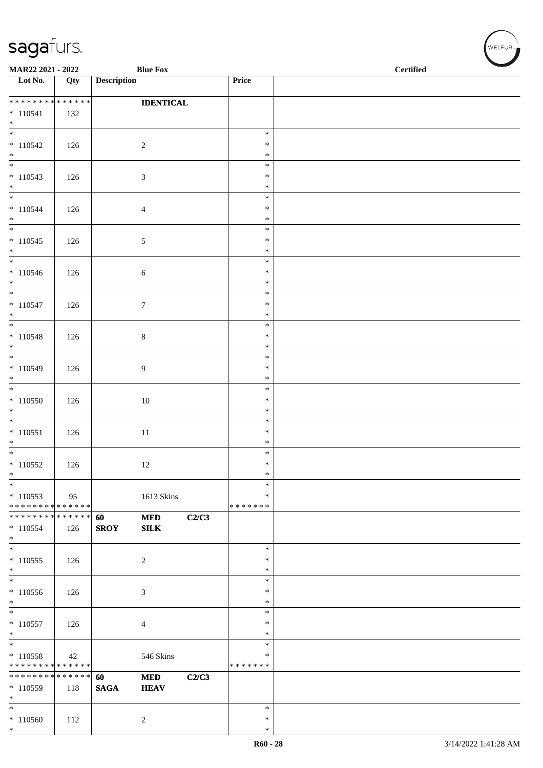| MAR22 2021 - 2022                                          |     |                    | <b>Blue Fox</b>           |       |                         | <b>Certified</b> |  |  |  |
|------------------------------------------------------------|-----|--------------------|---------------------------|-------|-------------------------|------------------|--|--|--|
| $\overline{\phantom{1}}$ Lot No.                           | Qty | <b>Description</b> |                           |       | Price                   |                  |  |  |  |
| ******** <mark>******</mark>                               |     |                    | <b>IDENTICAL</b>          |       |                         |                  |  |  |  |
| $* 110541$<br>$*$                                          | 132 |                    |                           |       |                         |                  |  |  |  |
| $\overline{\phantom{0}}$                                   |     |                    |                           |       | $\ast$                  |                  |  |  |  |
| $*110542$<br>$*$                                           | 126 |                    | $\sqrt{2}$                |       | $\ast$<br>$\ast$        |                  |  |  |  |
| $\overline{\phantom{0}}$                                   |     |                    |                           |       | $\ast$                  |                  |  |  |  |
| $*110543$<br>$*$                                           | 126 |                    | $\mathfrak{Z}$            |       | $\ast$<br>$\ast$        |                  |  |  |  |
| $* 110544$                                                 |     |                    |                           |       | $\ast$<br>$\ast$        |                  |  |  |  |
| $*$                                                        | 126 |                    | $\overline{4}$            |       | $\ast$                  |                  |  |  |  |
| $* 110545$                                                 | 126 |                    | $\mathfrak{S}$            |       | $\ast$<br>$\ast$        |                  |  |  |  |
| $*$                                                        |     |                    |                           |       | $\ast$                  |                  |  |  |  |
| $\overline{\phantom{0}}$<br>$* 110546$                     | 126 |                    | $\sqrt{6}$                |       | $\ast$<br>$\ast$        |                  |  |  |  |
| $*$                                                        |     |                    |                           |       | $\ast$                  |                  |  |  |  |
| $*$<br>$* 110547$                                          | 126 |                    | $\boldsymbol{7}$          |       | $\ast$<br>$\ast$        |                  |  |  |  |
| $*$                                                        |     |                    |                           |       | $\ast$<br>$\ast$        |                  |  |  |  |
| $* 110548$                                                 | 126 |                    | $\,8\,$                   |       | $\ast$                  |                  |  |  |  |
| $*$                                                        |     |                    |                           |       | $\ast$<br>$\ast$        |                  |  |  |  |
| $*110549$                                                  | 126 |                    | 9                         |       | $\ast$                  |                  |  |  |  |
| $\ast$                                                     |     |                    |                           |       | $\ast$<br>$\ast$        |                  |  |  |  |
| $*110550$                                                  | 126 |                    | 10                        |       | $\ast$                  |                  |  |  |  |
| $\ast$                                                     |     |                    |                           |       | $\ast$<br>$\ast$        |                  |  |  |  |
| $* 110551$                                                 | 126 |                    | 11                        |       | $\ast$                  |                  |  |  |  |
| $*$                                                        |     |                    |                           |       | $\ast$<br>$\ast$        |                  |  |  |  |
| $* 110552$<br>$\ast$                                       | 126 |                    | 12                        |       | $\ast$<br>$\ast$        |                  |  |  |  |
| $\ast$                                                     |     |                    |                           |       | $\ast$                  |                  |  |  |  |
| $* 110553$<br>* * * * * * * * * * * * * *                  | 95  |                    | 1613 Skins                |       | $\ast$<br>* * * * * * * |                  |  |  |  |
| * * * * * * * * * * * * * *                                |     | 60                 | $\bf MED$                 | C2/C3 |                         |                  |  |  |  |
| $*110554$<br>$*$                                           | 126 | <b>SROY</b>        | SLK                       |       |                         |                  |  |  |  |
| $\overline{\ast}$                                          |     |                    |                           |       | $\ast$<br>$\ast$        |                  |  |  |  |
| $*110555$<br>$\ast$                                        | 126 |                    | $\sqrt{2}$                |       | $\ast$                  |                  |  |  |  |
| $\overline{\ast}$<br>$*110556$                             | 126 |                    | $\mathfrak{Z}$            |       | $\ast$<br>∗             |                  |  |  |  |
| $\ast$                                                     |     |                    |                           |       | $\ast$                  |                  |  |  |  |
| $\overline{\phantom{a}^*}$<br>$* 110557$                   | 126 |                    | $\overline{4}$            |       | $\ast$<br>$\ast$        |                  |  |  |  |
| $\ast$<br>$\overline{\ast}$                                |     |                    |                           |       | ∗                       |                  |  |  |  |
| $* 110558$                                                 | 42  |                    | 546 Skins                 |       | $\ast$<br>$\ast$        |                  |  |  |  |
| * * * * * * * * * * * * * *<br>* * * * * * * * * * * * * * |     |                    |                           |       | * * * * * * *           |                  |  |  |  |
| $* 110559$                                                 | 118 | 60<br><b>SAGA</b>  | <b>MED</b><br><b>HEAV</b> | C2/C3 |                         |                  |  |  |  |
| $*$<br>$\ast$                                              |     |                    |                           |       | $\ast$                  |                  |  |  |  |
| $*110560$                                                  | 112 |                    | $\boldsymbol{2}$          |       | $\ast$                  |                  |  |  |  |
| $\ast$                                                     |     |                    |                           |       | $\ast$                  |                  |  |  |  |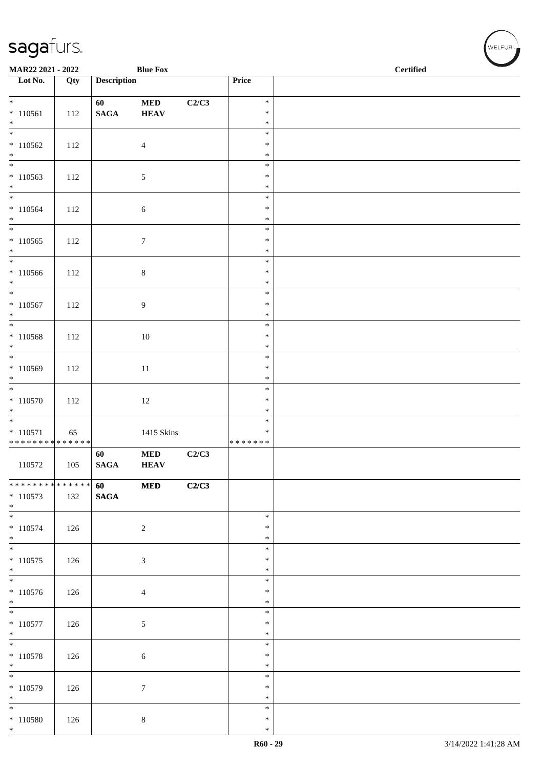| MAR22 2021 - 2022                                                      |     |                       | <b>Blue Fox</b>          |       |                                   | <b>Certified</b> |  |  |  |
|------------------------------------------------------------------------|-----|-----------------------|--------------------------|-------|-----------------------------------|------------------|--|--|--|
| $\overline{\phantom{1}}$ Lot No.                                       | Qty | <b>Description</b>    |                          |       | Price                             |                  |  |  |  |
| $* 110561$                                                             | 112 | 60<br>$\mathbf{SAGA}$ | $\bf MED$<br><b>HEAV</b> | C2/C3 | $\ast$<br>$\ast$                  |                  |  |  |  |
| $*$<br>$\overline{\phantom{0}}$                                        |     |                       |                          |       | $\ast$<br>$\ast$                  |                  |  |  |  |
| $*110562$<br>$*$                                                       | 112 |                       | $\overline{4}$           |       | $\ast$<br>$\ast$                  |                  |  |  |  |
| $\overline{\ast}$<br>$*110563$<br>$\ast$                               | 112 |                       | 5                        |       | $\ast$<br>$\ast$<br>$\ast$        |                  |  |  |  |
| $\overline{\ast}$<br>$* 110564$<br>$*$                                 | 112 |                       | $\sqrt{6}$               |       | $\ast$<br>$\ast$<br>$\ast$        |                  |  |  |  |
| $\overline{\phantom{0}}$<br>$*110565$<br>$*$                           | 112 |                       | $\tau$                   |       | $\ast$<br>$\ast$<br>$\ast$        |                  |  |  |  |
| $*$<br>$*110566$<br>$*$                                                | 112 |                       | $8\,$                    |       | $\ast$<br>$\ast$<br>$\ast$        |                  |  |  |  |
| $*$<br>$* 110567$<br>$*$                                               | 112 |                       | $\overline{9}$           |       | $\ast$<br>$\ast$<br>$\ast$        |                  |  |  |  |
| $* 110568$<br>$*$                                                      | 112 |                       | 10                       |       | $\ast$<br>$\ast$<br>$\ast$        |                  |  |  |  |
| $* 110569$<br>$*$                                                      | 112 |                       | 11                       |       | $\ast$<br>$\ast$<br>$\ast$        |                  |  |  |  |
| $* 110570$<br>$*$                                                      | 112 |                       | 12                       |       | $\ast$<br>$\ast$<br>$\ast$        |                  |  |  |  |
| $\overline{\phantom{0}}$<br>$* 110571$<br>******** <mark>******</mark> | 65  |                       | 1415 Skins               |       | $\ast$<br>$\ast$<br>* * * * * * * |                  |  |  |  |
| 110572                                                                 | 105 | 60<br>$\mathbf{SAGA}$ | $\bf MED$<br><b>HEAV</b> | C2/C3 |                                   |                  |  |  |  |
| ******** <mark>******</mark><br>$* 110573$<br>$*$                      | 132 | 60<br>$\mathbf{SAGA}$ | <b>MED</b>               | C2/C3 |                                   |                  |  |  |  |
| $\overline{\phantom{0}}$<br>$* 110574$<br>$*$                          | 126 |                       | $\sqrt{2}$               |       | $\ast$<br>$\ast$<br>$\ast$        |                  |  |  |  |
| $*$<br>$* 110575$<br>$*$                                               | 126 |                       | 3                        |       | $\ast$<br>$\ast$<br>$\ast$        |                  |  |  |  |
| $\overline{\phantom{0}}$<br>$*110576$<br>$*$                           | 126 |                       | $\overline{4}$           |       | $\ast$<br>$\ast$<br>$\ast$        |                  |  |  |  |
| $\overline{\phantom{0}}$<br>$*$ 110577<br>$*$                          | 126 |                       | $\sqrt{5}$               |       | $\ast$<br>$\ast$<br>$\ast$        |                  |  |  |  |
| $*$<br>$* 110578$<br>$*$                                               | 126 |                       | $\sqrt{6}$               |       | $\ast$<br>$\ast$<br>$\ast$        |                  |  |  |  |
| $* 110579$<br>$*$                                                      | 126 |                       | $\boldsymbol{7}$         |       | $\ast$<br>$\ast$<br>$\ast$        |                  |  |  |  |
| $*$<br>$*110580$<br>$*$                                                | 126 |                       | $\,8\,$                  |       | $\ast$<br>$\ast$<br>$\ast$        |                  |  |  |  |

WELFUR<sub><sup>N</sup></sub>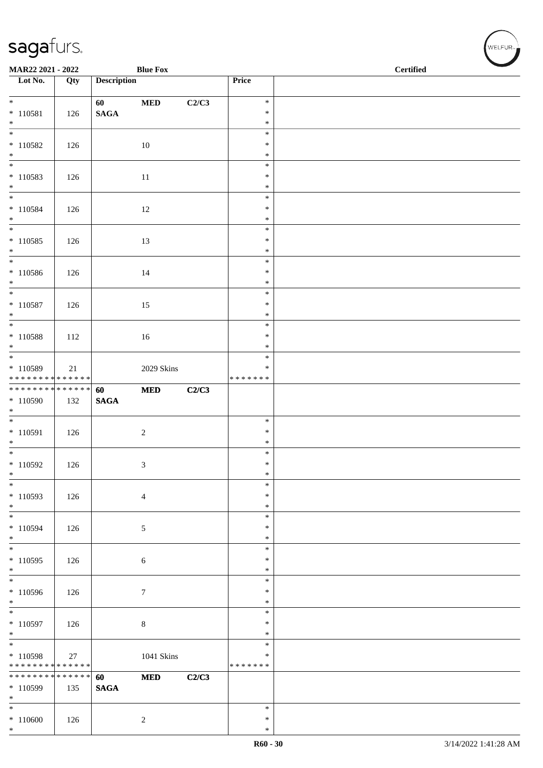| MAR22 2021 - 2022                          |     |                    | <b>Blue Fox</b>   |       | <b>Certified</b>        |  |  |
|--------------------------------------------|-----|--------------------|-------------------|-------|-------------------------|--|--|
| $\overline{\phantom{1}}$ Lot No.           | Qty | <b>Description</b> |                   |       | Price                   |  |  |
| $*$                                        |     | 60                 | $\bf MED$         | C2/C3 | $\ast$                  |  |  |
| $* 110581$                                 | 126 | $\mathbf{SAGA}$    |                   |       | $\ast$                  |  |  |
| $*$                                        |     |                    |                   |       | $\ast$<br>$\ast$        |  |  |
| $* 110582$                                 | 126 |                    | 10                |       | $\ast$                  |  |  |
| $*$                                        |     |                    |                   |       | $\ast$                  |  |  |
|                                            |     |                    |                   |       | $\ast$                  |  |  |
| $* 110583$<br>$*$                          | 126 |                    | 11                |       | $\ast$<br>$\ast$        |  |  |
| $*$                                        |     |                    |                   |       | $\ast$                  |  |  |
| $* 110584$                                 | 126 |                    | 12                |       | $\ast$                  |  |  |
| $*$<br>$\overline{\ast}$                   |     |                    |                   |       | $\ast$<br>$\ast$        |  |  |
| $* 110585$                                 | 126 |                    | 13                |       | $\ast$                  |  |  |
| $*$                                        |     |                    |                   |       | $\ast$                  |  |  |
| $\overline{\phantom{0}}$                   |     |                    |                   |       | $\ast$                  |  |  |
| * 110586<br>$*$                            | 126 |                    | 14                |       | $\ast$<br>$\ast$        |  |  |
| $*$                                        |     |                    |                   |       | $\ast$                  |  |  |
| $* 110587$                                 | 126 |                    | 15                |       | $\ast$                  |  |  |
| $\ast$                                     |     |                    |                   |       | $\ast$<br>$\ast$        |  |  |
| $* 110588$                                 | 112 |                    | 16                |       | $\ast$                  |  |  |
| $*$                                        |     |                    |                   |       | $\ast$                  |  |  |
|                                            |     |                    |                   |       | $\ast$                  |  |  |
| * 110589<br>* * * * * * * * * * * * * *    | 21  |                    | 2029 Skins        |       | $\ast$<br>* * * * * * * |  |  |
| * * * * * * * * * * * * * * *              |     | 60                 | $\bf MED$         | C2/C3 |                         |  |  |
| $*110590$                                  | 132 | $\mathbf{SAGA}$    |                   |       |                         |  |  |
| $*$                                        |     |                    |                   |       | $\ast$                  |  |  |
| $* 110591$                                 | 126 |                    | $\sqrt{2}$        |       | $\ast$                  |  |  |
| $*$                                        |     |                    |                   |       | $\ast$                  |  |  |
|                                            |     |                    |                   |       | $\ast$<br>$\ast$        |  |  |
| $*110592$<br>$\ast$                        | 126 |                    | 3                 |       | $\ast$                  |  |  |
| $\ast$                                     |     |                    |                   |       | $\ast$                  |  |  |
| $*110593$                                  | 126 |                    | $\overline{4}$    |       | $\ast$                  |  |  |
| $*$<br>$*$                                 |     |                    |                   |       | $\ast$<br>$\ast$        |  |  |
| $*110594$                                  | 126 |                    | $\sqrt{5}$        |       | $\ast$                  |  |  |
| $*$                                        |     |                    |                   |       | $\ast$                  |  |  |
| $\overline{\phantom{0}}$<br>$*110595$      | 126 |                    |                   |       | $\ast$<br>$\ast$        |  |  |
| $\ast$                                     |     |                    | $\sqrt{6}$        |       | $\ast$                  |  |  |
|                                            |     |                    |                   |       | $\ast$                  |  |  |
| $*110596$                                  | 126 |                    | $\tau$            |       | $\ast$                  |  |  |
| $*$                                        |     |                    |                   |       | $\ast$<br>$\ast$        |  |  |
| $*110597$                                  | 126 |                    | $\,8\,$           |       | $\ast$                  |  |  |
| $*$                                        |     |                    |                   |       | $\ast$                  |  |  |
| * 110598                                   | 27  |                    | <b>1041 Skins</b> |       | $\ast$<br>$\ast$        |  |  |
| * * * * * * * * <mark>* * * * * * *</mark> |     |                    |                   |       | * * * * * * *           |  |  |
| * * * * * * * * <mark>* * * * * * *</mark> |     | 60                 | <b>MED</b>        | C2/C3 |                         |  |  |
| * 110599<br>$*$                            | 135 | <b>SAGA</b>        |                   |       |                         |  |  |
| $*$                                        |     |                    |                   |       | $\ast$                  |  |  |
| $*110600$                                  | 126 |                    | $\sqrt{2}$        |       | $\ast$                  |  |  |
| $*$                                        |     |                    |                   |       | $\ast$                  |  |  |

 $(w$ ELFUR<sub><sup>n</sub></sub></sub></sup>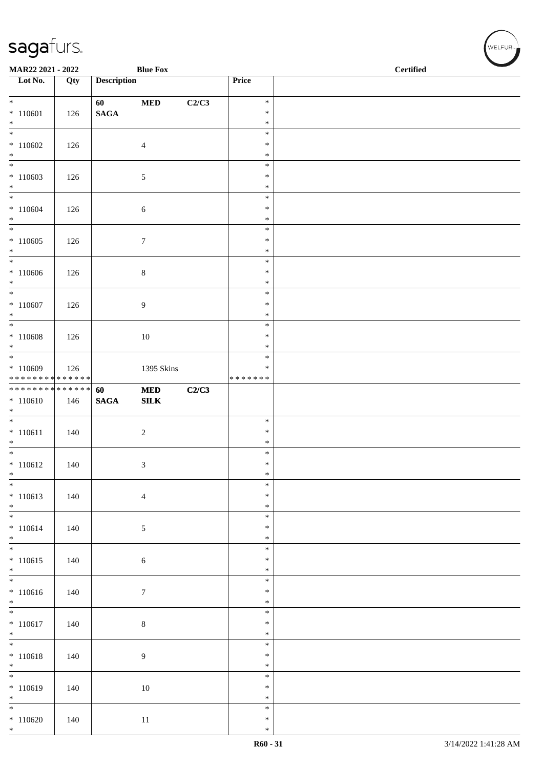| MAR22 2021 - 2022               |     |                       | <b>Blue Fox</b>            |       |                  | <b>Certified</b> |
|---------------------------------|-----|-----------------------|----------------------------|-------|------------------|------------------|
| Lot No.                         | Qty | <b>Description</b>    |                            |       | Price            |                  |
| $*$                             |     | 60                    | $\bf MED$                  | C2/C3 | $\ast$           |                  |
| $* 110601$                      | 126 | $\mathbf{SAGA}$       |                            |       | $\ast$           |                  |
| $\ast$                          |     |                       |                            |       | $\ast$<br>$\ast$ |                  |
| $*110602$                       | 126 |                       | $\overline{4}$             |       | $\ast$           |                  |
| $*$                             |     |                       |                            |       | $\ast$           |                  |
|                                 |     |                       |                            |       | $\ast$           |                  |
| $*110603$                       | 126 |                       | $\sqrt{5}$                 |       | $\ast$           |                  |
| $*$<br>$*$                      |     |                       |                            |       | $\ast$<br>$\ast$ |                  |
| $*110604$                       | 126 |                       | $\sqrt{6}$                 |       | $\ast$           |                  |
| $*$                             |     |                       |                            |       | $\ast$           |                  |
|                                 |     |                       |                            |       | $\ast$<br>$\ast$ |                  |
| $*110605$<br>$*$                | 126 |                       | $\boldsymbol{7}$           |       | $\ast$           |                  |
| $\overline{\phantom{0}}$        |     |                       |                            |       | $\ast$           |                  |
| $*110606$                       | 126 |                       | $8\,$                      |       | $\ast$           |                  |
| $*$<br>$\overline{\mathbf{r}}$  |     |                       |                            |       | $\ast$<br>$\ast$ |                  |
| $*110607$                       | 126 |                       | 9                          |       | $\ast$           |                  |
| $*$                             |     |                       |                            |       | $\ast$           |                  |
|                                 |     |                       |                            |       | $\ast$           |                  |
| $* 110608$<br>$*$               | 126 |                       | $10\,$                     |       | $\ast$<br>$\ast$ |                  |
|                                 |     |                       |                            |       | $\ast$           |                  |
| $*110609$                       | 126 |                       | 1395 Skins                 |       | $\ast$           |                  |
| * * * * * * * * * * * * * *     |     |                       |                            |       | * * * * * * *    |                  |
| **************<br>$* 110610$    | 146 | 60<br>$\mathbf{SAGA}$ | <b>MED</b><br>${\bf SILK}$ | C2/C3 |                  |                  |
| $*$                             |     |                       |                            |       |                  |                  |
|                                 |     |                       |                            |       | $\ast$           |                  |
| $* 110611$                      | 140 |                       | $\sqrt{2}$                 |       | $\ast$           |                  |
| $*$                             |     |                       |                            |       | $\ast$<br>$\ast$ |                  |
| $*110612$                       | 140 |                       | 3                          |       | $\ast$           |                  |
| $\ast$                          |     |                       |                            |       | $\ast$           |                  |
| $\ast$                          |     |                       |                            |       | $\ast$<br>$\ast$ |                  |
| $* 110613$<br>$*$               | 140 |                       | $\overline{4}$             |       | $\ast$           |                  |
| $*$                             |     |                       |                            |       | $\ast$           |                  |
| $* 110614$                      | 140 |                       | $\sqrt{5}$                 |       | $\ast$           |                  |
| $*$<br>$\overline{\phantom{0}}$ |     |                       |                            |       | $\ast$<br>$\ast$ |                  |
| $* 110615$                      | 140 |                       | $\sqrt{6}$                 |       | $\ast$           |                  |
| $*$                             |     |                       |                            |       | $\ast$           |                  |
| $\overline{\phantom{0}}$        |     |                       |                            |       | $\ast$           |                  |
| $* 110616$<br>$*$               | 140 |                       | $\tau$                     |       | $\ast$<br>$\ast$ |                  |
| $\overline{\ast}$               |     |                       |                            |       | $\ast$           |                  |
| $* 110617$                      | 140 |                       | $\bf 8$                    |       | $\ast$           |                  |
| $*$                             |     |                       |                            |       | $\ast$           |                  |
| $* 110618$                      | 140 |                       | $\overline{9}$             |       | $\ast$<br>$\ast$ |                  |
| $\ast$                          |     |                       |                            |       | $\ast$           |                  |
| $\overline{\phantom{0}}$        |     |                       |                            |       | $\ast$           |                  |
| $*110619$                       | 140 |                       | $10\,$                     |       | $\ast$           |                  |
| $*$<br>$*$                      |     |                       |                            |       | $\ast$<br>$\ast$ |                  |
| $*110620$                       | 140 |                       | $11\,$                     |       | $\ast$           |                  |
| $*$                             |     |                       |                            |       | $\ast$           |                  |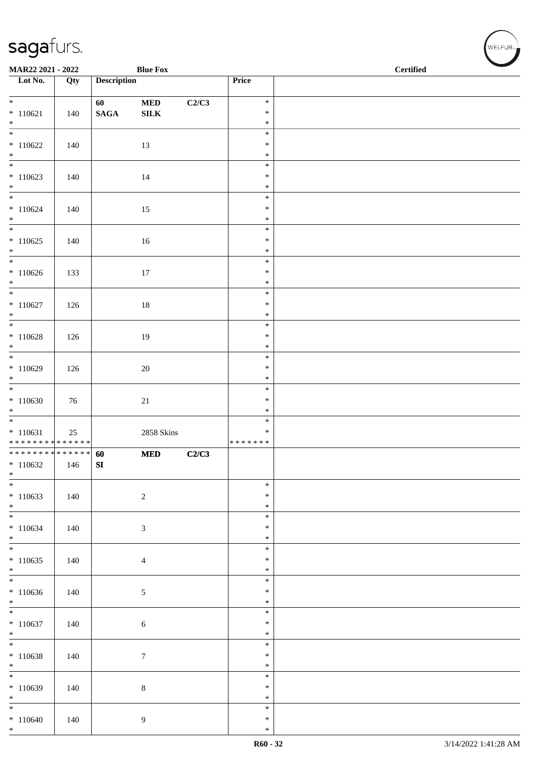| MAR22 2021 - 2022                                    |     |                       | <b>Blue Fox</b>           |       |                                      | $\overline{\phantom{a}}$<br>Certified |  |  |  |
|------------------------------------------------------|-----|-----------------------|---------------------------|-------|--------------------------------------|---------------------------------------|--|--|--|
| Lot No.                                              | Qty | <b>Description</b>    |                           |       | Price                                |                                       |  |  |  |
| $*$<br>$* 110621$<br>$*$                             | 140 | 60<br>$\mathbf{SAGA}$ | $\bf MED$<br>${\bf SILK}$ | C2/C3 | $\ast$<br>$\ast$<br>$\ast$           |                                       |  |  |  |
| $\overline{\phantom{0}}$<br>$*110622$<br>$*$         | 140 |                       | 13                        |       | $\ast$<br>$\ast$<br>$\ast$           |                                       |  |  |  |
| $\overline{\phantom{0}}$<br>$*110623$<br>$\ast$      | 140 |                       | 14                        |       | $\ast$<br>$\ast$<br>$\ast$           |                                       |  |  |  |
| $*110624$<br>$*$                                     | 140 |                       | 15                        |       | $\ast$<br>$\ast$<br>$\ast$<br>$\ast$ |                                       |  |  |  |
| $*110625$<br>$*$                                     | 140 |                       | 16                        |       | $\ast$<br>$\ast$                     |                                       |  |  |  |
| $*$<br>$*110626$<br>$*$<br>$*$                       | 133 |                       | $17\,$                    |       | $\ast$<br>$\ast$<br>$\ast$           |                                       |  |  |  |
| $* 110627$<br>$*$                                    | 126 |                       | $18\,$                    |       | $\ast$<br>$\ast$<br>$\ast$           |                                       |  |  |  |
| $* 110628$<br>$*$                                    | 126 |                       | 19                        |       | $\ast$<br>$\ast$<br>$\ast$           |                                       |  |  |  |
| $*110629$<br>$*$                                     | 126 |                       | $20\,$                    |       | $\ast$<br>$\ast$<br>$\ast$           |                                       |  |  |  |
| $*110630$<br>$*$                                     | 76  |                       | $21\,$                    |       | $\ast$<br>$\ast$<br>$\ast$           |                                       |  |  |  |
| $* 110631$<br>* * * * * * * * * * * * * *            | 25  |                       | <b>2858 Skins</b>         |       | $\ast$<br>$\ast$<br>* * * * * * *    |                                       |  |  |  |
| * * * * * * * * * * * * * * *<br>$*110632$<br>$\ast$ | 146 | 60<br>${\bf SI}$      | <b>MED</b>                | C2/C3 |                                      |                                       |  |  |  |
| $\ast$<br>$*110633$<br>$*$                           | 140 |                       | $\sqrt{2}$                |       | $\ast$<br>$\ast$<br>$\ast$           |                                       |  |  |  |
| $\overline{\phantom{0}}$<br>$* 110634$<br>$*$        | 140 |                       | $\sqrt{3}$                |       | $\ast$<br>$\ast$<br>$\ast$           |                                       |  |  |  |
| $*$<br>$*110635$<br>$*$                              | 140 |                       | $\overline{4}$            |       | $\ast$<br>$\ast$<br>$\ast$           |                                       |  |  |  |
| $\overline{\phantom{0}}$<br>$*110636$<br>$\ast$      | 140 |                       | 5                         |       | $\ast$<br>$\ast$<br>$\ast$           |                                       |  |  |  |
| $\overline{\phantom{0}}$<br>$*110637$<br>$*$         | 140 |                       | 6                         |       | $\ast$<br>$\ast$<br>$\ast$           |                                       |  |  |  |
| $\overline{\phantom{0}}$<br>$*110638$<br>$*$         | 140 |                       | $\tau$                    |       | $\ast$<br>$\ast$<br>$\ast$           |                                       |  |  |  |
| $\overline{\phantom{0}}$<br>$*110639$<br>$*$         | 140 |                       | $8\,$                     |       | $\ast$<br>$\ast$<br>$\ast$           |                                       |  |  |  |
| $*$<br>$*110640$<br>$*$                              | 140 |                       | 9                         |       | $\ast$<br>$\ast$<br>$\ast$           |                                       |  |  |  |

√<br>WELFUR<sub>™</sub>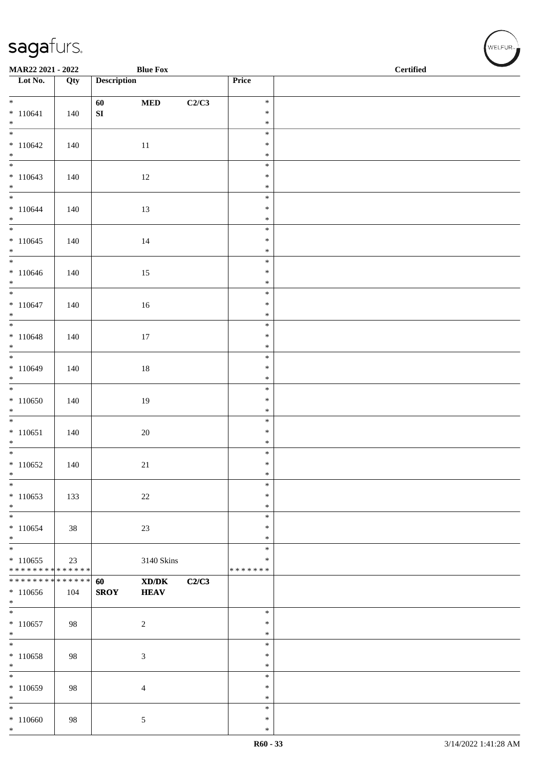| MAR22 2021 - 2022                |     |                        | <b>Blue Fox</b> |       | $\operatorname{\bf \mathbf{Certified}}$ |  |  |  |
|----------------------------------|-----|------------------------|-----------------|-------|-----------------------------------------|--|--|--|
| $\overline{\phantom{a}}$ Lot No. | Qty | <b>Description</b>     |                 |       | Price                                   |  |  |  |
| $*$                              |     |                        |                 |       | $\ast$                                  |  |  |  |
| $* 110641$                       | 140 | 60<br>${\bf S}{\bf I}$ | $\bf MED$       | C2/C3 | $\ast$                                  |  |  |  |
| $*$                              |     |                        |                 |       | $\ast$                                  |  |  |  |
| $\overline{\phantom{0}}$         |     |                        |                 |       | $\ast$                                  |  |  |  |
| $*110642$                        | 140 |                        | $11\,$          |       | $\ast$                                  |  |  |  |
| $*$                              |     |                        |                 |       | $\ast$                                  |  |  |  |
| $*110643$                        | 140 |                        | 12              |       | $\ast$<br>$\ast$                        |  |  |  |
| $*$                              |     |                        |                 |       | $\ast$                                  |  |  |  |
| $*$                              |     |                        |                 |       | $\ast$                                  |  |  |  |
| $* 110644$                       | 140 |                        | 13              |       | $\ast$                                  |  |  |  |
| $*$                              |     |                        |                 |       | $\ast$                                  |  |  |  |
|                                  |     |                        |                 |       | $\ast$                                  |  |  |  |
| $*110645$<br>$*$                 | 140 |                        | 14              |       | $\ast$<br>$\ast$                        |  |  |  |
| $*$                              |     |                        |                 |       | $\ast$                                  |  |  |  |
| $*110646$                        | 140 |                        | 15              |       | $\ast$                                  |  |  |  |
| $*$                              |     |                        |                 |       | $\ast$                                  |  |  |  |
| $*$                              |     |                        |                 |       | $\ast$                                  |  |  |  |
| $* 110647$                       | 140 |                        | $16\,$          |       | $\ast$                                  |  |  |  |
| $*$                              |     |                        |                 |       | $\ast$<br>$\ast$                        |  |  |  |
| $* 110648$                       | 140 |                        | $17\,$          |       | $\ast$                                  |  |  |  |
| $*$                              |     |                        |                 |       | $\ast$                                  |  |  |  |
|                                  |     |                        |                 |       | $\ast$                                  |  |  |  |
| $*110649$                        | 140 |                        | $18\,$          |       | $\ast$                                  |  |  |  |
| $*$                              |     |                        |                 |       | $\ast$                                  |  |  |  |
| $*110650$                        | 140 |                        | 19              |       | $\ast$<br>$\ast$                        |  |  |  |
| $*$                              |     |                        |                 |       | $\ast$                                  |  |  |  |
| $\overline{\phantom{0}}$         |     |                        |                 |       | $\ast$                                  |  |  |  |
| $* 110651$                       | 140 |                        | $20\,$          |       | $\ast$                                  |  |  |  |
| $*$                              |     |                        |                 |       | $\ast$                                  |  |  |  |
| $*$                              |     |                        |                 |       | $\ast$<br>$\ast$                        |  |  |  |
| $*110652$<br>$\ast$              | 140 |                        | 21              |       | $\ast$                                  |  |  |  |
| $\ast$                           |     |                        |                 |       | $\ast$                                  |  |  |  |
| $*110653$                        | 133 |                        | 22              |       | ∗                                       |  |  |  |
| $*$                              |     |                        |                 |       | $\ast$                                  |  |  |  |
| $\ast$                           |     |                        |                 |       | $\ast$                                  |  |  |  |
| $*110654$<br>$\ast$              | 38  |                        | $23\,$          |       | $\ast$<br>$\ast$                        |  |  |  |
| $*$                              |     |                        |                 |       | $\ast$                                  |  |  |  |
| $*110655$                        | 23  |                        | 3140 Skins      |       | $\ast$                                  |  |  |  |
| * * * * * * * * * * * * * *      |     |                        |                 |       | * * * * * * *                           |  |  |  |
| * * * * * * * * * * * * * * *    |     | 60                     | XD/DK           | C2/C3 |                                         |  |  |  |
| $*110656$                        | 104 | <b>SROY</b>            | <b>HEAV</b>     |       |                                         |  |  |  |
| $*$                              |     |                        |                 |       | $\ast$                                  |  |  |  |
| $*110657$                        | 98  |                        | $\sqrt{2}$      |       | $\ast$                                  |  |  |  |
| $*$                              |     |                        |                 |       | $\ast$                                  |  |  |  |
| $\ast$                           |     |                        |                 |       | $\ast$                                  |  |  |  |
| $*110658$                        | 98  |                        | $\mathfrak{Z}$  |       | $\ast$                                  |  |  |  |
| $*$<br>$*$                       |     |                        |                 |       | $\ast$<br>$\ast$                        |  |  |  |
| $*110659$                        | 98  |                        | $\overline{4}$  |       | $\ast$                                  |  |  |  |
| $*$                              |     |                        |                 |       | ∗                                       |  |  |  |
| $\ast$                           |     |                        |                 |       | $\ast$                                  |  |  |  |
| $*110660$                        | 98  |                        | 5               |       | $\ast$                                  |  |  |  |
| $*$                              |     |                        |                 |       | $\ast$                                  |  |  |  |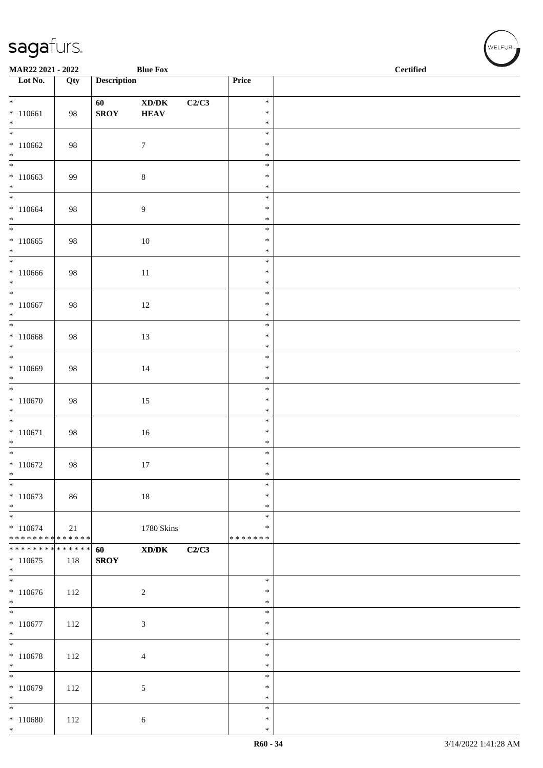| MAR22 2021 - 2022                          |     |                    | <b>Blue Fox</b>                             |       |                  | <b>Certified</b> |
|--------------------------------------------|-----|--------------------|---------------------------------------------|-------|------------------|------------------|
| $\overline{\phantom{a}}$ Lot No.           | Qty | <b>Description</b> |                                             |       | Price            |                  |
| $*$                                        |     | 60                 | $\bold{X}\bold{D}/\bold{D}\bold{K}$         | C2/C3 | $\ast$           |                  |
| $* 110661$<br>$*$                          | 98  | <b>SROY</b>        | <b>HEAV</b>                                 |       | $\ast$<br>$\ast$ |                  |
|                                            |     |                    |                                             |       | $\ast$<br>$\ast$ |                  |
| $*110662$<br>$*$                           | 98  |                    | $\boldsymbol{7}$                            |       | $\ast$           |                  |
| $*110663$                                  | 99  |                    | $\,8\,$                                     |       | $\ast$<br>$\ast$ |                  |
| $*$                                        |     |                    |                                             |       | $\ast$           |                  |
| $*$<br>$*110664$                           | 98  |                    | $\boldsymbol{9}$                            |       | $\ast$<br>$\ast$ |                  |
| $*$<br>$*$                                 |     |                    |                                             |       | $\ast$           |                  |
| $*110665$                                  | 98  |                    | $10\,$                                      |       | $\ast$<br>$\ast$ |                  |
| $*$<br>$*$                                 |     |                    |                                             |       | $\ast$<br>$\ast$ |                  |
| $*110666$                                  | 98  |                    | $11\,$                                      |       | $\ast$           |                  |
| $*$<br>$*$                                 |     |                    |                                             |       | $\ast$<br>$\ast$ |                  |
| $* 110667$                                 | 98  |                    | $12\,$                                      |       | $\ast$           |                  |
| $*$<br>$\overline{\phantom{0}}$            |     |                    |                                             |       | $\ast$<br>$\ast$ |                  |
| $*110668$                                  | 98  |                    | 13                                          |       | $\ast$           |                  |
| $*$<br>$\overline{\ast}$                   |     |                    |                                             |       | $\ast$<br>$\ast$ |                  |
| $*110669$<br>$*$                           | 98  |                    | 14                                          |       | $\ast$<br>$\ast$ |                  |
|                                            |     |                    |                                             |       | $\ast$           |                  |
| $*110670$<br>$*$                           | 98  |                    | 15                                          |       | $\ast$<br>$\ast$ |                  |
|                                            |     |                    |                                             |       | $\ast$           |                  |
| $* 110671$<br>$*$                          | 98  |                    | $16\,$                                      |       | $\ast$<br>$\ast$ |                  |
| $*$                                        |     |                    |                                             |       | $\ast$           |                  |
| $*110672$<br>$\ast$                        | 98  |                    | 17                                          |       | $\ast$<br>$\ast$ |                  |
| $\ast$<br>$*110673$                        | 86  |                    |                                             |       | $\ast$<br>$\ast$ |                  |
| $*$                                        |     |                    | $18\,$                                      |       | $\ast$           |                  |
| $*$<br>$* 110674$                          | 21  |                    | 1780 Skins                                  |       | $\ast$<br>$\ast$ |                  |
| * * * * * * * * <mark>* * * * * * *</mark> |     |                    |                                             |       | * * * * * * *    |                  |
| ******** <mark>******</mark><br>$*110675$  | 118 | 60<br><b>SROY</b>  | $\mathbf{X}\mathbf{D}/\mathbf{D}\mathbf{K}$ | C2/C3 |                  |                  |
| $*$<br>$\overline{\phantom{0}}$            |     |                    |                                             |       |                  |                  |
| $*110676$                                  | 112 |                    | $\sqrt{2}$                                  |       | $\ast$<br>$\ast$ |                  |
| $*$                                        |     |                    |                                             |       | $\ast$<br>$\ast$ |                  |
| $* 110677$                                 | 112 |                    | $\mathfrak{Z}$                              |       | $\ast$           |                  |
| $*$<br>$*$                                 |     |                    |                                             |       | $\ast$<br>$\ast$ |                  |
| $* 110678$                                 | 112 |                    | $\overline{4}$                              |       | $\ast$           |                  |
| $*$<br>$\ast$                              |     |                    |                                             |       | $\ast$<br>$\ast$ |                  |
| $*110679$                                  | 112 |                    | $\sqrt{5}$                                  |       | $\ast$           |                  |
| $*$<br>$*$                                 |     |                    |                                             |       | $\ast$<br>$\ast$ |                  |
| $* 110680$<br>$*$                          | 112 |                    | 6                                           |       | $\ast$<br>$\ast$ |                  |

WELFUR<sub><sup>N</sup></sub>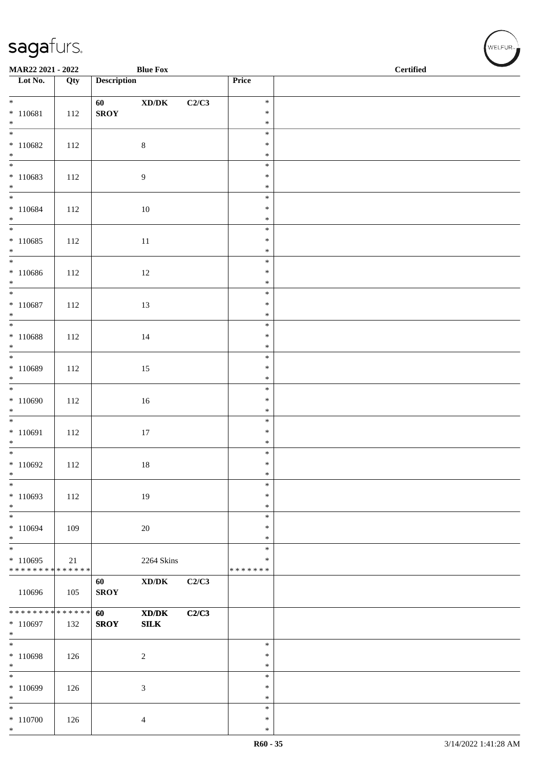| MAR22 2021 - 2022                     |     |                    | <b>Blue Fox</b>                                             |       |                            | $\operatorname{\bf \mathbf{Certified}}$ |  |  |  |
|---------------------------------------|-----|--------------------|-------------------------------------------------------------|-------|----------------------------|-----------------------------------------|--|--|--|
| $\overline{\phantom{1}}$ Lot No.      | Qty | <b>Description</b> |                                                             |       | Price                      |                                         |  |  |  |
| $*$                                   |     | 60                 | $\bold{X}\bold{D}/\bold{D}\bold{K}$                         | C2/C3 | $\ast$                     |                                         |  |  |  |
| $* 110681$                            | 112 | <b>SROY</b>        |                                                             |       | $\ast$                     |                                         |  |  |  |
| $*$<br>$\overline{\phantom{0}}$       |     |                    |                                                             |       | $\ast$<br>$\ast$           |                                         |  |  |  |
| $*110682$                             | 112 |                    | $\,8\,$                                                     |       | $\ast$                     |                                         |  |  |  |
| $*$                                   |     |                    |                                                             |       | $\ast$                     |                                         |  |  |  |
| $*110683$<br>$*$                      | 112 |                    | 9                                                           |       | $\ast$<br>$\ast$<br>$\ast$ |                                         |  |  |  |
|                                       |     |                    |                                                             |       | $\ast$                     |                                         |  |  |  |
| $* 110684$<br>$*$                     | 112 |                    | $10\,$                                                      |       | $\ast$<br>$\ast$           |                                         |  |  |  |
| $*110685$                             |     |                    |                                                             |       | $\ast$<br>$\ast$           |                                         |  |  |  |
| $*$                                   | 112 |                    | $11\,$                                                      |       | $\ast$                     |                                         |  |  |  |
|                                       |     |                    |                                                             |       | $\ast$                     |                                         |  |  |  |
| $* 110686$<br>$*$                     | 112 |                    | 12                                                          |       | $\ast$<br>$\ast$           |                                         |  |  |  |
|                                       |     |                    |                                                             |       | $\ast$                     |                                         |  |  |  |
| $* 110687$                            | 112 |                    | 13                                                          |       | $\ast$                     |                                         |  |  |  |
| $*$                                   |     |                    |                                                             |       | $\ast$<br>$\ast$           |                                         |  |  |  |
| $* 110688$<br>$*$                     | 112 |                    | 14                                                          |       | $\ast$<br>$\ast$           |                                         |  |  |  |
|                                       |     |                    |                                                             |       | $\ast$                     |                                         |  |  |  |
| $* 110689$<br>$\ast$                  | 112 |                    | 15                                                          |       | $\ast$<br>$\ast$           |                                         |  |  |  |
|                                       |     |                    |                                                             |       | $\ast$                     |                                         |  |  |  |
| $*110690$                             | 112 |                    | $16\,$                                                      |       | $\ast$                     |                                         |  |  |  |
| $*$<br>$\overline{\phantom{0}}$       |     |                    |                                                             |       | $\ast$<br>$\ast$           |                                         |  |  |  |
| $* 110691$                            | 112 |                    | $17\,$                                                      |       | $\ast$                     |                                         |  |  |  |
| $*$                                   |     |                    |                                                             |       | $\ast$                     |                                         |  |  |  |
| $\overline{\phantom{0}}$<br>$*110692$ | 112 |                    | 18                                                          |       | $\ast$<br>$\ast$           |                                         |  |  |  |
| $\ast$                                |     |                    |                                                             |       | $\ast$                     |                                         |  |  |  |
| $\ast$                                |     |                    |                                                             |       | $\ast$                     |                                         |  |  |  |
| $*110693$<br>$*$                      | 112 |                    | 19                                                          |       | $\ast$<br>$\ast$           |                                         |  |  |  |
| $\ast$                                |     |                    |                                                             |       | $\ast$                     |                                         |  |  |  |
| $*110694$                             | 109 |                    | $20\,$                                                      |       | $\ast$                     |                                         |  |  |  |
| $*$<br>$\ast$                         |     |                    |                                                             |       | $\ast$<br>$\ast$           |                                         |  |  |  |
| $*110695$                             | 21  |                    | 2264 Skins                                                  |       | $\ast$                     |                                         |  |  |  |
| ******** <mark>******</mark>          |     |                    |                                                             |       | * * * * * * *              |                                         |  |  |  |
| 110696                                | 105 | 60<br><b>SROY</b>  | $\bold{X}\bold{D}/\bold{D}\bold{K}$                         | C2/C3 |                            |                                         |  |  |  |
| ******** <mark>******</mark>          |     | 60                 | $\boldsymbol{\text{X} \text{D} \text{/} \text{D} \text{K}}$ | C2/C3 |                            |                                         |  |  |  |
| $*110697$<br>$*$                      | 132 | <b>SROY</b>        | SLK                                                         |       |                            |                                         |  |  |  |
| $*$                                   |     |                    |                                                             |       | $\ast$                     |                                         |  |  |  |
| $*110698$                             | 126 |                    | $\overline{c}$                                              |       | $\ast$                     |                                         |  |  |  |
| $\ast$<br>$\ast$                      |     |                    |                                                             |       | $\ast$<br>$\ast$           |                                         |  |  |  |
| * 110699                              | 126 |                    | 3                                                           |       | $\ast$                     |                                         |  |  |  |
| $\ast$                                |     |                    |                                                             |       | ∗                          |                                         |  |  |  |
| $*$                                   |     |                    |                                                             |       | $\ast$<br>$\ast$           |                                         |  |  |  |
| $*$ 110700<br>$*$                     | 126 |                    | 4                                                           |       | $\ast$                     |                                         |  |  |  |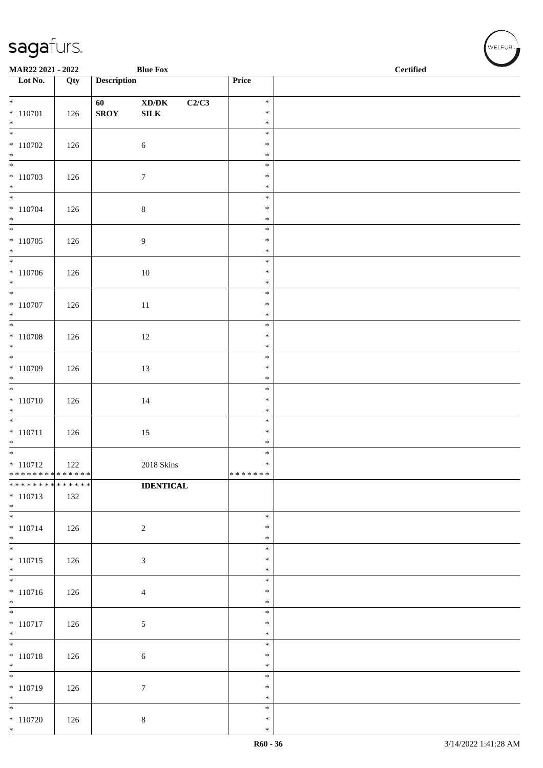| <b>Blue Fox</b><br>MAR22 2021 - 2022                                      |     |                    |                                             |                  | <b>Certified</b> |  |
|---------------------------------------------------------------------------|-----|--------------------|---------------------------------------------|------------------|------------------|--|
| $\overline{\phantom{a}}$ Lot No.                                          | Qty | <b>Description</b> |                                             | Price            |                  |  |
| $*$                                                                       |     | 60                 | $\boldsymbol{\text{XD}/\text{DK}}$<br>C2/C3 | $\ast$           |                  |  |
| $* 110701$<br>$*$                                                         | 126 | <b>SROY</b>        | ${\bf SILK}$                                | $\ast$<br>$\ast$ |                  |  |
| $*$                                                                       |     |                    |                                             | $\ast$           |                  |  |
| $*110702$                                                                 | 126 |                    | $\sqrt{6}$                                  | $\ast$           |                  |  |
| $*$<br>$\overline{\phantom{0}}$                                           |     |                    |                                             | $\ast$<br>$\ast$ |                  |  |
| $* 110703$                                                                | 126 |                    | $\boldsymbol{7}$                            | $\ast$           |                  |  |
| $\ast$                                                                    |     |                    |                                             | $\ast$<br>$\ast$ |                  |  |
| $* 110704$                                                                | 126 |                    | $\,8\,$                                     | $\ast$           |                  |  |
| $*$                                                                       |     |                    |                                             | $\ast$<br>$\ast$ |                  |  |
| $*110705$                                                                 | 126 |                    | $\overline{9}$                              | $\ast$           |                  |  |
| $*$                                                                       |     |                    |                                             | $\ast$           |                  |  |
| $*110706$                                                                 | 126 |                    | 10                                          | $\ast$<br>$\ast$ |                  |  |
| $*$                                                                       |     |                    |                                             | $\ast$           |                  |  |
|                                                                           |     |                    |                                             | $\ast$<br>$\ast$ |                  |  |
| $* 110707$<br>$*$                                                         | 126 |                    | $11\,$                                      | $\ast$           |                  |  |
|                                                                           |     |                    |                                             | $\ast$           |                  |  |
| $* 110708$<br>$*$                                                         | 126 |                    | $12\,$                                      | $\ast$<br>$\ast$ |                  |  |
|                                                                           |     |                    |                                             | $\ast$           |                  |  |
| $* 110709$<br>$*$                                                         | 126 |                    | 13                                          | $\ast$<br>$\ast$ |                  |  |
|                                                                           |     |                    |                                             | $\ast$           |                  |  |
| $* 110710$                                                                | 126 |                    | 14                                          | $\ast$           |                  |  |
| $*$                                                                       |     |                    |                                             | $\ast$<br>$\ast$ |                  |  |
| $* 110711$                                                                | 126 |                    | $15\,$                                      | $\ast$           |                  |  |
| $*$                                                                       |     |                    |                                             | $\ast$<br>$\ast$ |                  |  |
| $* 110712$                                                                | 122 |                    | $2018$ Skins                                | $\ast$           |                  |  |
| * * * * * * * * <mark>* * * * * * *</mark><br>* * * * * * * * * * * * * * |     |                    |                                             | * * * * * * *    |                  |  |
| $* 110713$                                                                | 132 |                    | <b>IDENTICAL</b>                            |                  |                  |  |
| $*$                                                                       |     |                    |                                             |                  |                  |  |
| $*$<br>$* 110714$                                                         | 126 |                    | $\sqrt{2}$                                  | $\ast$<br>$\ast$ |                  |  |
| $*$                                                                       |     |                    |                                             | $\ast$           |                  |  |
| $*$<br>$* 110715$                                                         |     |                    |                                             | $\ast$<br>$\ast$ |                  |  |
| $\ast$                                                                    | 126 |                    | $\sqrt{3}$                                  | $\ast$           |                  |  |
|                                                                           |     |                    |                                             | $\ast$           |                  |  |
| $* 110716$<br>$*$                                                         | 126 |                    | $\overline{4}$                              | $\ast$<br>$\ast$ |                  |  |
| $\overline{\phantom{0}}$                                                  |     |                    |                                             | $\ast$           |                  |  |
| $* 110717$<br>$*$                                                         | 126 |                    | $\sqrt{5}$                                  | $\ast$<br>$\ast$ |                  |  |
| $*$                                                                       |     |                    |                                             | $\ast$           |                  |  |
| $* 110718$<br>$*$                                                         | 126 |                    | 6                                           | $\ast$<br>$\ast$ |                  |  |
| $\overline{\ast}$                                                         |     |                    |                                             | $\ast$           |                  |  |
| $* 110719$                                                                | 126 |                    | $\boldsymbol{7}$                            | $\ast$           |                  |  |
| $*$<br>$*$                                                                |     |                    |                                             | $\ast$<br>$\ast$ |                  |  |
| $*$ 110720                                                                | 126 |                    | $\,8\,$                                     | $\ast$           |                  |  |
| $*$                                                                       |     |                    |                                             | $\ast$           |                  |  |

、<br>WELFUR<sub>™</sub>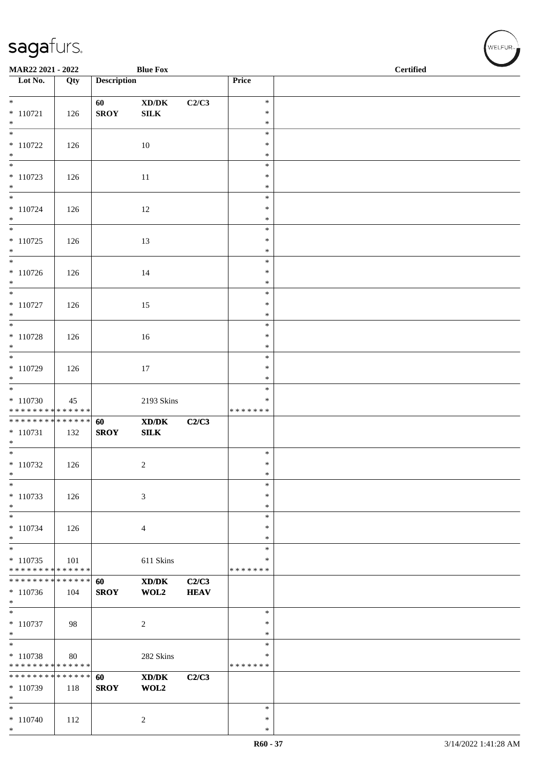| MAR22 2021 - 2022                                    |                    |                    | <b>Blue Fox</b>                                                             |                      |                                   | <b>Certified</b> |  |  |
|------------------------------------------------------|--------------------|--------------------|-----------------------------------------------------------------------------|----------------------|-----------------------------------|------------------|--|--|
| $\overline{\phantom{1}}$ Lot No.                     | $\overline{Q}$ ty  | <b>Description</b> |                                                                             |                      | Price                             |                  |  |  |
| $*$                                                  |                    | 60                 | $\boldsymbol{\text{XD}}\boldsymbol{/}\boldsymbol{\text{DK}}$                | C2/C3                | $\ast$                            |                  |  |  |
| $* 110721$<br>$*$                                    | 126                | <b>SROY</b>        | ${\bf SILK}$                                                                |                      | $\ast$<br>$\ast$                  |                  |  |  |
| $\overline{\ast}$                                    |                    |                    |                                                                             |                      | $\ast$                            |                  |  |  |
| $*110722$<br>$*$                                     | 126                |                    | 10                                                                          |                      | $\ast$<br>$\ast$                  |                  |  |  |
| $\overline{\ast}$<br>$* 110723$<br>$*$               | 126                |                    | 11                                                                          |                      | $\ast$<br>$\ast$<br>$\ast$        |                  |  |  |
| $*$<br>$* 110724$<br>$*$                             | 126                |                    | 12                                                                          |                      | $\ast$<br>$\ast$<br>$\ast$        |                  |  |  |
| $* 110725$<br>$*$                                    | 126                |                    | 13                                                                          |                      | $\ast$<br>$\ast$<br>$\ast$        |                  |  |  |
| $*$<br>$* 110726$<br>$*$                             | 126                |                    | 14                                                                          |                      | $\ast$<br>$\ast$<br>$\ast$        |                  |  |  |
| $\overline{\phantom{0}}$<br>$* 110727$<br>$*$        | 126                |                    | 15                                                                          |                      | $\ast$<br>$\ast$<br>$\ast$        |                  |  |  |
| $* 110728$<br>$*$                                    | 126                |                    | 16                                                                          |                      | $\ast$<br>$\ast$<br>$\ast$        |                  |  |  |
| $\overline{\ast}$<br>$*$ 110729<br>$*$               | 126                |                    | 17                                                                          |                      | $\ast$<br>$\ast$<br>$\ast$        |                  |  |  |
| $*110730$<br>* * * * * * * * * * * * * *             | 45                 |                    | 2193 Skins                                                                  |                      | $\ast$<br>$\ast$<br>* * * * * * * |                  |  |  |
| ******** <mark>******</mark><br>$* 110731$<br>$*$    | 132                | 60<br><b>SROY</b>  | $\boldsymbol{\text{X} \text{D} \text{/} \text{D} \text{K}}$<br>${\bf SILK}$ | C2/C3                |                                   |                  |  |  |
| $*$<br>$*110732$<br>$\ast$                           | 126                |                    | $\overline{c}$                                                              |                      | $\ast$<br>$\ast$<br>$\ast$        |                  |  |  |
| $\ast$<br>$* 110733$<br>$\ast$                       | 126                |                    | 3                                                                           |                      | $\ast$<br>$\ast$<br>$\ast$        |                  |  |  |
| $\ast$<br>$* 110734$<br>$*$                          | 126                |                    | 4                                                                           |                      | $\ast$<br>∗<br>$\ast$             |                  |  |  |
| $\ast$<br>$* 110735$<br>* * * * * * * * * * * * * *  | 101                |                    | 611 Skins                                                                   |                      | $\ast$<br>$\ast$<br>* * * * * * * |                  |  |  |
| * * * * * * * * * * * * * * *<br>$*110736$<br>$\ast$ | 104                | 60<br><b>SROY</b>  | $\mathbf{X}\mathbf{D}/\mathbf{D}\mathbf{K}$<br>WOL2                         | C2/C3<br><b>HEAV</b> |                                   |                  |  |  |
| $\overline{\phantom{0}}$<br>$* 110737$<br>$*$        | 98                 |                    | $\overline{c}$                                                              |                      | $\ast$<br>∗<br>$\ast$             |                  |  |  |
| $\ast$<br>* 110738<br>* * * * * * * * * * * * * *    | 80                 |                    | 282 Skins                                                                   |                      | $\ast$<br>$\ast$<br>* * * * * * * |                  |  |  |
| * * * * * * * *<br>* 110739<br>$\ast$                | * * * * * *<br>118 | 60<br><b>SROY</b>  | $\mathbf{X}\mathbf{D}/\mathbf{D}\mathbf{K}$<br>WOL2                         | C2/C3                |                                   |                  |  |  |
| $*$<br>$* 110740$<br>$*$                             | 112                |                    | 2                                                                           |                      | $\ast$<br>$\ast$<br>$\ast$        |                  |  |  |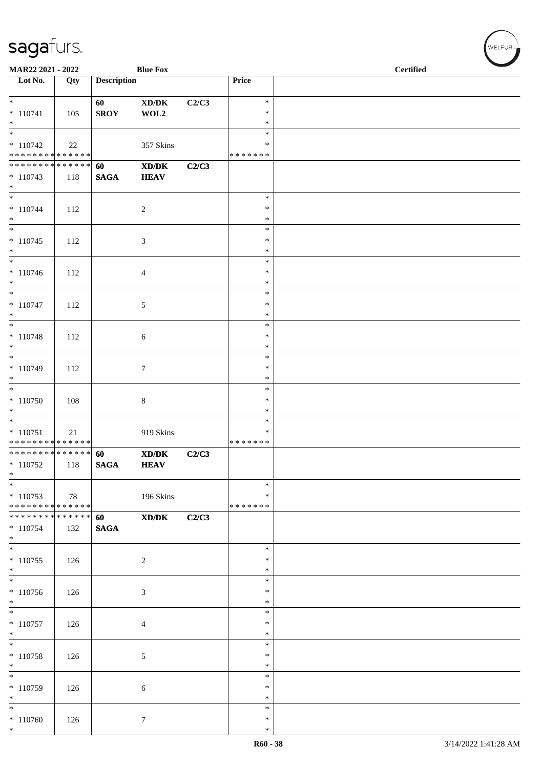| MAR22 2021 - 2022                                     |     |                       | <b>Blue Fox</b>                                            |       |                                   | <b>Certified</b> |  |  |
|-------------------------------------------------------|-----|-----------------------|------------------------------------------------------------|-------|-----------------------------------|------------------|--|--|
| $\overline{\phantom{a}}$ Lot No.                      | Qty | <b>Description</b>    |                                                            |       | Price                             |                  |  |  |
| $*$<br>$* 110741$<br>$*$                              | 105 | 60<br><b>SROY</b>     | $\mathbf{X}\mathbf{D}/\mathbf{D}\mathbf{K}$<br>WOL2        | C2/C3 | $\ast$<br>∗<br>$\ast$             |                  |  |  |
| $* 110742$<br>******** <mark>******</mark>            | 22  |                       | 357 Skins                                                  |       | $\ast$<br>*<br>* * * * * * *      |                  |  |  |
| * * * * * * * * * * * * * * *<br>$* 110743$<br>$\ast$ | 118 | 60<br><b>SAGA</b>     | $\mathbf{X}\mathbf{D}/\mathbf{D}\mathbf{K}$<br><b>HEAV</b> | C2/C3 |                                   |                  |  |  |
| $* 110744$<br>$*$                                     | 112 |                       | $\sqrt{2}$                                                 |       | $\ast$<br>$\ast$<br>$\ast$        |                  |  |  |
| $\overline{\phantom{0}}$<br>$* 110745$<br>$*$         | 112 |                       | $\mathfrak{Z}$                                             |       | $\ast$<br>$\ast$<br>$\ast$        |                  |  |  |
| $*$<br>$* 110746$<br>$*$                              | 112 |                       | $\overline{4}$                                             |       | $\ast$<br>$\ast$<br>$\ast$        |                  |  |  |
| $\overline{\phantom{0}}$<br>$* 110747$<br>$*$         | 112 |                       | $\sqrt{5}$                                                 |       | $\ast$<br>∗<br>$\ast$             |                  |  |  |
| $* 110748$<br>$*$                                     | 112 |                       | $\sqrt{6}$                                                 |       | $\ast$<br>$\ast$<br>$\ast$        |                  |  |  |
| * 110749<br>$*$                                       | 112 |                       | $\boldsymbol{7}$                                           |       | $\ast$<br>$\ast$<br>$\ast$        |                  |  |  |
| $*110750$<br>$*$                                      | 108 |                       | $8\,$                                                      |       | $\ast$<br>$\ast$<br>$\ast$        |                  |  |  |
| $* 110751$<br>* * * * * * * * * * * * * *             | 21  |                       | 919 Skins                                                  |       | $\ast$<br>$\ast$<br>* * * * * * * |                  |  |  |
| ******** <mark>******</mark><br>$*110752$<br>$\ast$   | 118 | 60<br>$\mathbf{SAGA}$ | XD/DK<br><b>HEAV</b>                                       | C2/C3 |                                   |                  |  |  |
| $*$<br>$*110753$<br>******** <mark>******</mark>      | 78  |                       | 196 Skins                                                  |       | $\ast$<br>∗<br>* * * * * * *      |                  |  |  |
| ******** <mark>******</mark><br>$* 110754$<br>$*$     | 132 | 60<br><b>SAGA</b>     | XD/DK                                                      | C2/C3 |                                   |                  |  |  |
| $*$<br>$*110755$<br>$\ast$                            | 126 |                       | $\overline{2}$                                             |       | $\ast$<br>$\ast$<br>$\ast$        |                  |  |  |
| $*110756$<br>$*$                                      | 126 |                       | $\mathfrak{Z}$                                             |       | $\ast$<br>$\ast$<br>$\ast$        |                  |  |  |
| $\overline{\phantom{0}}$<br>$* 110757$<br>$*$         | 126 |                       | $\overline{4}$                                             |       | $\ast$<br>$\ast$<br>$\ast$        |                  |  |  |
| $*$<br>$* 110758$<br>$*$                              | 126 |                       | 5                                                          |       | $\ast$<br>$\ast$<br>$\ast$        |                  |  |  |
| $*110759$<br>$*$                                      | 126 |                       | 6                                                          |       | $\ast$<br>$\ast$<br>∗             |                  |  |  |
| $*$<br>$*110760$<br>$*$                               | 126 |                       | $7\phantom{.0}$                                            |       | $\ast$<br>$\ast$<br>$\ast$        |                  |  |  |

、<br>WELFUR<sub>™</sub>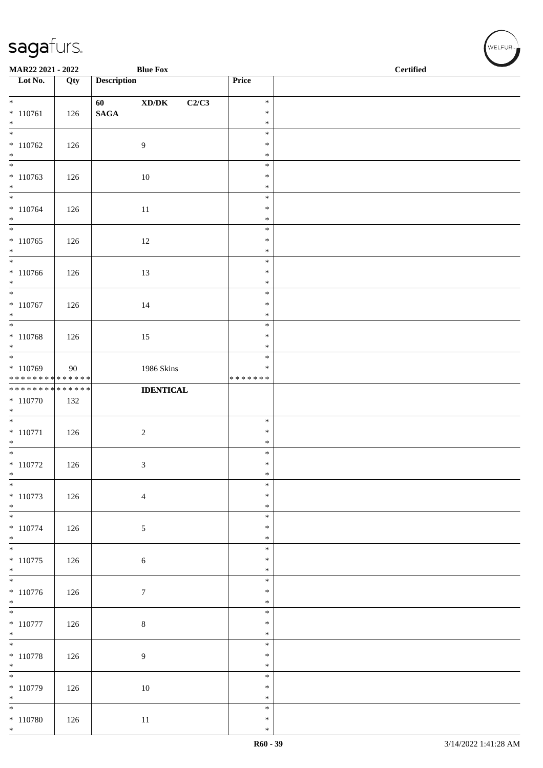| MAR22 2021 - 2022                      |     |                    | <b>Blue Fox</b>                              |                  | <b>Certified</b> |  |  |  |
|----------------------------------------|-----|--------------------|----------------------------------------------|------------------|------------------|--|--|--|
| Lot No.                                | Qty | <b>Description</b> |                                              | Price            |                  |  |  |  |
| $*$                                    |     | 60                 | $\bold{X}\bold{D}/\bold{D}\bold{K}$<br>C2/C3 | $\ast$           |                  |  |  |  |
| $*110761$                              | 126 | $\mathbf{SAGA}$    |                                              | $\ast$           |                  |  |  |  |
| $*$                                    |     |                    |                                              | $\ast$<br>$\ast$ |                  |  |  |  |
| $*110762$                              | 126 |                    | 9                                            | $\ast$           |                  |  |  |  |
| $\ast$<br>$\overline{\phantom{0}}$     |     |                    |                                              | $\ast$           |                  |  |  |  |
| $* 110763$                             | 126 |                    | 10                                           | $\ast$<br>$\ast$ |                  |  |  |  |
| $*$                                    |     |                    |                                              | $\ast$           |                  |  |  |  |
|                                        |     |                    |                                              | $\ast$<br>$\ast$ |                  |  |  |  |
| $* 110764$<br>$*$                      | 126 |                    | $11\,$                                       | $\ast$           |                  |  |  |  |
|                                        |     |                    |                                              | $\ast$           |                  |  |  |  |
| $* 110765$<br>$*$                      | 126 |                    | $12\,$                                       | $\ast$<br>$\ast$ |                  |  |  |  |
| $\overline{\ast}$                      |     |                    |                                              | $\ast$           |                  |  |  |  |
| $* 110766$<br>$*$                      | 126 |                    | 13                                           | $\ast$<br>$\ast$ |                  |  |  |  |
|                                        |     |                    |                                              | $\ast$           |                  |  |  |  |
| $* 110767$                             | 126 |                    | 14                                           | $\ast$           |                  |  |  |  |
| $*$                                    |     |                    |                                              | $\ast$<br>$\ast$ |                  |  |  |  |
| $* 110768$                             | 126 |                    | 15                                           | $\ast$           |                  |  |  |  |
| $\ast$                                 |     |                    |                                              | $\ast$           |                  |  |  |  |
| $*110769$                              | 90  |                    | 1986 Skins                                   | $\ast$<br>$\ast$ |                  |  |  |  |
| * * * * * * * * * * * * * *            |     |                    |                                              | * * * * * * *    |                  |  |  |  |
| **************<br>$* 110770$           | 132 |                    | <b>IDENTICAL</b>                             |                  |                  |  |  |  |
| $*$                                    |     |                    |                                              |                  |                  |  |  |  |
|                                        |     |                    |                                              | $\ast$           |                  |  |  |  |
| $* 110771$<br>$*$                      | 126 |                    | $\overline{c}$                               | $\ast$<br>$\ast$ |                  |  |  |  |
| $\overline{\phantom{0}}$               |     |                    |                                              | $\ast$           |                  |  |  |  |
| $*$ 110772<br>$*$                      | 126 |                    | 3                                            | $\ast$<br>$\ast$ |                  |  |  |  |
| $\ast$                                 |     |                    |                                              | $\ast$           |                  |  |  |  |
| $* 110773$<br>$*$                      | 126 |                    | $\overline{4}$                               | $\ast$<br>$\ast$ |                  |  |  |  |
|                                        |     |                    |                                              | $\ast$           |                  |  |  |  |
| $* 110774$                             | 126 |                    | 5                                            | $\ast$           |                  |  |  |  |
| $*$<br>$\overline{\phantom{0}}$        |     |                    |                                              | $\ast$<br>$\ast$ |                  |  |  |  |
| $* 110775$                             | 126 |                    | $\sqrt{6}$                                   | $\ast$           |                  |  |  |  |
| $*$<br>$\overline{\phantom{0}}$        |     |                    |                                              | $\ast$<br>$\ast$ |                  |  |  |  |
| $* 110776$                             | 126 |                    | $\boldsymbol{7}$                             | $\ast$           |                  |  |  |  |
| $*$                                    |     |                    |                                              | $\ast$           |                  |  |  |  |
| $\overline{\phantom{0}}$<br>$*$ 110777 | 126 |                    | $\,8\,$                                      | $\ast$<br>$\ast$ |                  |  |  |  |
| $*$                                    |     |                    |                                              | $\ast$           |                  |  |  |  |
| $\overline{\ }$                        |     |                    |                                              | $\ast$<br>$\ast$ |                  |  |  |  |
| $* 110778$<br>$*$                      | 126 |                    | 9                                            | $\ast$           |                  |  |  |  |
| $\overline{\phantom{0}}$               |     |                    |                                              | $\ast$           |                  |  |  |  |
| $* 110779$<br>$*$                      | 126 |                    | 10                                           | $\ast$<br>$\ast$ |                  |  |  |  |
| $*$                                    |     |                    |                                              | $\ast$           |                  |  |  |  |
| $* 110780$<br>$*$                      | 126 |                    | $11\,$                                       | $\ast$<br>$\ast$ |                  |  |  |  |
|                                        |     |                    |                                              |                  |                  |  |  |  |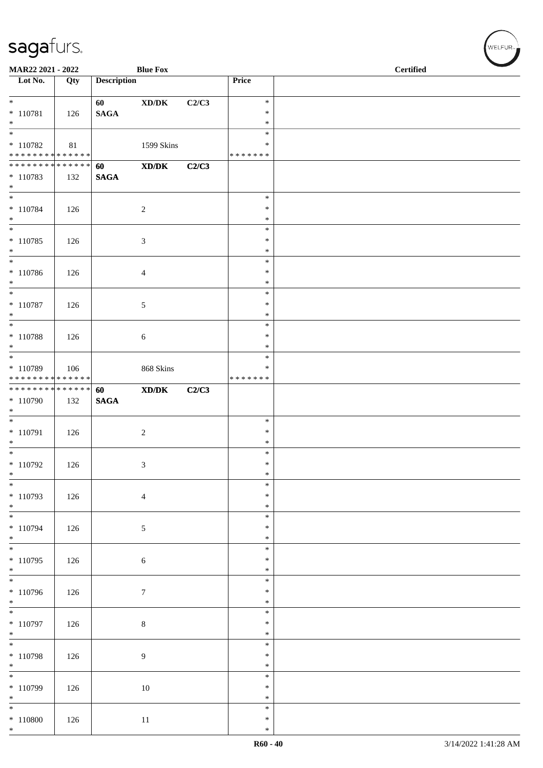| MAR22 2021 - 2022                                 |     |                       | <b>Blue Fox</b>                                              |       |                                   | <b>Certified</b> |
|---------------------------------------------------|-----|-----------------------|--------------------------------------------------------------|-------|-----------------------------------|------------------|
| Lot No.                                           | Qty | <b>Description</b>    |                                                              |       | Price                             |                  |
| $*$<br>$* 110781$<br>$*$                          | 126 | 60<br>$\mathbf{SAGA}$ | $\boldsymbol{\text{XD}}\boldsymbol{/}\boldsymbol{\text{DK}}$ | C2/C3 | $\ast$<br>$\ast$<br>$\ast$        |                  |
| * 110782<br>******** <mark>******</mark>          | 81  |                       | 1599 Skins                                                   |       | $\ast$<br>∗<br>* * * * * * *      |                  |
| ******** <mark>******</mark><br>$* 110783$<br>$*$ | 132 | 60<br>$\mathbf{SAGA}$ | $\boldsymbol{\text{X} \text{D} \text{/} \text{D} \text{K}}$  | C2/C3 |                                   |                  |
| $*$<br>$* 110784$<br>$*$                          | 126 |                       | $\sqrt{2}$                                                   |       | $\ast$<br>$\ast$<br>$\ast$        |                  |
| $*$<br>$* 110785$<br>$*$                          | 126 |                       | $\mathfrak{Z}$                                               |       | $\ast$<br>$\ast$<br>$\ast$        |                  |
| $*$<br>$* 110786$<br>$*$                          | 126 |                       | $\overline{4}$                                               |       | $\ast$<br>$\ast$<br>$\ast$        |                  |
| $*$<br>$* 110787$<br>$*$                          | 126 |                       | $\sqrt{5}$                                                   |       | $\ast$<br>$\ast$<br>$\ast$        |                  |
| $* 110788$<br>$*$                                 | 126 |                       | 6                                                            |       | $\ast$<br>$\ast$<br>$\ast$        |                  |
| * 110789<br>******** <mark>******</mark>          | 106 |                       | 868 Skins                                                    |       | $\ast$<br>$\ast$<br>* * * * * * * |                  |
| **************<br>* 110790<br>$*$                 | 132 | 60<br><b>SAGA</b>     | $\mathbf{X}\mathbf{D}/\mathbf{D}\mathbf{K}$                  | C2/C3 |                                   |                  |
| $*$<br>* 110791<br>$*$                            | 126 |                       | $\overline{2}$                                               |       | $\ast$<br>$\ast$<br>$\ast$        |                  |
| $*$<br>$*110792$<br>$\ast$                        | 126 |                       | 3                                                            |       | $\ast$<br>$\ast$<br>$\ast$        |                  |
| $\ast$<br>* 110793<br>$*$                         | 126 |                       | $\overline{4}$                                               |       | $\ast$<br>$\ast$<br>$\ast$        |                  |
| $* 110794$<br>$*$                                 | 126 |                       | $\sqrt{5}$                                                   |       | $\ast$<br>$\ast$<br>$\ast$        |                  |
| $\overline{\ast}$<br>* 110795<br>$*$              | 126 |                       | $\sqrt{6}$                                                   |       | $\ast$<br>$\ast$<br>$\ast$        |                  |
| $* 110796$<br>$*$                                 | 126 |                       | $\tau$                                                       |       | $\ast$<br>$\ast$<br>$\ast$        |                  |
| $*110797$<br>$*$                                  | 126 |                       | $8\,$                                                        |       | $\ast$<br>$\ast$<br>$\ast$        |                  |
| $*$<br>$* 110798$<br>$*$                          | 126 |                       | 9                                                            |       | $\ast$<br>$\ast$<br>$\ast$        |                  |
| $\ast$<br>$*110799$<br>$*$                        | 126 |                       | 10                                                           |       | $\ast$<br>$\ast$<br>$\ast$        |                  |
| $\ast$<br>$* 110800$<br>$*$                       | 126 |                       | $11\,$                                                       |       | $\ast$<br>$\ast$<br>$\ast$        |                  |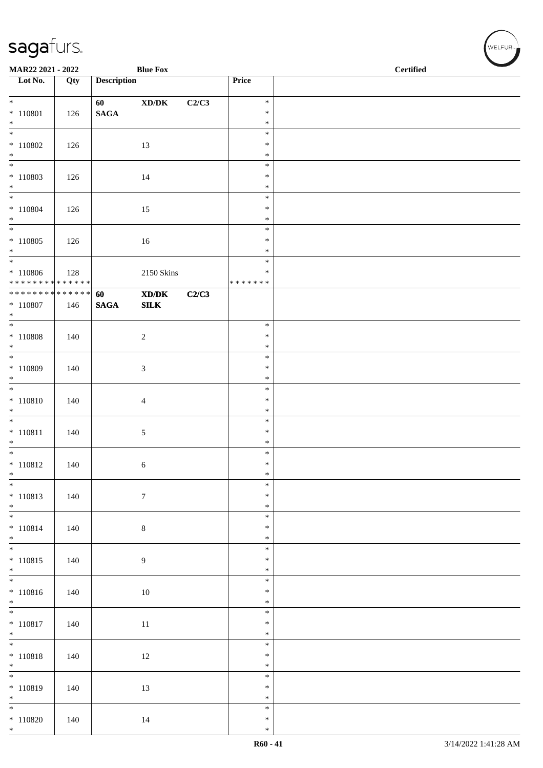| MAR22 2021 - 2022                                        |     |                    | <b>Blue Fox</b>                     |       |                         | $\overline{\phantom{a}}$<br><b>Certified</b> |  |  |
|----------------------------------------------------------|-----|--------------------|-------------------------------------|-------|-------------------------|----------------------------------------------|--|--|
| Lot No.                                                  | Qty | <b>Description</b> |                                     |       | Price                   |                                              |  |  |
| $\ast$                                                   |     | 60                 | $\bold{X}\bold{D}/\bold{D}\bold{K}$ | C2/C3 | $\ast$                  |                                              |  |  |
| $* 110801$                                               | 126 | $\mathbf{SAGA}$    |                                     |       | $\ast$                  |                                              |  |  |
| $*$                                                      |     |                    |                                     |       | $\ast$                  |                                              |  |  |
| $* 110802$                                               | 126 |                    | 13                                  |       | $\ast$<br>$\ast$        |                                              |  |  |
| $*$                                                      |     |                    |                                     |       | $\ast$                  |                                              |  |  |
|                                                          |     |                    |                                     |       | $\ast$                  |                                              |  |  |
| $* 110803$<br>$*$                                        | 126 |                    | 14                                  |       | $\ast$<br>$\ast$        |                                              |  |  |
| $*$                                                      |     |                    |                                     |       | $\ast$                  |                                              |  |  |
| $* 110804$                                               | 126 |                    | 15                                  |       | $\ast$                  |                                              |  |  |
| $*$<br>$\overline{\ast}$                                 |     |                    |                                     |       | $\ast$<br>$\ast$        |                                              |  |  |
| $*110805$                                                | 126 |                    | 16                                  |       | $\ast$                  |                                              |  |  |
| $*$                                                      |     |                    |                                     |       | $\ast$                  |                                              |  |  |
|                                                          |     |                    |                                     |       | $\ast$                  |                                              |  |  |
| $* 110806$<br>* * * * * * * * <mark>* * * * * * *</mark> | 128 |                    | 2150 Skins                          |       | $\ast$<br>* * * * * * * |                                              |  |  |
| * * * * * * * * <mark>* * * * * * *</mark>               |     | 60                 | XD/DK                               | C2/C3 |                         |                                              |  |  |
| $* 110807$                                               | 146 | <b>SAGA</b>        | ${\bf SILK}$                        |       |                         |                                              |  |  |
| $*$                                                      |     |                    |                                     |       | $\ast$                  |                                              |  |  |
| $* 110808$                                               | 140 |                    | $\sqrt{2}$                          |       | $\ast$                  |                                              |  |  |
| $*$                                                      |     |                    |                                     |       | $\ast$                  |                                              |  |  |
| * 110809                                                 |     |                    |                                     |       | $\ast$<br>$\ast$        |                                              |  |  |
| $*$                                                      | 140 |                    | $\mathfrak{Z}$                      |       | $\ast$                  |                                              |  |  |
|                                                          |     |                    |                                     |       | $\ast$                  |                                              |  |  |
| $* 110810$                                               | 140 |                    | $\overline{4}$                      |       | $\ast$                  |                                              |  |  |
| $*$                                                      |     |                    |                                     |       | $\ast$<br>$\ast$        |                                              |  |  |
| $* 110811$                                               | 140 |                    | 5                                   |       | $\ast$                  |                                              |  |  |
| $*$                                                      |     |                    |                                     |       | $\ast$                  |                                              |  |  |
| $* 110812$                                               | 140 |                    | 6                                   |       | $\ast$<br>$\ast$        |                                              |  |  |
| $*$                                                      |     |                    |                                     |       | $\ast$                  |                                              |  |  |
| $*$                                                      |     |                    |                                     |       | $\ast$                  |                                              |  |  |
| $* 110813$<br>$*$                                        | 140 |                    | $\boldsymbol{7}$                    |       | $\ast$<br>$\ast$        |                                              |  |  |
|                                                          |     |                    |                                     |       | $\ast$                  |                                              |  |  |
| $* 110814$                                               | 140 |                    | $8\,$                               |       | $\ast$                  |                                              |  |  |
| $*$<br>$\overline{\phantom{0}}$                          |     |                    |                                     |       | $\ast$<br>$\ast$        |                                              |  |  |
| $* 110815$                                               | 140 |                    | $\overline{9}$                      |       | $\ast$                  |                                              |  |  |
| $\ast$                                                   |     |                    |                                     |       | $\ast$                  |                                              |  |  |
|                                                          |     |                    |                                     |       | $\ast$<br>$\ast$        |                                              |  |  |
| $* 110816$<br>$*$                                        | 140 |                    | $10\,$                              |       | $\ast$                  |                                              |  |  |
| $\overline{\ }$                                          |     |                    |                                     |       | $\ast$                  |                                              |  |  |
| $* 110817$                                               | 140 |                    | $11\,$                              |       | $\ast$                  |                                              |  |  |
| $*$<br>$\overline{\phantom{0}}$                          |     |                    |                                     |       | $\ast$<br>$\ast$        |                                              |  |  |
| $* 110818$                                               | 140 |                    | 12                                  |       | $\ast$                  |                                              |  |  |
| $*$                                                      |     |                    |                                     |       | $\ast$                  |                                              |  |  |
|                                                          |     |                    |                                     |       | $\ast$<br>$\ast$        |                                              |  |  |
| $* 110819$<br>$*$                                        | 140 |                    | 13                                  |       | $\ast$                  |                                              |  |  |
| $\overline{\ast}$                                        |     |                    |                                     |       | $\ast$                  |                                              |  |  |
| $* 110820$<br>$*$                                        | 140 |                    | 14                                  |       | $\ast$<br>$\ast$        |                                              |  |  |
|                                                          |     |                    |                                     |       |                         |                                              |  |  |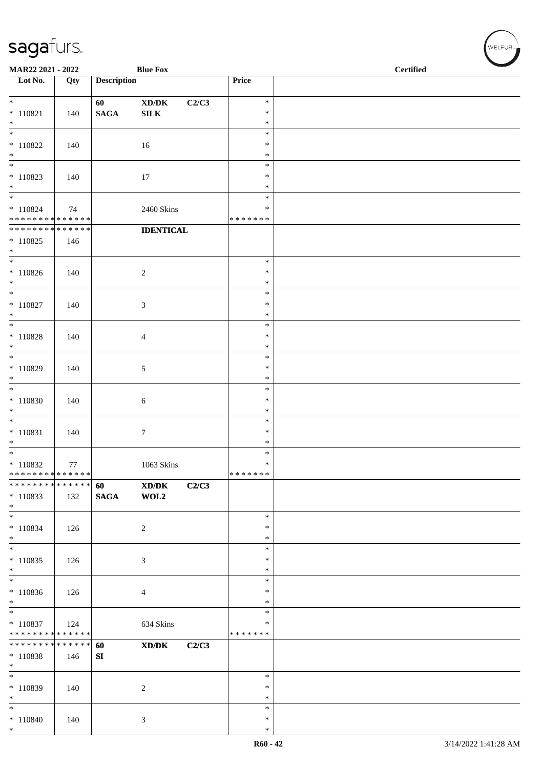| MAR22 2021 - 2022                                          |                    |                    | <b>Blue Fox</b>                                 |                  | <b>Certified</b> |  |  |  |
|------------------------------------------------------------|--------------------|--------------------|-------------------------------------------------|------------------|------------------|--|--|--|
| $\overline{\phantom{1}}$ Lot No.                           | Qty                | <b>Description</b> |                                                 | Price            |                  |  |  |  |
| $*$                                                        |                    | 60                 | $\boldsymbol{\mathrm{XD}/\mathrm{DK}}$<br>C2/C3 | $\ast$           |                  |  |  |  |
| $*$ 110821                                                 | 140                | <b>SAGA</b>        | <b>SILK</b>                                     | $\ast$           |                  |  |  |  |
| $*$<br>$\overline{\phantom{0}}$                            |                    |                    |                                                 | $\ast$<br>$\ast$ |                  |  |  |  |
| $* 110822$                                                 | 140                |                    | 16                                              | $\ast$           |                  |  |  |  |
| $*$<br>$\overline{\phantom{0}}$                            |                    |                    |                                                 | $\ast$<br>$\ast$ |                  |  |  |  |
| $* 110823$                                                 | 140                |                    | 17                                              | $\ast$           |                  |  |  |  |
| $*$                                                        |                    |                    |                                                 | $\ast$<br>$\ast$ |                  |  |  |  |
| $* 110824$                                                 | 74                 |                    | 2460 Skins                                      | ∗                |                  |  |  |  |
| * * * * * * * * * * * * * *<br>* * * * * * * * * * * * * * |                    |                    | <b>IDENTICAL</b>                                | * * * * * * *    |                  |  |  |  |
| $*110825$                                                  | 146                |                    |                                                 |                  |                  |  |  |  |
| $*$<br>$\overline{\phantom{0}}$                            |                    |                    |                                                 | $\ast$           |                  |  |  |  |
| $* 110826$                                                 | 140                |                    | $\overline{c}$                                  | $\ast$           |                  |  |  |  |
| $*$<br>$*$                                                 |                    |                    |                                                 | $\ast$<br>$\ast$ |                  |  |  |  |
| $* 110827$                                                 | 140                |                    | 3                                               | $\ast$           |                  |  |  |  |
| $*$<br>$*$                                                 |                    |                    |                                                 | $\ast$<br>$\ast$ |                  |  |  |  |
| $* 110828$                                                 | 140                |                    | 4                                               | $\ast$           |                  |  |  |  |
| $*$                                                        |                    |                    |                                                 | $\ast$<br>$\ast$ |                  |  |  |  |
| $* 110829$                                                 | 140                |                    | 5                                               | $\ast$           |                  |  |  |  |
| $*$<br>$*$                                                 |                    |                    |                                                 | $\ast$<br>$\ast$ |                  |  |  |  |
| $* 110830$                                                 | 140                |                    | 6                                               | $\ast$           |                  |  |  |  |
| $*$                                                        |                    |                    |                                                 | $\ast$           |                  |  |  |  |
| $*$<br>$* 110831$                                          | 140                |                    | $\tau$                                          | $\ast$<br>$\ast$ |                  |  |  |  |
| $*$                                                        |                    |                    |                                                 | $\ast$           |                  |  |  |  |
| $* 110832$                                                 | 77                 |                    | 1063 Skins                                      | $\ast$<br>$\ast$ |                  |  |  |  |
| * * * * * * * * * * * * * *                                |                    |                    |                                                 | *******          |                  |  |  |  |
| * * * * * * *<br>$*110833$                                 | * * * * * *<br>132 | 60<br><b>SAGA</b>  | XD/DK<br>C2/C3<br>$\bf WOL2$                    |                  |                  |  |  |  |
| $*$                                                        |                    |                    |                                                 |                  |                  |  |  |  |
| $*$<br>$* 110834$                                          | 126                |                    | $\overline{c}$                                  | $\ast$<br>$\ast$ |                  |  |  |  |
| $*$                                                        |                    |                    |                                                 | $\ast$           |                  |  |  |  |
| $\ast$<br>$* 110835$                                       | 126                |                    | 3                                               | $\ast$<br>$\ast$ |                  |  |  |  |
| $*$                                                        |                    |                    |                                                 | $\ast$           |                  |  |  |  |
| $\overline{\phantom{0}}$<br>$*110836$                      | 126                |                    | 4                                               | $\ast$<br>$\ast$ |                  |  |  |  |
| $*$                                                        |                    |                    |                                                 | $\ast$           |                  |  |  |  |
| $*$<br>$* 110837$                                          | 124                |                    |                                                 | $\ast$<br>$\ast$ |                  |  |  |  |
| * * * * * * * * * * * * * *                                |                    |                    | 634 Skins                                       | * * * * * * *    |                  |  |  |  |
| * * * * * * * * * * * * * * *                              |                    | 60                 | XD/DK<br>C2/C3                                  |                  |                  |  |  |  |
| $* 110838$<br>$*$                                          | 146                | ${\bf SI}$         |                                                 |                  |                  |  |  |  |
| $\overline{\phantom{0}}$                                   |                    |                    |                                                 | $\ast$           |                  |  |  |  |
| $*110839$<br>$*$                                           | 140                |                    | $\overline{c}$                                  | $\ast$<br>$\ast$ |                  |  |  |  |
| $*$                                                        |                    |                    |                                                 | $\ast$           |                  |  |  |  |
| $* 110840$<br>$*$                                          | 140                |                    | 3                                               | $\ast$<br>$\ast$ |                  |  |  |  |

 $(w$ elfur $_{\approx}$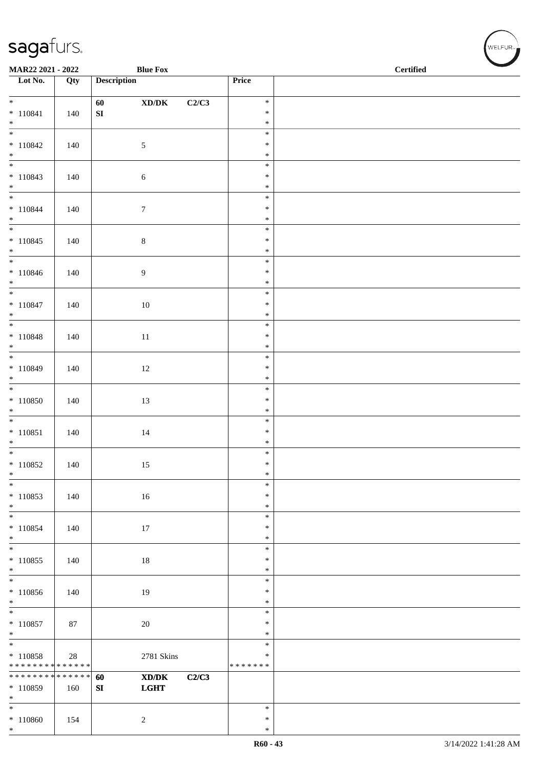| <b>Blue Fox</b><br>MAR22 2021 - 2022             |        |                    |                                                                                                      |       |                  | <b>Certified</b> |
|--------------------------------------------------|--------|--------------------|------------------------------------------------------------------------------------------------------|-------|------------------|------------------|
| Lot No.                                          | Qty    | <b>Description</b> |                                                                                                      |       | Price            |                  |
| $*$                                              |        | 60                 | $\boldsymbol{\text{XD}}\boldsymbol{/}\boldsymbol{\text{DK}}$                                         | C2/C3 | $\ast$           |                  |
| $* 110841$                                       | 140    | ${\bf S}{\bf I}$   |                                                                                                      |       | $\ast$           |                  |
| $*$                                              |        |                    |                                                                                                      |       | $\ast$           |                  |
| $\overline{\phantom{0}}$<br>$* 110842$           | 140    |                    | $\sqrt{5}$                                                                                           |       | $\ast$<br>$\ast$ |                  |
| $*$                                              |        |                    |                                                                                                      |       | $\ast$           |                  |
|                                                  |        |                    |                                                                                                      |       | $\ast$           |                  |
| $* 110843$<br>$*$                                | 140    |                    | $\sqrt{6}$                                                                                           |       | $\ast$<br>$\ast$ |                  |
| $*$                                              |        |                    |                                                                                                      |       | $\ast$           |                  |
| $* 110844$                                       | 140    |                    | $\boldsymbol{7}$                                                                                     |       | $\ast$           |                  |
| $*$                                              |        |                    |                                                                                                      |       | $\ast$           |                  |
| $* 110845$                                       | 140    |                    | $\,8\,$                                                                                              |       | $\ast$<br>$\ast$ |                  |
| $*$                                              |        |                    |                                                                                                      |       | $\ast$           |                  |
| $*$                                              |        |                    |                                                                                                      |       | $\ast$           |                  |
| $* 110846$<br>$*$                                | 140    |                    | $\boldsymbol{9}$                                                                                     |       | $\ast$<br>$\ast$ |                  |
|                                                  |        |                    |                                                                                                      |       | $\ast$           |                  |
| $* 110847$                                       | 140    |                    | $10\,$                                                                                               |       | $\ast$           |                  |
| $*$                                              |        |                    |                                                                                                      |       | $\ast$<br>$\ast$ |                  |
| $* 110848$                                       | 140    |                    | $11\,$                                                                                               |       | $\ast$           |                  |
| $*$                                              |        |                    |                                                                                                      |       | $\ast$           |                  |
| $* 110849$                                       |        |                    |                                                                                                      |       | $\ast$<br>$\ast$ |                  |
| $*$                                              | 140    |                    | 12                                                                                                   |       | $\ast$           |                  |
|                                                  |        |                    |                                                                                                      |       | $\ast$           |                  |
| $* 110850$                                       | 140    |                    | 13                                                                                                   |       | $\ast$           |                  |
| $*$<br>$\overline{\phantom{0}}$                  |        |                    |                                                                                                      |       | $\ast$<br>$\ast$ |                  |
| $* 110851$                                       | 140    |                    | $14\,$                                                                                               |       | $\ast$           |                  |
| $*$                                              |        |                    |                                                                                                      |       | $\ast$           |                  |
| $*$<br>$*110852$                                 | 140    |                    | 15                                                                                                   |       | $\ast$<br>$\ast$ |                  |
| $\ast$                                           |        |                    |                                                                                                      |       | $\ast$           |                  |
| $*$                                              |        |                    |                                                                                                      |       | $\ast$           |                  |
| $* 110853$<br>$*$                                | 140    |                    | 16                                                                                                   |       | $\ast$<br>$\ast$ |                  |
| $*$                                              |        |                    |                                                                                                      |       | $\ast$           |                  |
| $* 110854$                                       | 140    |                    | 17                                                                                                   |       | $\ast$           |                  |
| $*$<br>$\overline{\ast}$                         |        |                    |                                                                                                      |       | $\ast$<br>$\ast$ |                  |
| $* 110855$                                       | 140    |                    | 18                                                                                                   |       | $\ast$           |                  |
| $\ast$<br>$\overline{\phantom{0}}$               |        |                    |                                                                                                      |       | $\ast$           |                  |
| * 110856                                         | 140    |                    | 19                                                                                                   |       | $\ast$<br>$\ast$ |                  |
| $*$                                              |        |                    |                                                                                                      |       | $\ast$           |                  |
| $\overline{\phantom{0}}$                         |        |                    |                                                                                                      |       | $\ast$           |                  |
| $* 110857$<br>$*$                                | 87     |                    | $20\,$                                                                                               |       | $\ast$<br>$\ast$ |                  |
|                                                  |        |                    |                                                                                                      |       | $\ast$           |                  |
| $* 110858$                                       | 28     |                    | 2781 Skins                                                                                           |       | $\ast$           |                  |
| * * * * * * * * * * * * * * *<br>* * * * * * * * | ****** | 60                 | $\boldsymbol{\text{X}}\boldsymbol{\text{D}}\boldsymbol{/}\boldsymbol{\text{D}}\boldsymbol{\text{K}}$ | C2/C3 | * * * * * * *    |                  |
| * 110859                                         | 160    | SI                 | <b>LGHT</b>                                                                                          |       |                  |                  |
| $*$                                              |        |                    |                                                                                                      |       |                  |                  |
| $*$                                              |        |                    |                                                                                                      |       | $\ast$<br>$\ast$ |                  |
| $* 110860$<br>$*$                                | 154    |                    | $\overline{c}$                                                                                       |       | $\ast$           |                  |

WELFUR<sub><sup>N</sup></sub>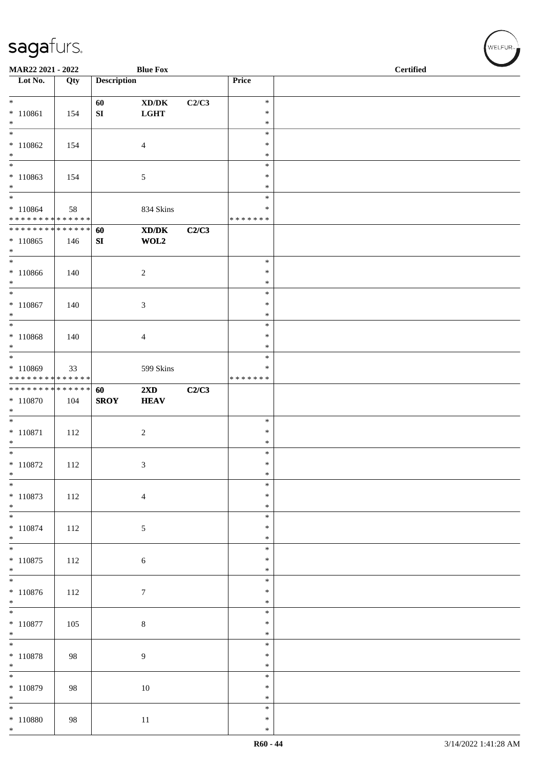| MAR22 2021 - 2022                                                                        |     |                    | <b>Blue Fox</b>                             |       | $\overline{\phantom{0}}$<br><b>Certified</b> |  |  |
|------------------------------------------------------------------------------------------|-----|--------------------|---------------------------------------------|-------|----------------------------------------------|--|--|
| $\overline{\phantom{1}}$ Lot No.                                                         | Qty | <b>Description</b> |                                             |       | Price                                        |  |  |
| $*$                                                                                      |     | 60                 | XD/DK                                       | C2/C3 | $\ast$                                       |  |  |
| $* 110861$                                                                               | 154 | SI                 | <b>LGHT</b>                                 |       | $\ast$                                       |  |  |
| $*$<br>$\overline{\phantom{0}}$                                                          |     |                    |                                             |       | $\ast$<br>$\ast$                             |  |  |
| $*110862$                                                                                | 154 |                    | $\overline{4}$                              |       | $\ast$                                       |  |  |
| $*$<br>$\overline{\phantom{0}}$                                                          |     |                    |                                             |       | $\ast$                                       |  |  |
| $*110863$                                                                                | 154 |                    | 5                                           |       | $\ast$<br>$\ast$                             |  |  |
| $*$                                                                                      |     |                    |                                             |       | $\ast$                                       |  |  |
| $\overline{\phantom{0}}$                                                                 |     |                    |                                             |       | $\ast$                                       |  |  |
| $*110864$<br>* * * * * * * * * * * * * * *                                               | 58  |                    | 834 Skins                                   |       | ∗<br>* * * * * * *                           |  |  |
| * * * * * * * * * * * * * * *                                                            |     | 60                 | $\mathbf{X}\mathbf{D}/\mathbf{D}\mathbf{K}$ | C2/C3 |                                              |  |  |
| $*110865$                                                                                | 146 | SI                 | WOL2                                        |       |                                              |  |  |
| $*$<br>$\overline{\phantom{0}}$                                                          |     |                    |                                             |       | $\ast$                                       |  |  |
| $* 110866$                                                                               | 140 |                    | $\overline{c}$                              |       | $\ast$                                       |  |  |
| $*$                                                                                      |     |                    |                                             |       | $\ast$                                       |  |  |
| $\overline{\ast}$<br>$* 110867$                                                          | 140 |                    | 3                                           |       | $\ast$<br>$\ast$                             |  |  |
| $*$                                                                                      |     |                    |                                             |       | $\ast$                                       |  |  |
| $*$                                                                                      |     |                    |                                             |       | $\ast$                                       |  |  |
| $* 110868$<br>$*$                                                                        | 140 |                    | 4                                           |       | $\ast$<br>$\ast$                             |  |  |
| $\overline{\phantom{0}}$                                                                 |     |                    |                                             |       | $\ast$                                       |  |  |
| $* 110869$                                                                               | 33  |                    | 599 Skins                                   |       | ∗                                            |  |  |
| * * * * * * * * <mark>* * * * * * *</mark><br>* * * * * * * * <mark>* * * * * * *</mark> |     | 60                 | $2\mathbf{X}\mathbf{D}$                     | C2/C3 | * * * * * * *                                |  |  |
| $*$ 110870                                                                               | 104 | <b>SROY</b>        | <b>HEAV</b>                                 |       |                                              |  |  |
| $\ast$                                                                                   |     |                    |                                             |       |                                              |  |  |
| $*$<br>$* 110871$                                                                        | 112 |                    | $\sqrt{2}$                                  |       | $\ast$<br>$\ast$                             |  |  |
| $*$                                                                                      |     |                    |                                             |       | $\ast$                                       |  |  |
|                                                                                          |     |                    |                                             |       | $\ast$                                       |  |  |
| $* 110872$<br>$\ast$                                                                     | 112 |                    | 3                                           |       | $\ast$<br>$\ast$                             |  |  |
| $\overline{\phantom{0}}$                                                                 |     |                    |                                             |       | $\ast$                                       |  |  |
| $* 110873$                                                                               | 112 |                    | $\overline{4}$                              |       | $\ast$                                       |  |  |
| $*$<br>$*$                                                                               |     |                    |                                             |       | $\ast$<br>$\ast$                             |  |  |
| $* 110874$                                                                               | 112 |                    | 5                                           |       | $\ast$                                       |  |  |
| $*$<br>$\overline{\ast}$                                                                 |     |                    |                                             |       | $\ast$                                       |  |  |
| $* 110875$                                                                               | 112 |                    | $\boldsymbol{6}$                            |       | $\ast$<br>$\ast$                             |  |  |
| $*$                                                                                      |     |                    |                                             |       | $\ast$                                       |  |  |
| $\overline{\ }$                                                                          |     |                    |                                             |       | $\ast$                                       |  |  |
| $* 110876$<br>$*$                                                                        | 112 |                    | $\tau$                                      |       | $\ast$<br>$\ast$                             |  |  |
| $\overline{\ }$                                                                          |     |                    |                                             |       | $\ast$                                       |  |  |
| $* 110877$                                                                               | 105 |                    | $\,8\,$                                     |       | $\ast$                                       |  |  |
| $*$<br>$\overline{\phantom{0}}$                                                          |     |                    |                                             |       | $\ast$<br>$\ast$                             |  |  |
| $* 110878$                                                                               | 98  |                    | 9                                           |       | $\ast$                                       |  |  |
| $*$<br>$\overline{\ast}$                                                                 |     |                    |                                             |       | $\ast$                                       |  |  |
| $*110879$                                                                                | 98  |                    | $10\,$                                      |       | $\ast$<br>$\ast$                             |  |  |
| $*$                                                                                      |     |                    |                                             |       | $\ast$                                       |  |  |
| $*$                                                                                      |     |                    |                                             |       | $\ast$<br>$\ast$                             |  |  |
| $* 110880$<br>$*$                                                                        | 98  |                    | $11\,$                                      |       | $\ast$                                       |  |  |

WELFUR<sub><sup>N</sub></sub></sub></sup>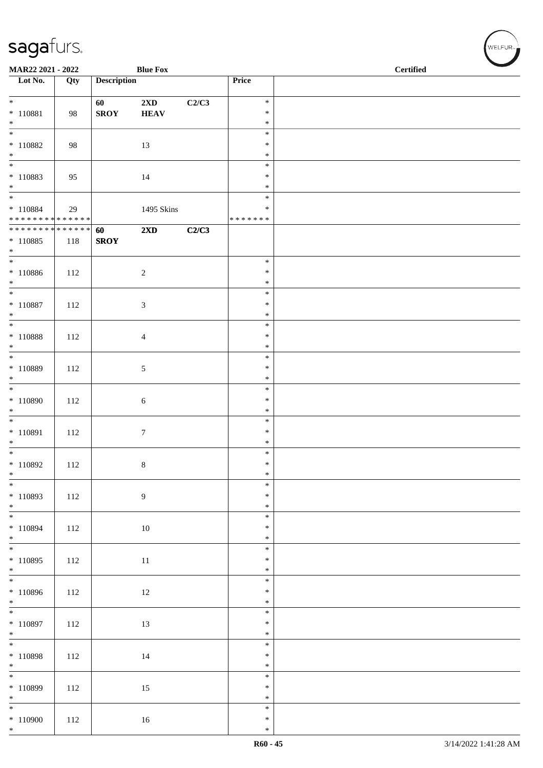| MAR22 2021 - 2022                     |     |                    | <b>Blue Fox</b>         |       | $\overline{\phantom{0}}$<br><b>Certified</b> |  |  |
|---------------------------------------|-----|--------------------|-------------------------|-------|----------------------------------------------|--|--|
| $\overline{\phantom{a}}$ Lot No.      | Qty | <b>Description</b> |                         |       | Price                                        |  |  |
| $\overline{\ast}$                     |     | 60                 | $2\mathbf{X}\mathbf{D}$ | C2/C3 | $\ast$                                       |  |  |
| $* 110881$                            | 98  | <b>SROY</b>        | <b>HEAV</b>             |       | $\ast$                                       |  |  |
| $*$<br>$\overline{\phantom{0}}$       |     |                    |                         |       | $\ast$<br>$\ast$                             |  |  |
| $* 110882$                            | 98  |                    | 13                      |       | $\ast$                                       |  |  |
| $*$<br>$\overline{\phantom{0}}$       |     |                    |                         |       | $\ast$<br>$\ast$                             |  |  |
| $* 110883$                            | 95  |                    | 14                      |       | $\ast$                                       |  |  |
| $*$                                   |     |                    |                         |       | $\ast$                                       |  |  |
| $*$ 110884                            | 29  |                    | 1495 Skins              |       | $\ast$<br>∗                                  |  |  |
| ******** <mark>******</mark>          |     |                    |                         |       | * * * * * * *                                |  |  |
| **************<br>$*110885$           | 118 | 60<br><b>SROY</b>  | 2XD                     | C2/C3 |                                              |  |  |
| $*$                                   |     |                    |                         |       |                                              |  |  |
|                                       |     |                    |                         |       | $\ast$                                       |  |  |
| $* 110886$<br>$*$                     | 112 |                    | $\sqrt{2}$              |       | $\ast$<br>$\ast$                             |  |  |
| $\overline{\ast}$                     |     |                    |                         |       | $\ast$                                       |  |  |
| $* 110887$<br>$*$                     | 112 |                    | 3                       |       | $\ast$<br>$\ast$                             |  |  |
| $*$                                   |     |                    |                         |       | $\ast$                                       |  |  |
| $*$ 110888                            | 112 |                    | 4                       |       | $\ast$                                       |  |  |
| $*$<br>$\overline{\phantom{0}}$       |     |                    |                         |       | $\ast$<br>$\ast$                             |  |  |
| $* 110889$                            | 112 |                    | 5                       |       | $\ast$                                       |  |  |
| $*$<br>$\overline{\phantom{0}}$       |     |                    |                         |       | $\ast$<br>$\ast$                             |  |  |
| $* 110890$                            | 112 |                    | 6                       |       | $\ast$                                       |  |  |
| $\ast$                                |     |                    |                         |       | $\ast$                                       |  |  |
| $*$<br>$* 110891$                     | 112 |                    | $\boldsymbol{7}$        |       | $\ast$<br>$\ast$                             |  |  |
| $*$                                   |     |                    |                         |       | $\ast$                                       |  |  |
| $* 110892$                            | 112 |                    | 8                       |       | $\ast$<br>$\ast$                             |  |  |
| $\ast$                                |     |                    |                         |       | $\ast$                                       |  |  |
| $\overline{\ast}$                     |     |                    |                         |       | $\ast$<br>$\ast$                             |  |  |
| $* 110893$<br>$*$                     | 112 |                    | $\boldsymbol{9}$        |       | $\ast$                                       |  |  |
| $\overline{\phantom{0}}$              |     |                    |                         |       | $\ast$                                       |  |  |
| $* 110894$<br>$*$                     | 112 |                    | $10\,$                  |       | $\ast$<br>$\ast$                             |  |  |
|                                       |     |                    |                         |       | $\ast$                                       |  |  |
| $* 110895$<br>$*$                     | 112 |                    | 11                      |       | $\ast$<br>$\ast$                             |  |  |
| $\overline{\phantom{0}}$              |     |                    |                         |       | $\ast$                                       |  |  |
| $* 110896$                            | 112 |                    | 12                      |       | $\ast$                                       |  |  |
| $*$                                   |     |                    |                         |       | $\ast$<br>$\ast$                             |  |  |
| $* 110897$                            | 112 |                    | 13                      |       | $\ast$                                       |  |  |
| $*$                                   |     |                    |                         |       | $\ast$<br>$\ast$                             |  |  |
| $* 110898$                            | 112 |                    | 14                      |       | $\ast$                                       |  |  |
| $*$<br>$\overline{\phantom{0}}$       |     |                    |                         |       | $\ast$<br>$\ast$                             |  |  |
| $* 110899$                            | 112 |                    | 15                      |       | $\ast$                                       |  |  |
| $*$                                   |     |                    |                         |       | $\ast$                                       |  |  |
| $\overline{\phantom{0}}$<br>$*110900$ | 112 |                    | 16                      |       | $\ast$<br>$\ast$                             |  |  |
| $*$                                   |     |                    |                         |       | $\ast$                                       |  |  |

WELFUR<sub><sup>N</sub></sub></sub></sup>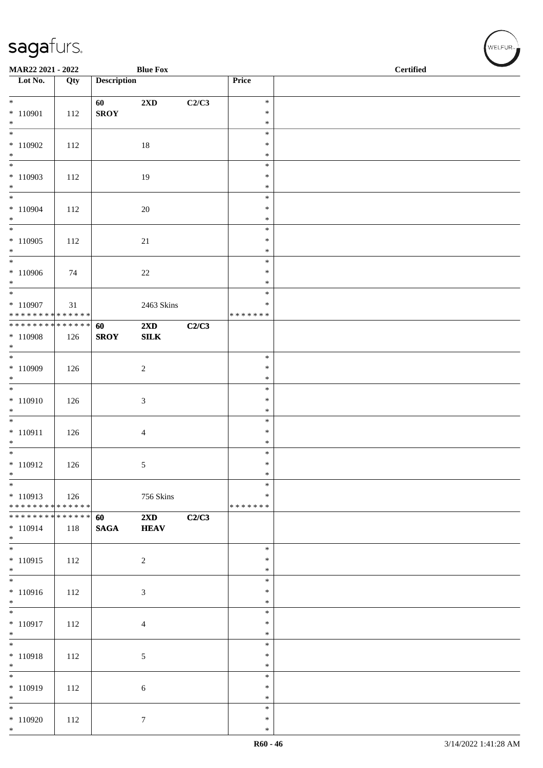| MAR22 2021 - 2022                                                        |     |                    | <b>Blue Fox</b>                         |       |                             | $\operatorname{\bf \mathbf{Certified}}$ |  |
|--------------------------------------------------------------------------|-----|--------------------|-----------------------------------------|-------|-----------------------------|-----------------------------------------|--|
| Lot No.                                                                  | Qty | <b>Description</b> |                                         |       | Price                       |                                         |  |
| $*$                                                                      |     | 60                 | $2\mathbf{X}\mathbf{D}$                 | C2/C3 | $\ast$                      |                                         |  |
| $* 110901$<br>$*$                                                        | 112 | <b>SROY</b>        |                                         |       | $\ast$<br>$\ast$            |                                         |  |
| $\frac{1}{1}$<br>$*110902$                                               | 112 |                    | 18                                      |       | $\ast$<br>$\ast$            |                                         |  |
| $*$                                                                      |     |                    |                                         |       | $\ast$                      |                                         |  |
| $*110903$<br>$*$                                                         | 112 |                    | 19                                      |       | $\ast$<br>$\ast$<br>$\ast$  |                                         |  |
| $*$<br>$* 110904$<br>$*$                                                 | 112 |                    | 20                                      |       | $\ast$<br>$\ast$<br>$\ast$  |                                         |  |
|                                                                          |     |                    |                                         |       | $\ast$                      |                                         |  |
| $*110905$<br>$*$                                                         | 112 |                    | 21                                      |       | $\ast$<br>$\ast$            |                                         |  |
| $*110906$<br>$*$                                                         | 74  |                    | 22                                      |       | $\ast$<br>$\ast$<br>$\ast$  |                                         |  |
| $*$                                                                      |     |                    |                                         |       | $\ast$                      |                                         |  |
| $*110907$<br>* * * * * * * * <mark>* * * * * * *</mark>                  | 31  |                    | 2463 Skins                              |       | $\ast$<br>*******           |                                         |  |
| $*110908$<br>$*$                                                         | 126 | 60<br><b>SROY</b>  | $2\mathbf{X}\mathbf{D}$<br>${\bf SILK}$ | C2/C3 |                             |                                         |  |
| $\overline{\mathbf{r}^*}$<br>$*110909$<br>$*$                            | 126 |                    | 2                                       |       | $\ast$<br>$\ast$<br>$\ast$  |                                         |  |
| $\overline{\ast}$<br>$* 110910$<br>$*$                                   | 126 |                    | $\mathfrak{Z}$                          |       | $\ast$<br>$\ast$<br>$\ast$  |                                         |  |
| $* 110911$<br>$*$                                                        | 126 |                    | $\overline{4}$                          |       | $\ast$<br>$\ast$<br>$\ast$  |                                         |  |
| $* 110912$<br>$\ast$                                                     | 126 |                    | 5                                       |       | $\ast$<br>$\ast$<br>$\ast$  |                                         |  |
| $\frac{1}{1}$<br>$*110913$<br>* * * * * * * * <mark>* * * * * * *</mark> | 126 |                    | 756 Skins                               |       | $\ast$<br>$\ast$<br>******* |                                         |  |
| ******** <mark>******</mark><br>$* 110914$<br>$*$                        | 118 | 60<br><b>SAGA</b>  | $2\mathbf{X}\mathbf{D}$<br><b>HEAV</b>  | C2/C3 |                             |                                         |  |
| $\overline{\ast}$<br>$* 110915$<br>$*$                                   | 112 |                    | 2                                       |       | $\ast$<br>$\ast$<br>$\ast$  |                                         |  |
| $\overline{\ast}$<br>$* 110916$<br>$*$                                   | 112 |                    | $\mathfrak{Z}$                          |       | $\ast$<br>$\ast$<br>$\ast$  |                                         |  |
| $\overline{\phantom{0}}$<br>$*110917$<br>$*$                             | 112 |                    | $\overline{4}$                          |       | $\ast$<br>$\ast$<br>$\ast$  |                                         |  |
| $* 110918$<br>$*$                                                        | 112 |                    | 5                                       |       | $\ast$<br>$\ast$<br>$\ast$  |                                         |  |
| $* 110919$<br>$*$                                                        | 112 |                    | 6                                       |       | $\ast$<br>$\ast$<br>$\ast$  |                                         |  |
| $*$<br>$*110920$<br>$*$                                                  | 112 |                    | $7\phantom{.0}$                         |       | $\ast$<br>$\ast$<br>$\ast$  |                                         |  |

WELFUR<sub><sup>N</sup></sub>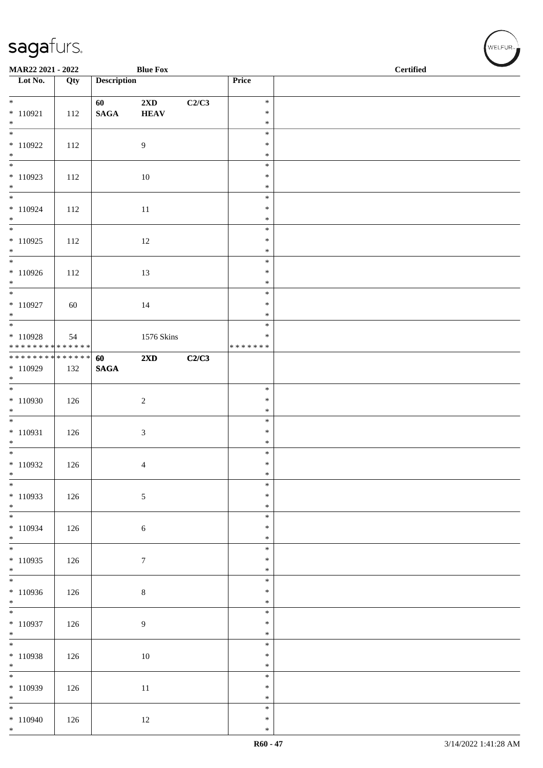| MAR22 2021 - 2022                                                   |     |                       | <b>Blue Fox</b>                        |       |                                      | <b>Certified</b> | $\overline{\phantom{0}}$ |
|---------------------------------------------------------------------|-----|-----------------------|----------------------------------------|-------|--------------------------------------|------------------|--------------------------|
| $\overline{\phantom{1}}$ Lot No.                                    | Qty | <b>Description</b>    |                                        |       | Price                                |                  |                          |
|                                                                     |     |                       |                                        |       |                                      |                  |                          |
| $*$<br>$* 110921$<br>$*$                                            | 112 | 60<br>$\mathbf{SAGA}$ | $2\mathbf{X}\mathbf{D}$<br><b>HEAV</b> | C2/C3 | $\ast$<br>$\ast$<br>$\ast$           |                  |                          |
| $\overline{\phantom{0}}$<br>$*110922$<br>$*$                        | 112 |                       | 9                                      |       | $\ast$<br>$\ast$<br>$\ast$           |                  |                          |
| $\overline{\phantom{0}}$<br>$*110923$<br>$\ast$                     | 112 |                       | 10                                     |       | $\ast$<br>$\ast$                     |                  |                          |
| $* 110924$<br>$*$                                                   | 112 |                       | 11                                     |       | $\ast$<br>$\ast$<br>$\ast$<br>$\ast$ |                  |                          |
| $*110925$<br>$*$                                                    | 112 |                       | 12                                     |       | $\ast$<br>$\ast$<br>$\ast$           |                  |                          |
| $*$<br>$*110926$<br>$*$                                             | 112 |                       | 13                                     |       | $\ast$<br>$\ast$<br>$\ast$           |                  |                          |
| $* 110927$                                                          | 60  |                       | 14                                     |       | $\ast$<br>$\ast$<br>$\ast$           |                  |                          |
| $*$ $*$<br>$* 110928$<br>* * * * * * * * <mark>* * * * * *</mark> * | 54  |                       | 1576 Skins                             |       | $\ast$<br>$\ast$<br>* * * * * * *    |                  |                          |
| ******** <mark>******</mark><br>$*110929$<br>$*$                    | 132 | 60<br><b>SAGA</b>     | 2XD                                    | C2/C3 |                                      |                  |                          |
| $*110930$<br>$*$                                                    | 126 |                       | $\sqrt{2}$                             |       | $\ast$<br>$\ast$<br>$\ast$           |                  |                          |
| $* 110931$<br>$*$                                                   | 126 |                       | $\sqrt{3}$                             |       | $\ast$<br>$\ast$<br>$\ast$           |                  |                          |
| $*$<br>$*110932$<br>$\ast$                                          | 126 |                       | 4                                      |       | $\ast$<br>$\ast$<br>$\ast$           |                  |                          |
| $*$<br>$*110933$<br>$*$                                             | 126 |                       | $\sqrt{5}$                             |       | $\ast$<br>$\ast$<br>$\ast$           |                  |                          |
| $*$<br>$*110934$<br>$*$                                             | 126 |                       | 6                                      |       | $\ast$<br>$\ast$<br>$\ast$           |                  |                          |
| $*$<br>* 110935<br>$*$                                              | 126 |                       | $\boldsymbol{7}$                       |       | $\ast$<br>$\ast$<br>$\ast$           |                  |                          |
| $*110936$<br>$*$                                                    | 126 |                       | $\,8\,$                                |       | $\ast$<br>$\ast$<br>$\ast$           |                  |                          |
| $\overline{\phantom{0}}$<br>$*110937$<br>$*$                        | 126 |                       | 9                                      |       | $\ast$<br>$\ast$<br>$\ast$           |                  |                          |
| $*$<br>$*110938$<br>$*$                                             | 126 |                       | 10                                     |       | $\ast$<br>$\ast$<br>$\ast$           |                  |                          |
| $*110939$<br>$*$                                                    | 126 |                       | $11\,$                                 |       | $\ast$<br>$\ast$<br>$\ast$           |                  |                          |
| $\overline{\phantom{0}}$<br>$*110940$<br>$*$                        | 126 |                       | 12                                     |       | $\ast$<br>$\ast$<br>$\ast$           |                  |                          |

√<br>WELFUR<sub>™</sub>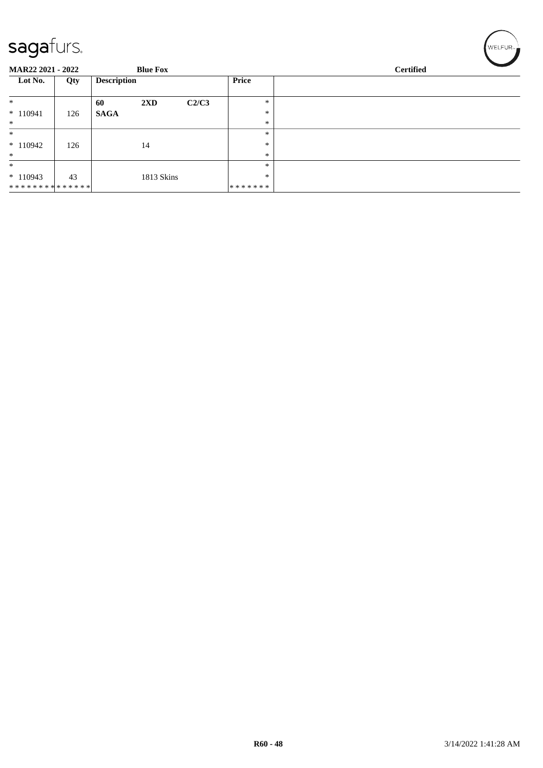| ت                                           |     |                    |                         |                  |               |  |  |
|---------------------------------------------|-----|--------------------|-------------------------|------------------|---------------|--|--|
| <b>MAR22 2021 - 2022</b><br><b>Blue Fox</b> |     |                    |                         | <b>Certified</b> |               |  |  |
| Lot No.                                     | Qty | <b>Description</b> |                         |                  | <b>Price</b>  |  |  |
| $\ast$                                      |     | 60                 | $2\mathbf{X}\mathbf{D}$ | C2/C3            | $\ast$        |  |  |
| $*110941$                                   | 126 | <b>SAGA</b>        |                         |                  | $\ast$        |  |  |
| $*$                                         |     |                    |                         |                  | $\ast$        |  |  |
| $\ast$                                      |     |                    |                         |                  | $\ast$        |  |  |
| $*110942$                                   | 126 |                    | 14                      |                  | $\ast$        |  |  |
| $\ast$                                      |     |                    |                         |                  | $\ast$        |  |  |
| $\ast$                                      |     |                    |                         |                  | $\ast$        |  |  |
| $*110943$                                   | 43  |                    | 1813 Skins              |                  | $\ast$        |  |  |
| **************                              |     |                    |                         |                  | * * * * * * * |  |  |

 $w$ ELFUR<sub>m</sub>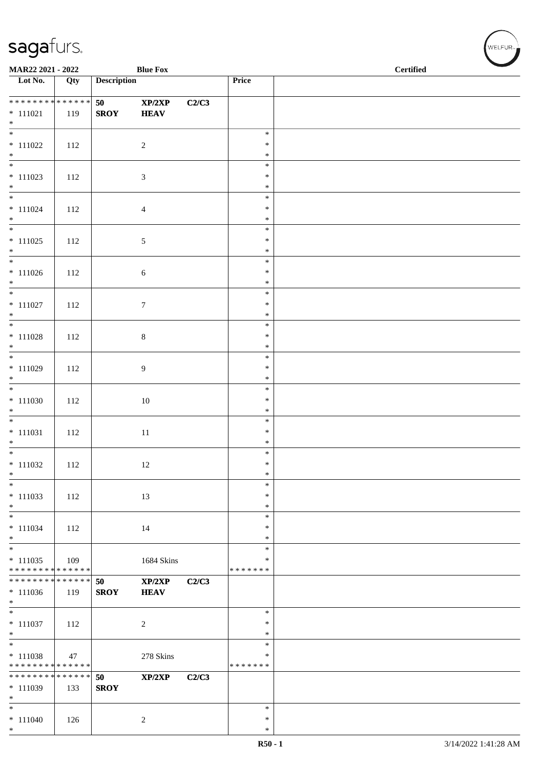| <b>Blue Fox</b><br>MAR22 2021 - 2022                                    |     |                    |                       |       |                                   | <b>Certified</b> |  |
|-------------------------------------------------------------------------|-----|--------------------|-----------------------|-------|-----------------------------------|------------------|--|
| $\overline{\phantom{1}}$ Lot No.                                        | Qty | <b>Description</b> |                       |       | Price                             |                  |  |
| * * * * * * * * * * * * * *<br>$* 111021$<br>$*$                        | 119 | 50<br><b>SROY</b>  | XP/2XP<br><b>HEAV</b> | C2/C3 |                                   |                  |  |
| $\overline{\phantom{0}}$<br>$* 111022$<br>$*$                           | 112 |                    | $\overline{2}$        |       | $\ast$<br>$\ast$<br>$\ast$        |                  |  |
| $* 111023$<br>$*$                                                       | 112 |                    | $\mathfrak{Z}$        |       | $\ast$<br>$\ast$<br>$\ast$        |                  |  |
| $\overline{\phantom{0}}$<br>$* 111024$<br>$*$                           | 112 |                    | $\overline{4}$        |       | $\ast$<br>$\ast$<br>$\ast$        |                  |  |
| $* 111025$<br>$*$                                                       | 112 |                    | $\mathfrak{S}$        |       | $\ast$<br>$\ast$<br>$\ast$        |                  |  |
| $*$<br>$* 111026$<br>$*$                                                | 112 |                    | $\sqrt{6}$            |       | $\ast$<br>$\ast$<br>$\ast$        |                  |  |
| $*$<br>$* 111027$<br>$*$                                                | 112 |                    | $\boldsymbol{7}$      |       | $\ast$<br>$\ast$<br>$\ast$        |                  |  |
| $\overline{\phantom{0}}$<br>$* 111028$<br>$*$                           | 112 |                    | $\,8\,$               |       | $\ast$<br>$\ast$<br>$\ast$        |                  |  |
| $* 111029$<br>$*$                                                       | 112 |                    | 9                     |       | $\ast$<br>$\ast$<br>$\ast$        |                  |  |
| $* 111030$<br>$*$                                                       | 112 |                    | $10\,$                |       | $\ast$<br>$\ast$<br>$\ast$        |                  |  |
| $\overline{\phantom{0}}$<br>$* 111031$<br>$*$                           | 112 |                    | $11\,$                |       | $\ast$<br>$\ast$<br>$\ast$        |                  |  |
| $*$<br>$* 111032$<br>$\ast$                                             | 112 |                    | 12                    |       | $\ast$<br>$\ast$<br>$\ast$        |                  |  |
| $\ast$<br>$* 111033$<br>$\ast$                                          | 112 |                    | 13                    |       | $\ast$<br>$\ast$<br>$\ast$        |                  |  |
| $\overline{\phantom{a}^*}$<br>$* 111034$<br>$\ast$                      | 112 |                    | 14                    |       | $\ast$<br>∗<br>$\ast$             |                  |  |
| $\overline{\phantom{0}}$<br>$* 111035$<br>* * * * * * * * * * * * * *   | 109 |                    | 1684 Skins            |       | $\ast$<br>∗<br>* * * * * * *      |                  |  |
| * * * * * * * * * * * * * *<br>$*111036$<br>$\ast$                      | 119 | 50<br><b>SROY</b>  | XP/2XP<br><b>HEAV</b> | C2/C3 |                                   |                  |  |
| $\overline{\phantom{0}}$<br>$* 111037$<br>$\ast$                        | 112 |                    | $\overline{c}$        |       | $\ast$<br>∗<br>$\ast$             |                  |  |
| $\overline{\phantom{a}^*}$<br>$* 111038$<br>* * * * * * * * * * * * * * | 47  |                    | 278 Skins             |       | $\ast$<br>$\ast$<br>* * * * * * * |                  |  |
| * * * * * * * * * * * * * *<br>$* 111039$<br>$\ast$                     | 133 | 50<br><b>SROY</b>  | XP/2XP                | C2/C3 |                                   |                  |  |
| $\ast$<br>$* 111040$<br>$*$                                             | 126 |                    | $\overline{c}$        |       | $\ast$<br>∗<br>$\ast$             |                  |  |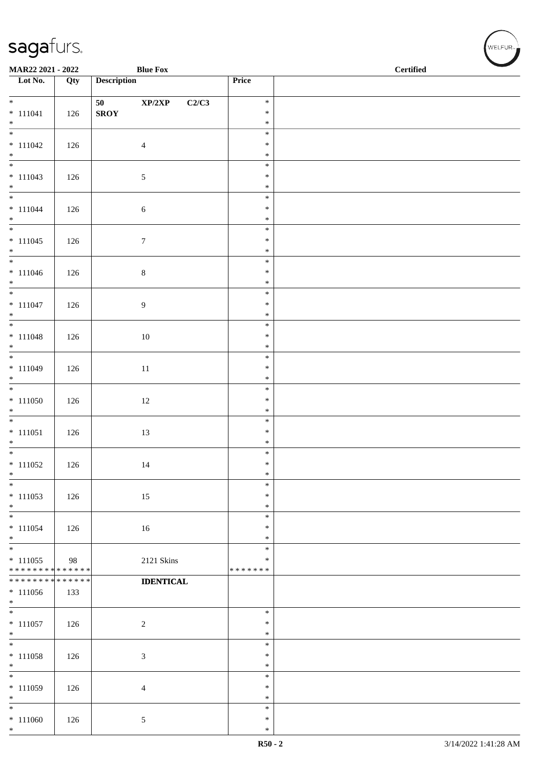| MAR22 2021 - 2022                          |     |                    | <b>Blue Fox</b>                     |                  | $\operatorname{\bf \mathbf{Certified}}$ |
|--------------------------------------------|-----|--------------------|-------------------------------------|------------------|-----------------------------------------|
| $\overline{\phantom{a}}$ Lot No.           | Qty | <b>Description</b> |                                     | Price            |                                         |
| $*$                                        |     |                    |                                     | $\ast$           |                                         |
| $* 111041$                                 | 126 | 50<br>${\bf SROY}$ | $\mathbf{XP}/2\mathbf{XP}$<br>C2/C3 | $\ast$           |                                         |
| $*$                                        |     |                    |                                     | $\ast$           |                                         |
|                                            |     |                    |                                     | $\ast$           |                                         |
| $* 111042$                                 | 126 |                    | $\overline{4}$                      | $\ast$           |                                         |
| $*$                                        |     |                    |                                     | $\ast$<br>$\ast$ |                                         |
| $* 111043$                                 | 126 |                    | $\mathfrak{S}$                      | $\ast$           |                                         |
| $*$                                        |     |                    |                                     | $\ast$           |                                         |
| $*$                                        |     |                    |                                     | $\ast$           |                                         |
| $* 111044$<br>$*$                          | 126 |                    | $\sqrt{6}$                          | $\ast$<br>$\ast$ |                                         |
|                                            |     |                    |                                     | $\ast$           |                                         |
| $* 111045$                                 | 126 |                    | $\boldsymbol{7}$                    | $\ast$           |                                         |
| $*$                                        |     |                    |                                     | $\ast$           |                                         |
|                                            |     |                    |                                     | $\ast$<br>$\ast$ |                                         |
| $* 111046$<br>$*$                          | 126 |                    | $8\,$                               | $\ast$           |                                         |
| $\overline{\phantom{0}}$                   |     |                    |                                     | $\ast$           |                                         |
| $* 111047$                                 | 126 |                    | $\overline{9}$                      | $\ast$           |                                         |
| $*$                                        |     |                    |                                     | $\ast$           |                                         |
| $* 111048$                                 | 126 |                    | 10                                  | $\ast$<br>$\ast$ |                                         |
| $*$                                        |     |                    |                                     | $\ast$           |                                         |
|                                            |     |                    |                                     | $\ast$           |                                         |
| $* 111049$                                 | 126 |                    | $11\,$                              | $\ast$           |                                         |
| $\ast$                                     |     |                    |                                     | $\ast$<br>$\ast$ |                                         |
| $* 111050$                                 | 126 |                    | $12\,$                              | $\ast$           |                                         |
| $*$                                        |     |                    |                                     | $\ast$           |                                         |
|                                            |     |                    |                                     | $\ast$           |                                         |
| $* 111051$                                 | 126 |                    | 13                                  | $\ast$           |                                         |
| $*$                                        |     |                    |                                     | $\ast$<br>$\ast$ |                                         |
| $* 111052$                                 | 126 |                    | 14                                  | $\ast$           |                                         |
| $\ast$                                     |     |                    |                                     | $\ast$           |                                         |
| $\ast$                                     |     |                    |                                     | $\ast$           |                                         |
| $* 111053$<br>$\ast$                       | 126 |                    | 15                                  | $\ast$<br>$\ast$ |                                         |
| $*$                                        |     |                    |                                     | $\ast$           |                                         |
| $* 111054$                                 | 126 |                    | 16                                  | $\ast$           |                                         |
| $*$<br>$\overline{\phantom{0}}$            |     |                    |                                     | $\ast$           |                                         |
| $* 111055$                                 | 98  |                    |                                     | $\ast$<br>$\ast$ |                                         |
| * * * * * * * * <mark>* * * * * * *</mark> |     |                    | 2121 Skins                          | * * * * * * *    |                                         |
| * * * * * * * * * * * * * *                |     |                    | <b>IDENTICAL</b>                    |                  |                                         |
| $*111056$                                  | 133 |                    |                                     |                  |                                         |
| $*$                                        |     |                    |                                     | $\ast$           |                                         |
| $* 111057$                                 | 126 |                    | $\sqrt{2}$                          | $\ast$           |                                         |
| $*$                                        |     |                    |                                     | $\ast$           |                                         |
| $\overline{\phantom{0}}$                   |     |                    |                                     | $\ast$           |                                         |
| $* 111058$                                 | 126 |                    | $\mathfrak{Z}$                      | $\ast$<br>$\ast$ |                                         |
| $*$<br>$*$                                 |     |                    |                                     | $\ast$           |                                         |
| $* 111059$                                 | 126 |                    | $\overline{4}$                      | $\ast$           |                                         |
| $*$                                        |     |                    |                                     | $\ast$           |                                         |
| $*$                                        |     |                    |                                     | $\ast$           |                                         |
| $* 111060$<br>$*$                          | 126 |                    | 5                                   | $\ast$<br>$\ast$ |                                         |
|                                            |     |                    |                                     |                  |                                         |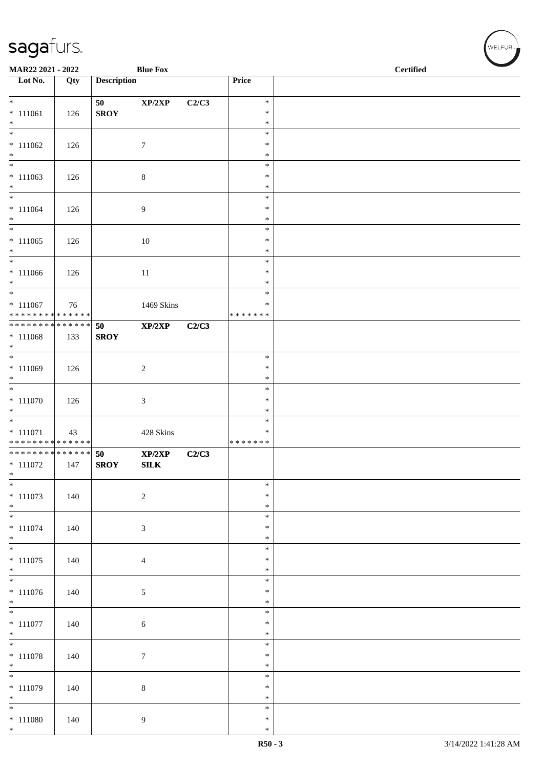| MAR22 2021 - 2022                                        |     |                    | <b>Blue Fox</b>  |       |                         | <b>Certified</b> |
|----------------------------------------------------------|-----|--------------------|------------------|-------|-------------------------|------------------|
| Lot No.                                                  | Qty | <b>Description</b> |                  |       | Price                   |                  |
| $*$                                                      |     | 50                 | XP/2XP           | C2/C3 | $\ast$                  |                  |
| $* 111061$<br>$*$                                        | 126 | <b>SROY</b>        |                  |       | $\ast$<br>$\ast$        |                  |
|                                                          |     |                    |                  |       | $\ast$                  |                  |
| $* 111062$                                               | 126 |                    | $\tau$           |       | $\ast$                  |                  |
| $\ast$                                                   |     |                    |                  |       | $\ast$<br>$\ast$        |                  |
| $* 111063$                                               | 126 |                    | $\,8\,$          |       | $\ast$                  |                  |
| $*$<br>$*$                                               |     |                    |                  |       | $\ast$<br>$\ast$        |                  |
| $* 111064$                                               | 126 |                    | $\overline{9}$   |       | $\ast$                  |                  |
| $*$<br>$\overline{\phantom{0}}$                          |     |                    |                  |       | $\ast$<br>$\ast$        |                  |
| $* 111065$                                               | 126 |                    | 10               |       | $\ast$                  |                  |
| $*$<br>$*$                                               |     |                    |                  |       | $\ast$<br>$\ast$        |                  |
| $* 111066$                                               | 126 |                    | 11               |       | $\ast$                  |                  |
| $*$                                                      |     |                    |                  |       | $\ast$                  |                  |
| $* 111067$                                               | 76  |                    | 1469 Skins       |       | $\ast$<br>$\ast$        |                  |
| * * * * * * * * <mark>* * * * * *</mark> *               |     |                    |                  |       | * * * * * * *           |                  |
| ******** <mark>******</mark><br>$* 111068$               | 133 | 50<br><b>SROY</b>  | XP/2XP           | C2/C3 |                         |                  |
| $*$                                                      |     |                    |                  |       |                         |                  |
| $* 111069$                                               |     |                    |                  |       | $\ast$<br>$\ast$        |                  |
| $*$                                                      | 126 |                    | $\overline{2}$   |       | $\ast$                  |                  |
|                                                          |     |                    |                  |       | $\ast$                  |                  |
| $* 111070$<br>$*$                                        | 126 |                    | $\mathfrak{Z}$   |       | $\ast$<br>$\ast$        |                  |
|                                                          |     |                    |                  |       | $\ast$                  |                  |
| $* 111071$<br>* * * * * * * * <mark>* * * * * * *</mark> | 43  |                    | 428 Skins        |       | $\ast$<br>* * * * * * * |                  |
| * * * * * * * * * * * * * * *                            |     | 50                 | XP/2XP           | C2/C3 |                         |                  |
| $*$ 111072<br>$\ast$                                     | 147 | <b>SROY</b>        | ${\bf SILK}$     |       |                         |                  |
| $*$                                                      |     |                    |                  |       | $\ast$                  |                  |
| $* 111073$<br>$*$                                        | 140 |                    | $\sqrt{2}$       |       | $\ast$<br>$\ast$        |                  |
| $\ast$                                                   |     |                    |                  |       | $\ast$                  |                  |
| $* 111074$                                               | 140 |                    | $\mathfrak{Z}$   |       | $\ast$                  |                  |
| $\ast$<br>$\overline{\phantom{0}}$                       |     |                    |                  |       | $\ast$<br>$\ast$        |                  |
| $* 111075$                                               | 140 |                    | $\overline{4}$   |       | $\ast$                  |                  |
| $*$<br>$\overline{\phantom{0}}$                          |     |                    |                  |       | $\ast$<br>$\ast$        |                  |
| $* 111076$                                               | 140 |                    | $\sqrt{5}$       |       | $\ast$                  |                  |
| $*$<br>$\overline{\phantom{0}}$                          |     |                    |                  |       | $\ast$<br>$\ast$        |                  |
| $* 111077$                                               | 140 |                    | 6                |       | $\ast$                  |                  |
| $*$<br>$*$                                               |     |                    |                  |       | $\ast$<br>$\ast$        |                  |
| $* 111078$                                               | 140 |                    | $\boldsymbol{7}$ |       | $\ast$                  |                  |
| $*$                                                      |     |                    |                  |       | $\ast$                  |                  |
| $\overline{\phantom{0}}$<br>$* 111079$                   | 140 |                    | $8\,$            |       | $\ast$<br>$\ast$        |                  |
| $*$                                                      |     |                    |                  |       | $\ast$                  |                  |
| $\ast$<br>$* 111080$                                     |     |                    |                  |       | $\ast$<br>$\ast$        |                  |
| $*$                                                      | 140 |                    | 9                |       | $\ast$                  |                  |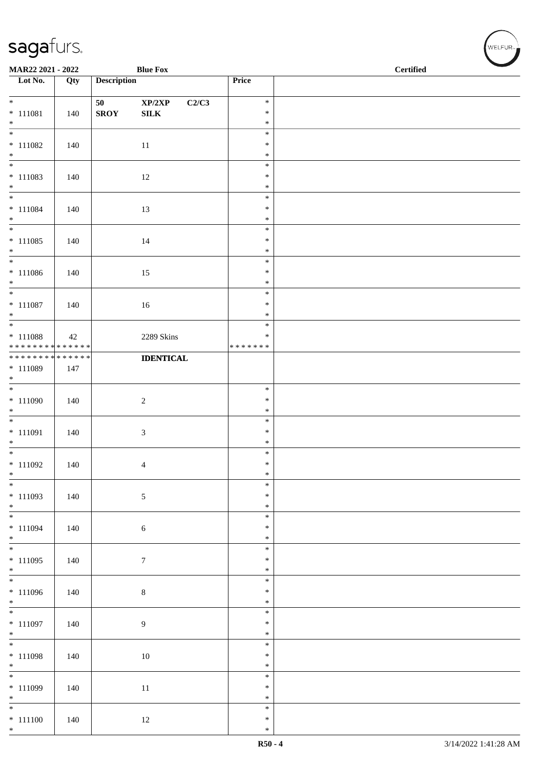| MAR22 2021 - 2022                                                                        |     |                    | <b>Blue Fox</b>                     |                  | <b>Certified</b> |
|------------------------------------------------------------------------------------------|-----|--------------------|-------------------------------------|------------------|------------------|
| Lot No.                                                                                  | Qty | <b>Description</b> |                                     | Price            |                  |
| $*$                                                                                      |     | 50                 | $\mathbf{XP}/2\mathbf{XP}$<br>C2/C3 | $\ast$           |                  |
| $* 111081$                                                                               | 140 | <b>SROY</b>        | ${\bf SILK}$                        | $\ast$           |                  |
| $*$<br>$\overline{\phantom{0}}$                                                          |     |                    |                                     | $\ast$<br>$\ast$ |                  |
| $* 111082$                                                                               | 140 |                    | 11                                  | $\ast$           |                  |
| $\ast$                                                                                   |     |                    |                                     | $\ast$<br>$\ast$ |                  |
| $* 111083$                                                                               | 140 |                    | 12                                  | $\ast$           |                  |
| $*$                                                                                      |     |                    |                                     | $\ast$           |                  |
| $*$<br>$* 111084$                                                                        | 140 |                    | 13                                  | $\ast$<br>$\ast$ |                  |
| $*$                                                                                      |     |                    |                                     | $\ast$           |                  |
| $\overline{\phantom{0}}$                                                                 |     |                    |                                     | $\ast$           |                  |
| $* 111085$<br>$*$                                                                        | 140 |                    | 14                                  | $\ast$<br>$\ast$ |                  |
| $*$                                                                                      |     |                    |                                     | $\ast$           |                  |
| $* 111086$<br>$*$                                                                        | 140 |                    | 15                                  | $\ast$<br>$\ast$ |                  |
| $*$                                                                                      |     |                    |                                     | $\ast$           |                  |
| $* 111087$                                                                               | 140 |                    | 16                                  | $\ast$           |                  |
| $*$                                                                                      |     |                    |                                     | $\ast$<br>$\ast$ |                  |
| * 111088                                                                                 | 42  |                    | 2289 Skins                          | $\ast$           |                  |
| * * * * * * * * <mark>* * * * * * *</mark><br>* * * * * * * * <mark>* * * * * * *</mark> |     |                    | <b>IDENTICAL</b>                    | * * * * * * *    |                  |
| * 111089                                                                                 | 147 |                    |                                     |                  |                  |
| $*$                                                                                      |     |                    |                                     |                  |                  |
| $* 111090$                                                                               | 140 |                    | $\sqrt{2}$                          | $\ast$<br>$\ast$ |                  |
| $*$                                                                                      |     |                    |                                     | $\ast$           |                  |
| $* 111091$                                                                               | 140 |                    | $\mathfrak{Z}$                      | $\ast$<br>$\ast$ |                  |
| $*$                                                                                      |     |                    |                                     | $\ast$           |                  |
| $*$                                                                                      |     |                    |                                     | $\ast$           |                  |
| $* 111092$<br>$\ast$                                                                     | 140 |                    | 4                                   | $\ast$<br>$\ast$ |                  |
| $*$                                                                                      |     |                    |                                     | $\ast$           |                  |
| $* 111093$<br>$*$                                                                        | 140 |                    | 5                                   | $\ast$<br>$\ast$ |                  |
| $\overline{\phantom{0}}$                                                                 |     |                    |                                     | $\ast$           |                  |
| $* 111094$<br>$*$                                                                        | 140 |                    | $\sqrt{6}$                          | $\ast$<br>$\ast$ |                  |
| $*$                                                                                      |     |                    |                                     | $\ast$           |                  |
| $* 111095$                                                                               | 140 |                    | $7\phantom{.0}$                     | $\ast$           |                  |
| $*$                                                                                      |     |                    |                                     | $\ast$<br>$\ast$ |                  |
| $* 111096$                                                                               | 140 |                    | $\,8\,$                             | $\ast$           |                  |
| $*$                                                                                      |     |                    |                                     | $\ast$<br>$\ast$ |                  |
| $* 111097$                                                                               | 140 |                    | $\overline{9}$                      | $\ast$           |                  |
| $*$<br>$*$                                                                               |     |                    |                                     | $\ast$           |                  |
| $* 111098$                                                                               | 140 |                    | 10                                  | $\ast$<br>$\ast$ |                  |
| $*$                                                                                      |     |                    |                                     | $\ast$           |                  |
| $\overline{\phantom{0}}$                                                                 |     |                    |                                     | $\ast$<br>$\ast$ |                  |
| * 111099<br>$*$                                                                          | 140 |                    | $11\,$                              | $\ast$           |                  |
| $*$                                                                                      |     |                    |                                     | $\ast$           |                  |
| $* 111100$<br>$*$                                                                        | 140 |                    | 12                                  | $\ast$<br>$\ast$ |                  |

、<br>WELFUR<sub>™</sub>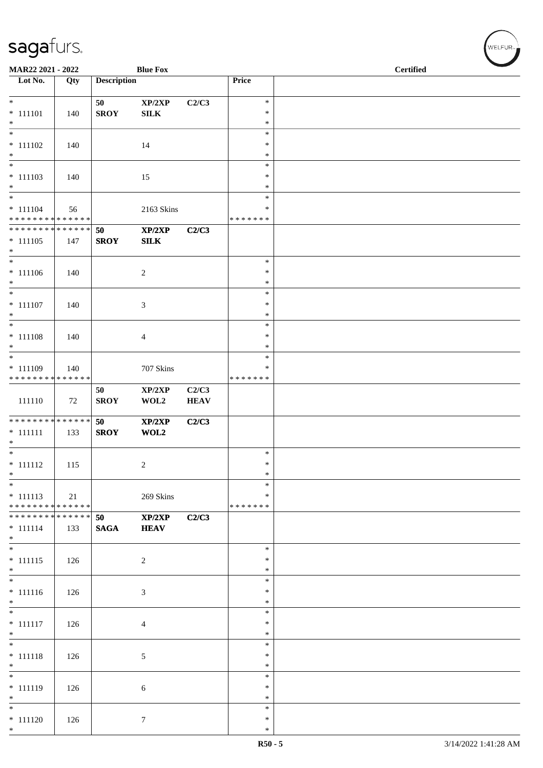| MAR22 2021 - 2022                                              |     |                    | <b>Blue Fox</b> |             |                         | $\overline{\phantom{a}}$<br><b>Certified</b> |
|----------------------------------------------------------------|-----|--------------------|-----------------|-------------|-------------------------|----------------------------------------------|
| $\overline{\phantom{1}}$ Lot No.                               | Qty | <b>Description</b> |                 |             | Price                   |                                              |
| $*$                                                            |     | 50                 | XP/2XP          | C2/C3       | $\ast$                  |                                              |
| $* 111101$                                                     | 140 | <b>SROY</b>        | SILK            |             | $\ast$                  |                                              |
| $*$<br>$\overline{\ast}$                                       |     |                    |                 |             | $\ast$                  |                                              |
| $* 111102$                                                     | 140 |                    | 14              |             | $\ast$<br>$\ast$        |                                              |
| $*$                                                            |     |                    |                 |             | $\ast$                  |                                              |
| $\overline{\phantom{0}}$                                       |     |                    |                 |             | $\ast$                  |                                              |
| $* 111103$<br>$*$                                              | 140 |                    | 15              |             | $\ast$<br>$\ast$        |                                              |
| $\overline{\phantom{0}}$                                       |     |                    |                 |             | $\ast$                  |                                              |
| $* 111104$                                                     | 56  |                    | 2163 Skins      |             | ∗                       |                                              |
| * * * * * * * * * * * * * * *<br>* * * * * * * * * * * * * * * |     |                    |                 |             | * * * * * * *           |                                              |
| $* 111105$                                                     | 147 | 50<br><b>SROY</b>  | XP/2XP<br>SLK   | C2/C3       |                         |                                              |
| $*$                                                            |     |                    |                 |             |                         |                                              |
| $\overline{\phantom{0}}$                                       |     |                    |                 |             | $\ast$                  |                                              |
| $* 111106$<br>$*$                                              | 140 |                    | $\overline{c}$  |             | $\ast$<br>$\ast$        |                                              |
| $*$                                                            |     |                    |                 |             | $\ast$                  |                                              |
| $* 111107$                                                     | 140 |                    | 3               |             | $\ast$                  |                                              |
| $*$<br>$*$                                                     |     |                    |                 |             | $\ast$<br>$\ast$        |                                              |
| $* 111108$                                                     | 140 |                    | 4               |             | $\ast$                  |                                              |
| $*$                                                            |     |                    |                 |             | $\ast$                  |                                              |
| $\overline{\phantom{0}}$                                       |     |                    |                 |             | $\ast$                  |                                              |
| $* 111109$<br>* * * * * * * * * * * * * *                      | 140 |                    | 707 Skins       |             | ∗<br>* * * * * * *      |                                              |
|                                                                |     | 50                 | XP/2XP          | C2/C3       |                         |                                              |
| 111110                                                         | 72  | <b>SROY</b>        | WOL2            | <b>HEAV</b> |                         |                                              |
| ******** <mark>******</mark>                                   |     | 50                 | XP/2XP          | C2/C3       |                         |                                              |
| $* 111111$                                                     | 133 | <b>SROY</b>        | WOL2            |             |                         |                                              |
| $*$                                                            |     |                    |                 |             |                         |                                              |
| $* 111112$                                                     | 115 |                    | 2               |             | $\ast$<br>$\ast$        |                                              |
| $\ast$                                                         |     |                    |                 |             | $\ast$                  |                                              |
| $\ast$                                                         |     |                    |                 |             | $\ast$                  |                                              |
| $* 111113$<br>* * * * * * * * * * * * * *                      | 21  |                    | 269 Skins       |             | $\ast$<br>* * * * * * * |                                              |
| * * * * * * * * * * * * * * *                                  |     | 50                 | XP/2XP          | C2/C3       |                         |                                              |
| $* 111114$                                                     | 133 | <b>SAGA</b>        | <b>HEAV</b>     |             |                         |                                              |
| $*$<br>$*$                                                     |     |                    |                 |             |                         |                                              |
| $* 111115$                                                     | 126 |                    | $\overline{c}$  |             | $\ast$<br>∗             |                                              |
| $*$                                                            |     |                    |                 |             | $\ast$                  |                                              |
| $\overline{\phantom{0}}$                                       |     |                    |                 |             | $\ast$                  |                                              |
| $* 111116$<br>$*$                                              | 126 |                    | 3               |             | $\ast$<br>$\ast$        |                                              |
| $*$                                                            |     |                    |                 |             | $\ast$                  |                                              |
| $* 111117$                                                     | 126 |                    | 4               |             | $\ast$                  |                                              |
| $*$<br>$\overline{\phantom{0}}$                                |     |                    |                 |             | $\ast$<br>$\ast$        |                                              |
| $* 111118$                                                     | 126 |                    | 5               |             | $\ast$                  |                                              |
| $*$                                                            |     |                    |                 |             | $\ast$                  |                                              |
| $\overline{\phantom{0}}$                                       |     |                    |                 |             | $\ast$                  |                                              |
| $* 111119$<br>$*$                                              | 126 |                    | 6               |             | $\ast$<br>$\ast$        |                                              |
| $*$                                                            |     |                    |                 |             | $\ast$                  |                                              |
| $* 111120$                                                     | 126 |                    | $\tau$          |             | $\ast$                  |                                              |
| $*$                                                            |     |                    |                 |             | $\ast$                  |                                              |

WELFUR<sub><sup>N</sub></sub></sub></sup>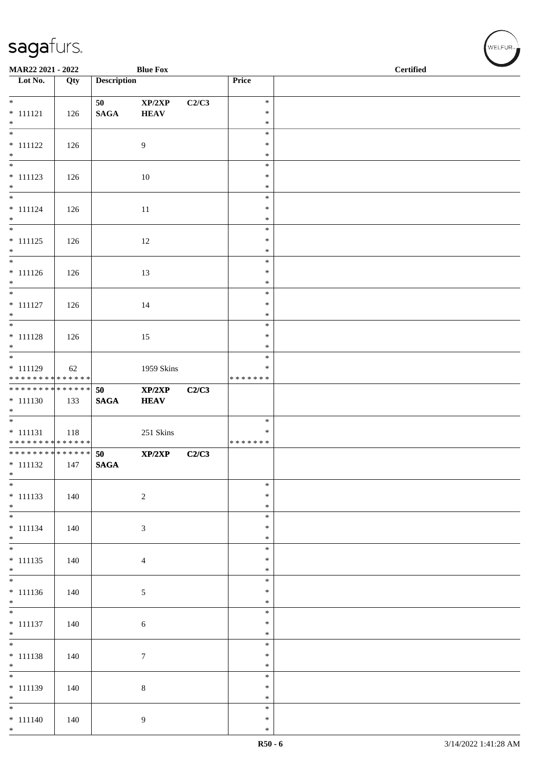| MAR22 2021 - 2022                          |     |                    | <b>Blue Fox</b>            |       |                         | <b>Certified</b> |
|--------------------------------------------|-----|--------------------|----------------------------|-------|-------------------------|------------------|
| $\overline{\phantom{1}}$ Lot No.           | Qty | <b>Description</b> |                            |       | Price                   |                  |
| $*$                                        |     | 50                 | $\mathbf{XP}/2\mathbf{XP}$ | C2/C3 | $\ast$                  |                  |
| $* 111121$                                 | 126 | $\mathbf{SAGA}$    | <b>HEAV</b>                |       | $\ast$                  |                  |
| $*$<br>$\overline{\phantom{0}}$            |     |                    |                            |       | $\ast$<br>$\ast$        |                  |
| $* 111122$                                 | 126 |                    | 9                          |       | $\ast$                  |                  |
| $*$                                        |     |                    |                            |       | $\ast$<br>$\ast$        |                  |
| $* 111123$                                 | 126 |                    | 10                         |       | $\ast$                  |                  |
| $*$                                        |     |                    |                            |       | $\ast$<br>$\ast$        |                  |
| $* 111124$                                 | 126 |                    | 11                         |       | $\ast$                  |                  |
| $*$<br>$\overline{\phantom{0}}$            |     |                    |                            |       | $\ast$<br>$\ast$        |                  |
| $* 111125$                                 | 126 |                    | 12                         |       | $\ast$                  |                  |
| $*$<br>$\overline{\phantom{0}}$            |     |                    |                            |       | $\ast$                  |                  |
| $* 111126$                                 | 126 |                    | 13                         |       | $\ast$<br>$\ast$        |                  |
| $*$                                        |     |                    |                            |       | $\ast$                  |                  |
| $* 111127$                                 | 126 |                    | 14                         |       | $\ast$<br>$\ast$        |                  |
| $*$                                        |     |                    |                            |       | $\ast$                  |                  |
| $\overline{\ast}$                          |     |                    |                            |       | $\ast$                  |                  |
| $* 111128$<br>$*$                          | 126 |                    | 15                         |       | $\ast$<br>$\ast$        |                  |
|                                            |     |                    |                            |       | $\ast$                  |                  |
| $* 111129$<br>******** <mark>******</mark> | 62  |                    | 1959 Skins                 |       | $\ast$<br>* * * * * * * |                  |
| * * * * * * * * * * * * * *                |     | 50                 | XP/2XP                     | C2/C3 |                         |                  |
| $* 111130$<br>$*$                          | 133 | $\mathbf{SAGA}$    | <b>HEAV</b>                |       |                         |                  |
|                                            |     |                    |                            |       | $\ast$                  |                  |
| $* 111131$<br>* * * * * * * * * * * * * *  | 118 |                    | 251 Skins                  |       | $\ast$<br>* * * * * * * |                  |
| ******** <mark>******</mark>               |     | 50                 | XP/2XP                     | C2/C3 |                         |                  |
| $* 111132$                                 | 147 | <b>SAGA</b>        |                            |       |                         |                  |
| $*$<br>$*$                                 |     |                    |                            |       | $\ast$                  |                  |
| $* 111133$                                 | 140 |                    | $\overline{c}$             |       | $\ast$                  |                  |
| $*$<br>$*$                                 |     |                    |                            |       | $\ast$<br>$\ast$        |                  |
| $* 111134$                                 | 140 |                    | 3                          |       | $\ast$                  |                  |
| $*$<br>$*$                                 |     |                    |                            |       | $\ast$<br>$\ast$        |                  |
| $* 111135$                                 | 140 |                    | $\overline{4}$             |       | $\ast$                  |                  |
| $*$                                        |     |                    |                            |       | $\ast$<br>$\ast$        |                  |
| $* 111136$                                 | 140 |                    | 5                          |       | $\ast$                  |                  |
| $*$                                        |     |                    |                            |       | $\ast$                  |                  |
| $* 111137$                                 | 140 |                    | 6                          |       | $\ast$<br>$\ast$        |                  |
| $*$                                        |     |                    |                            |       | $\ast$                  |                  |
| $* 111138$                                 | 140 |                    | $\boldsymbol{7}$           |       | $\ast$<br>$\ast$        |                  |
| $*$                                        |     |                    |                            |       | $\ast$                  |                  |
|                                            |     |                    |                            |       | $\ast$                  |                  |
| $* 111139$<br>$*$                          | 140 |                    | $\,8\,$                    |       | $\ast$<br>$\ast$        |                  |
| $*$                                        |     |                    |                            |       | $\ast$                  |                  |
| $* 111140$<br>$*$                          | 140 |                    | 9                          |       | $\ast$<br>$\ast$        |                  |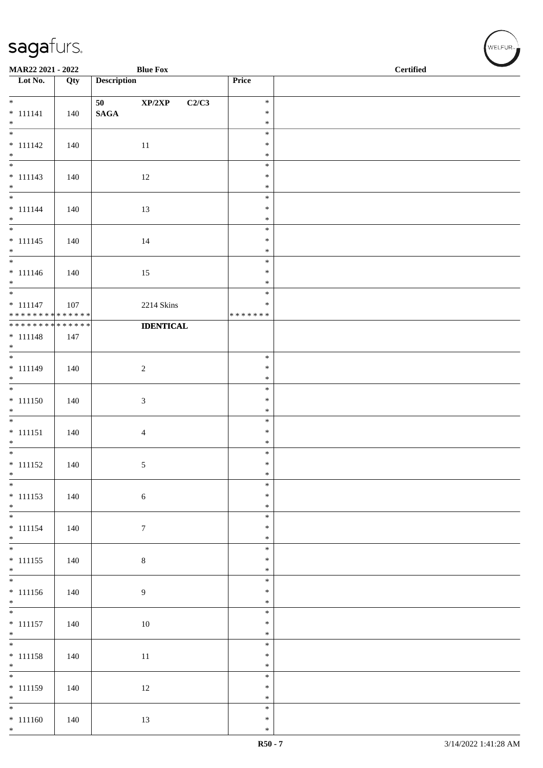| MAR22 2021 - 2022                          |     |                       | <b>Blue Fox</b>                     |                  | $\operatorname{\bf \mathbf{Certified}}$ |
|--------------------------------------------|-----|-----------------------|-------------------------------------|------------------|-----------------------------------------|
| Lot No.                                    | Qty | <b>Description</b>    |                                     | Price            |                                         |
| $*$                                        |     |                       |                                     | $\ast$           |                                         |
| $* 111141$                                 | 140 | 50<br>$\mathbf{SAGA}$ | $\mathbf{XP}/2\mathbf{XP}$<br>C2/C3 | $\ast$           |                                         |
| $*$                                        |     |                       |                                     | $\ast$           |                                         |
|                                            |     |                       |                                     | $\ast$           |                                         |
| $* 111142$                                 | 140 |                       | 11                                  | $\ast$           |                                         |
| $*$                                        |     |                       |                                     | $\ast$<br>$\ast$ |                                         |
| $* 111143$                                 | 140 |                       | 12                                  | $\ast$           |                                         |
| $*$                                        |     |                       |                                     | $\ast$           |                                         |
|                                            |     |                       |                                     | $\ast$           |                                         |
| $* 111144$<br>$*$                          | 140 |                       | 13                                  | $\ast$<br>$\ast$ |                                         |
|                                            |     |                       |                                     | $\ast$           |                                         |
| $* 111145$                                 | 140 |                       | 14                                  | $\ast$           |                                         |
| $*$                                        |     |                       |                                     | $\ast$           |                                         |
|                                            |     |                       |                                     | $\ast$<br>$\ast$ |                                         |
| $* 111146$<br>$*$                          | 140 |                       | 15                                  | $\ast$           |                                         |
| $\overline{\phantom{0}}$                   |     |                       |                                     | $\ast$           |                                         |
| $* 111147$                                 | 107 |                       | 2214 Skins                          | $\ast$           |                                         |
| * * * * * * * * * * * * * * *              |     |                       |                                     | * * * * * * *    |                                         |
| * * * * * * * * <mark>* * * * * * *</mark> | 147 |                       | <b>IDENTICAL</b>                    |                  |                                         |
| $* 111148$<br>$*$                          |     |                       |                                     |                  |                                         |
|                                            |     |                       |                                     | $\ast$           |                                         |
| $* 111149$                                 | 140 |                       | $\overline{2}$                      | $\ast$           |                                         |
| $*$                                        |     |                       |                                     | $\ast$<br>$\ast$ |                                         |
| $* 111150$                                 | 140 |                       | $\mathfrak{Z}$                      | $\ast$           |                                         |
| $*$                                        |     |                       |                                     | $\ast$           |                                         |
|                                            |     |                       |                                     | $\ast$           |                                         |
| $* 111151$                                 | 140 |                       | $\overline{4}$                      | $\ast$           |                                         |
| $*$                                        |     |                       |                                     | $\ast$<br>$\ast$ |                                         |
| $* 111152$                                 | 140 |                       | $\mathfrak{S}$                      | $\ast$           |                                         |
| $*$                                        |     |                       |                                     | $\ast$           |                                         |
| $*$                                        |     |                       |                                     | $\ast$           |                                         |
| $* 111153$<br>$*$                          | 140 |                       | $\sqrt{6}$                          | $\ast$<br>$\ast$ |                                         |
|                                            |     |                       |                                     | $\ast$           |                                         |
| $* 111154$                                 | 140 |                       | $7\phantom{.0}$                     | $\ast$           |                                         |
| $*$                                        |     |                       |                                     | $\ast$           |                                         |
| $\overline{\phantom{0}}$                   |     |                       |                                     | $\ast$<br>$\ast$ |                                         |
| $* 111155$<br>$*$                          | 140 |                       | $\,8\,$                             | $\ast$           |                                         |
|                                            |     |                       |                                     | $\ast$           |                                         |
| $* 111156$                                 | 140 |                       | $\overline{9}$                      | $\ast$           |                                         |
| $*$                                        |     |                       |                                     | $\ast$           |                                         |
| $* 111157$                                 | 140 |                       | 10                                  | $\ast$<br>$\ast$ |                                         |
| $*$                                        |     |                       |                                     | $\ast$           |                                         |
|                                            |     |                       |                                     | $\ast$           |                                         |
| $* 111158$                                 | 140 |                       | 11                                  | $\ast$           |                                         |
| $*$                                        |     |                       |                                     | $\ast$<br>$\ast$ |                                         |
| $* 111159$                                 | 140 |                       | 12                                  | $\ast$           |                                         |
| $*$                                        |     |                       |                                     | $\ast$           |                                         |
| $*$                                        |     |                       |                                     | $\ast$           |                                         |
| $* 111160$<br>$*$                          | 140 |                       | 13                                  | $\ast$<br>$\ast$ |                                         |
|                                            |     |                       |                                     |                  |                                         |

、<br>WELFUR<sub>™</sub>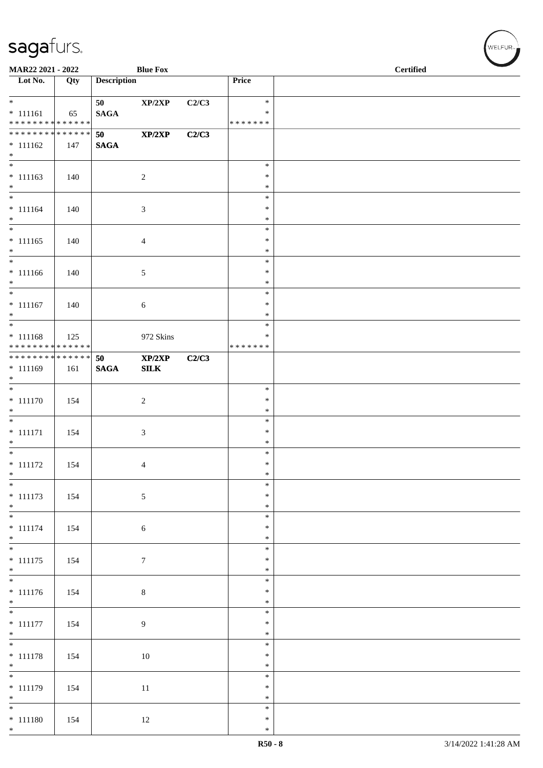| MAR22 2021 - 2022                |     |                    | <b>Blue Fox</b> |       |                  | <b>Certified</b> |
|----------------------------------|-----|--------------------|-----------------|-------|------------------|------------------|
| $\overline{\phantom{1}}$ Lot No. | Qty | <b>Description</b> |                 |       | Price            |                  |
| $*$                              |     | 50                 | XP/2XP          | C2/C3 | $\ast$           |                  |
| $* 111161$                       | 65  | <b>SAGA</b>        |                 |       | $\ast$           |                  |
| ******** <mark>******</mark>     |     |                    |                 |       | *******          |                  |
| * * * * * * * * * * * * * * *    |     | 50                 | XP/2XP          | C2/C3 |                  |                  |
| $* 111162$<br>$*$                | 147 | <b>SAGA</b>        |                 |       |                  |                  |
| $\overline{\phantom{0}}$         |     |                    |                 |       | $\ast$           |                  |
| $* 111163$                       | 140 |                    | $\sqrt{2}$      |       | $\ast$           |                  |
| $*$<br>$*$                       |     |                    |                 |       | $\ast$<br>$\ast$ |                  |
| $* 111164$                       | 140 |                    | 3               |       | $\ast$           |                  |
| $*$                              |     |                    |                 |       | $\ast$           |                  |
| $\overline{\ast}$                |     |                    |                 |       | $\ast$           |                  |
| $* 111165$                       | 140 |                    | 4               |       | $\ast$           |                  |
| $*$                              |     |                    |                 |       | $\ast$<br>$\ast$ |                  |
| $* 111166$                       | 140 |                    | 5               |       | $\ast$           |                  |
| $*$                              |     |                    |                 |       | $\ast$           |                  |
| $*$                              |     |                    |                 |       | $\ast$           |                  |
| $* 111167$                       | 140 |                    | 6               |       | $\ast$           |                  |
| $*$                              |     |                    |                 |       | $\ast$<br>$\ast$ |                  |
| $* 111168$                       | 125 |                    | 972 Skins       |       | $\ast$           |                  |
| ******** <mark>******</mark>     |     |                    |                 |       | * * * * * * *    |                  |
| * * * * * * * * * * * * * * *    |     | 50                 | XP/2XP          | C2/C3 |                  |                  |
| $* 111169$                       | 161 | $\mathbf{SAGA}$    | SLK             |       |                  |                  |
| $*$                              |     |                    |                 |       | $\ast$           |                  |
| $* 111170$                       | 154 |                    | $\sqrt{2}$      |       | $\ast$           |                  |
| $*$                              |     |                    |                 |       | $\ast$           |                  |
| $\overline{\phantom{0}}$         |     |                    |                 |       | $\ast$           |                  |
| $* 111171$                       | 154 |                    | 3               |       | $\ast$           |                  |
| $*$                              |     |                    |                 |       | $\ast$<br>$\ast$ |                  |
| $* 111172$                       | 154 |                    | 4               |       | $\ast$           |                  |
| $\ast$                           |     |                    |                 |       | $\ast$           |                  |
| $*$                              |     |                    |                 |       | $\ast$           |                  |
| $* 111173$<br>$*$                | 154 |                    | 5               |       | $\ast$<br>$\ast$ |                  |
|                                  |     |                    |                 |       | $\ast$           |                  |
| $* 111174$                       | 154 |                    | $\sqrt{6}$      |       | $\ast$           |                  |
| $*$                              |     |                    |                 |       | $\ast$           |                  |
|                                  |     |                    |                 |       | $\ast$           |                  |
| $* 111175$<br>$*$                | 154 |                    | $\tau$          |       | $\ast$<br>$\ast$ |                  |
| $\overline{\phantom{0}}$         |     |                    |                 |       | $\ast$           |                  |
| $* 111176$                       | 154 |                    | $\,8\,$         |       | $\ast$           |                  |
| $*$                              |     |                    |                 |       | $\ast$           |                  |
| $\overline{\phantom{0}}$         |     |                    |                 |       | $\ast$<br>$\ast$ |                  |
| $* 111177$<br>$*$                | 154 |                    | 9               |       | $\ast$           |                  |
| $\overline{\phantom{0}}$         |     |                    |                 |       | $\ast$           |                  |
| $* 111178$                       | 154 |                    | 10              |       | $\ast$           |                  |
| $*$                              |     |                    |                 |       | $\ast$           |                  |
|                                  |     |                    |                 |       | $\ast$<br>$\ast$ |                  |
| $* 111179$<br>$*$                | 154 |                    | $11\,$          |       | $\ast$           |                  |
| $*$                              |     |                    |                 |       | $\ast$           |                  |
| $* 111180$                       | 154 |                    | 12              |       | $\ast$           |                  |
| $*$                              |     |                    |                 |       | $\ast$           |                  |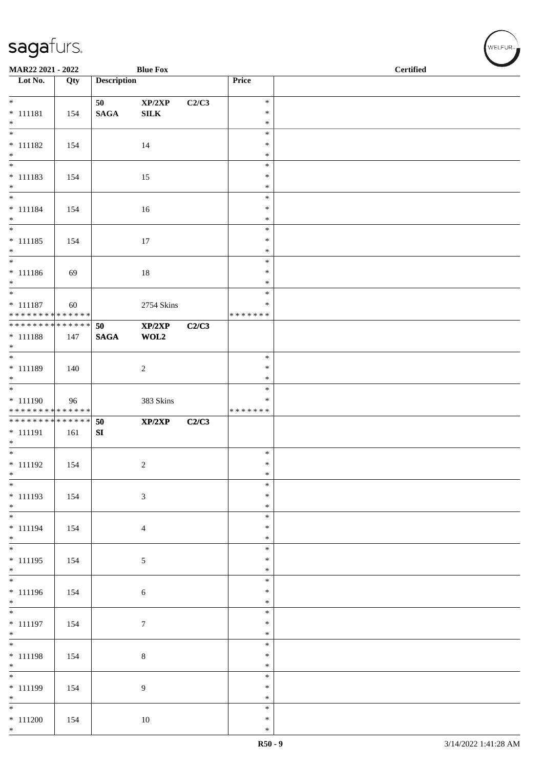| MAR22 2021 - 2022                         |     |                    | <b>Blue Fox</b>  |       |                    | <b>Certified</b> |
|-------------------------------------------|-----|--------------------|------------------|-------|--------------------|------------------|
| $\overline{\phantom{1}}$ Lot No.          | Qty | <b>Description</b> |                  |       | Price              |                  |
| $*$                                       |     | 50                 | XP/2XP           | C2/C3 | $\ast$             |                  |
| $* 111181$                                | 154 | $\mathbf{SAGA}$    | ${\bf SILK}$     |       | $\ast$             |                  |
| $*$                                       |     |                    |                  |       | $\ast$             |                  |
| $\overline{\phantom{0}}$                  |     |                    |                  |       | $\ast$             |                  |
| $* 111182$<br>$*$                         | 154 |                    | 14               |       | $\ast$<br>$\ast$   |                  |
| $\overline{\phantom{0}}$                  |     |                    |                  |       | $\ast$             |                  |
| $* 111183$                                | 154 |                    | 15               |       | $\ast$             |                  |
| $*$                                       |     |                    |                  |       | $\ast$             |                  |
| $* 111184$                                | 154 |                    | $16\,$           |       | $\ast$<br>$\ast$   |                  |
| $*$                                       |     |                    |                  |       | $\ast$             |                  |
| $\overline{\phantom{0}}$                  |     |                    |                  |       | $\ast$             |                  |
| $* 111185$                                | 154 |                    | 17               |       | $\ast$             |                  |
| $*$                                       |     |                    |                  |       | $\ast$<br>$\ast$   |                  |
| $* 111186$                                | 69  |                    | $18\,$           |       | $\ast$             |                  |
| $*$                                       |     |                    |                  |       | $\ast$             |                  |
|                                           |     |                    |                  |       | $\ast$             |                  |
| $* 111187$<br>* * * * * * * * * * * * * * | 60  |                    | 2754 Skins       |       | ∗<br>* * * * * * * |                  |
| * * * * * * * * * * * * * * *             |     | 50                 | XP/2XP           | C2/C3 |                    |                  |
| $* 111188$                                | 147 | <b>SAGA</b>        | WOL2             |       |                    |                  |
| $\ast$                                    |     |                    |                  |       |                    |                  |
| $* 111189$                                | 140 |                    | $\sqrt{2}$       |       | $\ast$<br>$\ast$   |                  |
| $*$                                       |     |                    |                  |       | $\ast$             |                  |
|                                           |     |                    |                  |       | $\ast$             |                  |
| $* 111190$<br>* * * * * * * * * * * * * * | 96  |                    | 383 Skins        |       | ∗<br>* * * * * * * |                  |
| ******** <mark>******</mark>              |     | 50                 | XP/2XP           | C2/C3 |                    |                  |
| $* 111191$                                | 161 | ${\bf SI}$         |                  |       |                    |                  |
| $*$                                       |     |                    |                  |       |                    |                  |
| $* 111192$                                |     |                    |                  |       | $\ast$<br>$\ast$   |                  |
| $*$                                       | 154 |                    | $\overline{c}$   |       | $\ast$             |                  |
| $\overline{\phantom{0}}$                  |     |                    |                  |       | $\ast$             |                  |
| $* 111193$                                | 154 |                    | 3                |       | $\ast$             |                  |
| $*$                                       |     |                    |                  |       | $\ast$<br>$\ast$   |                  |
| * 111194                                  | 154 |                    | $\overline{4}$   |       | $\ast$             |                  |
| $*$                                       |     |                    |                  |       | $\ast$             |                  |
|                                           |     |                    |                  |       | $\ast$             |                  |
| $* 111195$<br>$*$                         | 154 |                    | 5                |       | $\ast$<br>$\ast$   |                  |
|                                           |     |                    |                  |       | $\ast$             |                  |
| $* 111196$                                | 154 |                    | $\sqrt{6}$       |       | $\ast$             |                  |
| $*$<br>$\overline{\phantom{0}}$           |     |                    |                  |       | $\ast$             |                  |
| $* 111197$                                | 154 |                    | $\boldsymbol{7}$ |       | $\ast$<br>$\ast$   |                  |
| $*$                                       |     |                    |                  |       | $\ast$             |                  |
| $*$                                       |     |                    |                  |       | $\ast$             |                  |
| $* 111198$                                | 154 |                    | $\,8\,$          |       | $\ast$             |                  |
| $*$<br>$\overline{\phantom{0}}$           |     |                    |                  |       | $\ast$<br>$\ast$   |                  |
| $* 111199$                                | 154 |                    | 9                |       | $\ast$             |                  |
| $*$                                       |     |                    |                  |       | $\ast$             |                  |
| $*$                                       |     |                    |                  |       | $\ast$             |                  |
| $* 111200$<br>$*$                         | 154 |                    | $10\,$           |       | $\ast$<br>$\ast$   |                  |
|                                           |     |                    |                  |       |                    |                  |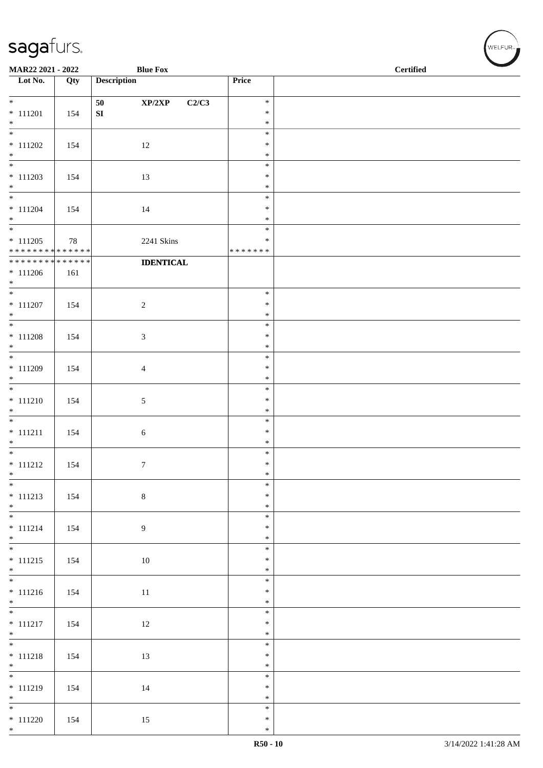| MAR22 2021 - 2022                          |     | <b>Blue Fox</b>       |                  | <b>Certified</b> |  |  |  |
|--------------------------------------------|-----|-----------------------|------------------|------------------|--|--|--|
| $\overline{\phantom{1}}$ Lot No.           | Qty | <b>Description</b>    | Price            |                  |  |  |  |
| $\overline{\ast}$                          |     | 50<br>XP/2XP<br>C2/C3 | $\ast$           |                  |  |  |  |
| $* 111201$                                 | 154 | ${\bf S}{\bf I}$      | $\ast$           |                  |  |  |  |
| $*$<br>$\overline{\phantom{0}}$            |     |                       | $\ast$           |                  |  |  |  |
| $* 111202$                                 | 154 | 12                    | $\ast$<br>$\ast$ |                  |  |  |  |
| $*$                                        |     |                       | $\ast$           |                  |  |  |  |
| $\overline{\phantom{0}}$                   |     |                       | $\ast$           |                  |  |  |  |
| $* 111203$<br>$\ast$                       | 154 | 13                    | $\ast$<br>$\ast$ |                  |  |  |  |
| $\overline{\phantom{0}}$                   |     |                       | $\ast$           |                  |  |  |  |
| $* 111204$                                 | 154 | 14                    | ∗                |                  |  |  |  |
| $*$<br>$\overline{\phantom{0}}$            |     |                       | $\ast$<br>$\ast$ |                  |  |  |  |
| $* 111205$                                 | 78  | 2241 Skins            | ∗                |                  |  |  |  |
| **************                             |     |                       | * * * * * * *    |                  |  |  |  |
| ******** <mark>******</mark><br>$* 111206$ | 161 | <b>IDENTICAL</b>      |                  |                  |  |  |  |
| $*$                                        |     |                       |                  |                  |  |  |  |
| $*$                                        |     |                       | $\ast$           |                  |  |  |  |
| $* 111207$<br>$*$                          | 154 | $\sqrt{2}$            | $\ast$<br>$\ast$ |                  |  |  |  |
| $\overline{\phantom{0}}$                   |     |                       | $\ast$           |                  |  |  |  |
| $* 111208$                                 | 154 | $\mathfrak{Z}$        | $\ast$           |                  |  |  |  |
| $*$                                        |     |                       | $\ast$<br>$\ast$ |                  |  |  |  |
| $* 111209$                                 | 154 | $\overline{4}$        | $\ast$           |                  |  |  |  |
| $\ast$                                     |     |                       | $\ast$           |                  |  |  |  |
| $* 111210$                                 | 154 | $5\,$                 | $\ast$<br>$\ast$ |                  |  |  |  |
| $\ast$                                     |     |                       | $\ast$           |                  |  |  |  |
| $\overline{\phantom{0}}$                   |     |                       | $\ast$           |                  |  |  |  |
| $* 111211$<br>$*$                          | 154 | $\sqrt{6}$            | $\ast$<br>$\ast$ |                  |  |  |  |
| $\overline{\phantom{0}}$                   |     |                       | $\ast$           |                  |  |  |  |
| $* 111212$                                 | 154 | $\tau$                | $\ast$           |                  |  |  |  |
| $\ast$<br>$\overline{\phantom{0}}$         |     |                       | $\ast$<br>$\ast$ |                  |  |  |  |
| $* 111213$                                 | 154 | $\,8\,$               | $\ast$           |                  |  |  |  |
| $*$<br>$\overline{\phantom{0}}$            |     |                       | $\ast$           |                  |  |  |  |
| $* 111214$                                 | 154 | $\overline{9}$        | $\ast$<br>$\ast$ |                  |  |  |  |
| $*$                                        |     |                       | $\ast$           |                  |  |  |  |
|                                            |     |                       | $\ast$           |                  |  |  |  |
| $* 111215$<br>$*$                          | 154 | $10\,$                | $\ast$<br>$\ast$ |                  |  |  |  |
|                                            |     |                       | $\ast$           |                  |  |  |  |
| $* 111216$                                 | 154 | $11\,$                | $\ast$           |                  |  |  |  |
| $*$                                        |     |                       | $\ast$<br>$\ast$ |                  |  |  |  |
| $* 111217$                                 | 154 | $12\,$                | $\ast$           |                  |  |  |  |
| $*$                                        |     |                       | $\ast$           |                  |  |  |  |
| $* 111218$                                 | 154 | 13                    | $\ast$<br>$\ast$ |                  |  |  |  |
| $*$                                        |     |                       | $\ast$           |                  |  |  |  |
|                                            |     |                       | $\ast$           |                  |  |  |  |
| $* 111219$<br>$*$                          | 154 | 14                    | $\ast$<br>$\ast$ |                  |  |  |  |
| $\overline{\phantom{0}}$                   |     |                       | $\ast$           |                  |  |  |  |
| $* 111220$                                 | 154 | 15                    | $\ast$           |                  |  |  |  |
| $*$                                        |     |                       | $\ast$           |                  |  |  |  |

WELFUR<sub><sup>N</sub></sub></sub></sup>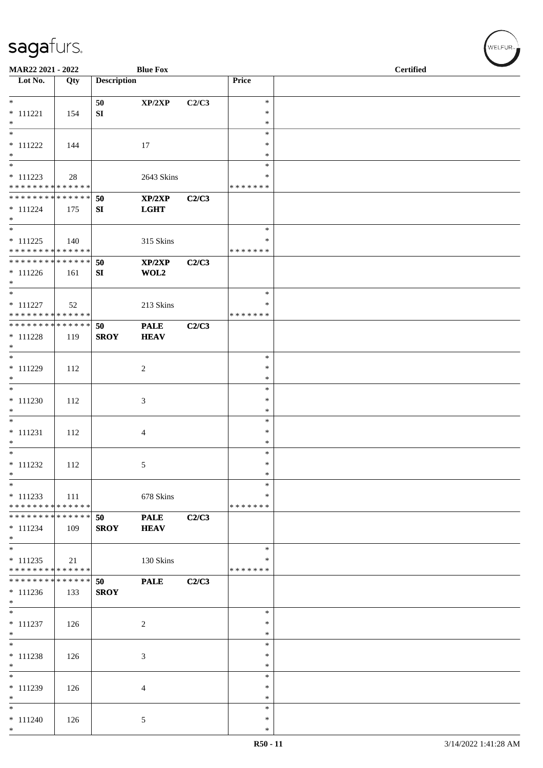| MAR22 2021 - 2022                                            |     |                    | <b>Blue Fox</b>            |       |                    | <b>Certified</b> |
|--------------------------------------------------------------|-----|--------------------|----------------------------|-------|--------------------|------------------|
| Lot No.                                                      | Qty | <b>Description</b> |                            |       | Price              |                  |
| $*$                                                          |     |                    |                            |       | $\ast$             |                  |
| $* 111221$                                                   | 154 | 50<br>SI           | XP/2XP                     | C2/C3 | $\ast$             |                  |
| $*$                                                          |     |                    |                            |       | $\ast$             |                  |
| $\overline{\phantom{0}}$                                     |     |                    |                            |       | $\ast$             |                  |
| $* 111222$                                                   | 144 |                    | 17                         |       | ∗                  |                  |
| $*$                                                          |     |                    |                            |       | ∗                  |                  |
| $*$<br>$* 111223$                                            |     |                    |                            |       | $\ast$<br>∗        |                  |
| * * * * * * * * * * * * * *                                  | 28  |                    | 2643 Skins                 |       | * * * * * * *      |                  |
| * * * * * * * * * * * * * * *                                |     | 50                 | XP/2XP                     | C2/C3 |                    |                  |
| $* 111224$                                                   | 175 | SI                 | <b>LGHT</b>                |       |                    |                  |
| $*$                                                          |     |                    |                            |       |                    |                  |
| $\overline{\phantom{0}}$                                     |     |                    |                            |       | $\ast$             |                  |
| $* 111225$<br>* * * * * * * * * * * * * *                    | 140 |                    | 315 Skins                  |       | ∗<br>* * * * * * * |                  |
| * * * * * * * * * * * * * * *                                |     | 50                 | XP/2XP                     | C2/C3 |                    |                  |
| $* 111226$                                                   | 161 | SI                 | WOL2                       |       |                    |                  |
| $*$                                                          |     |                    |                            |       |                    |                  |
| $*$                                                          |     |                    |                            |       | $\ast$             |                  |
| $* 111227$                                                   | 52  |                    | 213 Skins                  |       | ∗                  |                  |
| * * * * * * * * * * * * * *<br>* * * * * * * * * * * * * * * |     |                    |                            |       | * * * * * * *      |                  |
| $* 111228$                                                   |     | 50<br><b>SROY</b>  | <b>PALE</b><br><b>HEAV</b> | C2/C3 |                    |                  |
| $*$                                                          | 119 |                    |                            |       |                    |                  |
| $*$                                                          |     |                    |                            |       | $\ast$             |                  |
| $* 111229$                                                   | 112 |                    | $\overline{c}$             |       | $\ast$             |                  |
| $\ast$                                                       |     |                    |                            |       | $\ast$             |                  |
| $\overline{\phantom{0}}$                                     |     |                    |                            |       | $\ast$             |                  |
| $* 111230$                                                   | 112 |                    | 3                          |       | $\ast$             |                  |
| $\ast$<br>$\overline{\ast}$                                  |     |                    |                            |       | $\ast$<br>$\ast$   |                  |
| $* 111231$                                                   | 112 |                    | 4                          |       | $\ast$             |                  |
| $*$                                                          |     |                    |                            |       | $\ast$             |                  |
| $*$                                                          |     |                    |                            |       | $\ast$             |                  |
| $* 111232$                                                   | 112 |                    | 5                          |       | $\ast$             |                  |
| $\ast$                                                       |     |                    |                            |       | $\ast$             |                  |
| $*$                                                          |     |                    |                            |       | $\ast$             |                  |
| $* 111233$<br>* * * * * * * * * * * * * *                    | 111 |                    | 678 Skins                  |       | ∗<br>* * * * * * * |                  |
| * * * * * * * * * * * * * * *                                |     | 50                 | <b>PALE</b>                | C2/C3 |                    |                  |
| $* 111234$                                                   | 109 | <b>SROY</b>        | <b>HEAV</b>                |       |                    |                  |
| $*$                                                          |     |                    |                            |       |                    |                  |
| $*$                                                          |     |                    |                            |       | $\ast$             |                  |
| $* 111235$                                                   | 21  |                    | 130 Skins                  |       | ∗                  |                  |
| * * * * * * * * * * * * * *<br>* * * * * * * * * * * * * * * |     |                    |                            |       | * * * * * * *      |                  |
| $* 111236$                                                   | 133 | 50<br><b>SROY</b>  | <b>PALE</b>                | C2/C3 |                    |                  |
| $*$                                                          |     |                    |                            |       |                    |                  |
|                                                              |     |                    |                            |       | $\ast$             |                  |
| $* 111237$                                                   | 126 |                    | 2                          |       | $\ast$             |                  |
| $*$                                                          |     |                    |                            |       | ∗                  |                  |
| $\overline{\ast}$                                            |     |                    |                            |       | $\ast$             |                  |
| $* 111238$                                                   | 126 |                    | 3                          |       | $\ast$             |                  |
| $*$<br>$\overline{\phantom{0}}$                              |     |                    |                            |       | $\ast$<br>$\ast$   |                  |
| * 111239                                                     | 126 |                    | 4                          |       | $\ast$             |                  |
| $*$                                                          |     |                    |                            |       | $\ast$             |                  |
| $*$                                                          |     |                    |                            |       | $\ast$             |                  |
| $* 111240$                                                   | 126 |                    | 5                          |       | $\ast$             |                  |
| $*$                                                          |     |                    |                            |       | ∗                  |                  |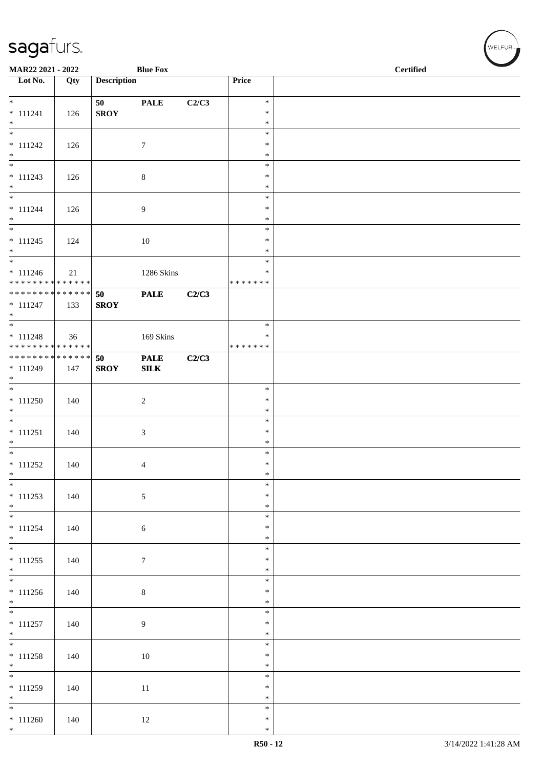| MAR22 2021 - 2022                |     |                    | <b>Blue Fox</b> |       |                  | <b>Certified</b> |
|----------------------------------|-----|--------------------|-----------------|-------|------------------|------------------|
| $\overline{\phantom{1}}$ Lot No. | Qty | <b>Description</b> |                 |       | Price            |                  |
| $*$                              |     | 50                 | <b>PALE</b>     | C2/C3 | $\ast$           |                  |
| $* 111241$                       | 126 | <b>SROY</b>        |                 |       | $\ast$           |                  |
| $*$                              |     |                    |                 |       | $\ast$           |                  |
|                                  |     |                    |                 |       | $\ast$           |                  |
| $* 111242$                       | 126 |                    | $\tau$          |       | $\ast$           |                  |
| $*$                              |     |                    |                 |       | $\ast$<br>$\ast$ |                  |
| $* 111243$                       | 126 |                    | $\,8\,$         |       | $\ast$           |                  |
| $*$                              |     |                    |                 |       | $\ast$           |                  |
|                                  |     |                    |                 |       | $\ast$           |                  |
| $* 111244$                       | 126 |                    | 9               |       | $\ast$           |                  |
| $*$<br>$\overline{\ast}$         |     |                    |                 |       | $\ast$           |                  |
|                                  |     |                    |                 |       | $\ast$<br>$\ast$ |                  |
| $* 111245$<br>$*$                | 124 |                    | 10              |       | $\ast$           |                  |
| $\overline{\phantom{0}}$         |     |                    |                 |       | $\ast$           |                  |
| $* 111246$                       | 21  |                    | 1286 Skins      |       | $\ast$           |                  |
| * * * * * * * * * * * * * *      |     |                    |                 |       | * * * * * * *    |                  |
| ******** <mark>******</mark>     |     | 50                 | <b>PALE</b>     | C2/C3 |                  |                  |
| $* 111247$<br>$*$                | 133 | <b>SROY</b>        |                 |       |                  |                  |
|                                  |     |                    |                 |       | $\ast$           |                  |
| $* 111248$                       | 36  |                    | 169 Skins       |       | ∗                |                  |
| * * * * * * * * * * * * * * *    |     |                    |                 |       | * * * * * * *    |                  |
| ******** <mark>******</mark>     |     | 50                 | <b>PALE</b>     | C2/C3 |                  |                  |
| * 111249                         | 147 | <b>SROY</b>        | ${\bf SILK}$    |       |                  |                  |
| $*$                              |     |                    |                 |       |                  |                  |
|                                  |     |                    |                 |       | $\ast$           |                  |
| $* 111250$<br>$*$                | 140 |                    | $\sqrt{2}$      |       | $\ast$<br>$\ast$ |                  |
|                                  |     |                    |                 |       | $\ast$           |                  |
| $* 111251$                       | 140 |                    | 3               |       | $\ast$           |                  |
| $*$                              |     |                    |                 |       | $\ast$           |                  |
| $\overline{\phantom{0}}$         |     |                    |                 |       | $\ast$           |                  |
| $* 111252$                       | 140 |                    | 4               |       | $\ast$           |                  |
| $*$<br>$\ast$                    |     |                    |                 |       | $\ast$           |                  |
| $* 111253$                       | 140 |                    | 5               |       | $\ast$<br>$\ast$ |                  |
| $*$                              |     |                    |                 |       | $\ast$           |                  |
| $\overline{\ast}$                |     |                    |                 |       | $\ast$           |                  |
| $* 111254$                       | 140 |                    | $\sqrt{6}$      |       | $\ast$           |                  |
| $*$                              |     |                    |                 |       | $\ast$           |                  |
|                                  |     |                    |                 |       | $\ast$           |                  |
| $* 111255$                       | 140 |                    | $7\phantom{.0}$ |       | $\ast$<br>$\ast$ |                  |
| $*$                              |     |                    |                 |       | $\ast$           |                  |
| $* 111256$                       | 140 |                    | $\,8\,$         |       | $\ast$           |                  |
| $*$                              |     |                    |                 |       | $\ast$           |                  |
| $\overline{\ast}$                |     |                    |                 |       | $\ast$           |                  |
| $* 111257$                       | 140 |                    | $\overline{9}$  |       | $\ast$           |                  |
| $*$                              |     |                    |                 |       | $\ast$           |                  |
| $\overline{\phantom{0}}$         |     |                    |                 |       | $\ast$           |                  |
| $* 111258$<br>$*$                | 140 |                    | 10              |       | $\ast$<br>$\ast$ |                  |
|                                  |     |                    |                 |       | $\ast$           |                  |
| $* 111259$                       | 140 |                    | 11              |       | $\ast$           |                  |
| $*$                              |     |                    |                 |       | $\ast$           |                  |
| $*$                              |     |                    |                 |       | $\ast$           |                  |
| $* 111260$                       | 140 |                    | 12              |       | $\ast$           |                  |
| $*$                              |     |                    |                 |       | $\ast$           |                  |

、<br>WELFUR<sub>™</sub>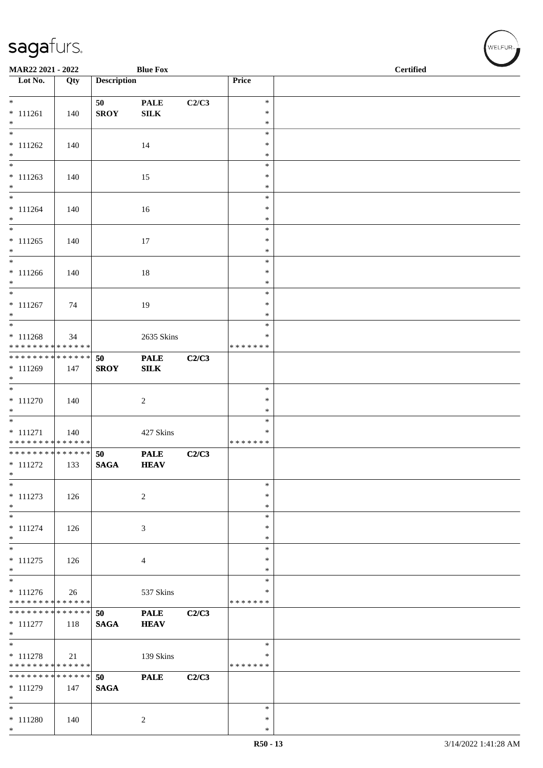| <b>Blue Fox</b><br>MAR22 2021 - 2022                                       |                    |                    |                             |       | <b>Certified</b>                  |  |
|----------------------------------------------------------------------------|--------------------|--------------------|-----------------------------|-------|-----------------------------------|--|
| $\overline{\phantom{1}}$ Lot No.                                           | Qty                | <b>Description</b> |                             |       | Price                             |  |
| $*$<br>$* 111261$<br>$*$                                                   | 140                | 50<br><b>SROY</b>  | <b>PALE</b><br>${\bf SILK}$ | C2/C3 | $\ast$<br>$\ast$<br>$\ast$        |  |
| $* 111262$                                                                 | 140                |                    | 14                          |       | $\ast$<br>$\ast$                  |  |
| $\ast$<br>$* 111263$                                                       | 140                |                    | 15                          |       | $\ast$<br>$\ast$<br>$\ast$        |  |
| $*$<br>$*$<br>$* 111264$                                                   | 140                |                    | 16                          |       | $\ast$<br>$\ast$<br>$\ast$        |  |
| $*$<br>$* 111265$                                                          | 140                |                    | 17                          |       | $\ast$<br>$\ast$<br>$\ast$        |  |
| $*$<br>$*$<br>$* 111266$                                                   | 140                |                    | 18                          |       | $\ast$<br>$\ast$<br>$\ast$        |  |
| $*$<br>$*$<br>$* 111267$                                                   | 74                 |                    | 19                          |       | $\ast$<br>$\ast$<br>$\ast$        |  |
| $*$<br>$\overline{\ast}$<br>$* 111268$                                     |                    |                    |                             |       | $\ast$<br>$\ast$<br>∗             |  |
| * * * * * * * * <mark>* * * * * *</mark> *<br>******** <mark>******</mark> | 34                 | 50                 | 2635 Skins<br><b>PALE</b>   | C2/C3 | * * * * * * *                     |  |
| * 111269<br>$*$                                                            | 147                | <b>SROY</b>        | ${\bf SILK}$                |       | $\ast$                            |  |
| $* 111270$<br>$*$                                                          | 140                |                    | $\overline{c}$              |       | $\ast$<br>$\ast$<br>$\ast$        |  |
| $* 111271$<br>* * * * * * * * <mark>* * * * * * *</mark>                   | 140                |                    | 427 Skins                   |       | $\ast$<br>* * * * * * *           |  |
| ******** <mark>******</mark><br>$* 111272$<br>$\ast$                       | 133                | 50<br><b>SAGA</b>  | <b>PALE</b><br><b>HEAV</b>  | C2/C3 |                                   |  |
| $\ast$<br>$* 111273$<br>$*$                                                | 126                |                    | $\overline{c}$              |       | $\ast$<br>$\ast$<br>$\ast$        |  |
| $\ast$<br>$* 111274$<br>$\ast$                                             | 126                |                    | 3                           |       | $\ast$<br>$\ast$<br>$\ast$        |  |
| $* 111275$<br>$*$                                                          | 126                |                    | $\overline{4}$              |       | $\ast$<br>∗<br>$\ast$             |  |
| $* 111276$<br>* * * * * * * * * * * * * *                                  | 26                 |                    | 537 Skins                   |       | $\ast$<br>$\ast$<br>* * * * * * * |  |
| * * * * * * * * <mark>* * * * * * *</mark><br>$* 111277$<br>$*$            | 118                | 50<br><b>SAGA</b>  | <b>PALE</b><br><b>HEAV</b>  | C2/C3 |                                   |  |
| $*$<br>$* 111278$<br>* * * * * * * * * * * * * *                           | 21                 |                    | 139 Skins                   |       | $\ast$<br>∗<br>* * * * * * *      |  |
| * * * * * * * *<br>$* 111279$<br>$*$                                       | * * * * * *<br>147 | 50<br><b>SAGA</b>  | <b>PALE</b>                 | C2/C3 |                                   |  |
| $*$<br>$* 111280$<br>$*$                                                   | 140                |                    | 2                           |       | $\ast$<br>$\ast$<br>$\ast$        |  |

WELFUR<sub><sup>N</sup></sub>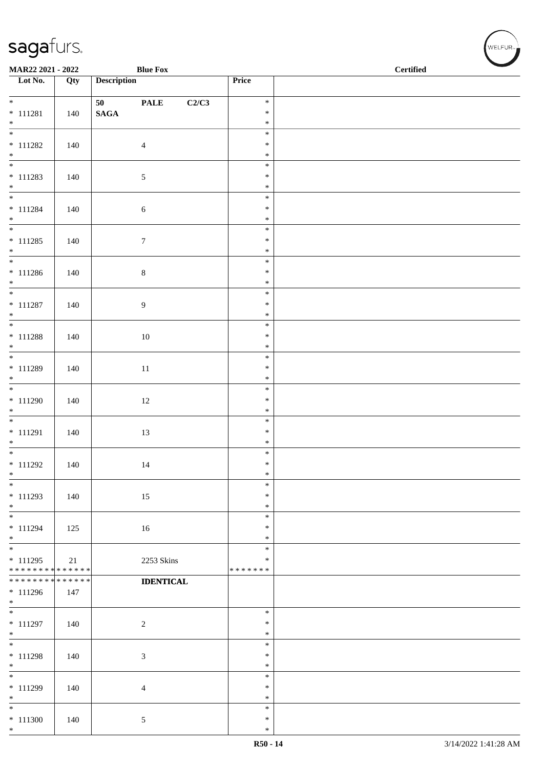| MAR22 2021 - 2022<br><b>Blue Fox</b>      |     |                       |                      |                         | $\operatorname{\bf \mathbf{Certified}}$ |
|-------------------------------------------|-----|-----------------------|----------------------|-------------------------|-----------------------------------------|
| Lot No.                                   | Qty | <b>Description</b>    |                      | Price                   |                                         |
| $\overline{\ast}$                         |     |                       |                      | $\ast$                  |                                         |
| $* 111281$                                | 140 | 50<br>$\mathbf{SAGA}$ | <b>PALE</b><br>C2/C3 | $\ast$                  |                                         |
| $*$                                       |     |                       |                      | $\ast$                  |                                         |
|                                           |     |                       |                      | $\ast$                  |                                         |
| $* 111282$                                | 140 |                       | $\overline{4}$       | $\ast$                  |                                         |
| $*$                                       |     |                       |                      | $\ast$<br>$\ast$        |                                         |
| $* 111283$                                | 140 |                       | $\sqrt{5}$           | $\ast$                  |                                         |
| $*$                                       |     |                       |                      | $\ast$                  |                                         |
| $*$                                       |     |                       |                      | $\ast$                  |                                         |
| $* 111284$<br>$*$                         | 140 |                       | 6                    | $\ast$<br>$\ast$        |                                         |
|                                           |     |                       |                      | $\ast$                  |                                         |
| $* 111285$                                | 140 |                       | $\boldsymbol{7}$     | $\ast$                  |                                         |
| $*$                                       |     |                       |                      | $\ast$                  |                                         |
|                                           |     |                       |                      | $\ast$                  |                                         |
| $* 111286$<br>$*$                         | 140 |                       | $\,8\,$              | $\ast$<br>$\ast$        |                                         |
|                                           |     |                       |                      | $\ast$                  |                                         |
| $* 111287$                                | 140 |                       | 9                    | $\ast$                  |                                         |
| $*$                                       |     |                       |                      | $\ast$                  |                                         |
|                                           |     |                       |                      | $\ast$<br>$\ast$        |                                         |
| $* 111288$<br>$*$                         | 140 |                       | $10\,$               | $\ast$                  |                                         |
|                                           |     |                       |                      | $\ast$                  |                                         |
| $* 111289$                                | 140 |                       | $11\,$               | $\ast$                  |                                         |
| $*$                                       |     |                       |                      | $\ast$                  |                                         |
| $* 111290$                                | 140 |                       | $12\,$               | $\ast$<br>$\ast$        |                                         |
| $*$                                       |     |                       | $\ast$               |                         |                                         |
|                                           |     |                       |                      | $\ast$                  |                                         |
| $* 111291$                                | 140 |                       | 13                   | $\ast$                  |                                         |
| $*$                                       |     |                       |                      | $\ast$<br>$\ast$        |                                         |
| $* 111292$                                | 140 |                       | 14                   | $\ast$                  |                                         |
| $*$                                       |     |                       |                      | $\ast$                  |                                         |
| $\ast$                                    |     |                       |                      | $\ast$                  |                                         |
| * 111293                                  | 140 |                       | 15                   | $\ast$                  |                                         |
| $*$<br>$*$                                |     |                       |                      | $\ast$<br>$\ast$        |                                         |
| * 111294                                  | 125 |                       | 16                   | $\ast$                  |                                         |
| $*$                                       |     |                       |                      | $\ast$                  |                                         |
| $\overline{\phantom{0}}$                  |     |                       |                      | $\ast$                  |                                         |
| $* 111295$<br>* * * * * * * * * * * * * * | 21  |                       | 2253 Skins           | $\ast$<br>* * * * * * * |                                         |
| ******** <mark>******</mark>              |     |                       | <b>IDENTICAL</b>     |                         |                                         |
| $* 111296$                                | 147 |                       |                      |                         |                                         |
| $*$                                       |     |                       |                      |                         |                                         |
| $* 111297$                                | 140 |                       | $\sqrt{2}$           | $\ast$<br>$\ast$        |                                         |
| $*$                                       |     |                       |                      | $\ast$                  |                                         |
| $*$                                       |     |                       |                      | $\ast$                  |                                         |
| $* 111298$                                | 140 |                       | 3                    | $\ast$                  |                                         |
| $*$<br>$\overline{\phantom{0}}$           |     |                       |                      | $\ast$<br>$\ast$        |                                         |
| * 111299                                  | 140 |                       | 4                    | $\ast$                  |                                         |
| $*$                                       |     |                       |                      | $\ast$                  |                                         |
| $*$                                       |     |                       |                      | $\ast$                  |                                         |
| $* 111300$<br>$*$                         | 140 |                       | 5                    | $\ast$<br>$\ast$        |                                         |
|                                           |     |                       |                      |                         |                                         |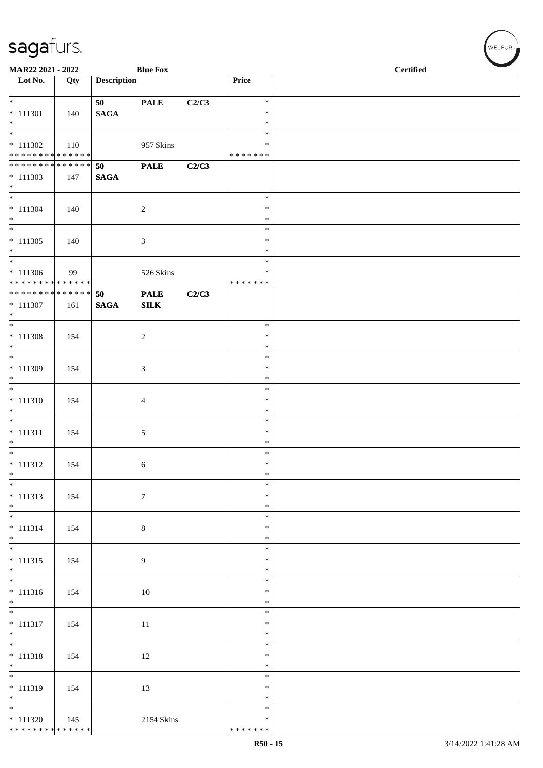| MAR22 2021 - 2022                                        |     |                       | <b>Blue Fox</b>             |       |                    | <b>Certified</b> |
|----------------------------------------------------------|-----|-----------------------|-----------------------------|-------|--------------------|------------------|
| Lot No.                                                  | Qty | <b>Description</b>    |                             |       | Price              |                  |
| $*$<br>$* 111301$                                        | 140 | 50<br>$\mathbf{SAGA}$ | <b>PALE</b>                 | C2/C3 | $\ast$<br>$\ast$   |                  |
| $*$<br>$\overline{\phantom{0}}$                          |     |                       |                             |       | $\ast$<br>$\ast$   |                  |
| $* 111302$<br>* * * * * * * * <mark>* * * * * * *</mark> | 110 |                       | 957 Skins                   |       | ∗<br>* * * * * * * |                  |
| * * * * * * * * * * * * * * *                            |     | 50                    | <b>PALE</b>                 | C2/C3 |                    |                  |
| $* 111303$<br>$*$                                        | 147 | $\mathbf{SAGA}$       |                             |       |                    |                  |
| $*$                                                      |     |                       |                             |       | $\ast$<br>$\ast$   |                  |
| $* 111304$<br>$*$                                        | 140 |                       | $\sqrt{2}$                  |       | $\ast$             |                  |
|                                                          |     |                       |                             |       | $\ast$             |                  |
| $* 111305$<br>$*$                                        | 140 |                       | 3                           |       | $\ast$<br>$\ast$   |                  |
| $*$                                                      |     |                       |                             |       | $\ast$<br>$\ast$   |                  |
| $* 111306$<br>******** <mark>******</mark>               | 99  |                       | 526 Skins                   |       | *******            |                  |
| ******** <mark>******</mark><br>$* 111307$               | 161 | 50<br><b>SAGA</b>     | <b>PALE</b><br>${\bf SILK}$ | C2/C3 |                    |                  |
| $\ast$                                                   |     |                       |                             |       | $\ast$             |                  |
| $* 111308$<br>$*$                                        | 154 |                       | 2                           |       | $\ast$<br>$\ast$   |                  |
| $*$                                                      |     |                       |                             |       | $\ast$             |                  |
| $* 111309$<br>$*$                                        | 154 |                       | 3                           |       | $\ast$<br>$\ast$   |                  |
| $\overline{\phantom{0}}$                                 |     |                       |                             |       | $\ast$             |                  |
| $* 111310$<br>$*$                                        | 154 |                       | $\overline{4}$              |       | $\ast$<br>$\ast$   |                  |
| $*$                                                      |     |                       |                             |       | $\ast$             |                  |
| $* 111311$<br>$*$                                        | 154 |                       | 5                           |       | $\ast$<br>$\ast$   |                  |
| $*$                                                      |     |                       |                             |       | $\ast$             |                  |
| $* 111312$<br>$*$                                        | 154 |                       | 6                           |       | $\ast$<br>$\ast$   |                  |
| $*$                                                      |     |                       |                             |       | $\ast$             |                  |
| $* 111313$<br>$*$                                        | 154 |                       | $7\phantom{.0}$             |       | $\ast$<br>$\ast$   |                  |
|                                                          |     |                       |                             |       | $\ast$             |                  |
| $* 111314$<br>$*$                                        | 154 |                       | $\,8\,$                     |       | $\ast$<br>$\ast$   |                  |
| $* 111315$                                               | 154 |                       | 9                           |       | $\ast$<br>$\ast$   |                  |
| $*$                                                      |     |                       |                             |       | $\ast$             |                  |
| $\overline{\phantom{0}}$<br>$* 111316$                   | 154 |                       | 10                          |       | $\ast$<br>$\ast$   |                  |
| $*$                                                      |     |                       |                             |       | $\ast$             |                  |
|                                                          |     |                       |                             |       | $\ast$<br>$\ast$   |                  |
| $* 111317$<br>$*$                                        | 154 |                       | 11                          |       | $\ast$             |                  |
| $\overline{\phantom{0}}$                                 |     |                       |                             |       | $\ast$             |                  |
| $* 111318$<br>$*$                                        | 154 |                       | 12                          |       | $\ast$<br>$\ast$   |                  |
| $*$                                                      |     |                       |                             |       | $\ast$             |                  |
| $* 111319$<br>$*$                                        | 154 |                       | 13                          |       | $\ast$<br>$\ast$   |                  |
|                                                          |     |                       |                             |       | $\ast$             |                  |
| $* 111320$                                               | 145 |                       | 2154 Skins                  |       | ∗                  |                  |
| * * * * * * * * * * * * * *                              |     |                       |                             |       | * * * * * * *      |                  |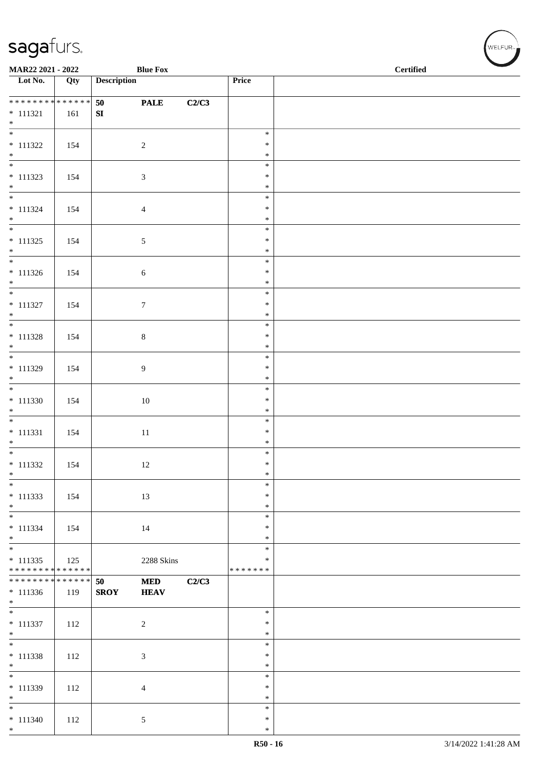| MAR22 2021 - 2022                                |     |                    | <b>Blue Fox</b>           |       |                                   | <b>Certified</b> |
|--------------------------------------------------|-----|--------------------|---------------------------|-------|-----------------------------------|------------------|
| Lot No.                                          | Qty | <b>Description</b> |                           |       | Price                             |                  |
| * * * * * * * * * * * * * *<br>$* 111321$<br>$*$ | 161 | 50<br>${\bf SI}$   | <b>PALE</b>               | C2/C3 |                                   |                  |
| $* 111322$<br>$*$                                | 154 |                    | $\sqrt{2}$                |       | $\ast$<br>∗<br>$\ast$             |                  |
| $* 111323$<br>$*$                                | 154 |                    | $\mathfrak{Z}$            |       | $\ast$<br>$\ast$<br>$\ast$        |                  |
| $* 111324$<br>$*$                                | 154 |                    | $\overline{4}$            |       | $\ast$<br>$\ast$<br>$\ast$        |                  |
| $* 111325$<br>$*$                                | 154 |                    | $\mathfrak{S}$            |       | $\ast$<br>$\ast$<br>$\ast$        |                  |
| $* 111326$<br>$*$                                | 154 |                    | $\sqrt{6}$                |       | $\ast$<br>$\ast$<br>$\ast$        |                  |
| $* 111327$<br>$*$ $*$                            | 154 |                    | $\boldsymbol{7}$          |       | $\ast$<br>$\ast$<br>$\ast$        |                  |
| $* 111328$<br>$\ast$<br>$\overline{\phantom{0}}$ | 154 |                    | $8\,$                     |       | $\ast$<br>$\ast$<br>$\ast$        |                  |
| $* 111329$<br>$\ast$<br>$\overline{\phantom{0}}$ | 154 |                    | $\overline{9}$            |       | $\ast$<br>$\ast$<br>$\ast$        |                  |
| $* 111330$<br>$*$<br>$\overline{\phantom{0}}$    | 154 |                    | $10\,$                    |       | $\ast$<br>$\ast$<br>$\ast$        |                  |
| $* 111331$<br>$*$<br>$\overline{\ast}$           | 154 |                    | $11\,$                    |       | $\ast$<br>$\ast$<br>$\ast$        |                  |
| $* 111332$<br>$*$                                | 154 |                    | 12                        |       | $\ast$<br>$\ast$<br>$\ast$        |                  |
| $\ast$<br>$* 111333$<br>$*$                      | 154 |                    | 13                        |       | $\ast$<br>$\ast$<br>$\ast$        |                  |
| $* 111334$<br>$*$<br>$\overline{\phantom{0}}$    | 154 |                    | 14                        |       | $\ast$<br>$\ast$<br>∗             |                  |
| $* 111335$<br>* * * * * * * * * * * * * *        | 125 |                    | 2288 Skins                |       | $\ast$<br>$\ast$<br>* * * * * * * |                  |
| * * * * * * * * * * * * * *<br>$* 111336$<br>$*$ | 119 | 50<br><b>SROY</b>  | <b>MED</b><br><b>HEAV</b> | C2/C3 |                                   |                  |
| $* 111337$<br>$*$                                | 112 |                    | $\overline{2}$            |       | $\ast$<br>$\ast$<br>$\ast$        |                  |
| $\overline{\ast}$<br>$* 111338$<br>$*$           | 112 |                    | $\mathfrak{Z}$            |       | $\ast$<br>$\ast$<br>$\ast$        |                  |
| $\frac{1}{*}$<br>$* 111339$<br>$*$               | 112 |                    | $\overline{4}$            |       | $\ast$<br>∗<br>$\ast$             |                  |
| $\overline{\phantom{0}}$<br>$* 111340$<br>$*$    | 112 |                    | $5\overline{)}$           |       | $\ast$<br>$\ast$<br>$\ast$        |                  |

 $w$ elfur<sub>m</sub>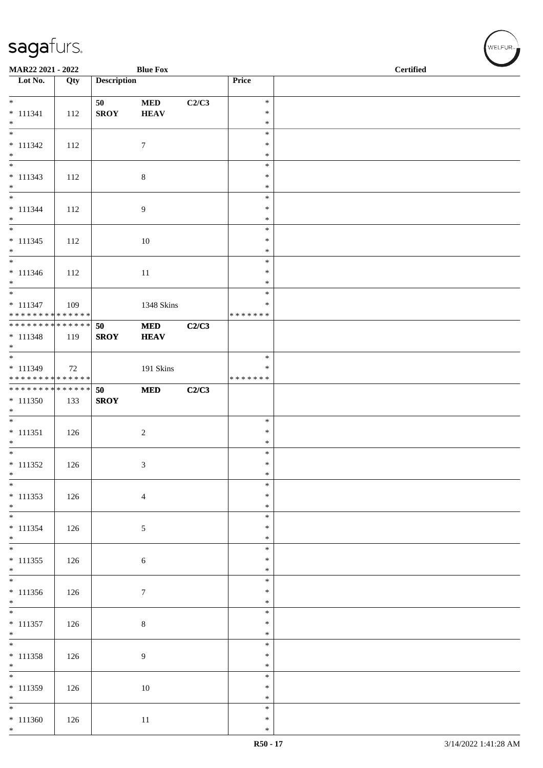| MAR22 2021 - 2022                                        |     |                    | <b>Blue Fox</b> |       |                   | <b>Certified</b> |
|----------------------------------------------------------|-----|--------------------|-----------------|-------|-------------------|------------------|
| $\overline{\phantom{a}}$ Lot No.                         | Qty | <b>Description</b> |                 |       | Price             |                  |
| $*$                                                      |     | 50                 | <b>MED</b>      | C2/C3 | $\ast$            |                  |
| $* 111341$<br>$*$                                        | 112 | <b>SROY</b>        | <b>HEAV</b>     |       | $\ast$<br>$\ast$  |                  |
| $* 111342$                                               | 112 |                    | $\tau$          |       | $\ast$<br>$\ast$  |                  |
| $*$                                                      |     |                    |                 |       | $\ast$            |                  |
| $* 111343$                                               | 112 |                    | $\,8\,$         |       | $\ast$<br>$\ast$  |                  |
| $*$                                                      |     |                    |                 |       | $\ast$<br>$\ast$  |                  |
| $* 111344$                                               | 112 |                    | 9               |       | $\ast$            |                  |
| $*$                                                      |     |                    |                 |       | $\ast$<br>$\ast$  |                  |
| $* 111345$                                               | 112 |                    | 10              |       | $\ast$            |                  |
| $*$<br>$\overline{\phantom{0}}$                          |     |                    |                 |       | $\ast$<br>$\ast$  |                  |
| $* 111346$<br>$*$                                        | 112 |                    | $11\,$          |       | $\ast$<br>$\ast$  |                  |
| $*$                                                      |     |                    |                 |       | $\ast$            |                  |
| $* 111347$<br>* * * * * * * * <mark>* * * * * * *</mark> | 109 |                    | 1348 Skins      |       | $\ast$<br>******* |                  |
| ******** <mark>******</mark><br>$* 111348$               |     | 50                 | <b>MED</b>      | C2/C3 |                   |                  |
| $*$                                                      | 119 | <b>SROY</b>        | <b>HEAV</b>     |       |                   |                  |
| * 111349                                                 | 72  |                    | 191 Skins       |       | $\ast$<br>∗       |                  |
| ******** <mark>******</mark>                             |     |                    |                 |       | * * * * * * *     |                  |
| * * * * * * * * <mark>* * * * * * *</mark><br>$* 111350$ | 133 | 50<br><b>SROY</b>  | $\bf MED$       | C2/C3 |                   |                  |
| $*$                                                      |     |                    |                 |       | $\ast$            |                  |
| $* 111351$                                               | 126 |                    | $\overline{2}$  |       | $\ast$            |                  |
| $*$<br>$*$                                               |     |                    |                 |       | $\ast$<br>$\ast$  |                  |
| $* 111352$<br>$*$                                        | 126 |                    | 3               |       | $\ast$<br>$\ast$  |                  |
| $*$                                                      |     |                    |                 |       | $\ast$            |                  |
| $* 111353$<br>$*$                                        | 126 |                    | $\overline{4}$  |       | $\ast$<br>$\ast$  |                  |
| $*$                                                      |     |                    |                 |       | $\ast$            |                  |
| $* 111354$<br>$*$                                        | 126 |                    | 5               |       | $\ast$<br>$\ast$  |                  |
| $\overline{\ast}$<br>$* 111355$                          | 126 |                    | $\sqrt{6}$      |       | $\ast$<br>$\ast$  |                  |
| $*$                                                      |     |                    |                 |       | $\ast$            |                  |
| $* 111356$                                               | 126 |                    | $7\phantom{.0}$ |       | $\ast$<br>$\ast$  |                  |
| $*$                                                      |     |                    |                 |       | $\ast$<br>$\ast$  |                  |
| $* 111357$                                               | 126 |                    | $\,8\,$         |       | $\ast$            |                  |
| $*$<br>$*$                                               |     |                    |                 |       | $\ast$<br>$\ast$  |                  |
| $* 111358$<br>$*$                                        | 126 |                    | 9               |       | $\ast$<br>$\ast$  |                  |
| $\overline{\phantom{0}}$                                 |     |                    |                 |       | $\ast$            |                  |
| $* 111359$<br>$*$                                        | 126 |                    | 10              |       | $\ast$<br>$\ast$  |                  |
| $*$                                                      |     |                    |                 |       | $\ast$            |                  |
| $* 111360$<br>$*$                                        | 126 |                    | 11              |       | $\ast$<br>$\ast$  |                  |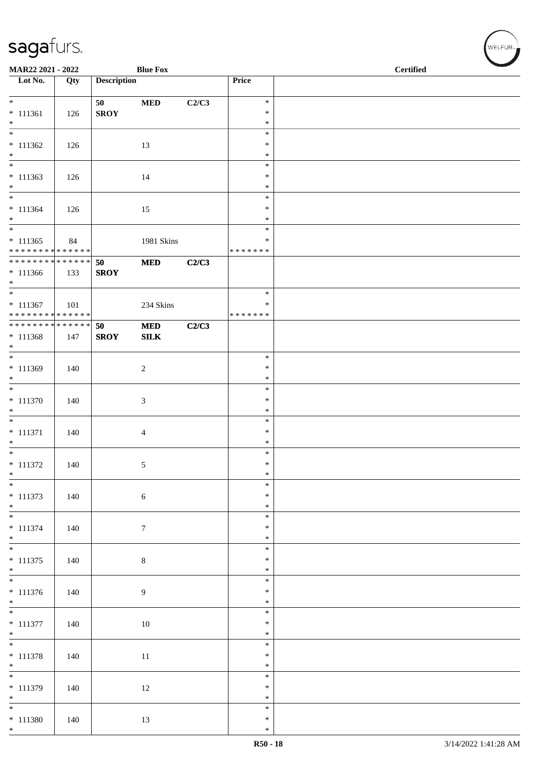| MAR22 2021 - 2022                         |     |                    | <b>Blue Fox</b> |       |                    | <b>Certified</b> |
|-------------------------------------------|-----|--------------------|-----------------|-------|--------------------|------------------|
| $\overline{\phantom{1}}$ Lot No.          | Qty | <b>Description</b> |                 |       | Price              |                  |
|                                           |     |                    |                 |       |                    |                  |
| $*$                                       |     | 50                 | $\bf MED$       | C2/C3 | $\ast$             |                  |
| $* 111361$                                | 126 | <b>SROY</b>        |                 |       | $\ast$             |                  |
| $*$<br>$\overline{\ast}$                  |     |                    |                 |       | $\ast$             |                  |
|                                           |     |                    |                 |       | $\ast$             |                  |
| $* 111362$<br>$*$                         | 126 |                    | 13              |       | $\ast$<br>$\ast$   |                  |
| $\overline{\phantom{0}}$                  |     |                    |                 |       | $\ast$             |                  |
| $* 111363$                                | 126 |                    | 14              |       | $\ast$             |                  |
| $\ast$                                    |     |                    |                 |       | $\ast$             |                  |
| $\overline{\ast}$                         |     |                    |                 |       | $\ast$             |                  |
| $* 111364$                                | 126 |                    | 15              |       | $\ast$             |                  |
| $*$                                       |     |                    |                 |       | $\ast$             |                  |
| $\overline{\phantom{0}}$                  |     |                    |                 |       | $\ast$             |                  |
| $* 111365$<br>* * * * * * * * * * * * * * | 84  |                    | 1981 Skins      |       | ∗<br>* * * * * * * |                  |
| * * * * * * * * * * * * * * *             |     | 50                 | <b>MED</b>      | C2/C3 |                    |                  |
| $* 111366$                                | 133 | <b>SROY</b>        |                 |       |                    |                  |
| $*$                                       |     |                    |                 |       |                    |                  |
| $*$                                       |     |                    |                 |       | $\ast$             |                  |
| $* 111367$                                | 101 |                    | 234 Skins       |       | $\ast$             |                  |
| * * * * * * * * * * * * * *               |     |                    |                 |       | * * * * * * *      |                  |
| ******** <mark>******</mark>              |     | 50                 | $\bf MED$       | C2/C3 |                    |                  |
| $* 111368$                                | 147 | <b>SROY</b>        | SLK             |       |                    |                  |
| $*$<br>$\overline{\ast}$                  |     |                    |                 |       | $\ast$             |                  |
| $* 111369$                                | 140 |                    | $\sqrt{2}$      |       | $\ast$             |                  |
| $\ast$                                    |     |                    |                 |       | $\ast$             |                  |
|                                           |     |                    |                 |       | $\ast$             |                  |
| $* 111370$                                | 140 |                    | 3               |       | $\ast$             |                  |
| $\ast$                                    |     |                    |                 |       | $\ast$             |                  |
| $\overline{\phantom{0}}$                  |     |                    |                 |       | $\ast$             |                  |
| $* 111371$                                | 140 |                    | $\overline{4}$  |       | $\ast$             |                  |
| $*$<br>$*$                                |     |                    |                 |       | $\ast$             |                  |
|                                           |     |                    |                 |       | $\ast$<br>$\ast$   |                  |
| $* 111372$<br>$*$                         | 140 |                    | 5               |       | $\ast$             |                  |
| $\overline{\phantom{0}}$                  |     |                    |                 |       | $\ast$             |                  |
| $* 111373$                                | 140 |                    | 6               |       | $\ast$             |                  |
| $*$                                       |     |                    |                 |       | $\ast$             |                  |
|                                           |     |                    |                 |       | $\ast$             |                  |
| $* 111374$                                | 140 |                    | $\tau$          |       | $\ast$             |                  |
| $*$                                       |     |                    |                 |       | $\ast$             |                  |
| $\overline{\ast}$                         |     |                    |                 |       | $\ast$<br>$\ast$   |                  |
| $* 111375$<br>$*$                         | 140 |                    | $\,8\,$         |       | $\ast$             |                  |
|                                           |     |                    |                 |       | $\ast$             |                  |
| $* 111376$                                | 140 |                    | 9               |       | $\ast$             |                  |
| $*$                                       |     |                    |                 |       | $\ast$             |                  |
|                                           |     |                    |                 |       | $\ast$             |                  |
| $* 111377$                                | 140 |                    | 10              |       | $\ast$             |                  |
| $*$                                       |     |                    |                 |       | $\ast$             |                  |
|                                           |     |                    |                 |       | $\ast$             |                  |
| $* 111378$                                | 140 |                    | 11              |       | $\ast$             |                  |
| $*$<br>$\overline{\phantom{0}}$           |     |                    |                 |       | $\ast$<br>$\ast$   |                  |
| $* 111379$                                | 140 |                    | 12              |       | $\ast$             |                  |
| $*$                                       |     |                    |                 |       | $\ast$             |                  |
| $\overline{\phantom{0}}$                  |     |                    |                 |       | $\ast$             |                  |
| $* 111380$                                | 140 |                    | 13              |       | $\ast$             |                  |
| $*$                                       |     |                    |                 |       | $\ast$             |                  |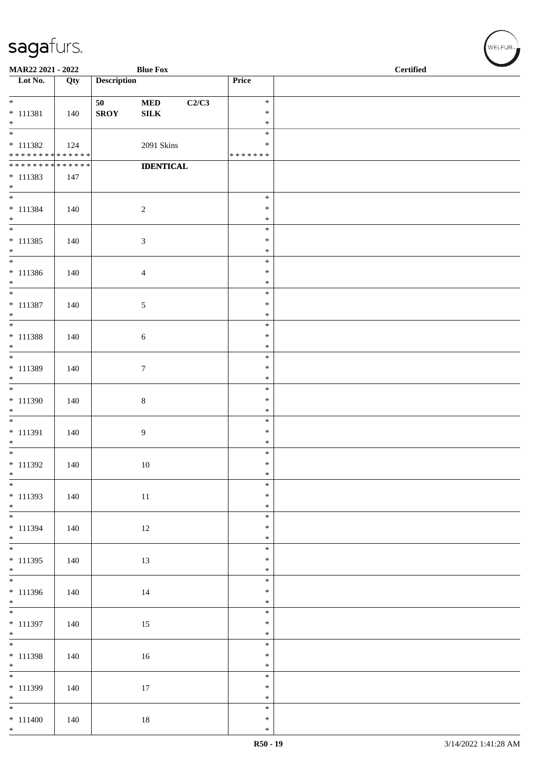| MAR22 2021 - 2022                                        |     |                    | <b>Blue Fox</b>           |                    | <b>Certified</b> |  |  |  |
|----------------------------------------------------------|-----|--------------------|---------------------------|--------------------|------------------|--|--|--|
| $\overline{\phantom{1}}$ Lot No.                         | Qty | <b>Description</b> |                           | Price              |                  |  |  |  |
| $*$                                                      |     |                    |                           | $\ast$             |                  |  |  |  |
| $* 111381$                                               | 140 | 50<br><b>SROY</b>  | $\bf MED$<br>${\bf SILK}$ | C2/C3<br>$\ast$    |                  |  |  |  |
| $*$                                                      |     |                    |                           | $\ast$             |                  |  |  |  |
| $\frac{1}{1}$                                            |     |                    |                           | $\ast$             |                  |  |  |  |
| $* 111382$<br>* * * * * * * * <mark>* * * * * * *</mark> | 124 |                    | 2091 Skins                | ∗<br>* * * * * * * |                  |  |  |  |
| * * * * * * * * * * * * * *                              |     |                    | <b>IDENTICAL</b>          |                    |                  |  |  |  |
| $* 111383$                                               | 147 |                    |                           |                    |                  |  |  |  |
| $*$                                                      |     |                    |                           | $\ast$             |                  |  |  |  |
| $* 111384$                                               | 140 |                    | $\sqrt{2}$                | $\ast$             |                  |  |  |  |
| $*$                                                      |     |                    |                           | $\ast$             |                  |  |  |  |
| $\overline{\phantom{0}}$                                 |     |                    |                           | $\ast$             |                  |  |  |  |
| $* 111385$<br>$*$                                        | 140 |                    | $\sqrt{3}$                | $\ast$<br>$\ast$   |                  |  |  |  |
| $*$                                                      |     |                    |                           | $\ast$             |                  |  |  |  |
| $* 111386$                                               | 140 |                    | $\overline{4}$            | $\ast$             |                  |  |  |  |
| $*$<br>$*$                                               |     |                    |                           | $\ast$<br>$\ast$   |                  |  |  |  |
| $* 111387$                                               | 140 |                    | $\sqrt{5}$                | $\ast$             |                  |  |  |  |
| $*$                                                      |     |                    |                           | $\ast$             |                  |  |  |  |
|                                                          |     |                    |                           | $\ast$<br>$\ast$   |                  |  |  |  |
| * 111388<br>$*$                                          | 140 |                    | 6                         | $\ast$             |                  |  |  |  |
|                                                          |     |                    |                           | $\ast$             |                  |  |  |  |
| * 111389                                                 | 140 |                    | $\tau$                    | $\ast$             |                  |  |  |  |
| $*$                                                      |     |                    |                           | $\ast$<br>$\ast$   |                  |  |  |  |
| $* 111390$                                               | 140 |                    | $\,8\,$                   | $\ast$             |                  |  |  |  |
| $*$                                                      |     |                    |                           | $\ast$             |                  |  |  |  |
| * 111391                                                 | 140 |                    | 9                         | $\ast$<br>$\ast$   |                  |  |  |  |
| $*$                                                      |     |                    |                           | $\ast$             |                  |  |  |  |
| $*$                                                      |     |                    |                           | $\ast$             |                  |  |  |  |
| $* 111392$<br>$\ast$                                     | 140 |                    | 10                        | $\ast$<br>$\ast$   |                  |  |  |  |
| $\ast$                                                   |     |                    |                           | $\ast$             |                  |  |  |  |
| $* 111393$                                               | 140 |                    | 11                        | $\ast$             |                  |  |  |  |
| $*$                                                      |     |                    |                           | $\ast$<br>$\ast$   |                  |  |  |  |
| $* 111394$                                               | 140 |                    | 12                        | $\ast$             |                  |  |  |  |
| $*$                                                      |     |                    |                           | $\ast$             |                  |  |  |  |
| $*$                                                      |     |                    |                           | $\ast$<br>$\ast$   |                  |  |  |  |
| $* 111395$<br>$*$                                        | 140 |                    | 13                        | $\ast$             |                  |  |  |  |
|                                                          |     |                    |                           | $\ast$             |                  |  |  |  |
| * 111396                                                 | 140 |                    | 14                        | $\ast$<br>$\ast$   |                  |  |  |  |
| $*$                                                      |     |                    |                           | $\ast$             |                  |  |  |  |
| $* 111397$                                               | 140 |                    | 15                        | $\ast$             |                  |  |  |  |
| $*$                                                      |     |                    |                           | $\ast$             |                  |  |  |  |
| $* 111398$                                               | 140 |                    | 16                        | $\ast$<br>$\ast$   |                  |  |  |  |
| $*$                                                      |     |                    |                           | $\ast$             |                  |  |  |  |
|                                                          |     |                    |                           | $\ast$             |                  |  |  |  |
| * 111399<br>$*$                                          | 140 |                    | 17                        | $\ast$<br>$\ast$   |                  |  |  |  |
|                                                          |     |                    |                           | $\ast$             |                  |  |  |  |
| $* 111400$                                               | 140 |                    | 18                        | $\ast$             |                  |  |  |  |
| $*$                                                      |     |                    |                           | $\ast$             |                  |  |  |  |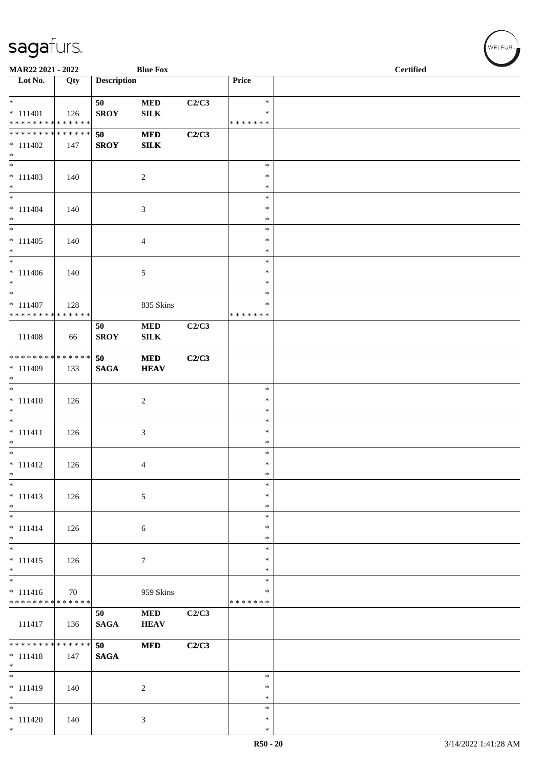| MAR22 2021 - 2022                         |     |                    | <b>Blue Fox</b> |       |                  | <b>Certified</b> |
|-------------------------------------------|-----|--------------------|-----------------|-------|------------------|------------------|
| $\overline{\phantom{1}}$ Lot No.          | Qty | <b>Description</b> |                 |       | Price            |                  |
| $*$                                       |     | 50                 | $\bf MED$       | C2/C3 | $\ast$           |                  |
| $* 111401$                                | 126 | <b>SROY</b>        | ${\bf SILK}$    |       | ∗                |                  |
| * * * * * * * * * * * * * *               |     |                    |                 |       | * * * * * * *    |                  |
| * * * * * * * * * * * * * *               |     | 50                 | $\bf MED$       | C2/C3 |                  |                  |
| $* 111402$                                | 147 | <b>SROY</b>        | <b>SILK</b>     |       |                  |                  |
| $*$                                       |     |                    |                 |       |                  |                  |
| $\overline{\phantom{0}}$                  |     |                    |                 |       | $\ast$           |                  |
| $* 111403$                                | 140 |                    | $\sqrt{2}$      |       | $\ast$           |                  |
| $*$                                       |     |                    |                 |       | $\ast$           |                  |
| $\overline{\phantom{0}}$                  |     |                    |                 |       | $\ast$           |                  |
| $* 111404$                                | 140 |                    | 3               |       | $\ast$           |                  |
| $*$                                       |     |                    |                 |       | $\ast$           |                  |
| $\overline{\ }$                           |     |                    |                 |       | $\ast$           |                  |
| $* 111405$                                | 140 |                    | $\overline{4}$  |       | $\ast$           |                  |
| $*$<br>$*$                                |     |                    |                 |       | $\ast$           |                  |
|                                           |     |                    |                 |       | $\ast$           |                  |
| $* 111406$                                | 140 |                    | 5               |       | $\ast$<br>$\ast$ |                  |
| $*$                                       |     |                    |                 |       | $\ast$           |                  |
|                                           |     |                    |                 |       | ∗                |                  |
| $* 111407$<br>* * * * * * * * * * * * * * | 128 |                    | 835 Skins       |       | * * * * * * *    |                  |
|                                           |     | 50                 | $\bf MED$       | C2/C3 |                  |                  |
| 111408                                    | 66  | <b>SROY</b>        | ${\bf SILK}$    |       |                  |                  |
|                                           |     |                    |                 |       |                  |                  |
| ******** <mark>******</mark>              |     | 50                 | <b>MED</b>      | C2/C3 |                  |                  |
| $* 111409$                                | 133 | <b>SAGA</b>        | <b>HEAV</b>     |       |                  |                  |
| $*$                                       |     |                    |                 |       |                  |                  |
| $\overline{\phantom{0}}$                  |     |                    |                 |       | $\ast$           |                  |
| $* 111410$                                | 126 |                    | $\overline{c}$  |       | $\ast$           |                  |
| $*$                                       |     |                    |                 |       | $\ast$           |                  |
| $\overline{\phantom{0}}$                  |     |                    |                 |       | $\ast$           |                  |
| $* 111411$                                | 126 |                    | 3               |       | $\ast$           |                  |
| $*$                                       |     |                    |                 |       | $\ast$           |                  |
| $*$                                       |     |                    |                 |       | $\ast$           |                  |
| $* 111412$                                | 126 |                    | 4               |       | $\ast$           |                  |
| $*$                                       |     |                    |                 |       | $\ast$           |                  |
| $*$                                       |     |                    |                 |       | $\ast$           |                  |
| $* 111413$                                | 126 |                    | $\mathfrak{S}$  |       | $\ast$           |                  |
| $*$                                       |     |                    |                 |       | $\ast$           |                  |
| $*$                                       |     |                    |                 |       | $\ast$           |                  |
| $* 111414$                                | 126 |                    | 6               |       | $\ast$           |                  |
| $*$                                       |     |                    |                 |       | $\ast$<br>$\ast$ |                  |
| $* 111415$                                | 126 |                    |                 |       | $\ast$           |                  |
| $*$                                       |     |                    | 7               |       | $\ast$           |                  |
| $\overline{\phantom{0}}$                  |     |                    |                 |       | $\ast$           |                  |
| $* 111416$                                | 70  |                    | 959 Skins       |       | $\ast$           |                  |
| * * * * * * * * * * * * * *               |     |                    |                 |       | * * * * * * *    |                  |
|                                           |     | 50                 | $\bf MED$       | C2/C3 |                  |                  |
| 111417                                    | 136 | $\mathbf{SAGA}$    | <b>HEAV</b>     |       |                  |                  |
|                                           |     |                    |                 |       |                  |                  |
| ******** <mark>******</mark>              |     | 50                 | $\bf MED$       | C2/C3 |                  |                  |
| $* 111418$                                | 147 | <b>SAGA</b>        |                 |       |                  |                  |
| $*$                                       |     |                    |                 |       |                  |                  |
| $*$                                       |     |                    |                 |       | $\ast$           |                  |
| $* 111419$                                | 140 |                    | $\overline{c}$  |       | $\ast$           |                  |
| $*$                                       |     |                    |                 |       | ∗                |                  |
| $*$                                       |     |                    |                 |       | $\ast$           |                  |
| $* 111420$                                | 140 |                    | 3               |       | $\ast$           |                  |
| $*$                                       |     |                    |                 |       | $\ast$           |                  |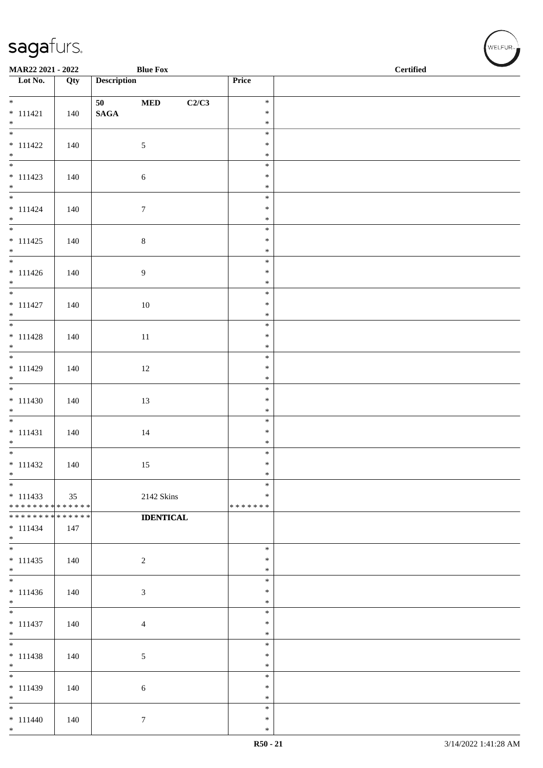| <b>Blue Fox</b><br>MAR22 2021 - 2022       |     |                    |                    |                  | $\operatorname{\bf \mathbf{Certified}}$ |  |
|--------------------------------------------|-----|--------------------|--------------------|------------------|-----------------------------------------|--|
| $\overline{\phantom{a}}$ Lot No.           | Qty | <b>Description</b> |                    | Price            |                                         |  |
| $*$                                        |     | 50                 | $\bf MED$<br>C2/C3 | $\ast$           |                                         |  |
| $* 111421$                                 | 140 | $\mathbf{SAGA}$    |                    | $\ast$           |                                         |  |
| $*$                                        |     |                    |                    | $\ast$           |                                         |  |
|                                            |     |                    |                    | $\ast$           |                                         |  |
| $* 111422$<br>$*$                          | 140 |                    | $\mathfrak{S}$     | $\ast$<br>$\ast$ |                                         |  |
|                                            |     |                    |                    | $\ast$           |                                         |  |
| $* 111423$                                 | 140 |                    | $\sqrt{6}$         | $\ast$           |                                         |  |
| $*$<br>$*$                                 |     |                    |                    | $\ast$           |                                         |  |
| $* 111424$                                 | 140 |                    | $\boldsymbol{7}$   | $\ast$<br>$\ast$ |                                         |  |
| $*$                                        |     |                    |                    | $\ast$           |                                         |  |
|                                            |     |                    |                    | $\ast$           |                                         |  |
| $* 111425$                                 | 140 |                    | $8\,$              | $\ast$           |                                         |  |
| $*$                                        |     |                    |                    | $\ast$<br>$\ast$ |                                         |  |
| $* 111426$                                 | 140 |                    | $\overline{9}$     | $\ast$           |                                         |  |
| $*$                                        |     |                    |                    | $\ast$           |                                         |  |
|                                            |     |                    |                    | $\ast$           |                                         |  |
| $* 111427$<br>$*$                          | 140 |                    | 10                 | $\ast$<br>$\ast$ |                                         |  |
|                                            |     |                    |                    | $\ast$           |                                         |  |
| $* 111428$                                 | 140 |                    | $11\,$             | $\ast$           |                                         |  |
| $*$                                        |     |                    |                    | $\ast$           |                                         |  |
| $* 111429$                                 |     |                    |                    | $\ast$<br>$\ast$ |                                         |  |
| $*$                                        | 140 |                    | $12\,$             | $\ast$           |                                         |  |
|                                            |     |                    |                    | $\ast$           |                                         |  |
| $* 111430$                                 | 140 |                    | 13                 | $\ast$           |                                         |  |
| $*$                                        |     |                    |                    | $\ast$<br>$\ast$ |                                         |  |
| $* 111431$                                 | 140 |                    | 14                 | $\ast$           |                                         |  |
| $*$                                        |     |                    |                    | $\ast$           |                                         |  |
|                                            |     |                    |                    | $\ast$           |                                         |  |
| $* 111432$<br>$*$                          | 140 |                    | 15                 | $\ast$<br>$\ast$ |                                         |  |
| $*$                                        |     |                    |                    | $\ast$           |                                         |  |
| $* 111433$                                 | 35  |                    | 2142 Skins         | $\ast$           |                                         |  |
| * * * * * * * * * * * * * * *              |     |                    |                    | * * * * * * *    |                                         |  |
| * * * * * * * * <mark>* * * * * * *</mark> |     |                    | <b>IDENTICAL</b>   |                  |                                         |  |
| $* 111434$<br>$*$                          | 147 |                    |                    |                  |                                         |  |
|                                            |     |                    |                    | $\ast$           |                                         |  |
| $* 111435$                                 | 140 |                    | $\overline{2}$     | $\ast$           |                                         |  |
| $*$                                        |     |                    |                    | $\ast$<br>$\ast$ |                                         |  |
| $* 111436$                                 | 140 |                    | $\sqrt{3}$         | $\ast$           |                                         |  |
| $*$                                        |     |                    |                    | $\ast$           |                                         |  |
|                                            |     |                    |                    | $\ast$           |                                         |  |
| $* 111437$                                 | 140 |                    | $\overline{4}$     | $\ast$<br>$\ast$ |                                         |  |
| $*$<br>$*$                                 |     |                    |                    | $\ast$           |                                         |  |
| $* 111438$                                 | 140 |                    | 5                  | $\ast$           |                                         |  |
| $*$<br>-                                   |     |                    |                    | $\ast$           |                                         |  |
| $*$                                        |     |                    |                    | $\ast$<br>$\ast$ |                                         |  |
| $* 111439$<br>$*$                          | 140 |                    | 6                  | $\ast$           |                                         |  |
| $*$                                        |     |                    |                    | $\ast$           |                                         |  |
| $* 111440$                                 | 140 |                    | $\tau$             | $\ast$           |                                         |  |
| $*$                                        |     |                    |                    | $\ast$           |                                         |  |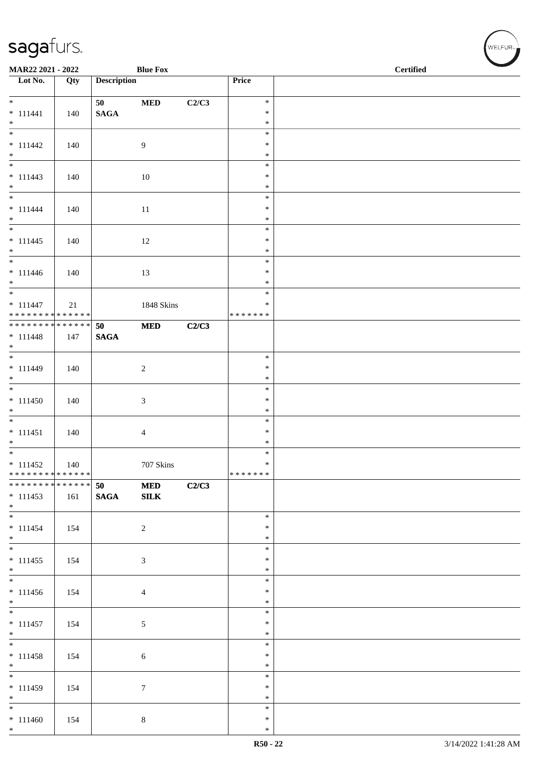| MAR22 2021 - 2022<br><b>Blue Fox</b>                          |     |                    |                |       |                  | $\operatorname{\bf \mathbf{Certified}}$ |  |  |
|---------------------------------------------------------------|-----|--------------------|----------------|-------|------------------|-----------------------------------------|--|--|
| Lot No.                                                       | Qty | <b>Description</b> |                |       | Price            |                                         |  |  |
| $*$                                                           |     | 50                 | $\bf MED$      | C2/C3 | $\ast$           |                                         |  |  |
| $* 111441$                                                    | 140 | $\mathbf{SAGA}$    |                |       | $\ast$           |                                         |  |  |
| $*$                                                           |     |                    |                |       | $\ast$<br>$\ast$ |                                         |  |  |
| $* 111442$                                                    | 140 |                    | 9              |       | $\ast$           |                                         |  |  |
| $*$                                                           |     |                    |                |       | $\ast$           |                                         |  |  |
|                                                               |     |                    |                |       | $\ast$           |                                         |  |  |
| $* 111443$                                                    | 140 |                    | 10             |       | $\ast$           |                                         |  |  |
| $*$<br>$*$                                                    |     |                    |                |       | $\ast$<br>$\ast$ |                                         |  |  |
| $* 111444$                                                    | 140 |                    | 11             |       | $\ast$           |                                         |  |  |
| $*$                                                           |     |                    |                |       | $\ast$           |                                         |  |  |
|                                                               |     |                    |                |       | $\ast$           |                                         |  |  |
| $* 111445$                                                    | 140 |                    | 12             |       | $\ast$           |                                         |  |  |
| $*$                                                           |     |                    |                |       | $\ast$<br>$\ast$ |                                         |  |  |
| $* 111446$                                                    | 140 |                    | 13             |       | $\ast$           |                                         |  |  |
| $*$                                                           |     |                    |                |       | $\ast$           |                                         |  |  |
| $*$                                                           |     |                    |                |       | $\ast$           |                                         |  |  |
| $* 111447$                                                    | 21  |                    | 1848 Skins     |       | $\ast$           |                                         |  |  |
| ******** <mark>******</mark><br>* * * * * * * * * * * * * * * |     | 50                 | <b>MED</b>     | C2/C3 | * * * * * * *    |                                         |  |  |
| $* 111448$                                                    | 147 | <b>SAGA</b>        |                |       |                  |                                         |  |  |
| $*$                                                           |     |                    |                |       |                  |                                         |  |  |
|                                                               |     |                    |                |       | $\ast$           |                                         |  |  |
| $* 111449$                                                    | 140 |                    | $\overline{2}$ |       | $\ast$<br>$\ast$ |                                         |  |  |
| $*$                                                           |     |                    |                |       | $\ast$           |                                         |  |  |
| $* 111450$                                                    | 140 |                    | $\mathfrak{Z}$ |       | $\ast$           |                                         |  |  |
| $*$                                                           |     |                    |                |       | $\ast$           |                                         |  |  |
|                                                               |     |                    |                |       | $\ast$           |                                         |  |  |
| $* 111451$<br>$*$                                             | 140 |                    | $\overline{4}$ |       | $\ast$<br>$\ast$ |                                         |  |  |
|                                                               |     |                    |                |       | $\ast$           |                                         |  |  |
| $* 111452$                                                    | 140 |                    | 707 Skins      |       | $\ast$           |                                         |  |  |
| * * * * * * * * * * * * * * *                                 |     |                    |                |       | *******          |                                         |  |  |
| ******** <mark>******</mark>                                  |     | 50                 | <b>MED</b>     | C2/C3 |                  |                                         |  |  |
| $* 111453$<br>$*$                                             | 161 | <b>SAGA</b>        | ${\bf SILK}$   |       |                  |                                         |  |  |
| $*$                                                           |     |                    |                |       | $\ast$           |                                         |  |  |
| $* 111454$                                                    | 154 |                    | $\overline{2}$ |       | $\ast$           |                                         |  |  |
| $*$                                                           |     |                    |                |       | $\ast$           |                                         |  |  |
| $* 111455$                                                    | 154 |                    | $\mathfrak{Z}$ |       | $\ast$<br>$\ast$ |                                         |  |  |
| $\ast$                                                        |     |                    |                |       | $\ast$           |                                         |  |  |
|                                                               |     |                    |                |       | $\ast$           |                                         |  |  |
| $* 111456$                                                    | 154 |                    | $\overline{4}$ |       | $\ast$           |                                         |  |  |
| $*$                                                           |     |                    |                |       | $\ast$<br>$\ast$ |                                         |  |  |
| $* 111457$                                                    | 154 |                    | $\mathfrak{S}$ |       | $\ast$           |                                         |  |  |
| $*$                                                           |     |                    |                |       | $\ast$           |                                         |  |  |
| $*$                                                           |     |                    |                |       | $\ast$           |                                         |  |  |
| $* 111458$                                                    | 154 |                    | 6              |       | $\ast$           |                                         |  |  |
| $*$<br>$*$                                                    |     |                    |                |       | $\ast$<br>$\ast$ |                                         |  |  |
| $* 111459$                                                    | 154 |                    | $\tau$         |       | $\ast$           |                                         |  |  |
| $*$                                                           |     |                    |                |       | $\ast$           |                                         |  |  |
| $*$                                                           |     |                    |                |       | $\ast$           |                                         |  |  |
| $* 111460$<br>$*$                                             | 154 |                    | $8\,$          |       | $\ast$<br>$\ast$ |                                         |  |  |
|                                                               |     |                    |                |       |                  |                                         |  |  |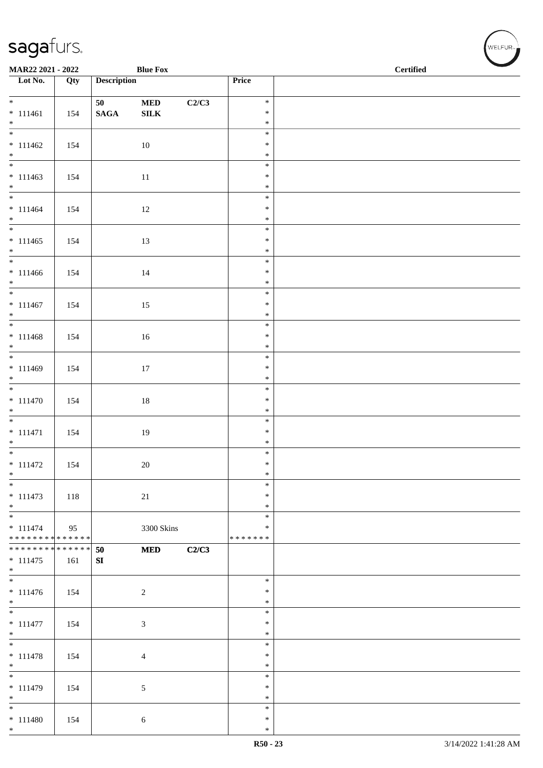| MAR22 2021 - 2022                                             |     |                    | <b>Blue Fox</b> |       |                  | <b>Certified</b> |
|---------------------------------------------------------------|-----|--------------------|-----------------|-------|------------------|------------------|
| $\overline{\phantom{1}}$ Lot No.                              | Qty | <b>Description</b> |                 |       | Price            |                  |
|                                                               |     |                    |                 |       |                  |                  |
| $\overline{\ast}$                                             |     | 50                 | $\bf MED$       | C2/C3 | $\ast$           |                  |
| $* 111461$                                                    | 154 | $\mathbf{SAGA}$    | ${\bf SILK}$    |       | $\ast$           |                  |
| $*$<br>$\frac{1}{1}$                                          |     |                    |                 |       | $\ast$           |                  |
|                                                               |     |                    |                 |       | $\ast$           |                  |
| $* 111462$<br>$*$                                             | 154 |                    | 10              |       | $\ast$<br>$\ast$ |                  |
|                                                               |     |                    |                 |       | $\ast$           |                  |
| $* 111463$                                                    | 154 |                    | $11\,$          |       | $\ast$           |                  |
| $*$                                                           |     |                    |                 |       | $\ast$           |                  |
|                                                               |     |                    |                 |       | $\ast$           |                  |
| $* 111464$                                                    | 154 |                    | 12              |       | $\ast$           |                  |
| $*$                                                           |     |                    |                 |       | $\ast$           |                  |
|                                                               |     |                    |                 |       | $\ast$           |                  |
| $* 111465$<br>$*$                                             | 154 |                    | 13              |       | $\ast$<br>$\ast$ |                  |
| $*$                                                           |     |                    |                 |       | $\ast$           |                  |
| $* 111466$                                                    | 154 |                    | 14              |       | $\ast$           |                  |
| $*$                                                           |     |                    |                 |       | $\ast$           |                  |
|                                                               |     |                    |                 |       | $\ast$           |                  |
| $* 111467$                                                    | 154 |                    | 15              |       | $\ast$           |                  |
| $*$                                                           |     |                    |                 |       | $\ast$           |                  |
|                                                               |     |                    |                 |       | $\ast$           |                  |
| $* 111468$                                                    | 154 |                    | 16              |       | $\ast$<br>$\ast$ |                  |
| $*$                                                           |     |                    |                 |       | $\ast$           |                  |
| $* 111469$                                                    | 154 |                    | 17              |       | $\ast$           |                  |
| $*$                                                           |     |                    |                 |       | $\ast$           |                  |
|                                                               |     |                    |                 |       | $\ast$           |                  |
| $* 111470$                                                    | 154 |                    | $18\,$          |       | $\ast$           |                  |
| $*$                                                           |     |                    |                 |       | $\ast$           |                  |
|                                                               |     |                    |                 |       | $\ast$           |                  |
| $* 111471$                                                    | 154 |                    | 19              |       | $\ast$           |                  |
| $*$<br>$\overline{\ast}$                                      |     |                    |                 |       | $\ast$<br>$\ast$ |                  |
| $* 111472$                                                    | 154 |                    | 20              |       | $\ast$           |                  |
| $\ast$                                                        |     |                    |                 |       | $\ast$           |                  |
| $*$                                                           |     |                    |                 |       | $\ast$           |                  |
| $* 111473$                                                    | 118 |                    | $21\,$          |       | $\ast$           |                  |
| $*$                                                           |     |                    |                 |       | $\ast$           |                  |
| $\overline{\phantom{0}}$                                      |     |                    |                 |       | $\ast$           |                  |
| $* 111474$                                                    | 95  |                    | 3300 Skins      |       | $\ast$           |                  |
| * * * * * * * * * * * * * * *<br>******** <mark>******</mark> |     |                    |                 |       | * * * * * * *    |                  |
| $* 111475$                                                    | 161 | 50<br>SI           | $\bf MED$       | C2/C3 |                  |                  |
| $*$                                                           |     |                    |                 |       |                  |                  |
|                                                               |     |                    |                 |       | $\ast$           |                  |
| $* 111476$                                                    | 154 |                    | $\overline{c}$  |       | $\ast$           |                  |
| $*$                                                           |     |                    |                 |       | $\ast$           |                  |
| $\overline{\phantom{0}}$                                      |     |                    |                 |       | $\ast$           |                  |
| $* 111477$                                                    | 154 |                    | 3               |       | $\ast$           |                  |
| $*$                                                           |     |                    |                 |       | $\ast$           |                  |
|                                                               |     |                    |                 |       | $\ast$<br>$\ast$ |                  |
| $* 111478$<br>$*$                                             | 154 |                    | 4               |       | $\ast$           |                  |
| $\overline{\phantom{0}}$                                      |     |                    |                 |       | $\ast$           |                  |
| $* 111479$                                                    | 154 |                    | 5               |       | $\ast$           |                  |
| $*$                                                           |     |                    |                 |       | $\ast$           |                  |
| $\overline{\phantom{0}}$                                      |     |                    |                 |       | $\ast$           |                  |
| $* 111480$                                                    | 154 |                    | $\sqrt{6}$      |       | $\ast$           |                  |
| $*$                                                           |     |                    |                 |       | $\ast$           |                  |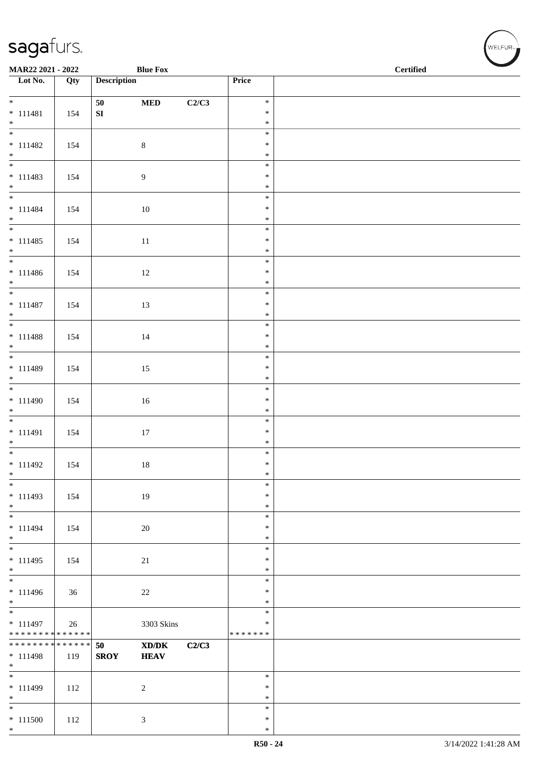\*

| <b>Blue Fox</b><br>MAR22 2021 - 2022      |     |                    |                                             |       |                         | <b>Certified</b> |  |  |
|-------------------------------------------|-----|--------------------|---------------------------------------------|-------|-------------------------|------------------|--|--|
| Lot No.                                   | Qty | <b>Description</b> |                                             |       | Price                   |                  |  |  |
| $*$                                       |     | 50                 |                                             |       | $\ast$                  |                  |  |  |
| $* 111481$                                | 154 | ${\bf S}{\bf I}$   | $\bf MED$                                   | C2/C3 | $\ast$                  |                  |  |  |
| $*$                                       |     |                    |                                             |       | $\ast$                  |                  |  |  |
| $\overline{\phantom{0}}$                  |     |                    |                                             |       | $\ast$                  |                  |  |  |
| $* 111482$<br>$*$                         | 154 |                    | $8\,$                                       |       | $\ast$<br>$\ast$        |                  |  |  |
|                                           |     |                    |                                             |       | $\ast$                  |                  |  |  |
| $* 111483$                                | 154 |                    | $\overline{9}$                              |       | $\ast$                  |                  |  |  |
| $*$                                       |     |                    |                                             |       | $\ast$                  |                  |  |  |
| $*$                                       |     |                    |                                             |       | $\ast$<br>$\ast$        |                  |  |  |
| $* 111484$<br>$*$                         | 154 |                    | $10\,$                                      |       | $\ast$                  |                  |  |  |
|                                           |     |                    |                                             |       | $\ast$                  |                  |  |  |
| $* 111485$                                | 154 |                    | $11\,$                                      |       | $\ast$                  |                  |  |  |
| $*$<br>$*$                                |     |                    |                                             |       | $\ast$<br>$\ast$        |                  |  |  |
| $* 111486$                                | 154 |                    | 12                                          |       | $\ast$                  |                  |  |  |
| $*$                                       |     |                    |                                             |       | $\ast$                  |                  |  |  |
| $*$                                       |     |                    |                                             |       | $\ast$                  |                  |  |  |
| $* 111487$<br>$*$                         | 154 |                    | 13                                          |       | $\ast$<br>$\ast$        |                  |  |  |
|                                           |     |                    |                                             |       | $\ast$                  |                  |  |  |
| $* 111488$                                | 154 |                    | 14                                          |       | $\ast$                  |                  |  |  |
| $*$                                       |     |                    |                                             |       | $\ast$                  |                  |  |  |
|                                           |     |                    |                                             |       | $\ast$<br>$\ast$        |                  |  |  |
| $* 111489$<br>$*$                         | 154 |                    | 15                                          |       | $\ast$                  |                  |  |  |
|                                           |     |                    |                                             |       | $\ast$                  |                  |  |  |
| $* 111490$                                | 154 |                    | $16\,$                                      |       | $\ast$                  |                  |  |  |
| $*$                                       |     |                    |                                             |       | $\ast$<br>$\ast$        |                  |  |  |
| $* 111491$                                | 154 |                    | $17\,$                                      |       | $\ast$                  |                  |  |  |
| $*$                                       |     |                    |                                             |       | $\ast$                  |                  |  |  |
|                                           |     |                    |                                             |       | $\ast$                  |                  |  |  |
| $* 111492$<br>$\ast$                      | 154 |                    | 18                                          |       | $\ast$<br>$\ast$        |                  |  |  |
| $*$                                       |     |                    |                                             |       | $\ast$                  |                  |  |  |
| $* 111493$                                | 154 |                    | 19                                          |       | $\ast$                  |                  |  |  |
| $*$                                       |     |                    |                                             |       | $\ast$                  |                  |  |  |
| $\ast$<br>$* 111494$                      |     |                    |                                             |       | $\ast$<br>$\ast$        |                  |  |  |
| $*$                                       | 154 |                    | $20\,$                                      |       | $\ast$                  |                  |  |  |
|                                           |     |                    |                                             |       | $\ast$                  |                  |  |  |
| $* 111495$                                | 154 |                    | 21                                          |       | $\ast$                  |                  |  |  |
| $*$                                       |     |                    |                                             |       | $\ast$<br>$\ast$        |                  |  |  |
| $* 111496$                                | 36  |                    | $22\,$                                      |       | $\ast$                  |                  |  |  |
| $*$                                       |     |                    |                                             |       | $\ast$                  |                  |  |  |
| $\overline{\phantom{0}}$                  |     |                    |                                             |       | $\ast$                  |                  |  |  |
| $* 111497$<br>* * * * * * * * * * * * * * | 26  |                    | 3303 Skins                                  |       | $\ast$<br>* * * * * * * |                  |  |  |
| * * * * * * * * * * * * * *               |     | 50                 | $\mathbf{X}\mathbf{D}/\mathbf{D}\mathbf{K}$ | C2/C3 |                         |                  |  |  |
| $* 111498$                                | 119 | <b>SROY</b>        | <b>HEAV</b>                                 |       |                         |                  |  |  |
| $*$                                       |     |                    |                                             |       |                         |                  |  |  |
| * 111499                                  | 112 |                    | $\sqrt{2}$                                  |       | $\ast$<br>$\ast$        |                  |  |  |
| $*$                                       |     |                    |                                             |       | $\ast$                  |                  |  |  |
| $*$                                       |     |                    |                                             |       | $\ast$                  |                  |  |  |
| $* 111500$                                | 112 |                    | $\mathfrak{Z}$                              |       | $\ast$                  |                  |  |  |
| $*$                                       |     |                    |                                             |       | $\ast$                  |                  |  |  |

 $(w$ ELFUR<sub><sup>n</sub></sub></sub></sup>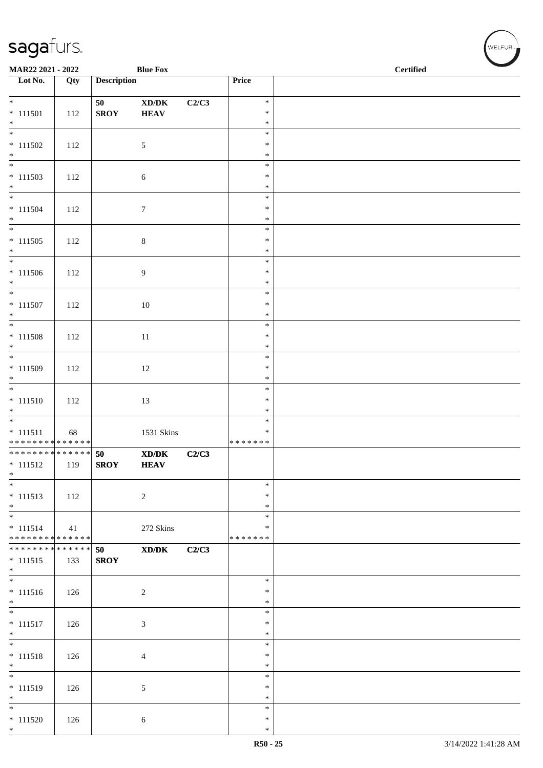| MAR22 2021 - 2022                                            |     |                    | <b>Blue Fox</b>                             |       |                         | <b>Certified</b> |  |  |
|--------------------------------------------------------------|-----|--------------------|---------------------------------------------|-------|-------------------------|------------------|--|--|
| $\overline{\phantom{a}}$ Lot No.                             | Qty | <b>Description</b> |                                             |       | Price                   |                  |  |  |
| $*$                                                          |     | 50                 | $\bold{X}\bold{D}/\bold{D}\bold{K}$         | C2/C3 | $\ast$                  |                  |  |  |
| $* 111501$                                                   | 112 | <b>SROY</b>        | <b>HEAV</b>                                 |       | $\ast$                  |                  |  |  |
| $*$                                                          |     |                    |                                             |       | $\ast$<br>$\ast$        |                  |  |  |
| $* 111502$                                                   | 112 |                    | $\sqrt{5}$                                  |       | $\ast$                  |                  |  |  |
| $*$                                                          |     |                    |                                             |       | $\ast$<br>$\ast$        |                  |  |  |
| $* 111503$                                                   | 112 |                    | $\sqrt{6}$                                  |       | $\ast$                  |                  |  |  |
| $*$                                                          |     |                    |                                             |       | $\ast$<br>$\ast$        |                  |  |  |
| $* 111504$                                                   | 112 |                    | $\boldsymbol{7}$                            |       | $\ast$                  |                  |  |  |
| $*$<br>$\overline{\phantom{0}}$                              |     |                    |                                             |       | $\ast$<br>$\ast$        |                  |  |  |
| $* 111505$                                                   | 112 |                    | $\,8\,$                                     |       | $\ast$                  |                  |  |  |
| $*$<br>$\overline{\phantom{0}}$                              |     |                    |                                             |       | $\ast$                  |                  |  |  |
| $* 111506$                                                   | 112 |                    | $\boldsymbol{9}$                            |       | $\ast$<br>$\ast$        |                  |  |  |
| $*$                                                          |     |                    |                                             |       | $\ast$                  |                  |  |  |
| $* 111507$                                                   | 112 |                    | $10\,$                                      |       | $\ast$<br>$\ast$        |                  |  |  |
| $*$                                                          |     |                    |                                             |       | $\ast$                  |                  |  |  |
|                                                              |     |                    |                                             |       | $\ast$                  |                  |  |  |
| $* 111508$<br>$*$                                            | 112 |                    | $11\,$                                      |       | $\ast$<br>$\ast$        |                  |  |  |
|                                                              |     |                    |                                             |       | $\ast$                  |                  |  |  |
| $* 111509$<br>$*$                                            | 112 |                    | 12                                          |       | $\ast$<br>$\ast$        |                  |  |  |
|                                                              |     |                    |                                             |       | $\ast$                  |                  |  |  |
| $* 111510$<br>$*$                                            | 112 |                    | 13                                          |       | $\ast$<br>$\ast$        |                  |  |  |
|                                                              |     |                    |                                             |       | $\ast$                  |                  |  |  |
| $* 111511$<br>******** <mark>******</mark>                   | 68  |                    | 1531 Skins                                  |       | $\ast$<br>* * * * * * * |                  |  |  |
| * * * * * * * * <mark>* * * * * * *</mark>                   |     | 50                 | $\mathbf{X}\mathbf{D}/\mathbf{D}\mathbf{K}$ | C2/C3 |                         |                  |  |  |
| $* 111512$                                                   | 119 | <b>SROY</b>        | <b>HEAV</b>                                 |       |                         |                  |  |  |
| $\ast$<br>$*$                                                |     |                    |                                             |       | $\ast$                  |                  |  |  |
| $* 111513$                                                   | 112 |                    | $\overline{c}$                              |       | $\ast$                  |                  |  |  |
| $*$<br>$*$                                                   |     |                    |                                             |       | $\ast$<br>$\ast$        |                  |  |  |
| $* 111514$                                                   | 41  |                    | 272 Skins                                   |       | $\ast$                  |                  |  |  |
| * * * * * * * * * * * * * *<br>* * * * * * * * * * * * * * * |     | 50                 | XD/DK                                       | C2/C3 | * * * * * * *           |                  |  |  |
| $* 111515$                                                   | 133 | <b>SROY</b>        |                                             |       |                         |                  |  |  |
| $*$                                                          |     |                    |                                             |       | $\ast$                  |                  |  |  |
| $* 111516$                                                   | 126 |                    | $\overline{2}$                              |       | $\ast$                  |                  |  |  |
| $*$<br>$\overline{\phantom{0}}$                              |     |                    |                                             |       | $\ast$                  |                  |  |  |
| $* 111517$                                                   | 126 |                    | $\mathfrak{Z}$                              |       | $\ast$<br>$\ast$        |                  |  |  |
| $*$                                                          |     |                    |                                             |       | $\ast$                  |                  |  |  |
| $\overline{\phantom{0}}$<br>$* 111518$                       | 126 |                    | $\overline{4}$                              |       | $\ast$<br>$\ast$        |                  |  |  |
| $*$                                                          |     |                    |                                             |       | $\ast$                  |                  |  |  |
|                                                              |     |                    |                                             |       | $\ast$                  |                  |  |  |
| $* 111519$<br>$*$                                            | 126 |                    | 5                                           |       | $\ast$<br>$\ast$        |                  |  |  |
| $*$                                                          |     |                    |                                             |       | $\ast$                  |                  |  |  |
| $* 111520$<br>$*$                                            | 126 |                    | 6                                           |       | $\ast$<br>$\ast$        |                  |  |  |

WELFUR<sub><sup>N</sup></sub>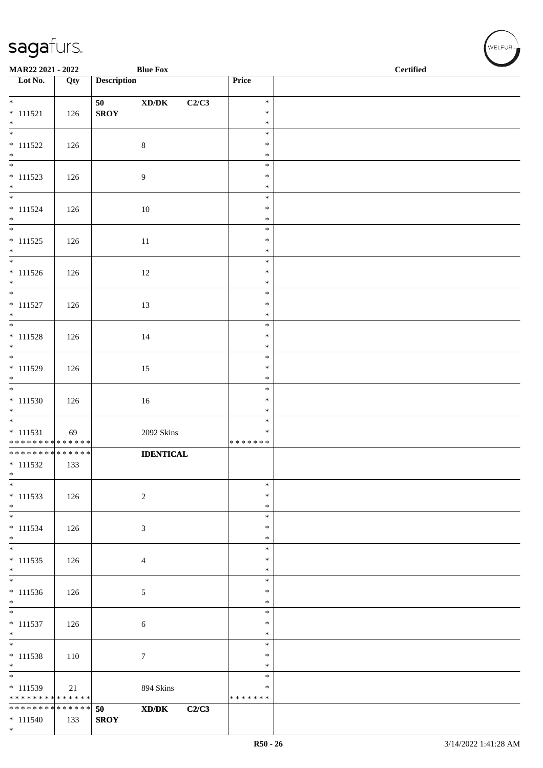| MAR22 2021 - 2022<br><b>Blue Fox</b>       |     |                    |                                               |                    | <b>Certified</b> |
|--------------------------------------------|-----|--------------------|-----------------------------------------------|--------------------|------------------|
| $\overline{\phantom{1}}$ Lot No.           | Qty | <b>Description</b> |                                               | Price              |                  |
| $*$                                        |     |                    |                                               | $\ast$             |                  |
| $* 111521$                                 | 126 | 50<br><b>SROY</b>  | $\boldsymbol{\text{XD} / \text{DK}}$<br>C2/C3 | $\ast$             |                  |
| $*$                                        |     |                    |                                               | $\ast$             |                  |
|                                            |     |                    |                                               | $\ast$             |                  |
| $* 111522$<br>$*$                          | 126 |                    | $8\,$                                         | $\ast$<br>$\ast$   |                  |
|                                            |     |                    |                                               | $\ast$             |                  |
| $* 111523$                                 | 126 |                    | $\overline{9}$                                | $\ast$             |                  |
| $*$<br>$*$                                 |     |                    |                                               | $\ast$<br>$\ast$   |                  |
| $* 111524$                                 | 126 |                    | 10                                            | $\ast$             |                  |
| $*$                                        |     |                    |                                               | $\ast$             |                  |
| $\overline{\ast}$                          |     |                    |                                               | $\ast$             |                  |
| $* 111525$<br>$*$                          | 126 |                    | $11\,$                                        | $\ast$<br>$\ast$   |                  |
|                                            |     |                    |                                               | $\ast$             |                  |
| $* 111526$                                 | 126 |                    | 12                                            | $\ast$             |                  |
| $*$                                        |     |                    |                                               | $\ast$<br>$\ast$   |                  |
| $* 111527$                                 | 126 |                    | 13                                            | $\ast$             |                  |
| $*$                                        |     |                    |                                               | $\ast$             |                  |
| $* 111528$                                 |     |                    |                                               | $\ast$<br>$\ast$   |                  |
| $\ast$                                     | 126 |                    | 14                                            | $\ast$             |                  |
|                                            |     |                    |                                               | $\ast$             |                  |
| $* 111529$<br>$*$                          | 126 |                    | 15                                            | $\ast$<br>$\ast$   |                  |
| $\overline{\phantom{0}}$                   |     |                    |                                               | $\ast$             |                  |
| $* 111530$                                 | 126 |                    | 16                                            | $\ast$             |                  |
| $*$                                        |     |                    |                                               | $\ast$             |                  |
| $* 111531$                                 | 69  |                    | 2092 Skins                                    | $\ast$<br>$\ast$   |                  |
| * * * * * * * * * * * * * *                |     |                    |                                               | * * * * * * *      |                  |
| ******** <mark>******</mark>               |     |                    | <b>IDENTICAL</b>                              |                    |                  |
| $* 111532$<br>$*$                          | 133 |                    |                                               |                    |                  |
| $\ast$                                     |     |                    |                                               | $\ast$             |                  |
| $* 111533$                                 | 126 |                    | $\overline{c}$                                | $\ast$             |                  |
| $*$                                        |     |                    |                                               | $\ast$<br>$\ast$   |                  |
| $* 111534$                                 | 126 |                    | 3                                             | $\ast$             |                  |
| $*$                                        |     |                    |                                               | $\ast$             |                  |
| $* 111535$                                 | 126 |                    | $\overline{4}$                                | $\ast$<br>$\ast$   |                  |
| $*$                                        |     |                    |                                               | $\ast$             |                  |
| $\overline{\phantom{0}}$                   |     |                    |                                               | $\ast$             |                  |
| $* 111536$<br>$*$                          | 126 |                    | $\sqrt{5}$                                    | $\ast$<br>$\ast$   |                  |
|                                            |     |                    |                                               | $\ast$             |                  |
| $* 111537$                                 | 126 |                    | $\sqrt{6}$                                    | $\ast$             |                  |
| $*$<br>$\overline{\phantom{0}}$            |     |                    |                                               | $\ast$<br>$\ast$   |                  |
| $* 111538$                                 | 110 |                    | $\tau$                                        | $\ast$             |                  |
| $*$                                        |     |                    |                                               | $\ast$             |                  |
|                                            |     |                    |                                               | $\ast$             |                  |
| $* 111539$<br>******** <mark>******</mark> | 21  |                    | 894 Skins                                     | ∗<br>* * * * * * * |                  |
| ******** <mark>******</mark>               |     | 50                 | XD/DK<br>C2/C3                                |                    |                  |
| $* 111540$                                 | 133 | <b>SROY</b>        |                                               |                    |                  |
| $*$                                        |     |                    |                                               |                    |                  |

WELFUR<sub><sup>12</sup></sub>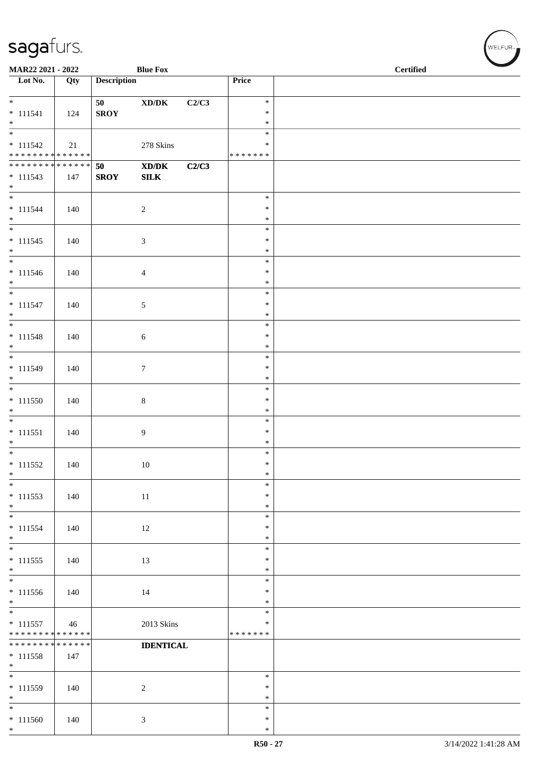| MAR22 2021 - 2022                                 |     |                    | <b>Blue Fox</b>                                                             |       |                                      | $\operatorname{\bf \mathbf{Certified}}$ |  |  |  |
|---------------------------------------------------|-----|--------------------|-----------------------------------------------------------------------------|-------|--------------------------------------|-----------------------------------------|--|--|--|
| Lot No.                                           | Qty | <b>Description</b> |                                                                             |       | Price                                |                                         |  |  |  |
| $*$<br>$* 111541$<br>$*$                          | 124 | 50<br><b>SROY</b>  | $\bold{X}\bold{D}/\bold{D}\bold{K}$                                         | C2/C3 | $\ast$<br>$\ast$<br>$\ast$           |                                         |  |  |  |
| $* 111542$<br>* * * * * * * * * * * * * * *       | 21  |                    | $278~\mathrm{Skins}$                                                        |       | $\ast$<br>*<br>* * * * * * *         |                                         |  |  |  |
| ******** <mark>******</mark><br>$* 111543$<br>$*$ | 147 | 50<br><b>SROY</b>  | $\boldsymbol{\text{X} \text{D} \text{/} \text{D} \text{K}}$<br>${\bf SILK}$ | C2/C3 |                                      |                                         |  |  |  |
| $* 111544$<br>$*$                                 | 140 |                    | $\overline{c}$                                                              |       | $\ast$<br>$\ast$<br>$\ast$           |                                         |  |  |  |
| $* 111545$<br>$*$<br>$\overline{\phantom{0}}$     | 140 |                    | $\mathfrak{Z}$                                                              |       | $\ast$<br>$\ast$<br>$\ast$           |                                         |  |  |  |
| $* 111546$<br>$*$<br>$*$                          | 140 |                    | $\overline{4}$                                                              |       | $\ast$<br>$\ast$<br>$\ast$           |                                         |  |  |  |
| $* 111547$<br>$*$                                 | 140 |                    | 5                                                                           |       | $\ast$<br>$\ast$<br>$\ast$           |                                         |  |  |  |
| $* 111548$<br>$*$                                 | 140 |                    | $\sqrt{6}$                                                                  |       | $\ast$<br>$\ast$<br>$\ast$           |                                         |  |  |  |
| $* 111549$<br>$*$                                 | 140 |                    | $\boldsymbol{7}$                                                            |       | $\ast$<br>$\ast$<br>$\ast$<br>$\ast$ |                                         |  |  |  |
| $* 111550$<br>$*$                                 | 140 |                    | $\,8\,$                                                                     |       | $\ast$<br>$\ast$                     |                                         |  |  |  |
| $* 111551$<br>$*$                                 | 140 |                    | 9                                                                           |       | $\ast$<br>$\ast$<br>$\ast$           |                                         |  |  |  |
| $* 111552$<br>$*$                                 | 140 |                    | 10                                                                          |       | $\ast$<br>$\ast$<br>$\ast$           |                                         |  |  |  |
| $\ast$<br>$* 111553$<br>$\ast$                    | 140 |                    | 11                                                                          |       | $\ast$<br>$\ast$<br>$\ast$           |                                         |  |  |  |
| $*$<br>$* 111554$<br>$\ast$                       | 140 |                    | 12                                                                          |       | $\ast$<br>$\ast$<br>$\ast$           |                                         |  |  |  |
| $* 111555$<br>$\ast$<br>$\overline{\phantom{0}}$  | 140 |                    | 13                                                                          |       | $\ast$<br>$\ast$<br>$\ast$           |                                         |  |  |  |
| $* 111556$<br>$*$<br>$\overline{\phantom{0}}$     | 140 |                    | 14                                                                          |       | $\ast$<br>$\ast$<br>$\ast$           |                                         |  |  |  |
| $* 111557$<br>* * * * * * * * * * * * * *         | 46  |                    | 2013 Skins                                                                  |       | $\ast$<br>$\ast$<br>* * * * * * *    |                                         |  |  |  |
| * * * * * * * * * * * * * *<br>$* 111558$<br>$*$  | 147 |                    | <b>IDENTICAL</b>                                                            |       |                                      |                                         |  |  |  |
| $*$<br>* 111559<br>$*$                            | 140 |                    | $\boldsymbol{2}$                                                            |       | $\ast$<br>$\ast$<br>$\ast$           |                                         |  |  |  |
| $*$<br>$* 111560$<br>$*$                          | 140 |                    | $\mathfrak{Z}$                                                              |       | $\ast$<br>$\ast$<br>$\ast$           |                                         |  |  |  |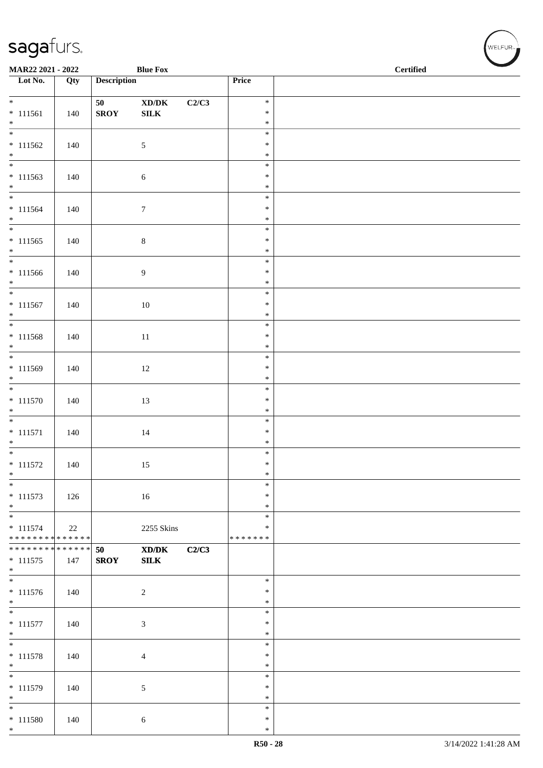| MAR22 2021 - 2022                |     |                    | <b>Blue Fox</b>                             |       |                  | $\operatorname{\bf \mathbf{Certified}}$ |
|----------------------------------|-----|--------------------|---------------------------------------------|-------|------------------|-----------------------------------------|
| $\overline{\phantom{1}}$ Lot No. | Qty | <b>Description</b> |                                             |       | Price            |                                         |
| $\overline{\phantom{0}}$         |     | 50                 | $\boldsymbol{\text{XD}/\text{DK}}$          | C2/C3 | $\ast$           |                                         |
| $* 111561$                       | 140 | ${\bf SROY}$       | ${\bf SILK}$                                |       | $\ast$           |                                         |
| $*$                              |     |                    |                                             |       | $\ast$           |                                         |
| $\overline{\phantom{0}}$         |     |                    |                                             |       | $\ast$           |                                         |
| $* 111562$                       | 140 |                    | $\mathfrak{S}$                              |       | $\ast$           |                                         |
| $*$                              |     |                    |                                             |       | $\ast$<br>$\ast$ |                                         |
| $* 111563$                       | 140 |                    | $\sqrt{6}$                                  |       | $\ast$           |                                         |
| $*$                              |     |                    |                                             |       | $\ast$           |                                         |
|                                  |     |                    |                                             |       | $\ast$           |                                         |
| $* 111564$<br>$*$                | 140 |                    | $\tau$                                      |       | $\ast$<br>$\ast$ |                                         |
|                                  |     |                    |                                             |       | $\ast$           |                                         |
| $* 111565$                       | 140 |                    | $\,8\,$                                     |       | $\ast$           |                                         |
| $*$<br>$\overline{\phantom{0}}$  |     |                    |                                             |       | $\ast$           |                                         |
|                                  |     |                    |                                             |       | $\ast$<br>$\ast$ |                                         |
| $* 111566$                       | 140 |                    | 9                                           |       | $\ast$           |                                         |
|                                  |     |                    |                                             |       | $\ast$           |                                         |
| $* 111567$                       | 140 |                    | 10                                          |       | $\ast$           |                                         |
| $*$<br>$\overline{\ast}$         |     |                    |                                             |       | $\ast$           |                                         |
| $* 111568$                       | 140 |                    | $11\,$                                      |       | $\ast$<br>$\ast$ |                                         |
| $*$                              |     |                    |                                             |       | $\ast$           |                                         |
|                                  |     |                    |                                             |       | $\ast$           |                                         |
| $* 111569$                       | 140 |                    | $12\,$                                      |       | $\ast$           |                                         |
| $\ast$                           |     |                    |                                             |       | $\ast$<br>$\ast$ |                                         |
| $* 111570$                       | 140 |                    | 13                                          |       | $\ast$           |                                         |
| $*$                              |     |                    |                                             |       | $\ast$           |                                         |
|                                  |     |                    |                                             |       | $\ast$           |                                         |
| $* 111571$                       | 140 |                    | $14\,$                                      |       | $\ast$           |                                         |
| $*$                              |     |                    |                                             |       | $\ast$<br>$\ast$ |                                         |
| $* 111572$                       | 140 |                    | 15                                          |       | $\ast$           |                                         |
| $\ast$                           |     |                    |                                             |       | $\ast$           |                                         |
| $*$                              |     |                    |                                             |       | $\ast$           |                                         |
| $* 111573$<br>$*$                | 126 |                    | 16                                          |       | $\ast$<br>$\ast$ |                                         |
| $\overline{\phantom{0}}$         |     |                    |                                             |       | $\ast$           |                                         |
| $* 111574$                       | 22  |                    | 2255 Skins                                  |       | $\ast$           |                                         |
| * * * * * * * * * * * * * *      |     |                    |                                             |       | * * * * * * *    |                                         |
| * * * * * * * * * * * * * * *    |     | 50                 | $\mathbf{X}\mathbf{D}/\mathbf{D}\mathbf{K}$ | C2/C3 |                  |                                         |
| $* 111575$<br>$*$                | 147 | <b>SROY</b>        | SLK                                         |       |                  |                                         |
|                                  |     |                    |                                             |       | $\ast$           |                                         |
| $* 111576$                       | 140 |                    | $\sqrt{2}$                                  |       | $\ast$           |                                         |
| $*$<br>$\overline{\phantom{0}}$  |     |                    |                                             |       | $\ast$           |                                         |
| $* 111577$                       | 140 |                    | 3                                           |       | $\ast$<br>$\ast$ |                                         |
| $*$                              |     |                    |                                             |       | $\ast$           |                                         |
| $\overline{\phantom{0}}$         |     |                    |                                             |       | $\ast$           |                                         |
| $* 111578$                       | 140 |                    | 4                                           |       | $\ast$           |                                         |
| $*$<br>$\ast$                    |     |                    |                                             |       | $\ast$<br>$\ast$ |                                         |
| $* 111579$                       | 140 |                    | 5                                           |       | $\ast$           |                                         |
| $*$                              |     |                    |                                             |       | $\ast$           |                                         |
| $*$                              |     |                    |                                             |       | $\ast$           |                                         |
| $* 111580$<br>$*$                | 140 |                    | 6                                           |       | $\ast$           |                                         |
|                                  |     |                    |                                             |       | $\ast$           |                                         |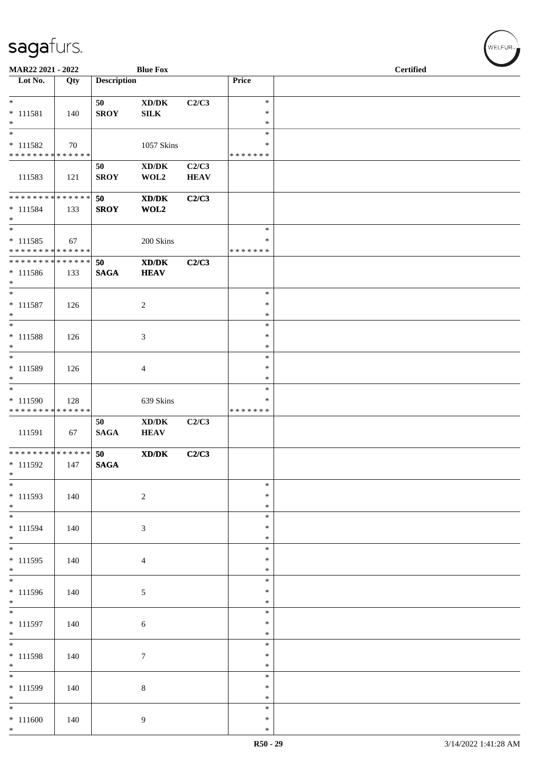| MAR22 2021 - 2022                                               |                    |                       | <b>Blue Fox</b>                                                                  |                      |                                      | <b>Certified</b> |  |  |
|-----------------------------------------------------------------|--------------------|-----------------------|----------------------------------------------------------------------------------|----------------------|--------------------------------------|------------------|--|--|
| Lot No.                                                         | Qty                | <b>Description</b>    |                                                                                  |                      | Price                                |                  |  |  |
| $*$<br>$* 111581$<br>$*$                                        | 140                | 50<br><b>SROY</b>     | $\boldsymbol{\mathrm{XD}}\boldsymbol{/}\boldsymbol{\mathrm{DK}}$<br>${\bf SILK}$ | C2/C3                | $\ast$<br>$\ast$<br>$\ast$           |                  |  |  |
| $\overline{\ast}$<br>$* 111582$<br>******** <mark>******</mark> | 70                 |                       | 1057 Skins                                                                       |                      | $\ast$<br>∗<br>* * * * * * *         |                  |  |  |
| 111583                                                          | 121                | 50<br><b>SROY</b>     | $\bold{X}\bold{D}/\bold{D}\bold{K}$<br>WOL2                                      | C2/C3<br><b>HEAV</b> |                                      |                  |  |  |
| * * * * * * * * * * * * * * *<br>$* 111584$<br>$*$<br>$*$       | 133                | 50<br><b>SROY</b>     | $\bold{X}\bold{D}/\bold{D}\bold{K}$<br>WOL2                                      | C2/C3                | $\ast$                               |                  |  |  |
| $* 111585$<br>* * * * * * * * * * * * * *                       | 67                 |                       | 200 Skins                                                                        |                      | $\ast$<br>* * * * * * *              |                  |  |  |
| * * * * * * * * * * * * * * *<br>$* 111586$<br>$*$              | 133                | 50<br>$\mathbf{SAGA}$ | $\boldsymbol{\text{XD}/\text{DK}}$<br><b>HEAV</b>                                | C2/C3                |                                      |                  |  |  |
| $\overline{\ast}$<br>$* 111587$<br>$*$                          | 126                |                       | $\boldsymbol{2}$                                                                 |                      | $\ast$<br>$\ast$<br>$\ast$           |                  |  |  |
| $*$<br>$* 111588$<br>$\ast$<br>$\overline{\ast}$                | 126                |                       | 3                                                                                |                      | $\ast$<br>$\ast$<br>$\ast$           |                  |  |  |
| * 111589<br>$*$<br>$*$                                          | 126                |                       | 4                                                                                |                      | $\ast$<br>$\ast$<br>$\ast$<br>$\ast$ |                  |  |  |
| * 111590<br>* * * * * * * *                                     | 128<br>* * * * * * |                       | 639 Skins                                                                        |                      | ∗<br>* * * * * * *                   |                  |  |  |
| 111591                                                          | 67                 | 50<br><b>SAGA</b>     | XD/DK<br><b>HEAV</b>                                                             | C2/C3                |                                      |                  |  |  |
| * * * * * * * * * * * * * * *<br>$* 111592$<br>$*$              | 147                | 50<br><b>SAGA</b>     | $\mathbf{X}\mathbf{D}/\mathbf{D}\mathbf{K}$                                      | C2/C3                |                                      |                  |  |  |
| $*$<br>$* 111593$<br>$*$                                        | 140                |                       | $\sqrt{2}$                                                                       |                      | $\ast$<br>$\ast$<br>$\ast$           |                  |  |  |
| $*$<br>$* 111594$<br>$*$                                        | 140                |                       | 3                                                                                |                      | $\ast$<br>$\ast$<br>$\ast$           |                  |  |  |
| $* 111595$<br>$*$                                               | 140                |                       | $\overline{4}$                                                                   |                      | $\ast$<br>$\ast$<br>$\ast$           |                  |  |  |
| $* 111596$<br>$*$                                               | 140                |                       | 5                                                                                |                      | $\ast$<br>∗<br>$\ast$                |                  |  |  |
| $* 111597$<br>$*$                                               | 140                |                       | 6                                                                                |                      | $\ast$<br>$\ast$<br>$\ast$           |                  |  |  |
| $* 111598$<br>$*$                                               | 140                |                       | $\tau$                                                                           |                      | $\ast$<br>$\ast$<br>$\ast$           |                  |  |  |
| $\overline{\phantom{0}}$<br>* 111599<br>$*$                     | 140                |                       | 8                                                                                |                      | $\ast$<br>∗<br>$\ast$                |                  |  |  |
| $*$<br>$* 111600$<br>$*$                                        | 140                |                       | 9                                                                                |                      | $\ast$<br>$\ast$<br>$\ast$           |                  |  |  |

,<br>WELFUR<sub>™</sub>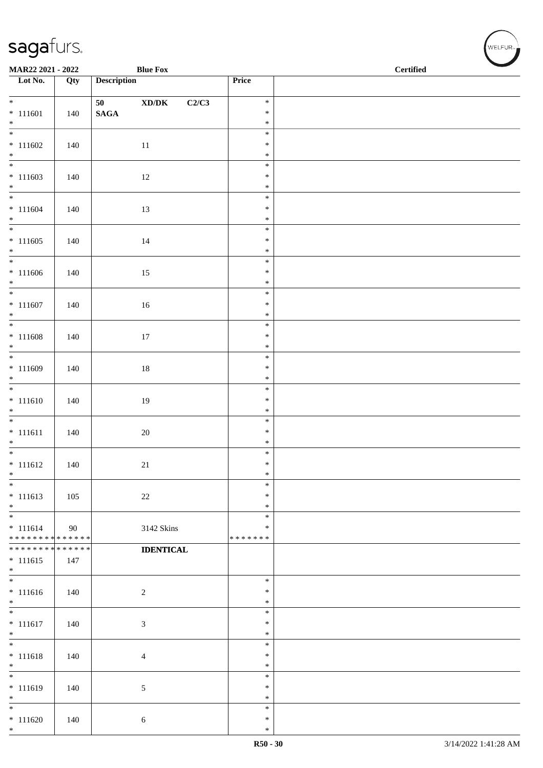| MAR22 2021 - 2022                |     |                       | <b>Blue Fox</b>                              |                  | $\overline{\phantom{a}}$<br>$\operatorname{\bf \mathbf{Certified}}$ |
|----------------------------------|-----|-----------------------|----------------------------------------------|------------------|---------------------------------------------------------------------|
| $\overline{\phantom{1}}$ Lot No. | Qty | <b>Description</b>    |                                              | Price            |                                                                     |
| $*$                              |     |                       |                                              | $\ast$           |                                                                     |
| $* 111601$                       | 140 | 50<br>$\mathbf{SAGA}$ | $\bold{X}\bold{D}/\bold{D}\bold{K}$<br>C2/C3 | $\ast$           |                                                                     |
| $*$                              |     |                       |                                              | $\ast$           |                                                                     |
|                                  |     |                       |                                              | $\ast$           |                                                                     |
| $* 111602$                       | 140 |                       | $11\,$                                       | $\ast$           |                                                                     |
| $\ast$                           |     |                       |                                              | $\ast$<br>$\ast$ |                                                                     |
| $* 111603$                       | 140 |                       | 12                                           | $\ast$           |                                                                     |
| $*$                              |     |                       |                                              | $\ast$           |                                                                     |
|                                  |     |                       |                                              | $\ast$           |                                                                     |
| $* 111604$<br>$*$                | 140 |                       | 13                                           | $\ast$<br>$\ast$ |                                                                     |
|                                  |     |                       |                                              | $\ast$           |                                                                     |
| $* 111605$                       | 140 |                       | 14                                           | $\ast$           |                                                                     |
| $*$                              |     |                       |                                              | $\ast$           |                                                                     |
|                                  |     |                       |                                              | $\ast$<br>$\ast$ |                                                                     |
| $* 111606$<br>$*$                | 140 |                       | $15\,$                                       | $\ast$           |                                                                     |
| $\overline{\phantom{0}}$         |     |                       |                                              | $\ast$           |                                                                     |
| $* 111607$                       | 140 |                       | 16                                           | $\ast$           |                                                                     |
| $*$                              |     |                       |                                              | $\ast$           |                                                                     |
| $* 111608$                       |     |                       |                                              | $\ast$<br>$\ast$ |                                                                     |
| $*$                              | 140 |                       | $17\,$                                       | $\ast$           |                                                                     |
|                                  |     |                       |                                              | $\ast$           |                                                                     |
| $* 111609$                       | 140 |                       | $18\,$                                       | $\ast$           |                                                                     |
| $\ast$                           |     |                       |                                              | $\ast$<br>$\ast$ |                                                                     |
| $* 111610$                       | 140 |                       | $19\,$                                       | $\ast$           |                                                                     |
| $*$                              |     |                       |                                              | $\ast$           |                                                                     |
|                                  |     |                       |                                              | $\ast$           |                                                                     |
| $* 111611$                       | 140 |                       | $20\,$                                       | $\ast$           |                                                                     |
| $*$                              |     |                       |                                              | $\ast$<br>$\ast$ |                                                                     |
| $* 111612$                       | 140 |                       | 21                                           | $\ast$           |                                                                     |
| $\ast$                           |     |                       |                                              | $\ast$           |                                                                     |
| $\ast$                           |     |                       |                                              | $\ast$           |                                                                     |
| $* 111613$<br>$\ast$             | 105 |                       | $22\,$                                       | $\ast$<br>$\ast$ |                                                                     |
| $*$                              |     |                       |                                              | $\ast$           |                                                                     |
| $* 111614$                       | 90  |                       | 3142 Skins                                   | $\ast$           |                                                                     |
| ******** <mark>******</mark>     |     |                       |                                              | * * * * * * *    |                                                                     |
| ******** <mark>******</mark>     |     |                       | <b>IDENTICAL</b>                             |                  |                                                                     |
| $* 111615$<br>$*$                | 147 |                       |                                              |                  |                                                                     |
|                                  |     |                       |                                              | $\ast$           |                                                                     |
| $* 111616$                       | 140 |                       | $\sqrt{2}$                                   | $\ast$           |                                                                     |
| $*$                              |     |                       |                                              | $\ast$           |                                                                     |
| $* 111617$                       | 140 |                       | $\ensuremath{\mathfrak{Z}}$                  | $\ast$<br>$\ast$ |                                                                     |
| $*$                              |     |                       |                                              | $\ast$           |                                                                     |
| $*$                              |     |                       |                                              | $\ast$           |                                                                     |
| $* 111618$                       | 140 |                       | $\overline{4}$                               | $\ast$           |                                                                     |
| $*$<br>$\ast$                    |     |                       |                                              | $\ast$<br>$\ast$ |                                                                     |
| $* 111619$                       | 140 |                       | 5                                            | $\ast$           |                                                                     |
| $*$                              |     |                       |                                              | $\ast$           |                                                                     |
| $*$                              |     |                       |                                              | $\ast$           |                                                                     |
| $* 111620$<br>$*$                | 140 |                       | $6\,$                                        | $\ast$<br>$\ast$ |                                                                     |
|                                  |     |                       |                                              |                  |                                                                     |

 $w$ elfur<sub>m</sub>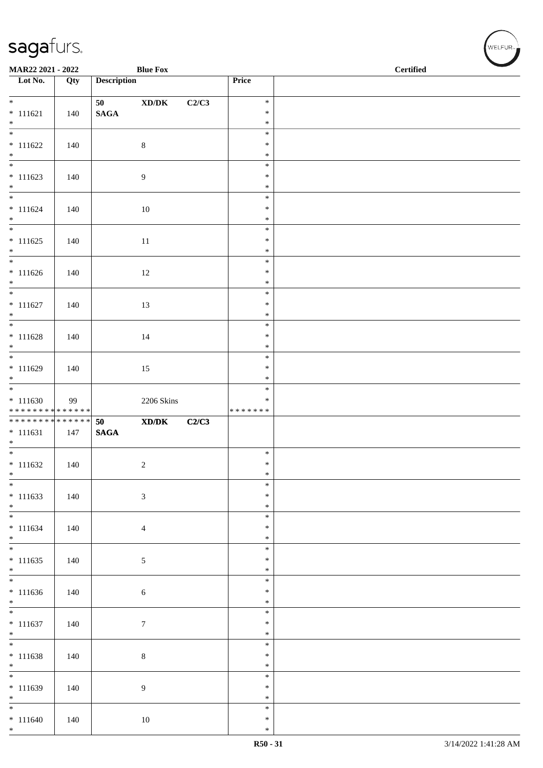| MAR22 2021 - 2022                             |     |                    | <b>Blue Fox</b>                                                                                      |       |                                      | <b>Certified</b> |
|-----------------------------------------------|-----|--------------------|------------------------------------------------------------------------------------------------------|-------|--------------------------------------|------------------|
| $\overline{\phantom{1}}$ Lot No.              | Qty | <b>Description</b> |                                                                                                      |       | Price                                |                  |
| $\overline{\ast}$                             |     | 50                 | $\boldsymbol{\text{XD}}\boldsymbol{/}\boldsymbol{\text{DK}}$                                         | C2/C3 | $\ast$                               |                  |
| $* 111621$                                    | 140 | $\mathbf{SAGA}$    |                                                                                                      |       | $\ast$                               |                  |
| $*$<br>$\overline{\phantom{0}}$               |     |                    |                                                                                                      |       | $\ast$<br>$\ast$                     |                  |
| $* 111622$                                    | 140 |                    | $\,8\,$                                                                                              |       | $\ast$                               |                  |
| $*$                                           |     |                    |                                                                                                      |       | $\ast$                               |                  |
| $* 111623$<br>$*$                             | 140 |                    | 9                                                                                                    |       | $\ast$<br>$\ast$<br>$\ast$           |                  |
| $* 111624$<br>$*$                             | 140 |                    | 10                                                                                                   |       | $\ast$<br>$\ast$<br>$\ast$           |                  |
| $* 111625$<br>$*$                             | 140 |                    | $11\,$                                                                                               |       | $\ast$<br>$\ast$<br>$\ast$           |                  |
| $* 111626$                                    | 140 |                    | 12                                                                                                   |       | $\ast$<br>$\ast$<br>$\ast$           |                  |
| $*$<br>$* 111627$<br>$*$                      | 140 |                    | 13                                                                                                   |       | $\ast$<br>$\ast$<br>$\ast$           |                  |
| $\overline{\ast}$                             |     |                    |                                                                                                      |       | $\ast$                               |                  |
| $* 111628$<br>$*$                             | 140 |                    | 14                                                                                                   |       | $\ast$<br>$\ast$                     |                  |
| $* 111629$<br>$*$                             | 140 |                    | 15                                                                                                   |       | $\ast$<br>$\ast$<br>$\ast$           |                  |
| $* 111630$<br>******** <mark>******</mark>    | 99  |                    | 2206 Skins                                                                                           |       | $\ast$<br>∗<br>* * * * * * *         |                  |
| * * * * * * * * * * * * * *                   |     | 50                 | $\boldsymbol{\text{X}}\boldsymbol{\text{D}}\boldsymbol{/}\boldsymbol{\text{D}}\boldsymbol{\text{K}}$ | C2/C3 |                                      |                  |
| $* 111631$<br>$*$                             | 147 | $\mathbf{SAGA}$    |                                                                                                      |       |                                      |                  |
| $*$<br>$* 111632$                             | 140 |                    | $\overline{c}$                                                                                       |       | $\ast$<br>$\ast$                     |                  |
| $*$                                           |     |                    |                                                                                                      |       | $\ast$                               |                  |
| $\overline{\phantom{0}}$<br>$* 111633$<br>$*$ | 140 |                    | $\mathfrak{Z}$                                                                                       |       | $\ast$<br>$\ast$<br>$\ast$           |                  |
| $\overline{\phantom{0}}$<br>$* 111634$        | 140 |                    | $\overline{4}$                                                                                       |       | $\ast$<br>$\ast$                     |                  |
| $*$                                           |     |                    |                                                                                                      |       | $\ast$                               |                  |
| $* 111635$<br>$*$                             | 140 |                    | 5                                                                                                    |       | $\ast$<br>$\ast$<br>$\ast$           |                  |
| $\overline{\phantom{0}}$<br>$* 111636$<br>$*$ | 140 |                    | $\sqrt{6}$                                                                                           |       | $\ast$<br>$\ast$<br>$\ast$           |                  |
| $\overline{\phantom{0}}$<br>$* 111637$<br>$*$ | 140 |                    | $\boldsymbol{7}$                                                                                     |       | $\ast$<br>$\ast$<br>$\ast$           |                  |
| $* 111638$<br>$*$                             | 140 |                    | $\,8\,$                                                                                              |       | $\ast$<br>$\ast$<br>$\ast$           |                  |
| $\overline{\phantom{0}}$<br>$* 111639$        | 140 |                    | 9                                                                                                    |       | $\ast$<br>$\ast$                     |                  |
| $*$<br>$*$<br>$* 111640$<br>$*$               | 140 |                    | 10                                                                                                   |       | $\ast$<br>$\ast$<br>$\ast$<br>$\ast$ |                  |

,<br>WELFUR<sub>™</sub>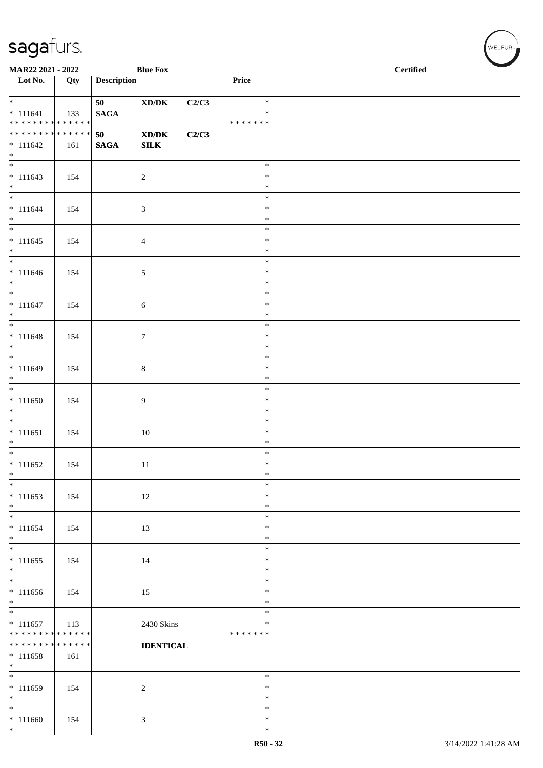| MAR22 2021 - 2022                                                      |                    |                       | <b>Blue Fox</b>                                                                                             |       |                                   | <b>Certified</b> |
|------------------------------------------------------------------------|--------------------|-----------------------|-------------------------------------------------------------------------------------------------------------|-------|-----------------------------------|------------------|
| $\overline{\phantom{1}}$ Lot No.                                       | Qty                | <b>Description</b>    |                                                                                                             |       | Price                             |                  |
| $*$<br>$* 111641$<br>* * * * * * * * * * * * * *                       | 133                | 50<br>$\mathbf{SAGA}$ | $\boldsymbol{\text{XD}/\text{DK}}$                                                                          | C2/C3 | $\ast$<br>$\ast$<br>*******       |                  |
| ********<br>$* 111642$<br>$*$                                          | ******<br>161      | 50<br>$\mathbf{SAGA}$ | $\boldsymbol{\text{X}}\boldsymbol{\text{D}}\boldsymbol{/}\boldsymbol{\text{D}}\boldsymbol{\text{K}}$<br>SLK | C2/C3 |                                   |                  |
| $* 111643$<br>$*$                                                      | 154                |                       | $\sqrt{2}$                                                                                                  |       | $\ast$<br>$\ast$<br>$\ast$        |                  |
| $*$<br>$* 111644$<br>$*$                                               | 154                |                       | 3                                                                                                           |       | $\ast$<br>$\ast$<br>$\ast$        |                  |
| $* 111645$<br>$*$                                                      | 154                |                       | 4                                                                                                           |       | $\ast$<br>$\ast$<br>$\ast$        |                  |
| $* 111646$<br>$\ast$                                                   | 154                |                       | $\sqrt{5}$                                                                                                  |       | $\ast$<br>$\ast$<br>$\ast$        |                  |
| $* 111647$<br>$*$                                                      | 154                |                       | $\sqrt{6}$                                                                                                  |       | $\ast$<br>$\ast$<br>$\ast$        |                  |
| $* 111648$<br>$*$                                                      | 154                |                       | $\tau$                                                                                                      |       | $\ast$<br>$\ast$<br>$\ast$        |                  |
| $* 111649$<br>$*$                                                      | 154                |                       | $\,8\,$                                                                                                     |       | $\ast$<br>$\ast$<br>$\ast$        |                  |
| $* 111650$<br>$*$                                                      | 154                |                       | 9                                                                                                           |       | $\ast$<br>$\ast$<br>$\ast$        |                  |
| $\overline{\phantom{0}}$<br>$* 111651$<br>$*$                          | 154                |                       | 10                                                                                                          |       | $\ast$<br>$\ast$<br>$\ast$        |                  |
| $* 111652$<br>$\ast$                                                   | 154                |                       | 11                                                                                                          |       | $\ast$<br>$\ast$<br>$\ast$        |                  |
| $\overline{\phantom{0}}$<br>$* 111653$<br>$*$                          | 154                |                       | 12                                                                                                          |       | $\ast$<br>$\ast$<br>$\ast$        |                  |
| $\overline{\phantom{0}}$<br>$* 111654$<br>$*$                          | 154                |                       | 13                                                                                                          |       | $\ast$<br>$\ast$<br>$\ast$        |                  |
| $\overline{\ast}$<br>$* 111655$<br>$*$<br>$\overline{\phantom{0}}$     | 154                |                       | 14                                                                                                          |       | $\ast$<br>$\ast$<br>$\ast$        |                  |
| $* 111656$<br>$*$                                                      | 154                |                       | 15                                                                                                          |       | $\ast$<br>$\ast$<br>$\ast$        |                  |
| $\overline{\phantom{0}}$<br>$* 111657$<br>******** <mark>******</mark> | 113                |                       | 2430 Skins                                                                                                  |       | $\ast$<br>$\ast$<br>* * * * * * * |                  |
| * * * * * * * *<br>$* 111658$<br>$*$                                   | * * * * * *<br>161 |                       | <b>IDENTICAL</b>                                                                                            |       |                                   |                  |
| $\overline{\phantom{0}}$<br>$* 111659$<br>$*$                          | 154                |                       | $\sqrt{2}$                                                                                                  |       | $\ast$<br>$\ast$<br>$\ast$        |                  |
| $*$<br>$* 111660$<br>$*$                                               | 154                |                       | 3                                                                                                           |       | $\ast$<br>$\ast$<br>$\ast$        |                  |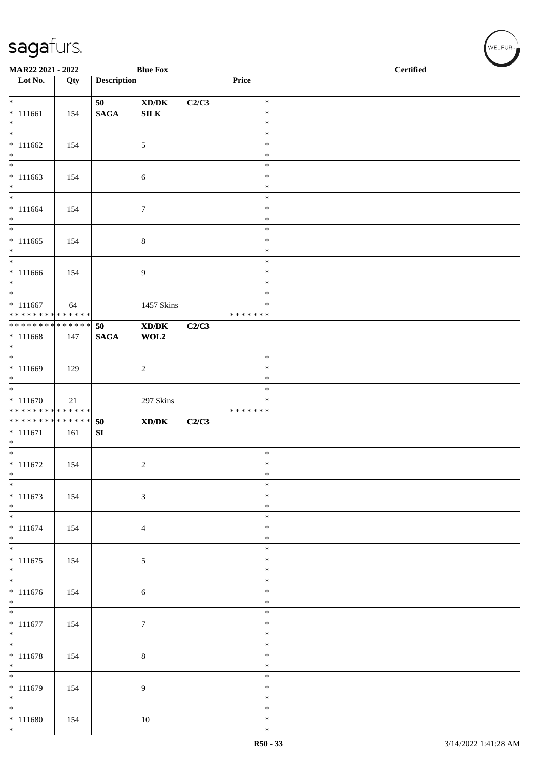| <b>Blue Fox</b><br>MAR22 2021 - 2022                     |     |                       |                                                     |       |                                   | <b>Certified</b> |  |  |  |
|----------------------------------------------------------|-----|-----------------------|-----------------------------------------------------|-------|-----------------------------------|------------------|--|--|--|
| $\overline{\phantom{a}}$ Lot No.                         | Qty | <b>Description</b>    |                                                     |       | Price                             |                  |  |  |  |
| $*$<br>$* 111661$<br>$*$                                 | 154 | 50<br>$\mathbf{SAGA}$ | $\bold{X}\bold{D}/\bold{D}\bold{K}$<br>${\bf SILK}$ | C2/C3 | $\ast$<br>$\ast$<br>$\ast$        |                  |  |  |  |
| $* 111662$<br>$*$                                        | 154 |                       | 5                                                   |       | $\ast$<br>$\ast$<br>$\ast$        |                  |  |  |  |
| $*$<br>$* 111663$<br>$\ast$                              | 154 |                       | $\sqrt{6}$                                          |       | $\ast$<br>$\ast$<br>$\ast$        |                  |  |  |  |
| $* 111664$<br>$*$                                        | 154 |                       | $\overline{7}$                                      |       | $\ast$<br>$\ast$<br>$\ast$        |                  |  |  |  |
| $\overline{\ast}$<br>$* 111665$<br>$*$                   | 154 |                       | $\,8\,$                                             |       | $\ast$<br>$\ast$<br>$\ast$        |                  |  |  |  |
| $*$<br>$* 111666$<br>$*$                                 | 154 |                       | $\overline{9}$                                      |       | $\ast$<br>$\ast$<br>$\ast$        |                  |  |  |  |
| $* 111667$<br>* * * * * * * * <mark>* * * * * * *</mark> | 64  |                       | 1457 Skins                                          |       | $\ast$<br>∗<br>* * * * * * *      |                  |  |  |  |
| ******** <mark>******</mark><br>$* 111668$<br>$*$        | 147 | 50<br><b>SAGA</b>     | XD/DK<br>WOL2                                       | C2/C3 |                                   |                  |  |  |  |
| $\overline{\ }$<br>* 111669<br>$*$                       | 129 |                       | 2                                                   |       | $\ast$<br>$\ast$<br>$\ast$        |                  |  |  |  |
| $* 111670$<br>******** <mark>******</mark>               | 21  |                       | 297 Skins                                           |       | $\ast$<br>$\ast$<br>* * * * * * * |                  |  |  |  |
| ******** <mark>******</mark><br>$* 111671$<br>$*$        | 161 | 50<br>SI              | $\mathbf{X}\mathbf{D}/\mathbf{D}\mathbf{K}$         | C2/C3 |                                   |                  |  |  |  |
| $*$<br>$* 111672$<br>$\ast$                              | 154 |                       | 2                                                   |       | $\ast$<br>$\ast$<br>$\ast$        |                  |  |  |  |
| $\overline{\phantom{0}}$<br>$* 111673$<br>$*$            | 154 |                       | $\mathfrak{Z}$                                      |       | $\ast$<br>$\ast$<br>$\ast$        |                  |  |  |  |
| $*$<br>$* 111674$<br>$*$                                 | 154 |                       | $\overline{4}$                                      |       | $\ast$<br>$\ast$<br>$\ast$        |                  |  |  |  |
| $\overline{\ast}$<br>$* 111675$<br>$\ast$                | 154 |                       | 5                                                   |       | $\ast$<br>$\ast$<br>$\ast$        |                  |  |  |  |
| $* 111676$<br>$*$                                        | 154 |                       | $\sqrt{6}$                                          |       | $\ast$<br>$\ast$<br>$\ast$        |                  |  |  |  |
| $\overline{\phantom{0}}$<br>$* 111677$<br>$*$            | 154 |                       | $\boldsymbol{7}$                                    |       | $\ast$<br>$\ast$<br>$\ast$        |                  |  |  |  |
| $*$<br>$* 111678$<br>$*$                                 | 154 |                       | $\,8\,$                                             |       | $\ast$<br>$\ast$<br>$\ast$        |                  |  |  |  |
| $* 111679$<br>$*$                                        | 154 |                       | 9                                                   |       | $\ast$<br>$\ast$<br>$\ast$        |                  |  |  |  |
| $*$<br>$* 111680$<br>$*$                                 | 154 |                       | 10                                                  |       | $\ast$<br>$\ast$<br>$\ast$        |                  |  |  |  |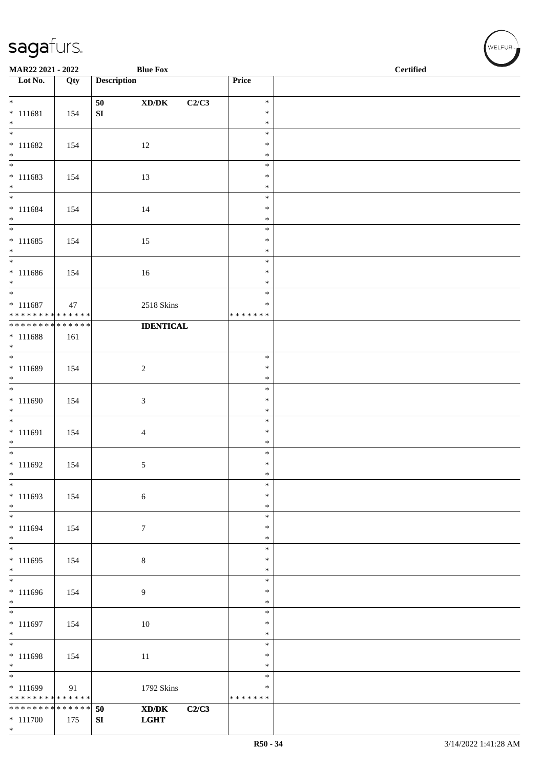| <b>Blue Fox</b><br>MAR22 2021 - 2022                     |     |                    |                                                                                                                              |                  | $\operatorname{\bf \mathbf{Certified}}$ |
|----------------------------------------------------------|-----|--------------------|------------------------------------------------------------------------------------------------------------------------------|------------------|-----------------------------------------|
| Lot No.                                                  | Qty | <b>Description</b> |                                                                                                                              | Price            |                                         |
| $*$                                                      |     | 50                 | C2/C3                                                                                                                        | $\ast$           |                                         |
| $* 111681$                                               | 154 | ${\bf S}{\bf I}$   | $\boldsymbol{\text{XD}}\boldsymbol{/}\boldsymbol{\text{DK}}$                                                                 | $\ast$           |                                         |
| $*$                                                      |     |                    |                                                                                                                              | $\ast$           |                                         |
|                                                          |     |                    |                                                                                                                              | $\ast$           |                                         |
| $* 111682$                                               | 154 |                    | 12                                                                                                                           | $\ast$           |                                         |
| $*$                                                      |     |                    |                                                                                                                              | $\ast$<br>$\ast$ |                                         |
| $* 111683$                                               | 154 |                    | 13                                                                                                                           | $\ast$           |                                         |
| $*$                                                      |     |                    |                                                                                                                              | $\ast$           |                                         |
| $*$                                                      |     |                    |                                                                                                                              | $\ast$           |                                         |
| $* 111684$                                               | 154 |                    | 14                                                                                                                           | $\ast$           |                                         |
| $*$<br>$*$                                               |     |                    |                                                                                                                              | $\ast$<br>$\ast$ |                                         |
| $* 111685$                                               | 154 |                    | 15                                                                                                                           | $\ast$           |                                         |
| $*$                                                      |     |                    |                                                                                                                              | $\ast$           |                                         |
|                                                          |     |                    |                                                                                                                              | $\ast$           |                                         |
| $* 111686$                                               | 154 |                    | 16                                                                                                                           | $\ast$           |                                         |
| $*$<br>$*$                                               |     |                    |                                                                                                                              | $\ast$<br>$\ast$ |                                         |
| $* 111687$                                               | 47  |                    | 2518 Skins                                                                                                                   | $\ast$           |                                         |
| * * * * * * * * * * * * * * *                            |     |                    |                                                                                                                              | * * * * * * *    |                                         |
| ******** <mark>******</mark>                             |     |                    | <b>IDENTICAL</b>                                                                                                             |                  |                                         |
| $* 111688$                                               | 161 |                    |                                                                                                                              |                  |                                         |
| $\ast$                                                   |     |                    |                                                                                                                              | $\ast$           |                                         |
| * 111689                                                 | 154 |                    | $\sqrt{2}$                                                                                                                   | $\ast$           |                                         |
| $*$                                                      |     |                    |                                                                                                                              | $\ast$           |                                         |
|                                                          |     |                    |                                                                                                                              | $\ast$           |                                         |
| $* 111690$                                               | 154 |                    | $\mathfrak{Z}$                                                                                                               | $\ast$<br>$\ast$ |                                         |
| $\ast$                                                   |     |                    |                                                                                                                              | $\ast$           |                                         |
| $* 111691$                                               | 154 |                    | $\overline{4}$                                                                                                               | $\ast$           |                                         |
| $*$                                                      |     |                    |                                                                                                                              | $\ast$           |                                         |
|                                                          |     |                    |                                                                                                                              | $\ast$           |                                         |
| $* 111692$<br>$\ast$                                     | 154 |                    | 5                                                                                                                            | $\ast$<br>$\ast$ |                                         |
| $\ast$                                                   |     |                    |                                                                                                                              | $\ast$           |                                         |
| $* 111693$                                               | 154 |                    | $\sqrt{6}$                                                                                                                   | $\ast$           |                                         |
| $*$                                                      |     |                    |                                                                                                                              | $\ast$           |                                         |
| $*$                                                      |     |                    |                                                                                                                              | $\ast$           |                                         |
| $* 111694$<br>$*$                                        | 154 |                    | $\tau$                                                                                                                       | $\ast$<br>$\ast$ |                                         |
|                                                          |     |                    |                                                                                                                              | $\ast$           |                                         |
| $* 111695$                                               | 154 |                    | $\,8\,$                                                                                                                      | $\ast$           |                                         |
| $*$                                                      |     |                    |                                                                                                                              | $\ast$           |                                         |
|                                                          |     |                    |                                                                                                                              | $\ast$<br>$\ast$ |                                         |
| * 111696<br>$*$                                          | 154 |                    | $\overline{9}$                                                                                                               | $\ast$           |                                         |
|                                                          |     |                    |                                                                                                                              | $\ast$           |                                         |
| $* 111697$                                               | 154 |                    | 10                                                                                                                           | $\ast$           |                                         |
| $*$                                                      |     |                    |                                                                                                                              | $\ast$           |                                         |
| $\overline{\phantom{0}}$                                 |     |                    |                                                                                                                              | $\ast$<br>$\ast$ |                                         |
| $* 111698$<br>$*$                                        | 154 |                    | 11                                                                                                                           | $\ast$           |                                         |
| $\overline{\phantom{0}}$                                 |     |                    |                                                                                                                              | $\ast$           |                                         |
| $* 111699$                                               | 91  |                    | 1792 Skins                                                                                                                   | ∗                |                                         |
| ******** <mark>******</mark>                             |     |                    |                                                                                                                              | * * * * * * *    |                                         |
| * * * * * * * * <mark>* * * * * * *</mark><br>$* 111700$ | 175 | 50<br>SI           | $\boldsymbol{\text{X}}\boldsymbol{\text{D}}\boldsymbol{/}\boldsymbol{\text{D}}\boldsymbol{\text{K}}$<br>C2/C3<br><b>LGHT</b> |                  |                                         |
| $*$                                                      |     |                    |                                                                                                                              |                  |                                         |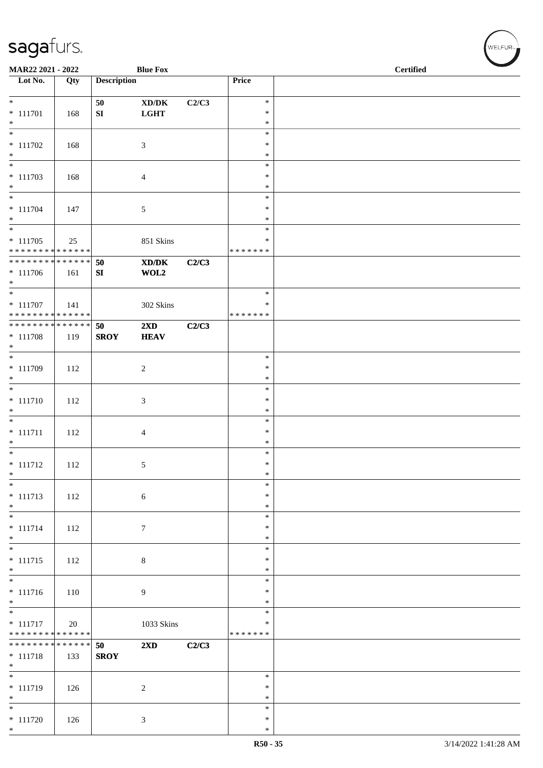| MAR22 2021 - 2022<br><b>Blue Fox</b>                        |     |                    |                                                                                                                      |       |                         | <b>Certified</b> |  |  |  |  |
|-------------------------------------------------------------|-----|--------------------|----------------------------------------------------------------------------------------------------------------------|-------|-------------------------|------------------|--|--|--|--|
| Lot No.                                                     | Qty | <b>Description</b> |                                                                                                                      |       | Price                   |                  |  |  |  |  |
| $*$                                                         |     | 50                 | $\bold{X}\bold{D}/\bold{D}\bold{K}$                                                                                  | C2/C3 | $\ast$                  |                  |  |  |  |  |
| $* 111701$                                                  | 168 | ${\bf S}{\bf I}$   | <b>LGHT</b>                                                                                                          |       | $\ast$                  |                  |  |  |  |  |
| $*$                                                         |     |                    |                                                                                                                      |       | $\ast$                  |                  |  |  |  |  |
| $\overline{\ast}$<br>$* 111702$                             |     |                    |                                                                                                                      |       | $\ast$<br>$\ast$        |                  |  |  |  |  |
| $\ast$                                                      | 168 |                    | 3                                                                                                                    |       | $\ast$                  |                  |  |  |  |  |
| $\ast$                                                      |     |                    |                                                                                                                      |       | $\ast$                  |                  |  |  |  |  |
| $* 111703$<br>$*$                                           | 168 |                    | 4                                                                                                                    |       | $\ast$<br>$\ast$        |                  |  |  |  |  |
| $*$                                                         |     |                    |                                                                                                                      |       | $\ast$                  |                  |  |  |  |  |
| $* 111704$                                                  | 147 |                    | 5                                                                                                                    |       | $\ast$                  |                  |  |  |  |  |
| $*$<br>$\overline{\phantom{0}}$                             |     |                    |                                                                                                                      |       | $\ast$<br>$\ast$        |                  |  |  |  |  |
| $* 111705$                                                  | 25  |                    | 851 Skins                                                                                                            |       | ∗                       |                  |  |  |  |  |
| * * * * * * * * * * * * * *                                 |     |                    |                                                                                                                      |       | * * * * * * *           |                  |  |  |  |  |
| * * * * * * * * * * * * * * *<br>$* 111706$                 | 161 | 50<br>SI           | $\boldsymbol{\textbf{X}}\boldsymbol{\textbf{D}}\boldsymbol{/}\boldsymbol{\textbf{D}}\boldsymbol{\textbf{K}}$<br>WOL2 | C2/C3 |                         |                  |  |  |  |  |
| $*$                                                         |     |                    |                                                                                                                      |       |                         |                  |  |  |  |  |
| $*$                                                         |     |                    |                                                                                                                      |       | $\ast$                  |                  |  |  |  |  |
| $* 111707$<br>* * * * * * * * * * * * * *                   | 141 |                    | 302 Skins                                                                                                            |       | $\ast$<br>* * * * * * * |                  |  |  |  |  |
| **************                                              |     | 50                 | $2\mathbf{X}\mathbf{D}$                                                                                              | C2/C3 |                         |                  |  |  |  |  |
| $* 111708$                                                  | 119 | <b>SROY</b>        | <b>HEAV</b>                                                                                                          |       |                         |                  |  |  |  |  |
| $*$<br>$\overline{\phantom{0}}$                             |     |                    |                                                                                                                      |       | $\ast$                  |                  |  |  |  |  |
| $* 111709$                                                  | 112 |                    | $\overline{c}$                                                                                                       |       | $\ast$                  |                  |  |  |  |  |
| $\ast$<br>$\overline{\ast}$                                 |     |                    |                                                                                                                      |       | $\ast$                  |                  |  |  |  |  |
| $* 111710$                                                  | 112 |                    | 3                                                                                                                    |       | $\ast$<br>$\ast$        |                  |  |  |  |  |
| $\ast$                                                      |     |                    |                                                                                                                      |       | $\ast$                  |                  |  |  |  |  |
| $\overline{\ast}$                                           |     |                    |                                                                                                                      |       | $\ast$                  |                  |  |  |  |  |
| $* 111711$<br>$*$                                           | 112 |                    | 4                                                                                                                    |       | $\ast$<br>$\ast$        |                  |  |  |  |  |
| $*$                                                         |     |                    |                                                                                                                      |       | $\ast$                  |                  |  |  |  |  |
| $* 111712$                                                  | 112 |                    | 5                                                                                                                    |       | $\ast$                  |                  |  |  |  |  |
| $\ast$<br>$\ast$                                            |     |                    |                                                                                                                      |       | $\ast$<br>$\ast$        |                  |  |  |  |  |
| $* 111713$                                                  | 112 |                    | $\sqrt{6}$                                                                                                           |       | $\ast$                  |                  |  |  |  |  |
| $*$<br>$\overline{\phantom{0}}$                             |     |                    |                                                                                                                      |       | $\ast$<br>$\ast$        |                  |  |  |  |  |
| $* 111714$                                                  | 112 |                    | $\tau$                                                                                                               |       | $\ast$                  |                  |  |  |  |  |
| $*$                                                         |     |                    |                                                                                                                      |       | $\ast$                  |                  |  |  |  |  |
| $\overline{\ast}$<br>$* 111715$                             |     |                    |                                                                                                                      |       | $\ast$<br>$\ast$        |                  |  |  |  |  |
| $*$                                                         | 112 |                    | $\,8\,$                                                                                                              |       | $\ast$                  |                  |  |  |  |  |
|                                                             |     |                    |                                                                                                                      |       | $\ast$                  |                  |  |  |  |  |
| $* 111716$<br>$*$                                           | 110 |                    | 9                                                                                                                    |       | $\ast$<br>$\ast$        |                  |  |  |  |  |
| $\overline{\phantom{0}}$                                    |     |                    |                                                                                                                      |       | $\ast$                  |                  |  |  |  |  |
| $* 111717$                                                  | 20  |                    | 1033 Skins                                                                                                           |       | $\ast$                  |                  |  |  |  |  |
| * * * * * * * * * * * * * *<br>******** <mark>******</mark> |     | 50                 | 2XD                                                                                                                  | C2/C3 | * * * * * * *           |                  |  |  |  |  |
| $* 111718$                                                  | 133 | <b>SROY</b>        |                                                                                                                      |       |                         |                  |  |  |  |  |
| $*$<br>$\overline{\phantom{0}}$                             |     |                    |                                                                                                                      |       |                         |                  |  |  |  |  |
| $* 111719$                                                  | 126 |                    | $\sqrt{2}$                                                                                                           |       | $\ast$<br>$\ast$        |                  |  |  |  |  |
| $*$                                                         |     |                    |                                                                                                                      |       | $\ast$                  |                  |  |  |  |  |
|                                                             |     |                    |                                                                                                                      |       | $\ast$                  |                  |  |  |  |  |
| $* 111720$<br>$*$                                           | 126 |                    | 3                                                                                                                    |       | $\ast$<br>$\ast$        |                  |  |  |  |  |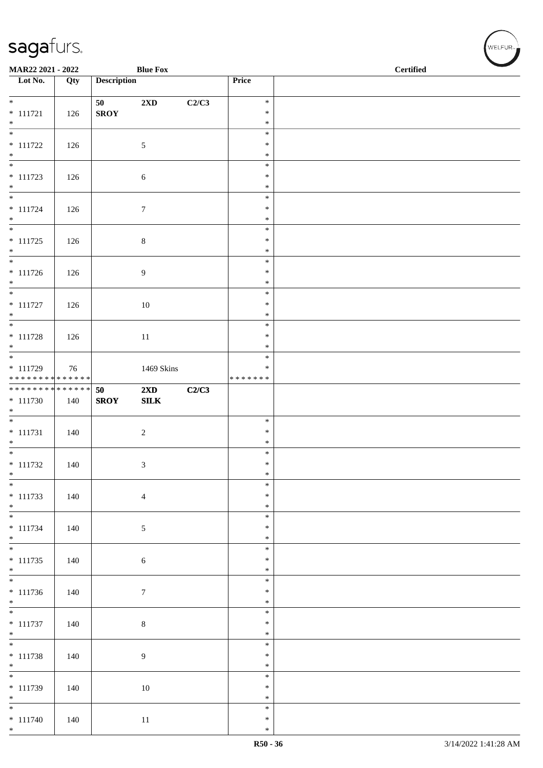| MAR22 2021 - 2022                         |     |                    | <b>Blue Fox</b>                         |       |                  | <b>Certified</b> |  |  |  |
|-------------------------------------------|-----|--------------------|-----------------------------------------|-------|------------------|------------------|--|--|--|
| Lot No.                                   | Qty | <b>Description</b> |                                         |       | Price            |                  |  |  |  |
| $*$                                       |     | 50                 | 2XD                                     | C2/C3 | $\ast$           |                  |  |  |  |
| $* 111721$                                | 126 | <b>SROY</b>        |                                         |       | $\ast$           |                  |  |  |  |
| $*$<br>$\overline{\ast}$                  |     |                    |                                         |       | $\ast$<br>$\ast$ |                  |  |  |  |
| $* 111722$                                | 126 |                    | $\mathfrak{S}$                          |       | $\ast$           |                  |  |  |  |
| $*$                                       |     |                    |                                         |       | $\ast$           |                  |  |  |  |
| $* 111723$                                | 126 |                    | $\sqrt{6}$                              |       | $\ast$<br>$\ast$ |                  |  |  |  |
| $*$                                       |     |                    |                                         |       | $\ast$           |                  |  |  |  |
|                                           |     |                    |                                         |       | $\ast$           |                  |  |  |  |
| $* 111724$<br>$*$                         | 126 |                    | $\tau$                                  |       | $\ast$<br>$\ast$ |                  |  |  |  |
|                                           |     |                    |                                         |       | $\ast$           |                  |  |  |  |
| $* 111725$<br>$*$                         | 126 |                    | $\,8\,$                                 |       | $\ast$<br>$\ast$ |                  |  |  |  |
| $\overline{\phantom{0}}$                  |     |                    |                                         |       | $\ast$           |                  |  |  |  |
| $* 111726$                                | 126 |                    | $\overline{9}$                          |       | $\ast$           |                  |  |  |  |
| $*$                                       |     |                    |                                         |       | $\ast$<br>$\ast$ |                  |  |  |  |
| $* 111727$                                | 126 |                    | 10                                      |       | $\ast$           |                  |  |  |  |
| $*$                                       |     |                    |                                         |       | $\ast$<br>$\ast$ |                  |  |  |  |
| $* 111728$                                | 126 |                    | 11                                      |       | $\ast$           |                  |  |  |  |
| $\ast$                                    |     |                    |                                         |       | $\ast$           |                  |  |  |  |
| $* 111729$                                | 76  |                    | 1469 Skins                              |       | $\ast$<br>$\ast$ |                  |  |  |  |
| ******** <mark>******</mark>              |     |                    |                                         |       | * * * * * * *    |                  |  |  |  |
| * * * * * * * * * * * * * *<br>$* 111730$ |     | 50<br><b>SROY</b>  | $2\mathbf{X}\mathbf{D}$<br>${\bf SILK}$ | C2/C3 |                  |                  |  |  |  |
| $*$                                       | 140 |                    |                                         |       |                  |                  |  |  |  |
|                                           |     |                    |                                         |       | $\ast$           |                  |  |  |  |
| $* 111731$<br>$*$                         | 140 |                    | $\overline{c}$                          |       | $\ast$<br>$\ast$ |                  |  |  |  |
|                                           |     |                    |                                         |       | $\ast$           |                  |  |  |  |
| $* 111732$<br>$*$                         | 140 |                    | 3                                       |       | $\ast$<br>$\ast$ |                  |  |  |  |
| $\ast$                                    |     |                    |                                         |       | $\ast$           |                  |  |  |  |
| $* 111733$                                | 140 |                    | $\overline{4}$                          |       | $\ast$           |                  |  |  |  |
| $*$                                       |     |                    |                                         |       | $\ast$<br>$\ast$ |                  |  |  |  |
| $* 111734$                                | 140 |                    | 5                                       |       | $\ast$           |                  |  |  |  |
| $*$                                       |     |                    |                                         |       | $\ast$<br>$\ast$ |                  |  |  |  |
| $* 111735$                                | 140 |                    | $\sqrt{6}$                              |       | $\ast$           |                  |  |  |  |
| $*$<br>$\overline{\phantom{0}}$           |     |                    |                                         |       | $\ast$           |                  |  |  |  |
| $* 111736$                                | 140 |                    | $\tau$                                  |       | $\ast$<br>$\ast$ |                  |  |  |  |
| $*$                                       |     |                    |                                         |       | $\ast$           |                  |  |  |  |
| $* 111737$                                | 140 |                    |                                         |       | $\ast$<br>$\ast$ |                  |  |  |  |
| $*$                                       |     |                    | $\,8\,$                                 |       | $\ast$           |                  |  |  |  |
|                                           |     |                    |                                         |       | $\ast$           |                  |  |  |  |
| $* 111738$<br>$*$                         | 140 |                    | $\boldsymbol{9}$                        |       | $\ast$<br>$\ast$ |                  |  |  |  |
| $\overline{\phantom{0}}$                  |     |                    |                                         |       | $\ast$           |                  |  |  |  |
| $* 111739$<br>$*$                         | 140 |                    | 10                                      |       | $\ast$<br>$\ast$ |                  |  |  |  |
| $\overline{\phantom{0}}$                  |     |                    |                                         |       | $\ast$           |                  |  |  |  |
| $* 111740$                                | 140 |                    | $11\,$                                  |       | $\ast$           |                  |  |  |  |
| $*$                                       |     |                    |                                         |       | $\ast$           |                  |  |  |  |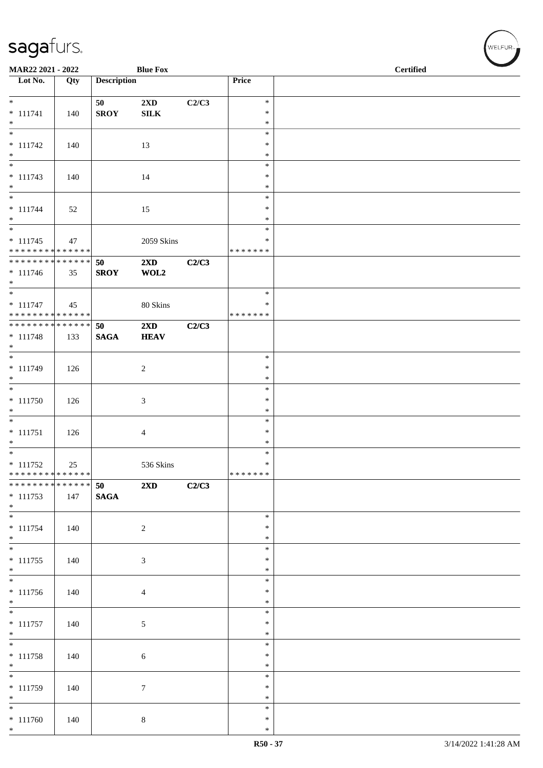| MAR22 2021 - 2022<br><b>Blue Fox</b>      |               |                    |                                 |       |                    | <b>Certified</b> |  |  |
|-------------------------------------------|---------------|--------------------|---------------------------------|-------|--------------------|------------------|--|--|
| $\overline{\phantom{1}}$ Lot No.          | Qty           | <b>Description</b> |                                 |       | Price              |                  |  |  |
| $*$                                       |               | 50                 | $2\mathbf{X}\mathbf{D}$         | C2/C3 | $\ast$             |                  |  |  |
| $* 111741$                                | 140           | <b>SROY</b>        | ${\bf SILK}$                    |       | $\ast$             |                  |  |  |
| $*$<br>$\overline{\phantom{0}}$           |               |                    |                                 |       | $\ast$             |                  |  |  |
| $* 111742$                                | 140           |                    | 13                              |       | $\ast$<br>$\ast$   |                  |  |  |
| $*$                                       |               |                    |                                 |       | $\ast$             |                  |  |  |
| $\overline{\phantom{0}}$                  |               |                    |                                 |       | $\ast$             |                  |  |  |
| $* 111743$<br>$*$                         | 140           |                    | 14                              |       | $\ast$<br>$\ast$   |                  |  |  |
|                                           |               |                    |                                 |       | $\ast$             |                  |  |  |
| $* 111744$                                | 52            |                    | 15                              |       | $\ast$             |                  |  |  |
| $*$<br>$\overline{\phantom{0}}$           |               |                    |                                 |       | $\ast$<br>$\ast$   |                  |  |  |
| $* 111745$                                | 47            |                    | 2059 Skins                      |       | ∗                  |                  |  |  |
| ******** <mark>******</mark>              |               |                    |                                 |       | * * * * * * *      |                  |  |  |
| ******** <mark>******</mark>              |               | 50                 | $2\mathbf{X}\mathbf{D}$<br>WOL2 | C2/C3 |                    |                  |  |  |
| $* 111746$<br>$*$                         | 35            | <b>SROY</b>        |                                 |       |                    |                  |  |  |
| $*$                                       |               |                    |                                 |       | $\ast$             |                  |  |  |
| $* 111747$<br>* * * * * * * * * * * * * * | 45            |                    | 80 Skins                        |       | ∗<br>* * * * * * * |                  |  |  |
| ******** <mark>******</mark>              |               | 50                 | $2\mathbf{X}\mathbf{D}$         | C2/C3 |                    |                  |  |  |
| $* 111748$                                | 133           | $\mathbf{SAGA}$    | <b>HEAV</b>                     |       |                    |                  |  |  |
| $*$                                       |               |                    |                                 |       |                    |                  |  |  |
| $* 111749$                                | 126           |                    | $\overline{c}$                  |       | $\ast$<br>$\ast$   |                  |  |  |
| $*$                                       |               |                    |                                 |       | $\ast$             |                  |  |  |
|                                           |               |                    |                                 |       | $\ast$             |                  |  |  |
| $* 111750$<br>$\ast$                      | 126           |                    | 3                               |       | $\ast$<br>$\ast$   |                  |  |  |
|                                           |               |                    |                                 |       | $\ast$             |                  |  |  |
| $* 111751$                                | 126           |                    | 4                               |       | $\ast$             |                  |  |  |
| $*$<br>$*$                                |               |                    |                                 |       | $\ast$<br>$\ast$   |                  |  |  |
| $* 111752$                                | 25            |                    | 536 Skins                       |       | $\ast$             |                  |  |  |
| ******** <mark>******</mark>              |               |                    |                                 |       | *******            |                  |  |  |
| * * * * * * * *<br>$* 111753$             | ******<br>147 | 50<br><b>SAGA</b>  | 2XD                             | C2/C3 |                    |                  |  |  |
| $*$                                       |               |                    |                                 |       |                    |                  |  |  |
| $\overline{\phantom{0}}$                  |               |                    |                                 |       | $\ast$             |                  |  |  |
| $* 111754$<br>$*$                         | 140           |                    | $\overline{c}$                  |       | $\ast$<br>$\ast$   |                  |  |  |
| $*$                                       |               |                    |                                 |       | $\ast$             |                  |  |  |
| $* 111755$                                | 140           |                    | 3                               |       | $\ast$             |                  |  |  |
| $*$                                       |               |                    |                                 |       | $\ast$<br>$\ast$   |                  |  |  |
| $* 111756$                                | 140           |                    | $\overline{4}$                  |       | $\ast$             |                  |  |  |
| $*$                                       |               |                    |                                 |       | $\ast$             |                  |  |  |
|                                           |               |                    |                                 |       | $\ast$             |                  |  |  |
| $* 111757$<br>$*$                         | 140           |                    | $\mathfrak{S}$                  |       | $\ast$<br>$\ast$   |                  |  |  |
|                                           |               |                    |                                 |       | $\ast$             |                  |  |  |
| $* 111758$                                | 140           |                    | 6                               |       | $\ast$             |                  |  |  |
| $*$                                       |               |                    |                                 |       | $\ast$<br>$\ast$   |                  |  |  |
| $* 111759$                                | 140           |                    | $\tau$                          |       | $\ast$             |                  |  |  |
| $*$                                       |               |                    |                                 |       | $\ast$             |                  |  |  |
| $\overline{\ast}$<br>$* 111760$           | 140           |                    | $\,8\,$                         |       | $\ast$<br>$\ast$   |                  |  |  |
| $*$                                       |               |                    |                                 |       | $\ast$             |                  |  |  |

√<br>WELFUR<sub>™</sub>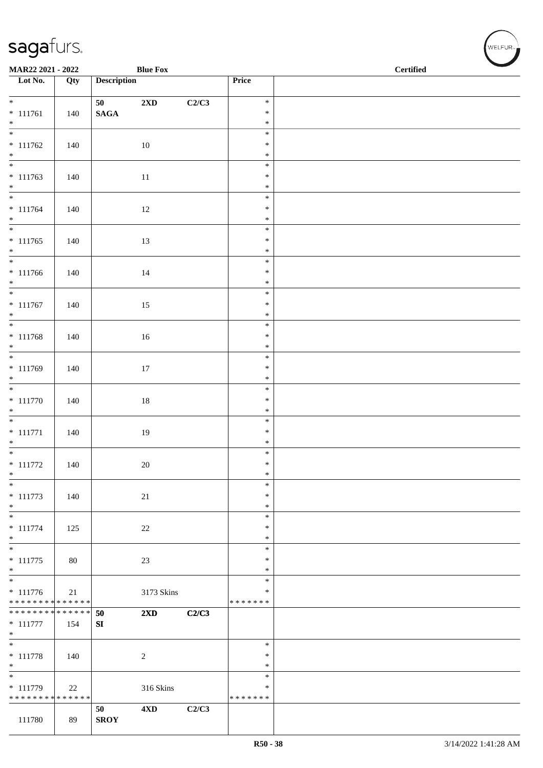| <b>Blue Fox</b><br>MAR22 2021 - 2022 |     |                    |                         |       |                  | <b>Certified</b> |  |  |  |  |
|--------------------------------------|-----|--------------------|-------------------------|-------|------------------|------------------|--|--|--|--|
| Lot No.                              | Qty | <b>Description</b> |                         |       | Price            |                  |  |  |  |  |
| $*$                                  |     | 50                 | $2{\bf X}{\bf D}$       | C2/C3 | $\ast$           |                  |  |  |  |  |
| $* 111761$                           | 140 | $\mathbf{SAGA}$    |                         |       | $\ast$           |                  |  |  |  |  |
| $*$                                  |     |                    |                         |       | $\ast$           |                  |  |  |  |  |
| $* 111762$                           | 140 |                    | 10                      |       | $\ast$<br>$\ast$ |                  |  |  |  |  |
| $*$                                  |     |                    |                         |       | $\ast$           |                  |  |  |  |  |
|                                      |     |                    |                         |       | $\ast$           |                  |  |  |  |  |
| $* 111763$<br>$*$                    | 140 |                    | $11\,$                  |       | $\ast$<br>$\ast$ |                  |  |  |  |  |
| $*$                                  |     |                    |                         |       | $\ast$           |                  |  |  |  |  |
| $* 111764$<br>$*$                    | 140 |                    | 12                      |       | $\ast$<br>$\ast$ |                  |  |  |  |  |
|                                      |     |                    |                         |       | $\ast$           |                  |  |  |  |  |
| $* 111765$                           | 140 |                    | 13                      |       | $\ast$           |                  |  |  |  |  |
| $*$                                  |     |                    |                         |       | $\ast$<br>$\ast$ |                  |  |  |  |  |
| $* 111766$                           | 140 |                    | 14                      |       | $\ast$           |                  |  |  |  |  |
| $*$                                  |     |                    |                         |       | $\ast$<br>$\ast$ |                  |  |  |  |  |
| $* 111767$                           | 140 |                    | 15                      |       | $\ast$           |                  |  |  |  |  |
| $*$                                  |     |                    |                         |       | $\ast$           |                  |  |  |  |  |
| $* 111768$                           | 140 |                    | 16                      |       | $\ast$<br>$\ast$ |                  |  |  |  |  |
| $*$                                  |     |                    |                         |       | $\ast$           |                  |  |  |  |  |
| $* 111769$                           |     |                    |                         |       | $\ast$<br>$\ast$ |                  |  |  |  |  |
| $*$                                  | 140 |                    | 17                      |       | $\ast$           |                  |  |  |  |  |
| $\overline{\phantom{0}}$             |     |                    |                         |       | $\ast$           |                  |  |  |  |  |
| $* 111770$<br>$*$                    | 140 |                    | $18\,$                  |       | $\ast$<br>$\ast$ |                  |  |  |  |  |
|                                      |     |                    |                         |       | $\ast$           |                  |  |  |  |  |
| $* 111771$<br>$*$                    | 140 |                    | 19                      |       | $\ast$<br>$\ast$ |                  |  |  |  |  |
|                                      |     |                    |                         |       | $\ast$           |                  |  |  |  |  |
| $* 111772$                           | 140 |                    | 20                      |       | $\ast$           |                  |  |  |  |  |
| $*$<br>$\ast$                        |     |                    |                         |       | $\ast$<br>$\ast$ |                  |  |  |  |  |
| $* 111773$                           | 140 |                    | 21                      |       | $\ast$           |                  |  |  |  |  |
| $*$                                  |     |                    |                         |       | $\ast$<br>$\ast$ |                  |  |  |  |  |
| $* 111774$                           | 125 |                    | $22\,$                  |       | $\ast$           |                  |  |  |  |  |
| $*$                                  |     |                    |                         |       | $\ast$           |                  |  |  |  |  |
| $* 111775$                           | 80  |                    | $23\,$                  |       | $\ast$<br>$\ast$ |                  |  |  |  |  |
| $*$                                  |     |                    |                         |       | $\ast$           |                  |  |  |  |  |
| $\overline{\ast}$<br>$* 111776$      | 21  |                    | 3173 Skins              |       | $\ast$<br>∗      |                  |  |  |  |  |
| * * * * * * * * * * * * * *          |     |                    |                         |       | * * * * * * *    |                  |  |  |  |  |
| * * * * * * * * * * * * * *          |     | 50                 | $2\mathbf{X}\mathbf{D}$ | C2/C3 |                  |                  |  |  |  |  |
| $* 111777$<br>$*$                    | 154 | SI                 |                         |       |                  |                  |  |  |  |  |
| $*$                                  |     |                    |                         |       | $\ast$           |                  |  |  |  |  |
| $* 111778$<br>$*$                    | 140 |                    | $\overline{c}$          |       | $\ast$<br>$\ast$ |                  |  |  |  |  |
| $\overline{\phantom{a}^*}$           |     |                    |                         |       | $\ast$           |                  |  |  |  |  |
| $* 111779$                           | 22  |                    | 316 Skins               |       | ∗                |                  |  |  |  |  |
| * * * * * * * * * * * * * * *        |     | 50                 | 4 <sub>xD</sub>         | C2/C3 | * * * * * * *    |                  |  |  |  |  |
| 111780                               | 89  | <b>SROY</b>        |                         |       |                  |                  |  |  |  |  |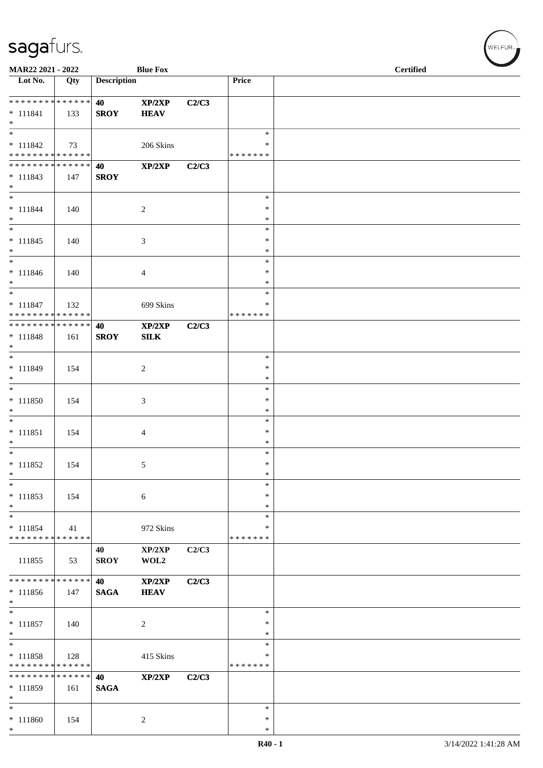| MAR22 2021 - 2022                                              |     |                    | <b>Blue Fox</b>             |       |                                      | <b>Certified</b> |  |
|----------------------------------------------------------------|-----|--------------------|-----------------------------|-------|--------------------------------------|------------------|--|
| $\overline{\phantom{1}}$ Lot No.                               | Qty | <b>Description</b> |                             |       | Price                                |                  |  |
| **************<br>$* 111841$<br>$*$                            | 133 | 40<br><b>SROY</b>  | XP/2XP<br><b>HEAV</b>       | C2/C3 |                                      |                  |  |
| $\overline{\ast}$<br>$* 111842$<br>* * * * * * * * * * * * * * | 73  |                    | 206 Skins                   |       | $\ast$<br>∗<br>* * * * * * *         |                  |  |
| * * * * * * * * * * * * * *<br>$* 111843$<br>$*$               | 147 | 40<br><b>SROY</b>  | XP/2XP                      | C2/C3 |                                      |                  |  |
| $\overline{\ast}$<br>$* 111844$<br>$*$                         | 140 |                    | $\boldsymbol{2}$            |       | $\ast$<br>∗<br>$\ast$                |                  |  |
| $\overline{\phantom{0}}$<br>$* 111845$<br>$*$                  | 140 |                    | $\ensuremath{\mathfrak{Z}}$ |       | $\ast$<br>$\ast$<br>$\ast$           |                  |  |
| $*$<br>$* 111846$<br>$*$<br>$\overline{\phantom{0}}$           | 140 |                    | $\overline{4}$              |       | $\ast$<br>$\ast$<br>$\ast$           |                  |  |
| $* 111847$<br>* * * * * * * * * * * * * *                      | 132 |                    | 699 Skins                   |       | $\ast$<br>∗<br>* * * * * * *         |                  |  |
| ******** <mark>******</mark><br>$* 111848$<br>$*$              | 161 | 40<br><b>SROY</b>  | XP/2XP<br><b>SILK</b>       | C2/C3 |                                      |                  |  |
| $*$<br>* 111849<br>$*$<br>$\overline{\phantom{0}}$             | 154 |                    | 2                           |       | ∗<br>$\ast$<br>$\ast$                |                  |  |
| $* 111850$<br>$\ast$<br>$\overline{\phantom{0}}$               | 154 |                    | $\mathfrak{Z}$              |       | $\ast$<br>∗<br>∗                     |                  |  |
| $* 111851$<br>$\ast$<br>$*$                                    | 154 |                    | $\overline{4}$              |       | $\ast$<br>$\ast$<br>$\ast$           |                  |  |
| $* 111852$<br>$\ast$<br>$\ast$                                 | 154 |                    | 5                           |       | $\ast$<br>$\ast$<br>$\ast$<br>$\ast$ |                  |  |
| $* 111853$<br>$\ast$<br>$\ast$                                 | 154 |                    | 6                           |       | ∗<br>∗<br>$\ast$                     |                  |  |
| $* 111854$<br>* * * * * * * * * * * * * *                      | 41  |                    | 972 Skins                   |       | ∗<br>* * * * * * *                   |                  |  |
| 111855<br>******** <mark>******</mark>                         | 53  | 40<br><b>SROY</b>  | XP/2XP<br>WOL2              | C2/C3 |                                      |                  |  |
| $* 111856$<br>$*$<br>$\overline{\phantom{0}}$                  | 147 | 40<br><b>SAGA</b>  | XP/2XP<br><b>HEAV</b>       | C2/C3 |                                      |                  |  |
| $* 111857$<br>$\ast$                                           | 140 |                    | $\overline{c}$              |       | $\ast$<br>$\ast$<br>$\ast$           |                  |  |
| $\ast$<br>$* 111858$<br>* * * * * * * * * * * * * *            | 128 |                    | 415 Skins                   |       | $\ast$<br>$\ast$<br>* * * * * * *    |                  |  |
| * * * * * * * * * * * * * *<br>$* 111859$<br>$\ast$            | 161 | 40<br><b>SAGA</b>  | XP/2XP                      | C2/C3 |                                      |                  |  |
| $\ast$<br>$* 111860$<br>$*$                                    | 154 |                    | $\overline{c}$              |       | $\ast$<br>$\ast$<br>$\ast$           |                  |  |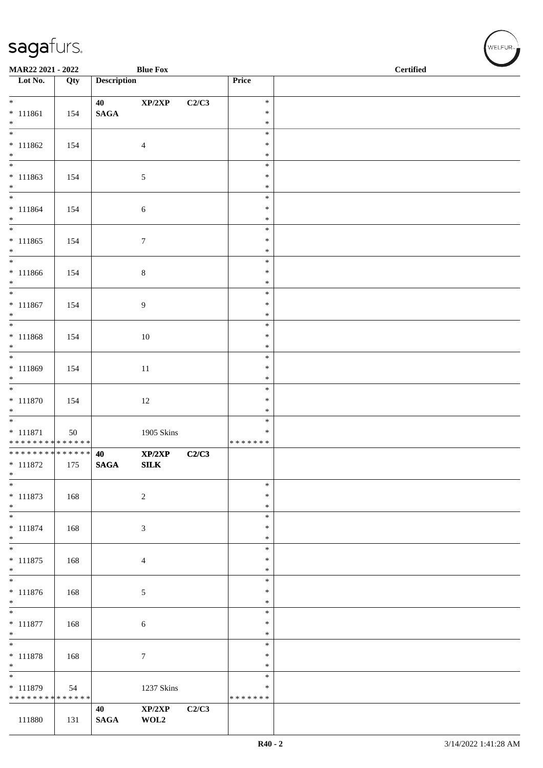| MAR22 2021 - 2022<br><b>Blue Fox</b>      |     |                    |                            |       |                         | $\operatorname{\bf \mathbf{Certified}}$ |
|-------------------------------------------|-----|--------------------|----------------------------|-------|-------------------------|-----------------------------------------|
| Lot No.                                   | Qty | <b>Description</b> |                            |       | Price                   |                                         |
| $\overline{\ast}$                         |     | 40                 | $\mathbf{XP}/2\mathbf{XP}$ | C2/C3 | $\ast$                  |                                         |
| $* 111861$                                | 154 | $\mathbf{SAGA}$    |                            |       | $\ast$                  |                                         |
| $\ast$<br>$\overline{\phantom{0}}$        |     |                    |                            |       | $\ast$<br>$\ast$        |                                         |
| $* 111862$                                | 154 |                    | $\overline{4}$             |       | $\ast$                  |                                         |
| $*$                                       |     |                    |                            |       | $\ast$                  |                                         |
| $* 111863$                                | 154 |                    | 5                          |       | $\ast$<br>$\ast$        |                                         |
| $*$                                       |     |                    |                            |       | $\ast$                  |                                         |
| $\overline{\phantom{0}}$<br>$* 111864$    | 154 |                    |                            |       | $\ast$<br>$\ast$        |                                         |
| $*$                                       |     |                    | 6                          |       | $\ast$                  |                                         |
|                                           |     |                    |                            |       | $\ast$                  |                                         |
| $* 111865$<br>$*$                         | 154 |                    | $\boldsymbol{7}$           |       | $\ast$<br>$\ast$        |                                         |
|                                           |     |                    |                            |       | $\ast$                  |                                         |
| $* 111866$<br>$*$                         | 154 |                    | $\,8\,$                    |       | $\ast$<br>$\ast$        |                                         |
|                                           |     |                    |                            |       | $\ast$                  |                                         |
| $* 111867$                                | 154 |                    | 9                          |       | $\ast$                  |                                         |
| $\ast$                                    |     |                    |                            |       | $\ast$<br>$\ast$        |                                         |
| $* 111868$                                | 154 |                    | 10                         |       | $\ast$                  |                                         |
| $*$                                       |     |                    |                            |       | $\ast$<br>$\ast$        |                                         |
| $* 111869$                                | 154 |                    | 11                         |       | $\ast$                  |                                         |
| $*$                                       |     |                    |                            |       | $\ast$                  |                                         |
| $* 111870$                                | 154 |                    | $12\,$                     |       | $\ast$<br>$\ast$        |                                         |
| $*$                                       |     |                    |                            |       | $\ast$                  |                                         |
|                                           |     |                    |                            |       | $\ast$<br>$\ast$        |                                         |
| $* 111871$<br>* * * * * * * * * * * * * * | 50  |                    | 1905 Skins                 |       | * * * * * * *           |                                         |
| ******** <mark>******</mark>              |     | 40                 | XP/2XP                     | C2/C3 |                         |                                         |
| $* 111872$<br>$\ast$                      | 175 | <b>SAGA</b>        | ${\bf SILK}$               |       |                         |                                         |
| $\ast$                                    |     |                    |                            |       | $\ast$                  |                                         |
| $* 111873$<br>$\ast$                      | 168 |                    | $\sqrt{2}$                 |       | $\ast$<br>$\ast$        |                                         |
| $\overline{\phantom{0}}$                  |     |                    |                            |       | $\ast$                  |                                         |
| $* 111874$                                | 168 |                    | 3                          |       | $\ast$                  |                                         |
| $*$<br>$*$                                |     |                    |                            |       | $\ast$<br>$\ast$        |                                         |
| $* 111875$                                | 168 |                    | 4                          |       | $\ast$                  |                                         |
| $*$<br>$\overline{\phantom{0}}$           |     |                    |                            |       | ∗<br>$\ast$             |                                         |
| $* 111876$                                | 168 |                    | 5                          |       | $\ast$                  |                                         |
| $*$<br>$\overline{\ast}$                  |     |                    |                            |       | $\ast$                  |                                         |
| $* 111877$                                | 168 |                    | 6                          |       | $\ast$<br>$\ast$        |                                         |
| $*$                                       |     |                    |                            |       | $\ast$                  |                                         |
| $*$                                       |     |                    |                            |       | $\ast$<br>$\ast$        |                                         |
| $* 111878$<br>$*$                         | 168 |                    | 7                          |       | ∗                       |                                         |
| $*$                                       |     |                    |                            |       | $\ast$                  |                                         |
| * 111879<br>* * * * * * * * * * * * * *   | 54  |                    | 1237 Skins                 |       | $\ast$<br>* * * * * * * |                                         |
|                                           |     | 40                 | $\mathbf{XP}/2\mathbf{XP}$ | C2/C3 |                         |                                         |
| 111880                                    | 131 | <b>SAGA</b>        | WOL2                       |       |                         |                                         |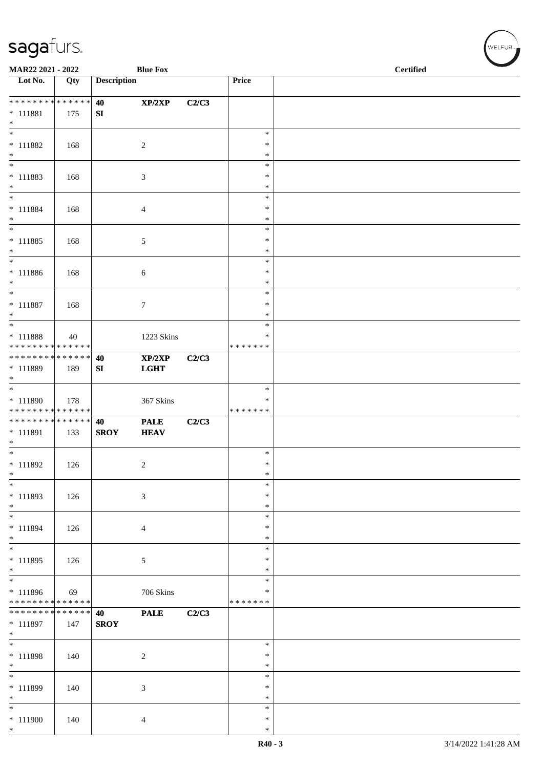| MAR22 2021 - 2022                              |        |                    | <b>Blue Fox</b>       |       |                    | <b>Certified</b> |
|------------------------------------------------|--------|--------------------|-----------------------|-------|--------------------|------------------|
| Lot No.                                        | Qty    | <b>Description</b> |                       |       | Price              |                  |
| * * * * * * * * * * * * * *                    |        | 40                 | XP/2XP                | C2/C3 |                    |                  |
| $* 111881$<br>$*$                              | 175    | SI                 |                       |       |                    |                  |
| $\overline{\phantom{0}}$                       |        |                    |                       |       | $\ast$             |                  |
| $* 111882$<br>$*$                              | 168    |                    | $\sqrt{2}$            |       | $\ast$<br>$\ast$   |                  |
| $*$                                            |        |                    |                       |       | $\ast$             |                  |
| $* 111883$                                     | 168    |                    | 3                     |       | $\ast$             |                  |
| $*$<br>$\overline{\ast}$                       |        |                    |                       |       | $\ast$             |                  |
| $* 111884$                                     | 168    |                    |                       |       | $\ast$<br>∗        |                  |
| $*$                                            |        |                    | 4                     |       | $\ast$             |                  |
| $\ast$                                         |        |                    |                       |       | $\ast$             |                  |
| $* 111885$                                     | 168    |                    | 5                     |       | $\ast$             |                  |
| $*$<br>$*$                                     |        |                    |                       |       | $\ast$<br>$\ast$   |                  |
| $* 111886$                                     | 168    |                    | 6                     |       | $\ast$             |                  |
| $*$                                            |        |                    |                       |       | $\ast$             |                  |
| $*$                                            |        |                    |                       |       | $\ast$             |                  |
| $* 111887$<br>$*$                              | 168    |                    | 7                     |       | $\ast$<br>$\ast$   |                  |
|                                                |        |                    |                       |       | $\ast$             |                  |
| * 111888                                       | 40     |                    | 1223 Skins            |       | ∗                  |                  |
| * * * * * * * * * * * * * *                    |        |                    |                       |       | * * * * * * *      |                  |
| * * * * * * * * * * * * * * *<br>* 111889      | 189    | 40<br>SI           | XP/2XP<br><b>LGHT</b> | C2/C3 |                    |                  |
| $*$                                            |        |                    |                       |       |                    |                  |
|                                                |        |                    |                       |       | $\ast$             |                  |
| $* 111890$<br>* * * * * * * * * * * * * *      | 178    |                    | 367 Skins             |       | ∗<br>* * * * * * * |                  |
| ******** <mark>******</mark>                   |        | 40                 | <b>PALE</b>           | C2/C3 |                    |                  |
| * 111891                                       | 133    | <b>SROY</b>        | <b>HEAV</b>           |       |                    |                  |
| $*$                                            |        |                    |                       |       |                    |                  |
| $*$<br>$* 111892$                              |        |                    |                       |       | $\ast$<br>$\ast$   |                  |
| $\ast$                                         | 126    |                    | $\overline{c}$        |       | $\ast$             |                  |
| $*$                                            |        |                    |                       |       | $\ast$             |                  |
| * 111893                                       | 126    |                    | 3                     |       | $\ast$             |                  |
| $*$<br>$*$                                     |        |                    |                       |       | $\ast$<br>$\ast$   |                  |
| * 111894                                       | 126    |                    | $\overline{4}$        |       | $\ast$             |                  |
| $*$                                            |        |                    |                       |       | $\ast$             |                  |
| $*$                                            |        |                    |                       |       | $\ast$             |                  |
| * 111895<br>$*$                                | 126    |                    | 5                     |       | $\ast$<br>$\ast$   |                  |
| $\overline{\phantom{0}}$                       |        |                    |                       |       | $\ast$             |                  |
| * 111896                                       | 69     |                    | 706 Skins             |       | $\ast$             |                  |
| * * * * * * * * * * * * * *<br>* * * * * * * * | ****** |                    |                       |       | * * * * * * *      |                  |
| $* 111897$                                     | 147    | 40<br><b>SROY</b>  | <b>PALE</b>           | C2/C3 |                    |                  |
| $*$                                            |        |                    |                       |       |                    |                  |
| $*$                                            |        |                    |                       |       | $\ast$             |                  |
| $* 111898$<br>$*$                              | 140    |                    | $\sqrt{2}$            |       | $\ast$<br>$\ast$   |                  |
| $\overline{\phantom{0}}$                       |        |                    |                       |       | $\ast$             |                  |
| * 111899                                       | 140    |                    | 3                     |       | $\ast$             |                  |
| $*$                                            |        |                    |                       |       | ∗                  |                  |
| $*$                                            |        |                    |                       |       | $\ast$<br>$\ast$   |                  |
| $* 111900$<br>$*$                              | 140    |                    | 4                     |       | $\ast$             |                  |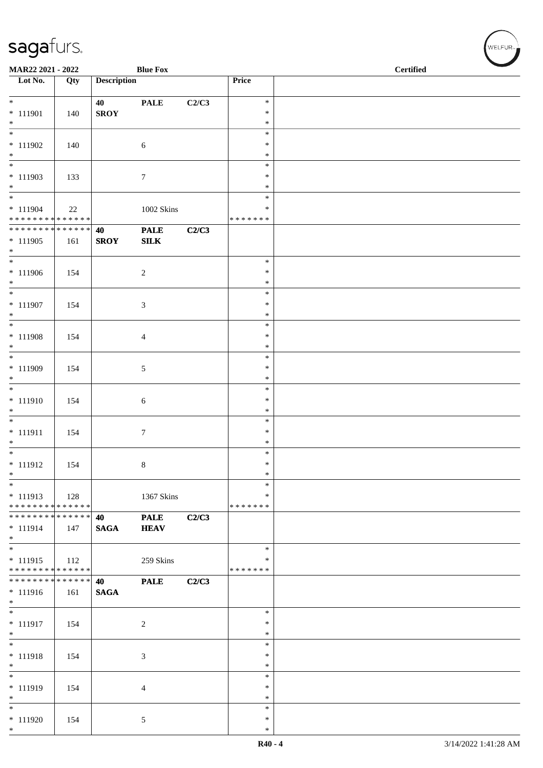| MAR22 2021 - 2022                           |                   |                    | <b>Blue Fox</b>            |       |                  | <b>Certified</b> |
|---------------------------------------------|-------------------|--------------------|----------------------------|-------|------------------|------------------|
| $\overline{\phantom{1}}$ Lot No.            | $\overline{Q}$ ty | <b>Description</b> |                            |       | Price            |                  |
| $*$                                         |                   | 40                 | <b>PALE</b>                | C2/C3 | $\ast$           |                  |
| * 111901                                    | 140               | <b>SROY</b>        |                            |       | $\ast$           |                  |
| $*$                                         |                   |                    |                            |       | $\ast$<br>$\ast$ |                  |
| $* 111902$                                  | 140               |                    | $\sqrt{6}$                 |       | $\ast$           |                  |
| $*$<br>$\overline{\phantom{0}}$             |                   |                    |                            |       | $\ast$<br>$\ast$ |                  |
| $* 111903$                                  | 133               |                    | $\tau$                     |       | $\ast$           |                  |
| $*$<br>$\overline{\phantom{0}}$             |                   |                    |                            |       | $\ast$<br>$\ast$ |                  |
| $* 111904$                                  | 22                |                    | 1002 Skins                 |       | ∗                |                  |
| * * * * * * * * * * * * * *                 |                   |                    |                            |       | * * * * * * *    |                  |
| * * * * * * * * * * * * * * *<br>$* 111905$ | 161               | 40<br><b>SROY</b>  | <b>PALE</b><br>SLK         | C2/C3 |                  |                  |
| $*$                                         |                   |                    |                            |       |                  |                  |
| $* 111906$                                  | 154               |                    | $\sqrt{2}$                 |       | $\ast$<br>$\ast$ |                  |
| $*$                                         |                   |                    |                            |       | $\ast$           |                  |
| $*$                                         |                   |                    |                            |       | $\ast$<br>$\ast$ |                  |
| $* 111907$<br>$*$                           | 154               |                    | 3                          |       | $\ast$           |                  |
| $\overline{\phantom{0}}$                    |                   |                    |                            |       | $\ast$           |                  |
| $* 111908$<br>$*$                           | 154               |                    | 4                          |       | $\ast$<br>$\ast$ |                  |
| $*$                                         |                   |                    |                            |       | $\ast$           |                  |
| $* 111909$<br>$*$                           | 154               |                    | 5                          |       | $\ast$<br>$\ast$ |                  |
|                                             |                   |                    |                            |       | $\ast$           |                  |
| $* 111910$                                  | 154               |                    | 6                          |       | $\ast$           |                  |
| $*$                                         |                   |                    |                            |       | $\ast$<br>$\ast$ |                  |
| * 111911                                    | 154               |                    | $\tau$                     |       | $\ast$           |                  |
| $*$<br>$*$                                  |                   |                    |                            |       | $\ast$<br>$\ast$ |                  |
| $* 111912$                                  | 154               |                    | 8                          |       | $\ast$           |                  |
| $\ast$<br>$\ast$                            |                   |                    |                            |       | $\ast$<br>$\ast$ |                  |
| $* 111913$                                  | 128               |                    | 1367 Skins                 |       | $\ast$           |                  |
| * * * * * * * * * * * * * *                 |                   |                    |                            |       | *******          |                  |
| * * * * * * * * * * * * * * *<br>$* 111914$ | 147               | 40<br><b>SAGA</b>  | <b>PALE</b><br><b>HEAV</b> | C2/C3 |                  |                  |
| $*$ $*$                                     |                   |                    |                            |       |                  |                  |
| $*$<br>$* 111915$                           | 112               |                    | 259 Skins                  |       | $\ast$<br>$\ast$ |                  |
| * * * * * * * * * * * * * *                 |                   |                    |                            |       | * * * * * * *    |                  |
| * * * * * * * * * * * * * * *<br>$* 111916$ |                   | 40                 | <b>PALE</b>                | C2/C3 |                  |                  |
| $*$                                         | 161               | <b>SAGA</b>        |                            |       |                  |                  |
| $*$                                         |                   |                    |                            |       | $\ast$           |                  |
| $* 111917$<br>$*$                           | 154               |                    | $\overline{c}$             |       | ∗<br>$\ast$      |                  |
| $\overline{\phantom{0}}$                    |                   |                    |                            |       | $\ast$           |                  |
| * 111918<br>$*$                             | 154               |                    | 3                          |       | $\ast$<br>$\ast$ |                  |
| $*$                                         |                   |                    |                            |       | $\ast$           |                  |
| $* 111919$<br>$*$                           | 154               |                    | 4                          |       | $\ast$<br>$\ast$ |                  |
| $*$                                         |                   |                    |                            |       | $\ast$           |                  |
| $* 111920$                                  | 154               |                    | 5                          |       | ∗                |                  |
| $*$                                         |                   |                    |                            |       | $\ast$           |                  |

WELFUR<sub><sup>N</sub></sub></sub></sup>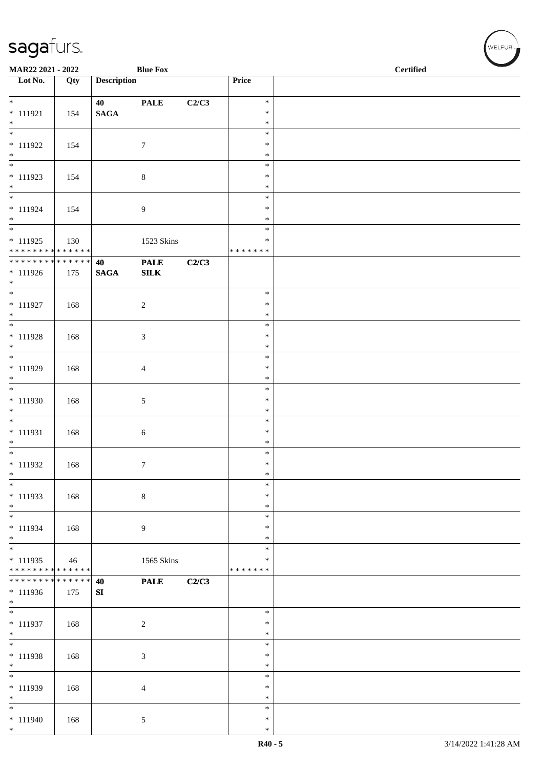| MAR22 2021 - 2022                             |     |                    | <b>Blue Fox</b>    |       |                  | <b>Certified</b> |
|-----------------------------------------------|-----|--------------------|--------------------|-------|------------------|------------------|
| $\overline{\phantom{1}}$ Lot No.              | Qty | <b>Description</b> |                    |       | Price            |                  |
|                                               |     |                    |                    |       |                  |                  |
| $*$                                           |     | 40                 | <b>PALE</b>        | C2/C3 | $\ast$           |                  |
| $* 111921$<br>$\ast$                          | 154 | $\mathbf{SAGA}$    |                    |       | $\ast$<br>$\ast$ |                  |
| $\overline{\phantom{a}^*}$                    |     |                    |                    |       | $\ast$           |                  |
| $* 111922$                                    | 154 |                    | $\boldsymbol{7}$   |       | $\ast$           |                  |
| $*$                                           |     |                    |                    |       | $\ast$           |                  |
| $\overline{\phantom{0}}$                      |     |                    |                    |       | $\ast$           |                  |
| $* 111923$                                    | 154 |                    | $8\,$              |       | $\ast$           |                  |
| $\ast$<br>$\overline{\ast}$                   |     |                    |                    |       | $\ast$<br>$\ast$ |                  |
| $* 111924$                                    | 154 |                    | 9                  |       | $\ast$           |                  |
| $*$                                           |     |                    |                    |       | $\ast$           |                  |
| $\overline{\phantom{0}}$                      |     |                    |                    |       | $\ast$           |                  |
| $* 111925$                                    | 130 |                    | 1523 Skins         |       | *                |                  |
| * * * * * * * * * * * * * *<br>************** |     |                    |                    |       | * * * * * * *    |                  |
| $* 111926$                                    | 175 | 40<br><b>SAGA</b>  | <b>PALE</b><br>SLK | C2/C3 |                  |                  |
| $*$                                           |     |                    |                    |       |                  |                  |
| $\overline{\ }$                               |     |                    |                    |       | $\ast$           |                  |
| $* 111927$                                    | 168 |                    | $\sqrt{2}$         |       | $\ast$           |                  |
| $*$<br>$\overline{\phantom{0}}$               |     |                    |                    |       | $\ast$           |                  |
|                                               |     |                    |                    |       | $\ast$           |                  |
| $* 111928$<br>$\ast$                          | 168 |                    | $\mathfrak{Z}$     |       | $\ast$<br>$\ast$ |                  |
|                                               |     |                    |                    |       | $\ast$           |                  |
| * 111929                                      | 168 |                    | $\overline{4}$     |       | $\ast$           |                  |
| $\ast$                                        |     |                    |                    |       | $\ast$           |                  |
| $\overline{\ast}$                             |     |                    |                    |       | $\ast$           |                  |
| * 111930                                      | 168 |                    | $\sqrt{5}$         |       | $\ast$           |                  |
| $\ast$<br>$\overline{\phantom{0}}$            |     |                    |                    |       | $\ast$<br>$\ast$ |                  |
| $* 111931$                                    | 168 |                    | $\sqrt{6}$         |       | $\ast$           |                  |
| $\ast$                                        |     |                    |                    |       | $\ast$           |                  |
| $*$                                           |     |                    |                    |       | $\ast$           |                  |
| $* 111932$                                    | 168 |                    | $\boldsymbol{7}$   |       | $\ast$           |                  |
| $\ast$<br>$\ast$                              |     |                    |                    |       | $\ast$<br>$\ast$ |                  |
| $* 111933$                                    | 168 |                    | $\,8\,$            |       | $\ast$           |                  |
| $\ast$                                        |     |                    |                    |       | $\ast$           |                  |
| $\frac{1}{1}$                                 |     |                    |                    |       | $\ast$           |                  |
| * 111934                                      | 168 |                    | 9                  |       | ∗                |                  |
| $*$<br>$\overline{\phantom{0}}$               |     |                    |                    |       | $\ast$           |                  |
| * 111935                                      |     |                    |                    |       | $\ast$<br>$\ast$ |                  |
| * * * * * * * * * * * * * *                   | 46  |                    | 1565 Skins         |       | * * * * * * *    |                  |
| * * * * * * * * * * * * * *                   |     | 40                 | <b>PALE</b>        | C2/C3 |                  |                  |
| * 111936                                      | 175 | SI                 |                    |       |                  |                  |
| $\ast$<br>$\overline{\phantom{0}}$            |     |                    |                    |       |                  |                  |
|                                               |     |                    |                    |       | $\ast$<br>*      |                  |
| $* 111937$<br>$\ast$                          | 168 |                    | $\boldsymbol{2}$   |       | $\ast$           |                  |
| $\overline{\phantom{0}}$                      |     |                    |                    |       | $\ast$           |                  |
| $* 111938$                                    | 168 |                    | $\mathfrak{Z}$     |       | $\ast$           |                  |
| $\ast$                                        |     |                    |                    |       | $\ast$           |                  |
| $*$                                           |     |                    |                    |       | $\ast$           |                  |
| * 111939                                      | 168 |                    | $\overline{4}$     |       | $\ast$<br>$\ast$ |                  |
| $\ast$<br>$\ast$                              |     |                    |                    |       | $\ast$           |                  |
| $* 111940$                                    | 168 |                    | 5                  |       | $\ast$           |                  |
| $*$                                           |     |                    |                    |       | $\ast$           |                  |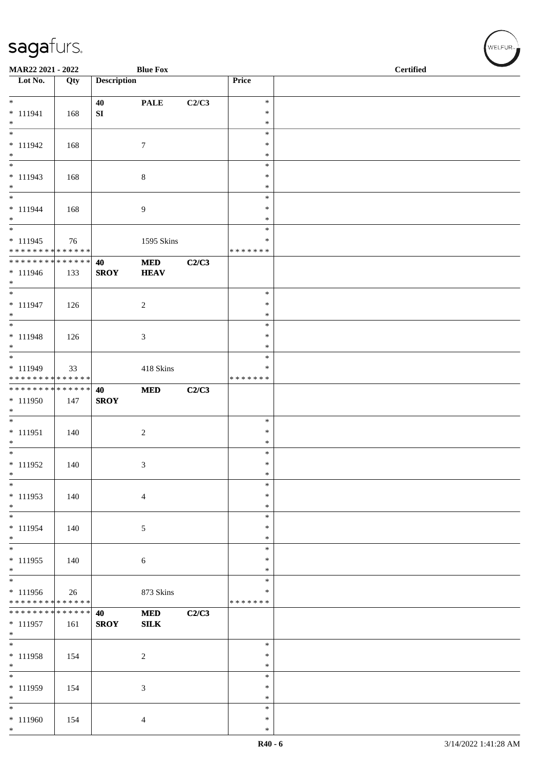| MAR22 2021 - 2022                         |     |                    | <b>Blue Fox</b>  |       |                         | <b>Certified</b> |  |
|-------------------------------------------|-----|--------------------|------------------|-------|-------------------------|------------------|--|
| $\overline{\phantom{1}}$ Lot No.          | Qty | <b>Description</b> |                  |       | Price                   |                  |  |
|                                           |     |                    |                  |       |                         |                  |  |
| $*$                                       |     | 40                 | <b>PALE</b>      | C2/C3 | $\ast$                  |                  |  |
| $* 111941$<br>$\ast$                      | 168 | ${\bf SI}$         |                  |       | $\ast$<br>$\ast$        |                  |  |
| $\overline{\phantom{a}^*}$                |     |                    |                  |       | $\ast$                  |                  |  |
| $* 111942$                                | 168 |                    | $\tau$           |       | $\ast$                  |                  |  |
| $\ast$                                    |     |                    |                  |       | $\ast$                  |                  |  |
| $\overline{\phantom{0}}$                  |     |                    |                  |       | $\ast$                  |                  |  |
| $* 111943$<br>$*$                         | 168 |                    | $\,8\,$          |       | $\ast$<br>$\ast$        |                  |  |
| $\overline{\phantom{0}}$                  |     |                    |                  |       | $\ast$                  |                  |  |
| $* 111944$                                | 168 |                    | $\boldsymbol{9}$ |       | $\ast$                  |                  |  |
| $*$                                       |     |                    |                  |       | $\ast$                  |                  |  |
| $\overline{\phantom{0}}$                  |     |                    |                  |       | $\ast$                  |                  |  |
| $* 111945$<br>* * * * * * * * * * * * * * | 76  |                    | 1595 Skins       |       | ∗<br>* * * * * * *      |                  |  |
| * * * * * * * * * * * * * * *             |     | 40                 | $\bf MED$        | C2/C3 |                         |                  |  |
| * 111946                                  | 133 | <b>SROY</b>        | <b>HEAV</b>      |       |                         |                  |  |
| $*$                                       |     |                    |                  |       |                         |                  |  |
| $*$                                       |     |                    |                  |       | $\ast$                  |                  |  |
| $* 111947$<br>$\ast$                      | 126 |                    | $\sqrt{2}$       |       | $\ast$<br>$\ast$        |                  |  |
| $\overline{\phantom{0}}$                  |     |                    |                  |       | $\ast$                  |                  |  |
| $* 111948$                                | 126 |                    | 3                |       | ∗                       |                  |  |
| $\ast$                                    |     |                    |                  |       | $\ast$                  |                  |  |
|                                           |     |                    |                  |       | $\ast$                  |                  |  |
| * 111949<br>* * * * * * * * * * * * * *   | 33  |                    | 418 Skins        |       | $\ast$<br>* * * * * * * |                  |  |
| * * * * * * * * * * * * * *               |     | 40                 | <b>MED</b>       | C2/C3 |                         |                  |  |
| * 111950                                  | 147 | <b>SROY</b>        |                  |       |                         |                  |  |
| $\ast$                                    |     |                    |                  |       |                         |                  |  |
| $\overline{\phantom{0}}$                  |     |                    |                  |       | $\ast$                  |                  |  |
| $* 111951$<br>$*$                         | 140 |                    | $\boldsymbol{2}$ |       | $\ast$<br>$\ast$        |                  |  |
| $*$                                       |     |                    |                  |       | $\ast$                  |                  |  |
| $* 111952$                                | 140 |                    | $\mathfrak{Z}$   |       | $\ast$                  |                  |  |
| $\ast$                                    |     |                    |                  |       | $\ast$                  |                  |  |
| $\ast$                                    |     |                    |                  |       | $\ast$                  |                  |  |
| $* 111953$<br>$*$                         | 140 |                    | $\overline{4}$   |       | $\ast$<br>$\ast$        |                  |  |
| $\overline{\phantom{0}}$                  |     |                    |                  |       | $\ast$                  |                  |  |
| * 111954                                  | 140 |                    | 5                |       | *                       |                  |  |
| $*$                                       |     |                    |                  |       | $\ast$                  |                  |  |
| $\overline{\ast}$                         |     |                    |                  |       | $\ast$                  |                  |  |
| $* 111955$<br>$*$                         | 140 |                    | 6                |       | $\ast$<br>∗             |                  |  |
| $\overline{\phantom{0}}$                  |     |                    |                  |       | $\ast$                  |                  |  |
| * 111956                                  | 26  |                    | 873 Skins        |       | $\ast$                  |                  |  |
| * * * * * * * * * * * * * *               |     |                    |                  |       | * * * * * * *           |                  |  |
| ******** <mark>******</mark>              |     | 40                 | <b>MED</b>       | C2/C3 |                         |                  |  |
| $* 111957$<br>$*$                         | 161 | <b>SROY</b>        | <b>SILK</b>      |       |                         |                  |  |
| $\overline{\phantom{0}}$                  |     |                    |                  |       | $\ast$                  |                  |  |
| $* 111958$                                | 154 |                    | $\sqrt{2}$       |       | $\ast$                  |                  |  |
| $*$                                       |     |                    |                  |       | $\ast$                  |                  |  |
| $*$                                       |     |                    |                  |       | $\ast$                  |                  |  |
| * 111959<br>$\ast$                        | 154 |                    | $\mathfrak{Z}$   |       | $\ast$<br>$\ast$        |                  |  |
| $\ast$                                    |     |                    |                  |       | $\ast$                  |                  |  |
| $* 111960$                                | 154 |                    | $\overline{4}$   |       | $\ast$                  |                  |  |
| $*$                                       |     |                    |                  |       | $\ast$                  |                  |  |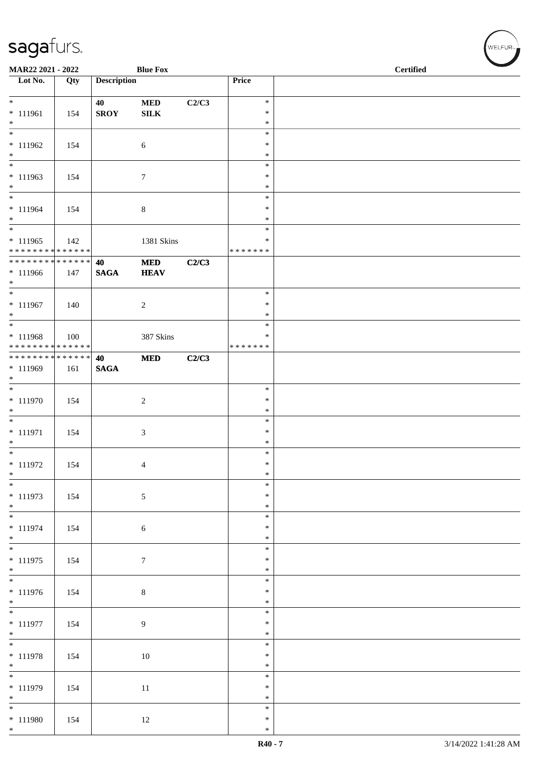| MAR22 2021 - 2022                                        |        |                    | <b>Blue Fox</b> |       |                         | <b>Certified</b> |
|----------------------------------------------------------|--------|--------------------|-----------------|-------|-------------------------|------------------|
| Lot No.                                                  | Qty    | <b>Description</b> |                 |       | Price                   |                  |
| $*$                                                      |        | 40                 | $\bf MED$       | C2/C3 | $\ast$                  |                  |
| $* 111961$<br>$*$                                        | 154    | <b>SROY</b>        | ${\bf SILK}$    |       | $\ast$<br>$\ast$        |                  |
|                                                          |        |                    |                 |       | $\ast$                  |                  |
| $* 111962$<br>$*$                                        | 154    |                    | 6               |       | $\ast$<br>$\ast$        |                  |
| $\overline{\phantom{0}}$                                 |        |                    |                 |       | $\ast$                  |                  |
| $* 111963$<br>$*$                                        | 154    |                    | 7               |       | $\ast$<br>$\ast$        |                  |
| $\overline{\ast}$                                        |        |                    |                 |       | $\ast$                  |                  |
| $* 111964$<br>$*$                                        | 154    |                    | $\,8\,$         |       | $\ast$<br>$\ast$        |                  |
| $\overline{\phantom{0}}$                                 |        |                    |                 |       | $\ast$                  |                  |
| $* 111965$<br>* * * * * * * * <mark>* * * * * * *</mark> | 142    |                    | 1381 Skins      |       | ∗<br>* * * * * * *      |                  |
| * * * * * * * *                                          | ****** | 40                 | $\bf MED$       | C2/C3 |                         |                  |
| $* 111966$<br>$*$                                        | 147    | <b>SAGA</b>        | <b>HEAV</b>     |       |                         |                  |
| $\overline{\ast}$                                        |        |                    |                 |       | $\ast$                  |                  |
| $* 111967$<br>$*$                                        | 140    |                    | $\overline{c}$  |       | $\ast$<br>$\ast$        |                  |
| $\overline{\ }$                                          |        |                    |                 |       | $\ast$                  |                  |
| $* 111968$<br>* * * * * * * * <mark>* * * * * * *</mark> | 100    |                    | 387 Skins       |       | $\ast$<br>* * * * * * * |                  |
| * * * * * * * * * * * * * * *                            |        | 40                 | $\bf MED$       | C2/C3 |                         |                  |
| * 111969<br>$*$                                          | 161    | <b>SAGA</b>        |                 |       |                         |                  |
| $\overline{\phantom{0}}$                                 |        |                    |                 |       | $\ast$                  |                  |
| $* 111970$                                               | 154    |                    | $\overline{c}$  |       | $\ast$<br>$\ast$        |                  |
| $*$<br>$\overline{\phantom{0}}$                          |        |                    |                 |       | $\ast$                  |                  |
| $* 111971$                                               | 154    |                    | $\mathfrak{Z}$  |       | $\ast$<br>$\ast$        |                  |
| $*$<br>$*$                                               |        |                    |                 |       | $\ast$                  |                  |
| $* 111972$<br>$*$                                        | 154    |                    | 4               |       | $\ast$<br>$\ast$        |                  |
| $\overline{\phantom{0}}$                                 |        |                    |                 |       | $\ast$                  |                  |
| * 111973                                                 | 154    |                    | 5               |       | $\ast$                  |                  |
| $*$<br>$\overline{\phantom{0}}$                          |        |                    |                 |       | $\ast$<br>$\ast$        |                  |
| $* 111974$                                               | 154    |                    | $\sqrt{6}$      |       | $\ast$                  |                  |
| $*$                                                      |        |                    |                 |       | $\ast$<br>$\ast$        |                  |
| $* 111975$                                               | 154    |                    | $\tau$          |       | $\ast$                  |                  |
| $*$                                                      |        |                    |                 |       | $\ast$<br>$\ast$        |                  |
| $* 111976$                                               | 154    |                    | $\,8\,$         |       | $\ast$                  |                  |
| $*$<br>$\overline{\phantom{0}}$                          |        |                    |                 |       | $\ast$<br>$\ast$        |                  |
| $* 111977$                                               | 154    |                    | 9               |       | $\ast$                  |                  |
| $*$                                                      |        |                    |                 |       | $\ast$<br>$\ast$        |                  |
| $* 111978$                                               | 154    |                    | $10\,$          |       | $\ast$                  |                  |
| $*$<br>$\overline{\ast}$                                 |        |                    |                 |       | $\ast$<br>$\ast$        |                  |
| $* 111979$                                               | 154    |                    | $11\,$          |       | $\ast$                  |                  |
| $*$<br>$*$                                               |        |                    |                 |       | $\ast$<br>$\ast$        |                  |
| $* 111980$                                               | 154    |                    | 12              |       | $\ast$                  |                  |
| $*$                                                      |        |                    |                 |       | $\ast$                  |                  |

、<br>WELFUR<sub>™</sub>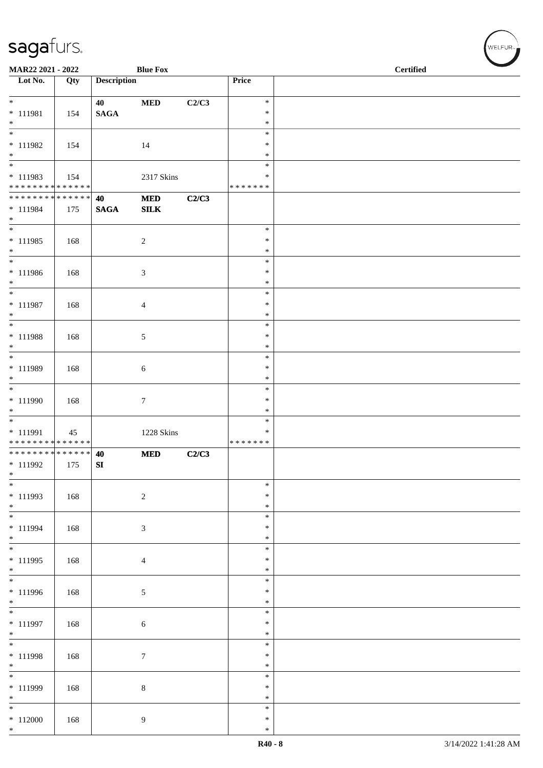| MAR22 2021 - 2022                               |                   |                       | <b>Blue Fox</b>           |       |                                             | <b>Certified</b> |
|-------------------------------------------------|-------------------|-----------------------|---------------------------|-------|---------------------------------------------|------------------|
| $\overline{\phantom{1}}$ Lot No.                | $\overline{Q}$ ty | <b>Description</b>    |                           |       | Price                                       |                  |
| $*$<br>* 111981<br>$*$                          | 154               | 40<br>$\mathbf{SAGA}$ | $\bf MED$                 | C2/C3 | $\ast$<br>$\ast$<br>$\ast$                  |                  |
| $\overline{\ast}$<br>$* 111982$                 | 154               |                       | 14                        |       | $\ast$<br>$\ast$                            |                  |
| $*$<br>* 111983<br>******** <mark>******</mark> | 154               |                       | 2317 Skins                |       | $\ast$<br>$\ast$<br>$\ast$<br>* * * * * * * |                  |
| ******** <mark>******</mark><br>* 111984<br>$*$ | 175               | 40<br>$\mathbf{SAGA}$ | $\bf MED$<br>${\bf SILK}$ | C2/C3 |                                             |                  |
| $* 111985$<br>$*$                               | 168               |                       | $\overline{c}$            |       | $\ast$<br>$\ast$<br>$\ast$                  |                  |
| $* 111986$<br>$*$                               | 168               |                       | 3                         |       | $\ast$<br>$\ast$<br>$\ast$                  |                  |
| $*$<br>$* 111987$<br>$*$                        | 168               |                       | $\overline{4}$            |       | $\ast$<br>$\ast$<br>$\ast$                  |                  |
| $\overline{\phantom{0}}$<br>$* 111988$<br>$*$   | 168               |                       | 5                         |       | $\ast$<br>$\ast$<br>$\ast$                  |                  |
| $\overline{\ast}$<br>* 111989<br>$*$            | 168               |                       | 6                         |       | $\ast$<br>$\ast$<br>$\ast$                  |                  |
| * 111990<br>$*$                                 | 168               |                       | $\tau$                    |       | $\ast$<br>$\ast$<br>$\ast$                  |                  |
| * 111991<br>* * * * * * * * * * * * * *         | 45                |                       | 1228 Skins                |       | $\ast$<br>∗<br>* * * * * * *                |                  |
| ************** 40<br>$* 111992$<br>$\ast$       | 175               | SI                    | <b>MED</b>                | C2/C3 |                                             |                  |
| $* 111993$<br>$*$                               | 168               |                       | $\sqrt{2}$                |       | $\ast$<br>$\ast$<br>$\ast$                  |                  |
| $\overline{\phantom{0}}$<br>* 111994<br>$*$     | 168               |                       | 3                         |       | $\ast$<br>$\ast$<br>$\ast$                  |                  |
| $*$<br>* 111995<br>$*$                          | 168               |                       | $\overline{4}$            |       | $\ast$<br>$\ast$<br>$\ast$                  |                  |
| $* 111996$<br>$*$                               | 168               |                       | 5                         |       | $\ast$<br>$\ast$<br>$\ast$                  |                  |
| $\overline{\phantom{0}}$<br>* 111997<br>$*$     | 168               |                       | $\sqrt{6}$                |       | $\ast$<br>$\ast$<br>$\ast$                  |                  |
| $*$<br>* 111998<br>$*$                          | 168               |                       | $\tau$                    |       | $\ast$<br>$\ast$<br>∗                       |                  |
| $\overline{\phantom{0}}$<br>$* 111999$<br>$*$   | 168               |                       | $\,8\,$                   |       | $\ast$<br>$\ast$<br>$\ast$                  |                  |
| $*112000$<br>$*$                                | 168               |                       | 9                         |       | $\ast$<br>$\ast$<br>$\ast$                  |                  |

WELFUR<sub><sup>N</sub></sub></sub></sup>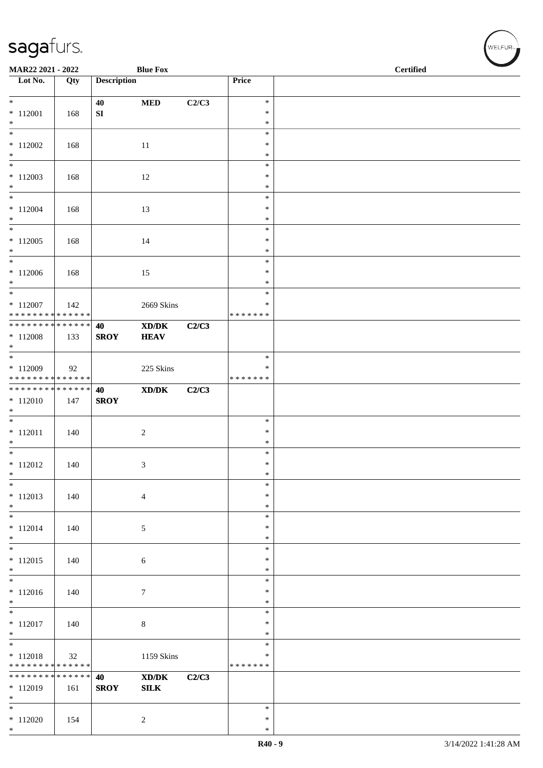| MAR22 2021 - 2022                                               |     |                    | <b>Blue Fox</b>       |       |                                   | <b>Certified</b> | $\overline{\phantom{a}}$ |
|-----------------------------------------------------------------|-----|--------------------|-----------------------|-------|-----------------------------------|------------------|--------------------------|
| $\overline{\phantom{1}}$ Lot No.                                | Qty | <b>Description</b> |                       |       | Price                             |                  |                          |
| $*$<br>$*$ 112001                                               | 168 | 40<br>SI           | <b>MED</b>            | C2/C3 | $\ast$<br>$\ast$                  |                  |                          |
| $*$<br>$\overline{\ast}$                                        |     |                    |                       |       | $\ast$                            |                  |                          |
| $*112002$<br>$*$                                                | 168 |                    | 11                    |       | $\ast$<br>$\ast$<br>$\ast$        |                  |                          |
| $*$<br>$*112003$<br>$*$                                         | 168 |                    | 12                    |       | $\ast$<br>$\ast$<br>$\ast$        |                  |                          |
| $*$<br>$* 112004$<br>$*$                                        | 168 |                    | 13                    |       | $\ast$<br>$\ast$<br>$\ast$        |                  |                          |
| $\overline{\phantom{0}}$<br>$*112005$<br>$\ast$                 | 168 |                    | 14                    |       | $\ast$<br>$\ast$<br>$\ast$        |                  |                          |
| $*$<br>$*112006$<br>$*$                                         | 168 |                    | 15                    |       | $\ast$<br>$\ast$<br>$\ast$        |                  |                          |
| $*$<br>$*112007$<br>* * * * * * * * * * * * * * *               | 142 |                    | 2669 Skins            |       | $\ast$<br>$\ast$<br>* * * * * * * |                  |                          |
| * * * * * * * * * * * * * * *<br>$*112008$<br>$*$               | 133 | 40<br><b>SROY</b>  | XD/DK<br><b>HEAV</b>  | C2/C3 |                                   |                  |                          |
| $*112009$<br>* * * * * * * * * * * * * *                        | 92  |                    | 225 Skins             |       | $\ast$<br>∗<br>* * * * * * *      |                  |                          |
| ******** <mark>******</mark><br>$* 112010$<br>$*$               | 147 | 40<br><b>SROY</b>  | XD/DK                 | C2/C3 |                                   |                  |                          |
| $* 112011$<br>$*$                                               | 140 |                    | $\overline{c}$        |       | $\ast$<br>$\ast$<br>$\ast$        |                  |                          |
| $*$<br>$* 112012$<br>$\ast$                                     | 140 |                    | 3                     |       | $\ast$<br>$\ast$<br>$\ast$        |                  |                          |
| $*$<br>$*112013$<br>$\ast$                                      | 140 |                    | $\overline{4}$        |       | $\ast$<br>$\ast$<br>$\ast$        |                  |                          |
| $*$<br>$* 112014$<br>$*$                                        | 140 |                    | $\sqrt{5}$            |       | $\ast$<br>$\ast$<br>$\ast$        |                  |                          |
| $*$<br>$*112015$<br>$*$                                         | 140 |                    | $\sqrt{6}$            |       | $\ast$<br>$\ast$<br>$\ast$        |                  |                          |
| $\overline{\phantom{0}}$<br>$* 112016$<br>$*$                   | 140 |                    | $\tau$                |       | $\ast$<br>$\ast$<br>$\ast$        |                  |                          |
| $\overline{\phantom{0}}$<br>$* 112017$<br>$*$                   | 140 |                    | $\,8\,$               |       | $\ast$<br>$\ast$<br>$\ast$        |                  |                          |
| $*$<br>$* 112018$<br>* * * * * * * * <mark>* * * * * * *</mark> | 32  |                    | 1159 Skins            |       | $\ast$<br>$\ast$<br>* * * * * * * |                  |                          |
| * * * * * * * * * * * * * * *<br>$*112019$<br>$*$               | 161 | 40<br><b>SROY</b>  | XD/DK<br>${\bf SILK}$ | C2/C3 |                                   |                  |                          |
| $\ast$<br>$*112020$<br>$*$                                      | 154 |                    | 2                     |       | $\ast$<br>$\ast$<br>$\ast$        |                  |                          |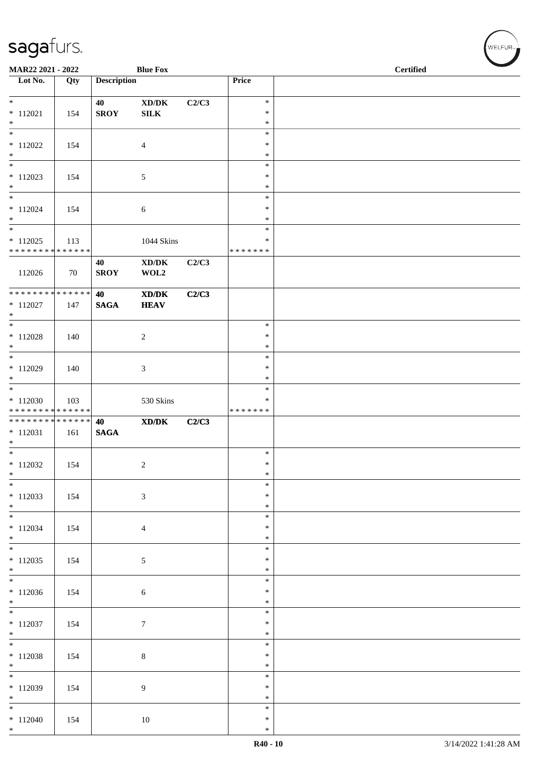| MAR22 2021 - 2022                             |     |                    | <b>Blue Fox</b>                                                                                      |       | <b>Certified</b> |  |  |  |  |
|-----------------------------------------------|-----|--------------------|------------------------------------------------------------------------------------------------------|-------|------------------|--|--|--|--|
| Lot No.                                       | Qty | <b>Description</b> |                                                                                                      |       | Price            |  |  |  |  |
| $*$                                           |     | 40                 | $\boldsymbol{\text{XD}}\boldsymbol{/}\boldsymbol{\text{DK}}$                                         | C2/C3 | $\ast$           |  |  |  |  |
| $* 112021$                                    | 154 | <b>SROY</b>        | ${\bf SILK}$                                                                                         |       | $\ast$           |  |  |  |  |
| $\ast$                                        |     |                    |                                                                                                      |       | $\ast$           |  |  |  |  |
| $\ast$                                        |     |                    |                                                                                                      |       | $\ast$<br>*      |  |  |  |  |
| $*112022$<br>$\ast$                           | 154 |                    | $\overline{4}$                                                                                       |       | *                |  |  |  |  |
| $\overline{\phantom{a}^*}$                    |     |                    |                                                                                                      |       | $\ast$           |  |  |  |  |
| $*112023$                                     | 154 |                    | 5                                                                                                    |       | $\ast$           |  |  |  |  |
| $\ast$<br>$\ast$                              |     |                    |                                                                                                      |       | $\ast$<br>$\ast$ |  |  |  |  |
| $* 112024$                                    | 154 |                    | 6                                                                                                    |       | $\ast$           |  |  |  |  |
| $\ast$                                        |     |                    |                                                                                                      |       | $\ast$           |  |  |  |  |
| $\ast$<br>$*112025$                           | 113 |                    | 1044 Skins                                                                                           |       | $\ast$<br>*      |  |  |  |  |
| * * * * * * * * * * * * * *                   |     |                    |                                                                                                      |       | * * * * * * *    |  |  |  |  |
| 112026                                        | 70  | 40<br><b>SROY</b>  | $\bold{X}\bold{D}/\bold{D}\bold{K}$<br>WOL2                                                          | C2/C3 |                  |  |  |  |  |
| * * * * * * * * * * * * * *                   |     | 40                 | $\boldsymbol{\text{X}}\boldsymbol{\text{D}}\boldsymbol{/}\boldsymbol{\text{D}}\boldsymbol{\text{K}}$ | C2/C3 |                  |  |  |  |  |
| $* 112027$                                    | 147 | <b>SAGA</b>        | <b>HEAV</b>                                                                                          |       |                  |  |  |  |  |
| $*$<br>$\ast$                                 |     |                    |                                                                                                      |       | $\ast$           |  |  |  |  |
| $* 112028$                                    | 140 |                    | $\boldsymbol{2}$                                                                                     |       | $\ast$           |  |  |  |  |
| $*$                                           |     |                    |                                                                                                      |       | $\ast$           |  |  |  |  |
| $\overline{\phantom{0}}$                      |     |                    |                                                                                                      |       | $\ast$           |  |  |  |  |
| $*112029$<br>$\ast$                           | 140 |                    | $\mathfrak{Z}$                                                                                       |       | $\ast$<br>$\ast$ |  |  |  |  |
| $\overline{\phantom{a}^*}$                    |     |                    |                                                                                                      |       | $\ast$           |  |  |  |  |
| $*112030$                                     | 103 |                    | 530 Skins                                                                                            |       | $\ast$           |  |  |  |  |
| * * * * * * * * * * * * * *<br>************** |     | 40                 | $\mathbf{X}\mathbf{D}/\mathbf{D}\mathbf{K}$                                                          | C2/C3 | * * * * * * *    |  |  |  |  |
| $* 112031$                                    | 161 | <b>SAGA</b>        |                                                                                                      |       |                  |  |  |  |  |
| $\ast$<br>$\overline{\ast}$                   |     |                    |                                                                                                      |       |                  |  |  |  |  |
| $*112032$                                     | 154 |                    | $\boldsymbol{2}$                                                                                     |       | $\ast$<br>$\ast$ |  |  |  |  |
| $\ast$                                        |     |                    |                                                                                                      |       | $\ast$           |  |  |  |  |
| $\ast$                                        |     |                    |                                                                                                      |       | $\ast$           |  |  |  |  |
| $* 112033$<br>$*$                             | 154 |                    | $\mathfrak{Z}$                                                                                       |       | $\ast$<br>$\ast$ |  |  |  |  |
| $*$                                           |     |                    |                                                                                                      |       | $\ast$           |  |  |  |  |
| $*112034$                                     | 154 |                    | $\overline{4}$                                                                                       |       | $\ast$           |  |  |  |  |
| $*$<br>$\overline{\phantom{0}}$               |     |                    |                                                                                                      |       | ∗<br>$\ast$      |  |  |  |  |
| $*112035$                                     | 154 |                    | $\sqrt{5}$                                                                                           |       | $\ast$           |  |  |  |  |
| $*$                                           |     |                    |                                                                                                      |       | $\ast$           |  |  |  |  |
| $\overline{\phantom{0}}$                      |     |                    |                                                                                                      |       | $\ast$           |  |  |  |  |
| $*112036$<br>$*$                              | 154 |                    | $\sqrt{6}$                                                                                           |       | $\ast$<br>$\ast$ |  |  |  |  |
| $\overline{\phantom{0}}$                      |     |                    |                                                                                                      |       | $\ast$           |  |  |  |  |
| $*112037$                                     | 154 |                    | $\boldsymbol{7}$                                                                                     |       | $\ast$           |  |  |  |  |
| $*$<br>$\overline{\phantom{0}}$               |     |                    |                                                                                                      |       | $\ast$<br>$\ast$ |  |  |  |  |
| $*112038$                                     | 154 |                    | $\,8\,$                                                                                              |       | $\ast$           |  |  |  |  |
| $*$                                           |     |                    |                                                                                                      |       | $\ast$           |  |  |  |  |
| $\overline{\phantom{0}}$<br>$* 112039$        |     |                    |                                                                                                      |       | $\ast$<br>$\ast$ |  |  |  |  |
| $*$                                           | 154 |                    | $\overline{9}$                                                                                       |       | $\ast$           |  |  |  |  |
| $*$                                           |     |                    |                                                                                                      |       | $\ast$           |  |  |  |  |
| $*112040$<br>$*$                              | 154 |                    | 10                                                                                                   |       | $\ast$<br>$\ast$ |  |  |  |  |
|                                               |     |                    |                                                                                                      |       |                  |  |  |  |  |

√<br>WELFUR<sub>™</sub>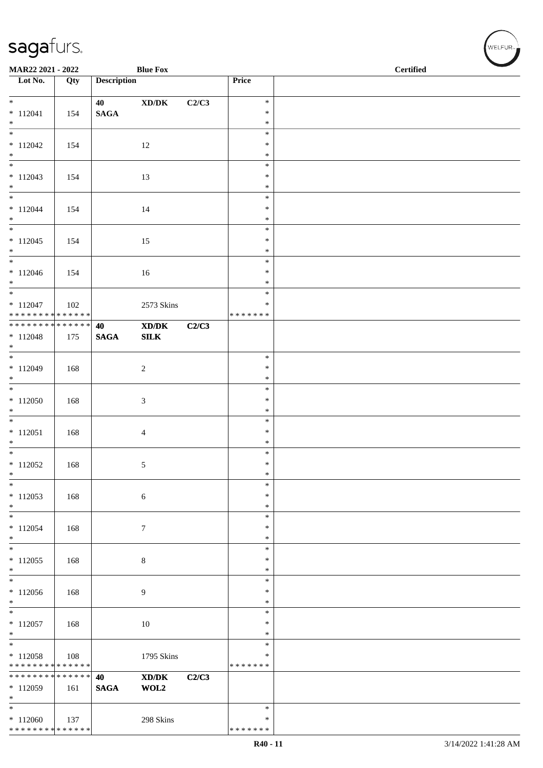| MAR22 2021 - 2022                         |     |                    | <b>Blue Fox</b>                                                                                      |       |                         | <b>Certified</b> |
|-------------------------------------------|-----|--------------------|------------------------------------------------------------------------------------------------------|-------|-------------------------|------------------|
| $\overline{\phantom{1}}$ Lot No.          | Qty | <b>Description</b> |                                                                                                      |       | Price                   |                  |
| $\ast$                                    |     | 40                 | $\bold{X}\bold{D}/\bold{D}\bold{K}$                                                                  | C2/C3 | $\ast$                  |                  |
| $*112041$<br>$\ast$                       | 154 | $\mathbf{SAGA}$    |                                                                                                      |       | $\ast$<br>$\ast$        |                  |
| $\overline{\phantom{0}}$                  |     |                    |                                                                                                      |       | $\ast$                  |                  |
| $*112042$<br>$\ast$                       | 154 |                    | 12                                                                                                   |       | ∗<br>$\ast$             |                  |
| $\overline{\phantom{0}}$                  |     |                    |                                                                                                      |       | $\ast$                  |                  |
| $*112043$<br>$*$                          | 154 |                    | 13                                                                                                   |       | $\ast$<br>$\ast$        |                  |
| $\overline{\phantom{0}}$                  |     |                    |                                                                                                      |       | $\ast$                  |                  |
| $*112044$<br>$*$                          | 154 |                    | $14\,$                                                                                               |       | $\ast$<br>$\ast$        |                  |
| $\overline{\phantom{0}}$                  |     |                    |                                                                                                      |       | $\ast$                  |                  |
| $*112045$<br>$\ast$                       | 154 |                    | 15                                                                                                   |       | $\ast$<br>$\ast$        |                  |
| $\overline{\phantom{a}^*}$                |     |                    |                                                                                                      |       | $\ast$                  |                  |
| $*112046$<br>$\ast$                       | 154 |                    | 16                                                                                                   |       | $\ast$<br>$\ast$        |                  |
| $\overline{\phantom{a}^*}$                |     |                    |                                                                                                      |       | $\ast$                  |                  |
| $* 112047$<br>* * * * * * * * * * * * * * | 102 |                    | 2573 Skins                                                                                           |       | ∗<br>* * * * * * *      |                  |
| ******** <mark>******</mark>              |     | 40                 | $\boldsymbol{\text{X}}\boldsymbol{\text{D}}\boldsymbol{/}\boldsymbol{\text{D}}\boldsymbol{\text{K}}$ | C2/C3 |                         |                  |
| $* 112048$<br>$\ast$                      | 175 | <b>SAGA</b>        | ${\bf SILK}$                                                                                         |       |                         |                  |
| $\overline{\phantom{0}}$                  |     |                    |                                                                                                      |       | $\ast$                  |                  |
| $* 112049$<br>$\ast$                      | 168 |                    | $\overline{c}$                                                                                       |       | $\ast$<br>$\ast$        |                  |
| $\overline{\phantom{0}}$                  |     |                    |                                                                                                      |       | $\ast$                  |                  |
| $*112050$<br>$\ast$                       | 168 |                    | $\sqrt{3}$                                                                                           |       | $\ast$<br>$\ast$        |                  |
| $\ast$                                    |     |                    |                                                                                                      |       | $\ast$                  |                  |
| $*112051$<br>$\ast$                       | 168 |                    | $\overline{4}$                                                                                       |       | $\ast$<br>$\ast$        |                  |
| $\overline{\ast}$                         |     |                    |                                                                                                      |       | $\ast$                  |                  |
| $*112052$<br>$\ast$                       | 168 |                    | $\sqrt{5}$                                                                                           |       | $\ast$<br>$\ast$        |                  |
| $\ast$                                    |     |                    |                                                                                                      |       | $\ast$                  |                  |
| $*112053$<br>$\ast$                       | 168 |                    | $\sqrt{6}$                                                                                           |       | $\ast$<br>$\ast$        |                  |
| $\ast$                                    |     |                    |                                                                                                      |       | $\ast$                  |                  |
| $* 112054$<br>$\ast$                      | 168 |                    | $\tau$                                                                                               |       | $\ast$<br>∗             |                  |
| $_{\ast}$                                 |     |                    |                                                                                                      |       | $\ast$                  |                  |
| $*112055$<br>$\ast$                       | 168 |                    | $\,8\,$                                                                                              |       | $\ast$<br>$\ast$        |                  |
| $_{\ast}^{-}$                             |     |                    |                                                                                                      |       | $\ast$                  |                  |
| $*112056$<br>$\ast$                       | 168 |                    | 9                                                                                                    |       | *<br>$\ast$             |                  |
| $*$                                       |     |                    |                                                                                                      |       | $\ast$                  |                  |
| $* 112057$<br>$\ast$                      | 168 |                    | 10                                                                                                   |       | $\ast$<br>*             |                  |
| $\overline{\phantom{1}}$                  |     |                    |                                                                                                      |       | $\ast$                  |                  |
| $*112058$<br>******** <mark>******</mark> | 108 |                    | 1795 Skins                                                                                           |       | $\ast$<br>* * * * * * * |                  |
| ******** <mark>******</mark>              |     | 40                 | $\boldsymbol{\text{X}}\boldsymbol{\text{D}}\boldsymbol{/}\boldsymbol{\text{D}}\boldsymbol{\text{K}}$ | C2/C3 |                         |                  |
| * 112059<br>$\ast$                        | 161 | <b>SAGA</b>        | WOL2                                                                                                 |       |                         |                  |
| $\ast$                                    |     |                    |                                                                                                      |       | $\ast$                  |                  |
| $*112060$                                 | 137 |                    | 298 Skins                                                                                            |       | ∗                       |                  |
| * * * * * * * * * * * * * *               |     |                    |                                                                                                      |       | * * * * * * *           |                  |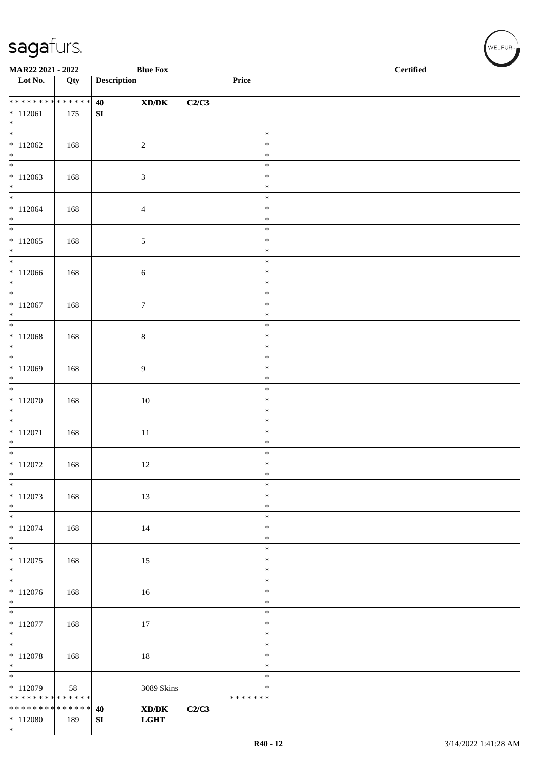\*

| MAR22 2021 - 2022                                         |     |                    | <b>Blue Fox</b>                                                            |       |                              | <b>Certified</b> |  |  |  |  |  |
|-----------------------------------------------------------|-----|--------------------|----------------------------------------------------------------------------|-------|------------------------------|------------------|--|--|--|--|--|
| Lot No.                                                   | Qty | <b>Description</b> |                                                                            |       | Price                        |                  |  |  |  |  |  |
| * * * * * * * * * * * * * *<br>$*112061$<br>$*$           | 175 | 40<br>SI           | $\boldsymbol{\text{X}\text{D}/\text{D}\text{K}}$                           | C2/C3 |                              |                  |  |  |  |  |  |
| $\overline{\phantom{1}}$<br>$*112062$<br>$*$              | 168 |                    | $\sqrt{2}$                                                                 |       | $\ast$<br>$\ast$<br>$\ast$   |                  |  |  |  |  |  |
| $\overline{\phantom{0}}$<br>$*112063$<br>$*$              | 168 |                    | $\mathfrak{Z}$                                                             |       | $\ast$<br>$\ast$<br>$\ast$   |                  |  |  |  |  |  |
| $\overline{\ast}$<br>$* 112064$<br>$*$                    | 168 |                    | $\overline{4}$                                                             |       | $\ast$<br>$\ast$<br>$\ast$   |                  |  |  |  |  |  |
| $\ast$<br>$*112065$<br>$*$                                | 168 |                    | $\sqrt{5}$                                                                 |       | $\ast$<br>$\ast$<br>$\ast$   |                  |  |  |  |  |  |
| $\ast$<br>$*112066$<br>$*$                                | 168 |                    | $\sqrt{6}$                                                                 |       | $\ast$<br>$\ast$<br>$\ast$   |                  |  |  |  |  |  |
| $\overline{\ast}$<br>$* 112067$<br>$\ast$                 | 168 |                    | $\boldsymbol{7}$                                                           |       | $\ast$<br>$\ast$<br>$\ast$   |                  |  |  |  |  |  |
| $\overline{\phantom{0}}$<br>$* 112068$<br>$\ast$          | 168 |                    | $8\,$                                                                      |       | $\ast$<br>$\ast$<br>$\ast$   |                  |  |  |  |  |  |
| $\overline{\phantom{0}}$<br>$* 112069$<br>$*$             | 168 |                    | 9                                                                          |       | $\ast$<br>$\ast$<br>$\ast$   |                  |  |  |  |  |  |
| $*$<br>$* 112070$<br>$\ast$                               | 168 |                    | $10\,$                                                                     |       | $\ast$<br>$\ast$<br>$\ast$   |                  |  |  |  |  |  |
| $*$<br>$* 112071$<br>$*$                                  | 168 |                    | $11\,$                                                                     |       | $\ast$<br>$\ast$<br>$\ast$   |                  |  |  |  |  |  |
| $*$<br>$* 112072$<br>$\ast$                               | 168 |                    | 12                                                                         |       | $\ast$<br>$\ast$<br>∗        |                  |  |  |  |  |  |
| $\ast$<br>$*112073$<br>$\ast$                             | 168 |                    | $13\,$                                                                     |       | $\ast$<br>$\ast$<br>$\ast$   |                  |  |  |  |  |  |
| $\overline{\phantom{0}}$<br>$* 112074$<br>$\ast$          | 168 |                    | 14                                                                         |       | $\ast$<br>∗<br>$\ast$        |                  |  |  |  |  |  |
| $\overline{\phantom{0}}$<br>$*112075$<br>$*$              | 168 |                    | 15                                                                         |       | $\ast$<br>$\ast$<br>$\ast$   |                  |  |  |  |  |  |
| $\overline{\phantom{0}}$<br>$*112076$<br>$*$              | 168 |                    | $16\,$                                                                     |       | $\ast$<br>$\ast$<br>$\ast$   |                  |  |  |  |  |  |
| $\overline{\phantom{0}}$<br>$* 112077$<br>$*$             | 168 |                    | 17                                                                         |       | $\ast$<br>$\ast$<br>$\ast$   |                  |  |  |  |  |  |
| $\overline{\ast}$<br>$*112078$<br>$*$                     | 168 |                    | 18                                                                         |       | $\ast$<br>$\ast$<br>∗        |                  |  |  |  |  |  |
| $\frac{1}{*}$<br>$*112079$<br>* * * * * * * * * * * * * * | 58  |                    | 3089 Skins                                                                 |       | $\ast$<br>∗<br>* * * * * * * |                  |  |  |  |  |  |
| * * * * * * * * * * * * * *<br>$* 112080$                 | 189 | 40<br>SI           | $\boldsymbol{\text{X} \text{D} \text{/} \text{D} \text{K}}$<br><b>LGHT</b> | C2/C3 |                              |                  |  |  |  |  |  |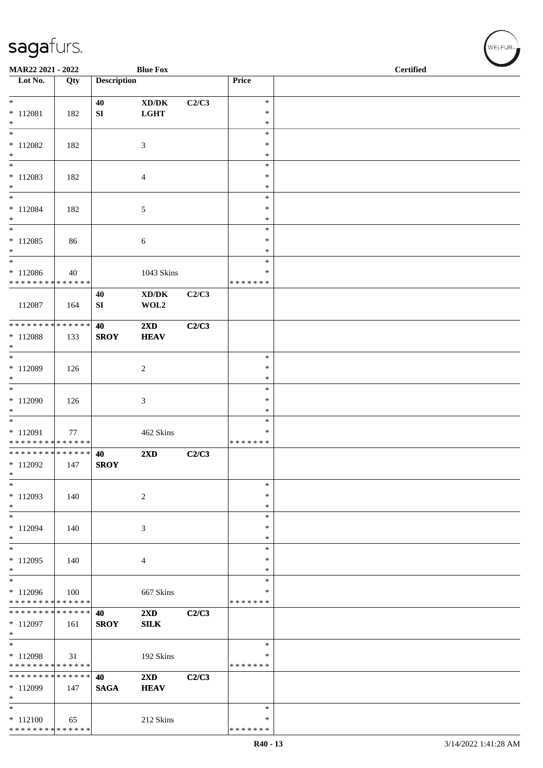| MAR22 2021 - 2022                        |     |                    | <b>Blue Fox</b>                             |       |                    | <b>Certified</b> |
|------------------------------------------|-----|--------------------|---------------------------------------------|-------|--------------------|------------------|
| $\overline{\phantom{1}}$ Lot No.         | Qty | <b>Description</b> |                                             |       | Price              |                  |
| $\ast$                                   |     | 40                 | $\bold{X}\bold{D}/\bold{D}\bold{K}$         | C2/C3 | $\ast$             |                  |
| $* 112081$                               | 182 | SI                 | <b>LGHT</b>                                 |       | $\ast$             |                  |
| $\ast$                                   |     |                    |                                             |       | $\ast$             |                  |
| $\ast$<br>$*112082$                      | 182 |                    | $\mathfrak{Z}$                              |       | $\ast$<br>$\ast$   |                  |
| $\ast$                                   |     |                    |                                             |       | $\ast$             |                  |
| $\ast$                                   |     |                    |                                             |       | $\ast$<br>$\ast$   |                  |
| $*112083$<br>$\ast$                      | 182 |                    | $\overline{4}$                              |       | ∗                  |                  |
| $\ast$                                   |     |                    |                                             |       | $\ast$             |                  |
| $* 112084$<br>$\ast$                     | 182 |                    | $\mathfrak{S}$                              |       | $\ast$<br>$\ast$   |                  |
| $\overline{\phantom{a}^*}$               |     |                    |                                             |       | $\ast$             |                  |
| $*112085$<br>$\ast$                      | 86  |                    | 6                                           |       | *<br>$\ast$        |                  |
| $\ast$                                   |     |                    |                                             |       | $\ast$             |                  |
| $*112086$                                | 40  |                    | 1043 Skins                                  |       | $\ast$             |                  |
| * * * * * * * * * * * * * *              |     | 40                 | $\mathbf{X}\mathbf{D}/\mathbf{D}\mathbf{K}$ | C2/C3 | * * * * * * *      |                  |
| 112087                                   | 164 | SI                 | WOL2                                        |       |                    |                  |
| ******** <mark>******</mark>             |     |                    |                                             |       |                    |                  |
| $*112088$                                | 133 | 40<br><b>SROY</b>  | 2XD<br><b>HEAV</b>                          | C2/C3 |                    |                  |
| $\ast$                                   |     |                    |                                             |       |                    |                  |
| $*$<br>* 112089                          | 126 |                    | $\sqrt{2}$                                  |       | $\ast$<br>$\ast$   |                  |
| $\ast$                                   |     |                    |                                             |       | $\ast$             |                  |
| $_{\ast}^{-}$                            |     |                    |                                             |       | $\ast$<br>$\ast$   |                  |
| $*112090$<br>$\ast$                      | 126 |                    | 3                                           |       | $\ast$             |                  |
| $_{\ast}^{-}$                            |     |                    |                                             |       | $\ast$             |                  |
| * 112091<br>* * * * * * * * * * * * * *  | 77  |                    | 462 Skins                                   |       | ∗<br>* * * * * * * |                  |
| **************                           |     | 40                 | 2XD                                         | C2/C3 |                    |                  |
| $*112092$<br>$\ast$                      | 147 | <b>SROY</b>        |                                             |       |                    |                  |
| $\ast$                                   |     |                    |                                             |       | $\ast$             |                  |
| $*112093$                                | 140 |                    | $\overline{c}$                              |       | $\ast$             |                  |
| $\ast$<br>$\overline{\phantom{0}}$       |     |                    |                                             |       | $\ast$<br>$\ast$   |                  |
| $*112094$                                | 140 |                    | 3                                           |       | *                  |                  |
| $\ast$<br>$\ast$                         |     |                    |                                             |       | ∗<br>$\ast$        |                  |
| $*112095$                                | 140 |                    | 4                                           |       | *                  |                  |
| $\ast$                                   |     |                    |                                             |       | ∗                  |                  |
| $\overline{\phantom{1}}$<br>* 112096     | 100 |                    | 667 Skins                                   |       | $\ast$<br>*        |                  |
| * * * * * * * * * * * * * *              |     |                    |                                             |       | * * * * * * *      |                  |
| * * * * * * * * * * * * * * *            |     | 40                 | $2\mathbf{X}\mathbf{D}$                     | C2/C3 |                    |                  |
| $*112097$<br>$\ast$                      | 161 | <b>SROY</b>        | <b>SILK</b>                                 |       |                    |                  |
| $\ast$                                   |     |                    |                                             |       | $\ast$             |                  |
| $*112098$<br>* * * * * * * * * * * * * * | 31  |                    | 192 Skins                                   |       | *<br>* * * * * * * |                  |
| * * * * * * * * * * * * * *              |     | 40                 | $2\mathbf{X}\mathbf{D}$                     | C2/C3 |                    |                  |
| $*112099$                                | 147 | <b>SAGA</b>        | <b>HEAV</b>                                 |       |                    |                  |
| $\ast$<br>$\ast$                         |     |                    |                                             |       | $\ast$             |                  |
| $* 112100$                               | 65  |                    | 212 Skins                                   |       | ∗                  |                  |
| * * * * * * * * * * * * * *              |     |                    |                                             |       | * * * * * * *      |                  |

WELFUR<sub><sup>N</sup></sub>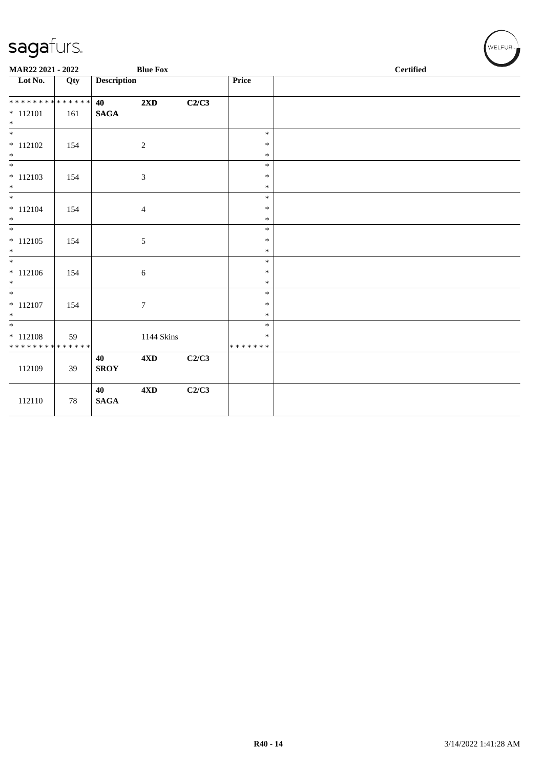| <b>Description</b><br>Price<br>Qty<br>**************<br>40<br>2XD<br>C2/C3<br>$\mathbf{SAGA}$<br>161<br>$\overline{\phantom{0}}$<br>$\ast$<br>$\sqrt{2}$<br>$\ast$<br>154<br>$\ast$<br>$\overline{\phantom{0}}$<br>$\ast$<br>$* 112103$<br>$\mathfrak{Z}$<br>154<br>$\ast$<br>$\ast$<br>$\ast$<br>$\overline{\phantom{0}}$<br>$\ast$<br>$* 112104$<br>$\ast$<br>154<br>$\overline{4}$<br>$\ast$<br>$\ast$<br>$\ast$<br>$* 112105$<br>$\sqrt{5}$<br>154<br>$\ast$<br>$\ast$<br>$\overline{\phantom{0}}$<br>$\ast$<br>$\sqrt{6}$<br>$\ast$<br>154<br>$\ast$<br>$\overline{\phantom{a}^*}$<br>$\ast$<br>$* 112107$<br>$\boldsymbol{7}$<br>154<br>$\ast$<br>$\ast$<br>$\ast$<br>$\overline{\phantom{0}}$<br>$\ast$<br>$* 112108$<br>1144 Skins<br>$\ast$<br>59<br>* * * * * * * * * * * * * *<br>* * * * * * *<br>4XD<br>C2/C3<br>40<br>112109<br><b>SROY</b><br>39<br>C2/C3<br>40<br>4XD<br><b>SAGA</b><br>112110<br>78 | MAR22 2021 - 2022                |  | <b>Blue Fox</b> |  | <b>Certified</b> |  |  |  |  |  |  |
|----------------------------------------------------------------------------------------------------------------------------------------------------------------------------------------------------------------------------------------------------------------------------------------------------------------------------------------------------------------------------------------------------------------------------------------------------------------------------------------------------------------------------------------------------------------------------------------------------------------------------------------------------------------------------------------------------------------------------------------------------------------------------------------------------------------------------------------------------------------------------------------------------------------------|----------------------------------|--|-----------------|--|------------------|--|--|--|--|--|--|
|                                                                                                                                                                                                                                                                                                                                                                                                                                                                                                                                                                                                                                                                                                                                                                                                                                                                                                                      | $\overline{\phantom{1}}$ Lot No. |  |                 |  |                  |  |  |  |  |  |  |
|                                                                                                                                                                                                                                                                                                                                                                                                                                                                                                                                                                                                                                                                                                                                                                                                                                                                                                                      |                                  |  |                 |  |                  |  |  |  |  |  |  |
|                                                                                                                                                                                                                                                                                                                                                                                                                                                                                                                                                                                                                                                                                                                                                                                                                                                                                                                      | $* 112101$<br>$\ast$             |  |                 |  |                  |  |  |  |  |  |  |
|                                                                                                                                                                                                                                                                                                                                                                                                                                                                                                                                                                                                                                                                                                                                                                                                                                                                                                                      |                                  |  |                 |  |                  |  |  |  |  |  |  |
|                                                                                                                                                                                                                                                                                                                                                                                                                                                                                                                                                                                                                                                                                                                                                                                                                                                                                                                      | $* 112102$                       |  |                 |  |                  |  |  |  |  |  |  |
|                                                                                                                                                                                                                                                                                                                                                                                                                                                                                                                                                                                                                                                                                                                                                                                                                                                                                                                      | $\ast$                           |  |                 |  |                  |  |  |  |  |  |  |
|                                                                                                                                                                                                                                                                                                                                                                                                                                                                                                                                                                                                                                                                                                                                                                                                                                                                                                                      |                                  |  |                 |  |                  |  |  |  |  |  |  |
|                                                                                                                                                                                                                                                                                                                                                                                                                                                                                                                                                                                                                                                                                                                                                                                                                                                                                                                      |                                  |  |                 |  |                  |  |  |  |  |  |  |
|                                                                                                                                                                                                                                                                                                                                                                                                                                                                                                                                                                                                                                                                                                                                                                                                                                                                                                                      |                                  |  |                 |  |                  |  |  |  |  |  |  |
|                                                                                                                                                                                                                                                                                                                                                                                                                                                                                                                                                                                                                                                                                                                                                                                                                                                                                                                      |                                  |  |                 |  |                  |  |  |  |  |  |  |
|                                                                                                                                                                                                                                                                                                                                                                                                                                                                                                                                                                                                                                                                                                                                                                                                                                                                                                                      |                                  |  |                 |  |                  |  |  |  |  |  |  |
|                                                                                                                                                                                                                                                                                                                                                                                                                                                                                                                                                                                                                                                                                                                                                                                                                                                                                                                      | $\overline{\phantom{a}^*}$       |  |                 |  |                  |  |  |  |  |  |  |
|                                                                                                                                                                                                                                                                                                                                                                                                                                                                                                                                                                                                                                                                                                                                                                                                                                                                                                                      |                                  |  |                 |  |                  |  |  |  |  |  |  |
|                                                                                                                                                                                                                                                                                                                                                                                                                                                                                                                                                                                                                                                                                                                                                                                                                                                                                                                      | $\ast$                           |  |                 |  |                  |  |  |  |  |  |  |
|                                                                                                                                                                                                                                                                                                                                                                                                                                                                                                                                                                                                                                                                                                                                                                                                                                                                                                                      |                                  |  |                 |  |                  |  |  |  |  |  |  |
|                                                                                                                                                                                                                                                                                                                                                                                                                                                                                                                                                                                                                                                                                                                                                                                                                                                                                                                      | $* 112106$                       |  |                 |  |                  |  |  |  |  |  |  |
|                                                                                                                                                                                                                                                                                                                                                                                                                                                                                                                                                                                                                                                                                                                                                                                                                                                                                                                      | $\ast$                           |  |                 |  |                  |  |  |  |  |  |  |
|                                                                                                                                                                                                                                                                                                                                                                                                                                                                                                                                                                                                                                                                                                                                                                                                                                                                                                                      |                                  |  |                 |  |                  |  |  |  |  |  |  |
|                                                                                                                                                                                                                                                                                                                                                                                                                                                                                                                                                                                                                                                                                                                                                                                                                                                                                                                      |                                  |  |                 |  |                  |  |  |  |  |  |  |
|                                                                                                                                                                                                                                                                                                                                                                                                                                                                                                                                                                                                                                                                                                                                                                                                                                                                                                                      |                                  |  |                 |  |                  |  |  |  |  |  |  |
|                                                                                                                                                                                                                                                                                                                                                                                                                                                                                                                                                                                                                                                                                                                                                                                                                                                                                                                      |                                  |  |                 |  |                  |  |  |  |  |  |  |
|                                                                                                                                                                                                                                                                                                                                                                                                                                                                                                                                                                                                                                                                                                                                                                                                                                                                                                                      |                                  |  |                 |  |                  |  |  |  |  |  |  |
|                                                                                                                                                                                                                                                                                                                                                                                                                                                                                                                                                                                                                                                                                                                                                                                                                                                                                                                      |                                  |  |                 |  |                  |  |  |  |  |  |  |
|                                                                                                                                                                                                                                                                                                                                                                                                                                                                                                                                                                                                                                                                                                                                                                                                                                                                                                                      |                                  |  |                 |  |                  |  |  |  |  |  |  |
|                                                                                                                                                                                                                                                                                                                                                                                                                                                                                                                                                                                                                                                                                                                                                                                                                                                                                                                      |                                  |  |                 |  |                  |  |  |  |  |  |  |
|                                                                                                                                                                                                                                                                                                                                                                                                                                                                                                                                                                                                                                                                                                                                                                                                                                                                                                                      |                                  |  |                 |  |                  |  |  |  |  |  |  |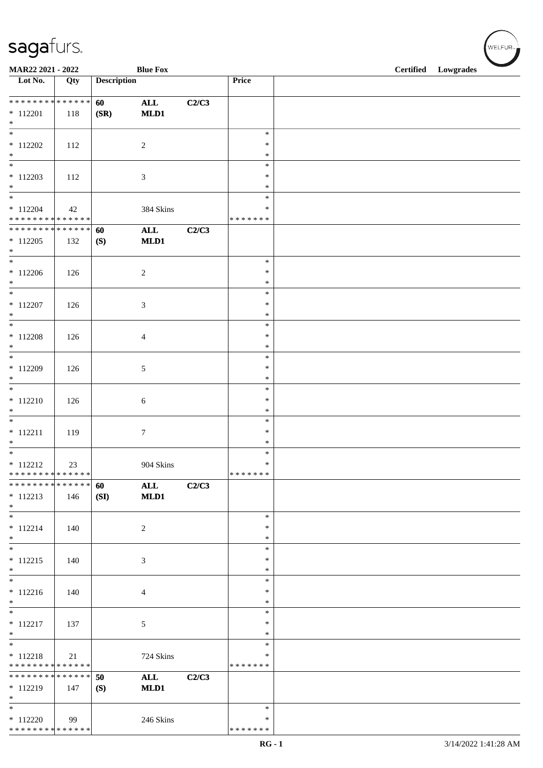| MAR22 2021 - 2022                                                              |     |                    | <b>Blue Fox</b>             |       |                                      | <b>Certified</b> | Lowgrades |
|--------------------------------------------------------------------------------|-----|--------------------|-----------------------------|-------|--------------------------------------|------------------|-----------|
| Lot No.                                                                        | Qty | <b>Description</b> |                             |       | Price                                |                  |           |
| * * * * * * * * * * * * * *<br>$* 112201$<br>$\ast$                            | 118 | 60<br>(SR)         | $\mathbf{ALL}$<br>MLD1      | C2/C3 |                                      |                  |           |
| $\overline{\phantom{a}^*}$<br>$*112202$<br>$*$<br>$_{\ast}^{-}$                | 112 |                    | $\sqrt{2}$                  |       | $\ast$<br>$\ast$<br>$\ast$           |                  |           |
| $*112203$<br>$*$                                                               | 112 |                    | $\ensuremath{\mathfrak{Z}}$ |       | $\ast$<br>$\ast$<br>$\ast$           |                  |           |
| $\ast$<br>$* 112204$<br>* * * * * * * * * * * * * *                            | 42  |                    | 384 Skins                   |       | $\ast$<br>$\ast$<br>* * * * * * *    |                  |           |
| * * * * * * * * * * * * * *<br>$*112205$<br>$\ast$<br>$\overline{\phantom{0}}$ | 132 | 60<br>(S)          | $\mathbf{ALL}$<br>MLD1      | C2/C3 |                                      |                  |           |
| $*112206$<br>$\ast$<br>$\overline{\phantom{a}^*}$                              | 126 |                    | $\sqrt{2}$                  |       | $\ast$<br>$\ast$<br>$\ast$           |                  |           |
| $* 112207$<br>$\ast$<br>$_{\ast}^{-}$                                          | 126 |                    | $\ensuremath{\mathfrak{Z}}$ |       | $\ast$<br>$\ast$<br>$\ast$           |                  |           |
| $* 112208$<br>$\ast$<br>$\overline{\phantom{a}^*}$                             | 126 |                    | $\overline{4}$              |       | $\ast$<br>$\ast$<br>$\ast$           |                  |           |
| $* 112209$<br>$\ast$<br>$\ast$                                                 | 126 |                    | $\sqrt{5}$                  |       | $\ast$<br>$\ast$<br>$\ast$<br>$\ast$ |                  |           |
| $* 112210$<br>$\ast$<br>$_{\ast}^{-}$                                          | 126 |                    | $\sqrt{6}$                  |       | $\ast$<br>$\ast$<br>$\ast$           |                  |           |
| $* 112211$<br>$\ast$<br>$\overline{\ast}$                                      | 119 |                    | $\boldsymbol{7}$            |       | $\ast$<br>$\ast$<br>$\ast$           |                  |           |
| $* 112212$<br>* * * * * * * * * * * * * *<br>**************                    | 23  |                    | 904 Skins                   |       | $\ast$<br>* * * * * * *              |                  |           |
| $* 112213$<br>$\ast$<br>$\overline{\phantom{0}}$                               | 146 | 60<br>(SI)         | $\mathbf{ALL}$<br>MLD1      | C2/C3 | $\ast$                               |                  |           |
| $* 112214$<br>$*$<br>$\overline{\phantom{0}}$                                  | 140 |                    | $\sqrt{2}$                  |       | $\ast$<br>$\ast$<br>$\ast$           |                  |           |
| $* 112215$<br>$*$<br>$\overline{\ast}$                                         | 140 |                    | $\mathfrak{Z}$              |       | $\ast$<br>$\ast$<br>$\ast$           |                  |           |
| $* 112216$<br>$*$<br>$\ast$                                                    | 140 |                    | $\overline{4}$              |       | $\ast$<br>$\ast$<br>$\ast$           |                  |           |
| $* 112217$<br>$*$<br>$\ast$                                                    | 137 |                    | 5                           |       | $\ast$<br>$\ast$                     |                  |           |
| $* 112218$<br>* * * * * * * * <mark>* * * * * * *</mark><br>**************     | 21  |                    | 724 Skins                   |       | $\ast$<br>$\ast$<br>* * * * * * *    |                  |           |
| $* 112219$<br>$*$<br>$\ast$                                                    | 147 | 50<br>(S)          | <b>ALL</b><br>MLD1          | C2/C3 |                                      |                  |           |
| $* 112220$<br>* * * * * * * * * * * * * *                                      | 99  |                    | 246 Skins                   |       | $\ast$<br>$\ast$<br>* * * * * * *    |                  |           |